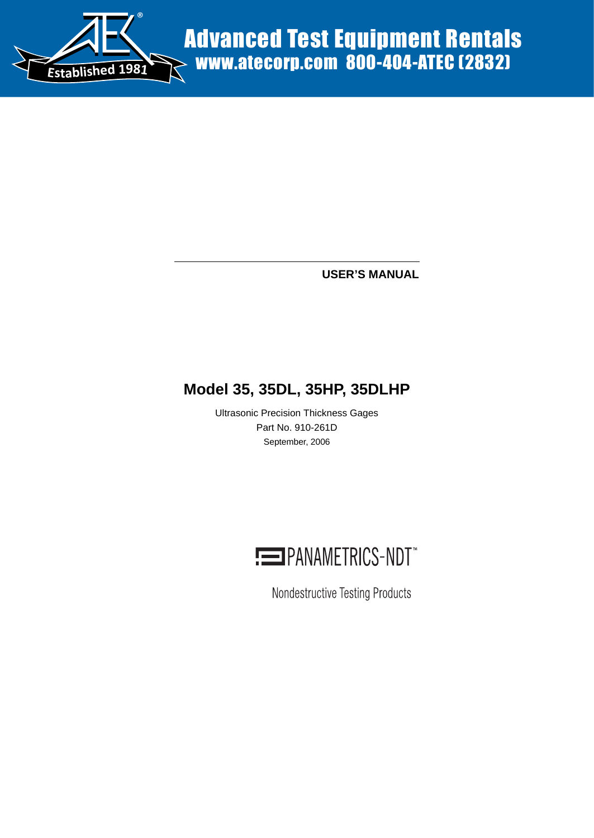

**USER'S MANUAL**

# **Model 35, 35DL, 35HP, 35DLHP**

Ultrasonic Precision Thickness Gages Part No. 910-261D September, 2006



Nondestructive Testing Products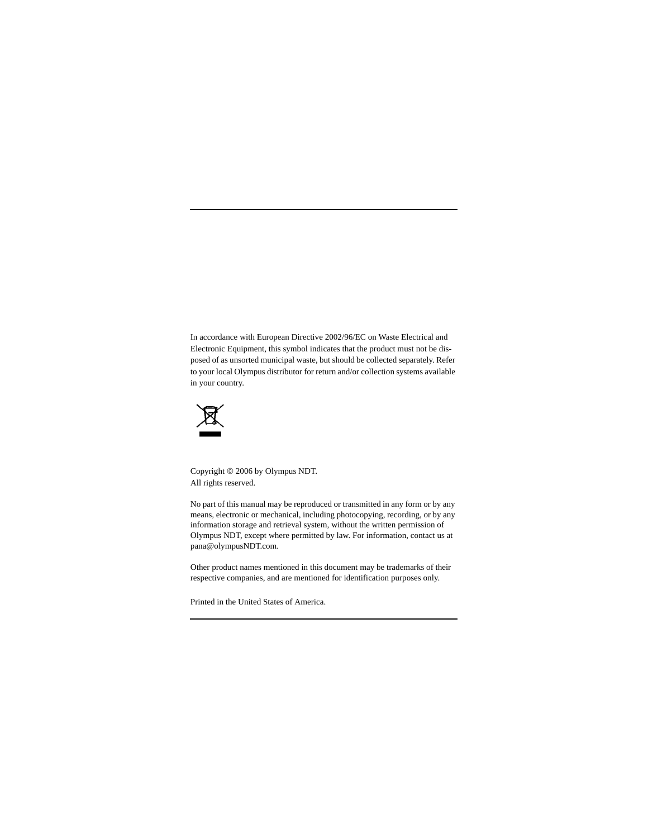In accordance with European Directive 2002/96/EC on Waste Electrical and Electronic Equipment, this symbol indicates that the product must not be disposed of as unsorted municipal waste, but should be collected separately. Refer to your local Olympus distributor for return and/or collection systems available in your country.



Copyright © 2006 by Olympus NDT. All rights reserved.

No part of this manual may be reproduced or transmitted in any form or by any means, electronic or mechanical, including photocopying, recording, or by any information storage and retrieval system, without the written permission of Olympus NDT, except where permitted by law. For information, contact us at pana@olympusNDT.com.

Other product names mentioned in this document may be trademarks of their respective companies, and are mentioned for identification purposes only.

Printed in the United States of America.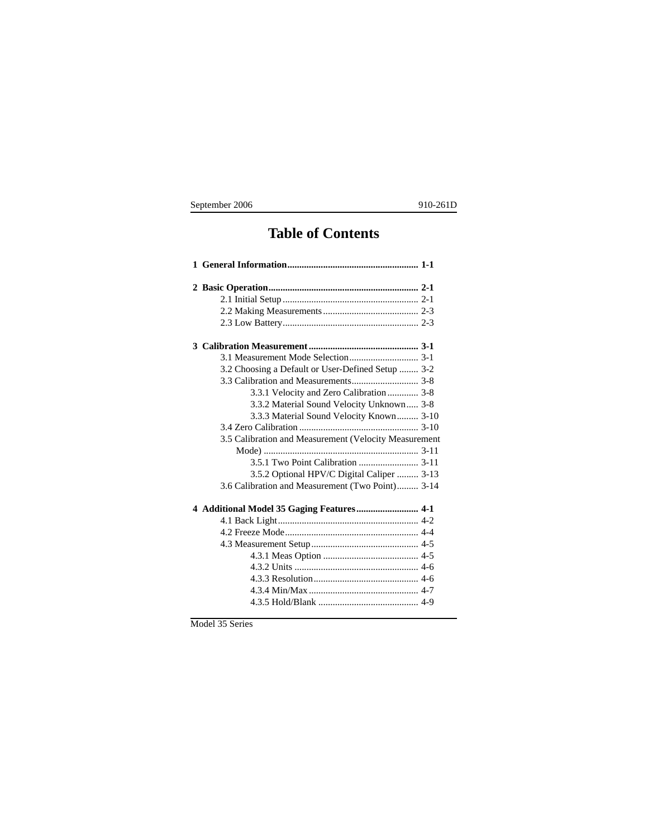| September 2006 | 910-261D |
|----------------|----------|
|                |          |

# **Table of Contents**

| 3.2 Choosing a Default or User-Defined Setup  3-2     |
|-------------------------------------------------------|
|                                                       |
| 3.3.1 Velocity and Zero Calibration  3-8              |
| 3.3.2 Material Sound Velocity Unknown 3-8             |
| 3.3.3 Material Sound Velocity Known 3-10              |
|                                                       |
| 3.5 Calibration and Measurement (Velocity Measurement |
|                                                       |
|                                                       |
| 3.5.2 Optional HPV/C Digital Caliper  3-13            |
| 3.6 Calibration and Measurement (Two Point) 3-14      |
| 4 Additional Model 35 Gaging Features 4-1             |
|                                                       |
|                                                       |
|                                                       |
|                                                       |
|                                                       |
|                                                       |
|                                                       |
|                                                       |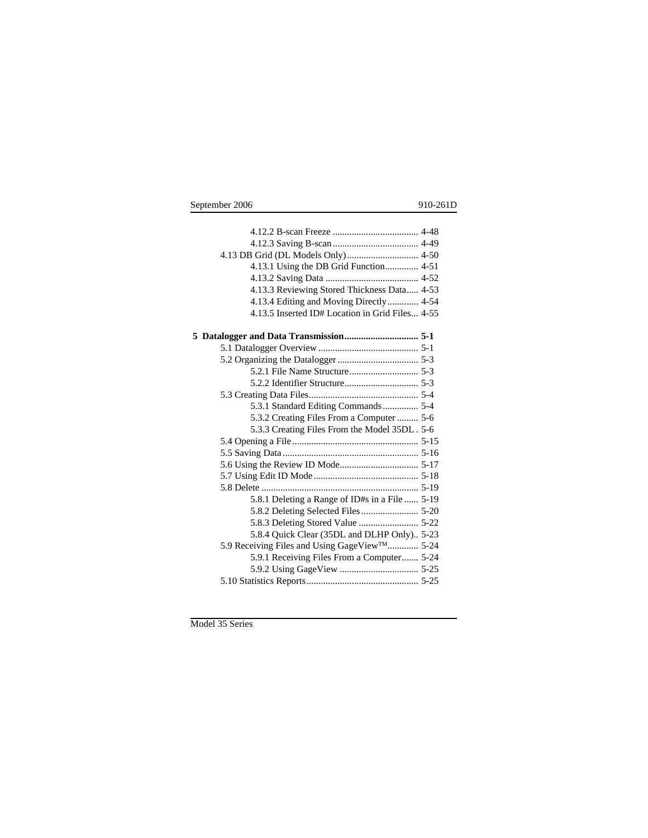| September 2006 | 910-261D |
|----------------|----------|
|                |          |

| 910-261D |  |  |  |
|----------|--|--|--|
|          |  |  |  |

| 4.13.1 Using the DB Grid Function 4-51                    |  |
|-----------------------------------------------------------|--|
|                                                           |  |
| 4.13.3 Reviewing Stored Thickness Data 4-53               |  |
| 4.13.4 Editing and Moving Directly 4-54                   |  |
| 4.13.5 Inserted ID# Location in Grid Files 4-55           |  |
|                                                           |  |
|                                                           |  |
|                                                           |  |
|                                                           |  |
|                                                           |  |
|                                                           |  |
| 5.3.1 Standard Editing Commands 5-4                       |  |
| 5.3.2 Creating Files From a Computer  5-6                 |  |
| 5.3.3 Creating Files From the Model 35DL . 5-6            |  |
|                                                           |  |
|                                                           |  |
|                                                           |  |
|                                                           |  |
|                                                           |  |
| 5.8.1 Deleting a Range of ID#s in a File  5-19            |  |
|                                                           |  |
|                                                           |  |
| 5.8.4 Quick Clear (35DL and DLHP Only) 5-23               |  |
| 5.9 Receiving Files and Using GageView <sup>TM</sup> 5-24 |  |
| 5.9.1 Receiving Files From a Computer 5-24                |  |
|                                                           |  |
|                                                           |  |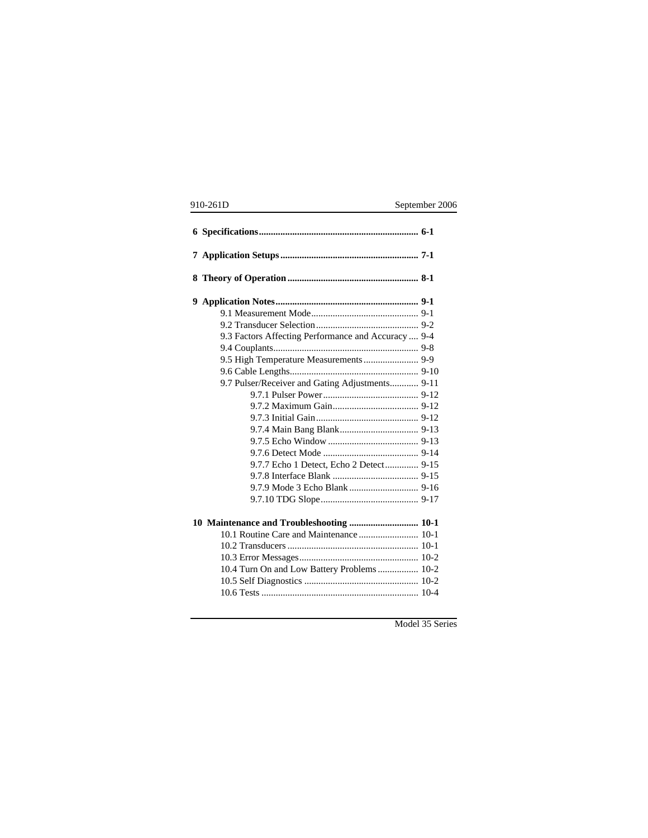| 910-261D |  |  |  |
|----------|--|--|--|
|          |  |  |  |

| 910-261D | September 2006 |  |
|----------|----------------|--|
|----------|----------------|--|

| 9.3 Factors Affecting Performance and Accuracy  9-4 |  |
|-----------------------------------------------------|--|
|                                                     |  |
| 9.5 High Temperature Measurements 9-9               |  |
|                                                     |  |
| 9.7 Pulser/Receiver and Gating Adjustments 9-11     |  |
|                                                     |  |
|                                                     |  |
|                                                     |  |
|                                                     |  |
|                                                     |  |
|                                                     |  |
| 9.7.7 Echo 1 Detect, Echo 2 Detect 9-15             |  |
|                                                     |  |
|                                                     |  |
|                                                     |  |
| 10 Maintenance and Troubleshooting  10-1            |  |
| 10.1 Routine Care and Maintenance  10-1             |  |
|                                                     |  |
|                                                     |  |
| 10.4 Turn On and Low Battery Problems 10-2          |  |
|                                                     |  |
|                                                     |  |
|                                                     |  |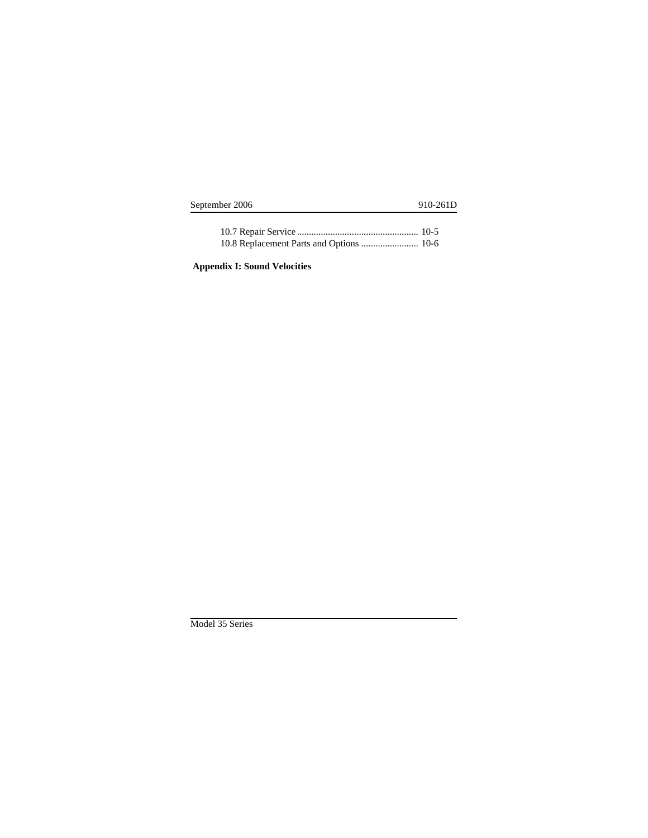| September 2006 | 910-261D |
|----------------|----------|
|                |          |

 **Appendix I: Sound Velocities**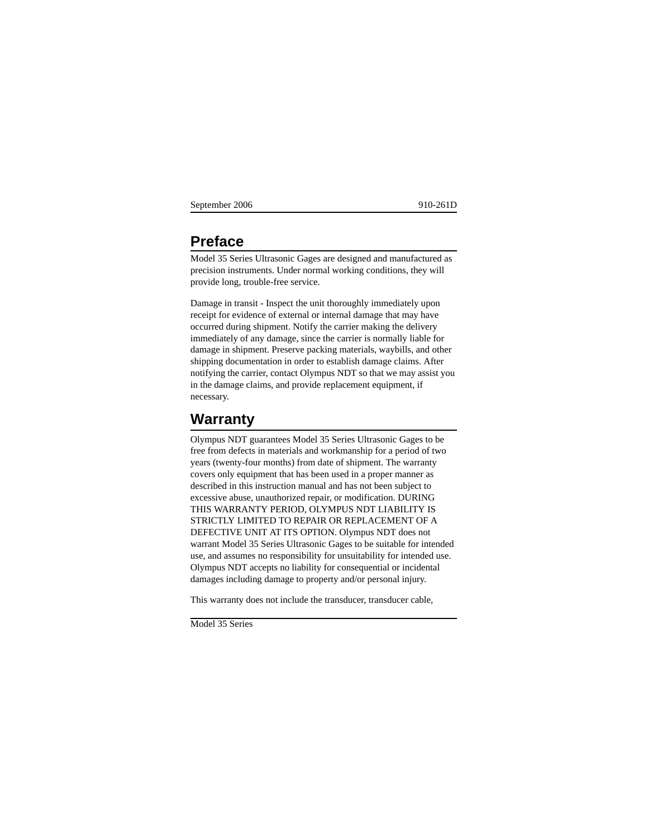September 2006 910-261D

### **Preface**

Model 35 Series Ultrasonic Gages are designed and manufactured as precision instruments. Under normal working conditions, they will provide long, trouble-free service.

Damage in transit - Inspect the unit thoroughly immediately upon receipt for evidence of external or internal damage that may have occurred during shipment. Notify the carrier making the delivery immediately of any damage, since the carrier is normally liable for damage in shipment. Preserve packing materials, waybills, and other shipping documentation in order to establish damage claims. After notifying the carrier, contact Olympus NDT so that we may assist you in the damage claims, and provide replacement equipment, if necessary.

### **Warranty**

Olympus NDT guarantees Model 35 Series Ultrasonic Gages to be free from defects in materials and workmanship for a period of two years (twenty-four months) from date of shipment. The warranty covers only equipment that has been used in a proper manner as described in this instruction manual and has not been subject to excessive abuse, unauthorized repair, or modification. DURING THIS WARRANTY PERIOD, OLYMPUS NDT LIABILITY IS STRICTLY LIMITED TO REPAIR OR REPLACEMENT OF A DEFECTIVE UNIT AT ITS OPTION. Olympus NDT does not warrant Model 35 Series Ultrasonic Gages to be suitable for intended use, and assumes no responsibility for unsuitability for intended use. Olympus NDT accepts no liability for consequential or incidental damages including damage to property and/or personal injury.

This warranty does not include the transducer, transducer cable,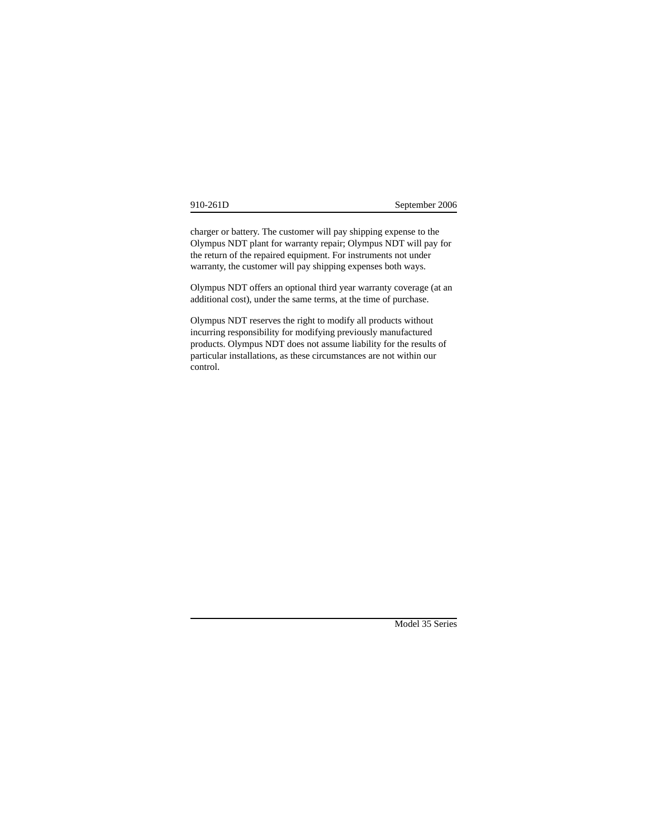| 910-261D |  |  |  |
|----------|--|--|--|
|          |  |  |  |

September 2006

charger or battery. The customer will pay shipping expense to the Olympus NDT plant for warranty repair; Olympus NDT will pay for the return of the repaired equipment. For instruments not under warranty, the customer will pay shipping expenses both ways.

Olympus NDT offers an optional third year warranty coverage (at an additional cost), under the same terms, at the time of purchase.

Olympus NDT reserves the right to modify all products without incurring responsibility for modifying previously manufactured products. Olympus NDT does not assume liability for the results of particular installations, as these circumstances are not within our control.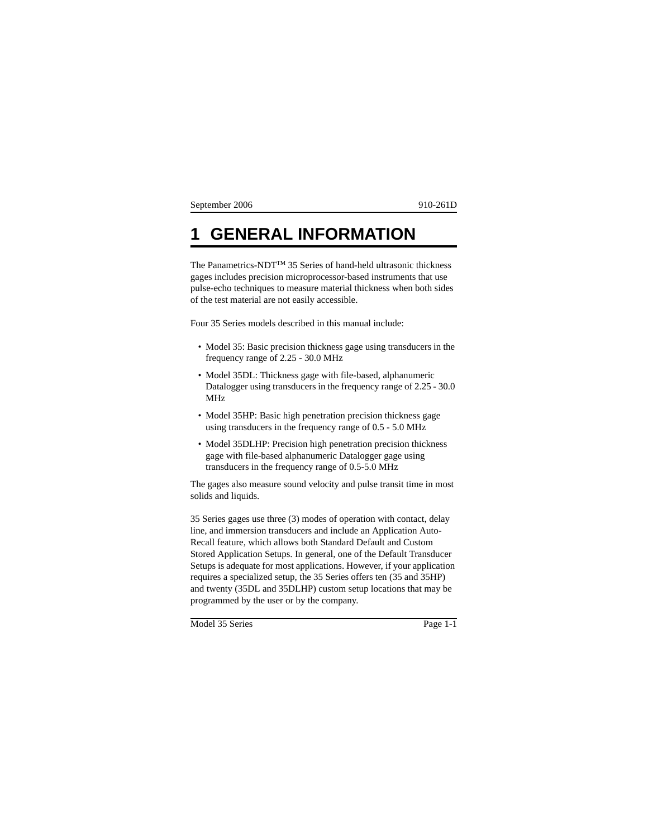# **1 GENERAL INFORMATION**

The Panametrics-NDT<sup>TM</sup> 35 Series of hand-held ultrasonic thickness gages includes precision microprocessor-based instruments that use pulse-echo techniques to measure material thickness when both sides of the test material are not easily accessible.

Four 35 Series models described in this manual include:

- Model 35: Basic precision thickness gage using transducers in the frequency range of 2.25 - 30.0 MHz
- Model 35DL: Thickness gage with file-based, alphanumeric Datalogger using transducers in the frequency range of 2.25 - 30.0 MHz
- Model 35HP: Basic high penetration precision thickness gage using transducers in the frequency range of 0.5 - 5.0 MHz
- Model 35DLHP: Precision high penetration precision thickness gage with file-based alphanumeric Datalogger gage using transducers in the frequency range of 0.5-5.0 MHz

The gages also measure sound velocity and pulse transit time in most solids and liquids.

35 Series gages use three (3) modes of operation with contact, delay line, and immersion transducers and include an Application Auto-Recall feature, which allows both Standard Default and Custom Stored Application Setups. In general, one of the Default Transducer Setups is adequate for most applications. However, if your application requires a specialized setup, the 35 Series offers ten (35 and 35HP) and twenty (35DL and 35DLHP) custom setup locations that may be programmed by the user or by the company.

Model 35 Series Page 1-1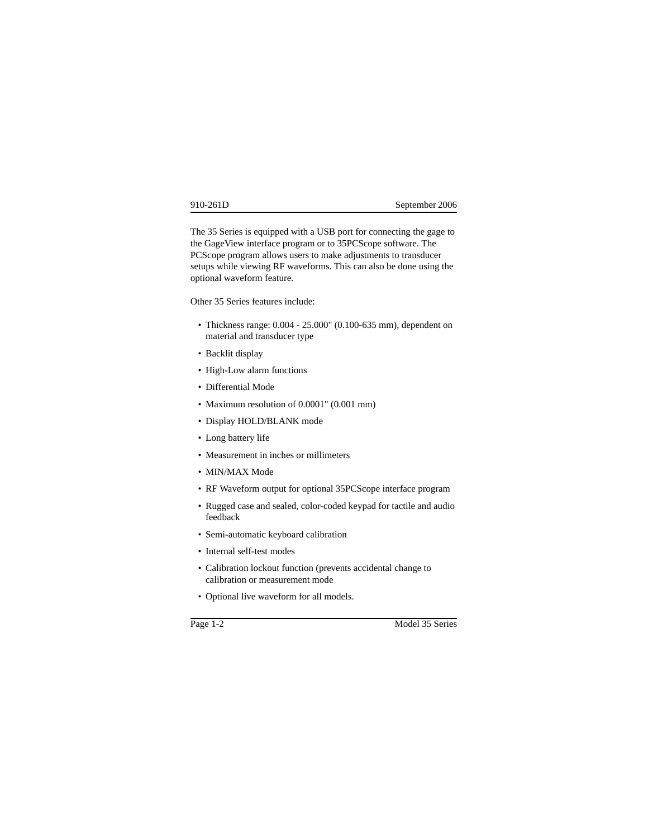|  | 910-261D |
|--|----------|
|  |          |

September 2006

The 35 Series is equipped with a USB port for connecting the gage to the GageView interface program or to 35PCScope software. The PCScope program allows users to make adjustments to transducer setups while viewing RF waveforms. This can also be done using the optional waveform feature.

Other 35 Series features include:

- Thickness range: 0.004 25.000" (0.100-635 mm), dependent on material and transducer type
- Backlit display
- High-Low alarm functions
- Differential Mode
- Maximum resolution of 0.0001" (0.001 mm)
- Display HOLD/BLANK mode
- Long battery life
- Measurement in inches or millimeters
- MIN/MAX Mode
- RF Waveform output for optional 35PCScope interface program
- Rugged case and sealed, color-coded keypad for tactile and audio feedback
- Semi-automatic keyboard calibration
- Internal self-test modes
- Calibration lockout function (prevents accidental change to calibration or measurement mode
- Optional live waveform for all models.

Page 1-2 Model 35 Series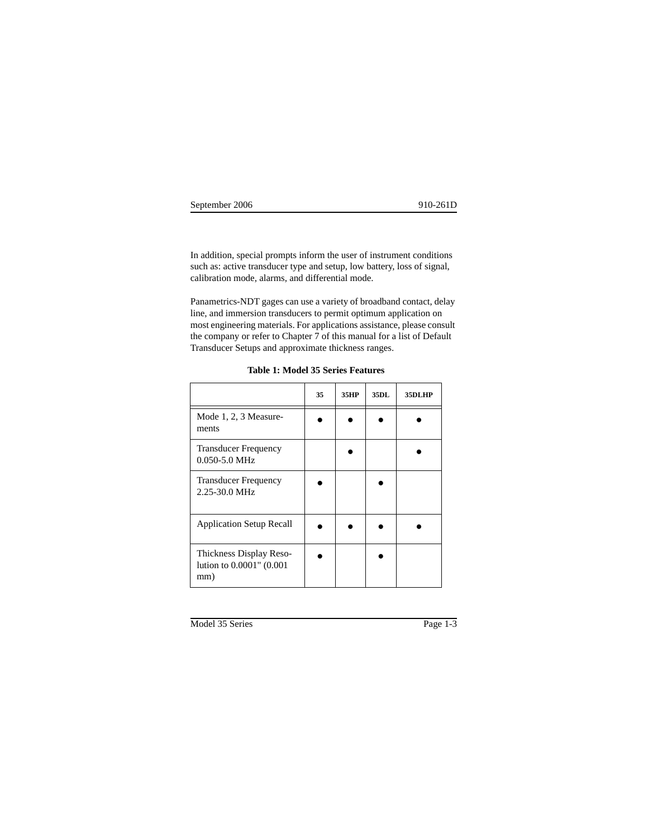| September 2006 |  |  |
|----------------|--|--|
|                |  |  |

In addition, special prompts inform the user of instrument conditions such as: active transducer type and setup, low battery, loss of signal, calibration mode, alarms, and differential mode.

Panametrics-NDT gages can use a variety of broadband contact, delay line, and immersion transducers to permit optimum application on most engineering materials. For applications assistance, please consult the company or refer to Chapter 7 of this manual for a list of Default Transducer Setups and approximate thickness ranges.

|                                                             | 35 | 35HP | 35DL | 35DLHP |
|-------------------------------------------------------------|----|------|------|--------|
| Mode 1, 2, 3 Measure-<br>ments                              |    |      |      |        |
| <b>Transducer Frequency</b><br>$0.050 - 5.0$ MHz            |    |      |      |        |
| <b>Transducer Frequency</b><br>2.25-30.0 MHz                |    |      |      |        |
| <b>Application Setup Recall</b>                             |    |      |      |        |
| Thickness Display Reso-<br>lution to 0.0001" (0.001)<br>mm) |    |      |      |        |

**Table 1: Model 35 Series Features**

Model 35 Series Page 1-3

910-261D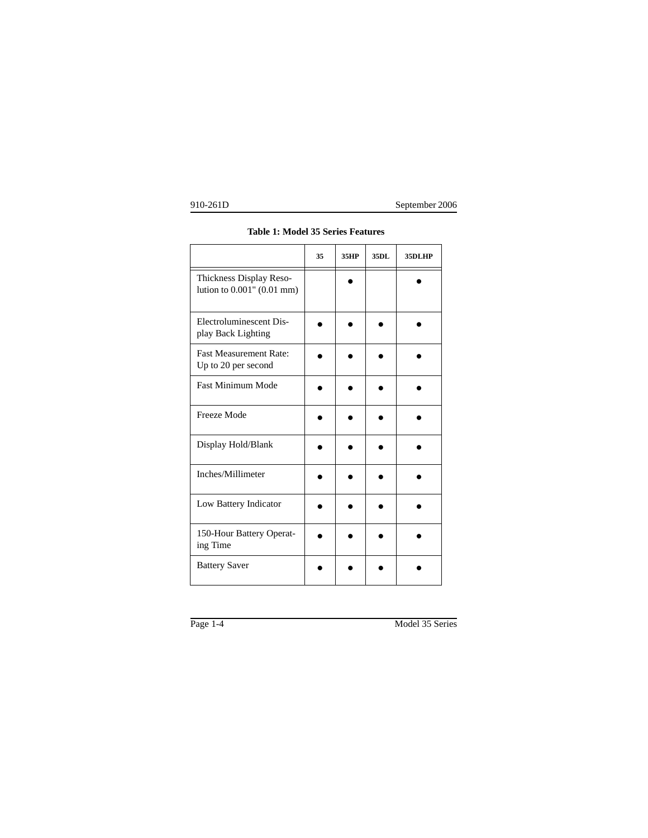|                                                            | 35 | <b>35HP</b> | 35DL | 35DLHP |
|------------------------------------------------------------|----|-------------|------|--------|
| Thickness Display Reso-<br>lution to $0.001$ " $(0.01$ mm) |    |             |      |        |
| Electroluminescent Dis-<br>play Back Lighting              |    |             |      |        |
| <b>Fast Measurement Rate:</b><br>Up to 20 per second       |    |             |      |        |
| <b>Fast Minimum Mode</b>                                   |    |             |      |        |
| Freeze Mode                                                |    |             |      |        |
| Display Hold/Blank                                         |    |             |      |        |
| Inches/Millimeter                                          |    |             |      |        |
| Low Battery Indicator                                      |    |             |      |        |
| 150-Hour Battery Operat-<br>ing Time                       |    |             |      |        |
| <b>Battery Saver</b>                                       |    |             |      |        |
|                                                            |    |             |      |        |

#### **Table 1: Model 35 Series Features**

Page 1-4 Model 35 Series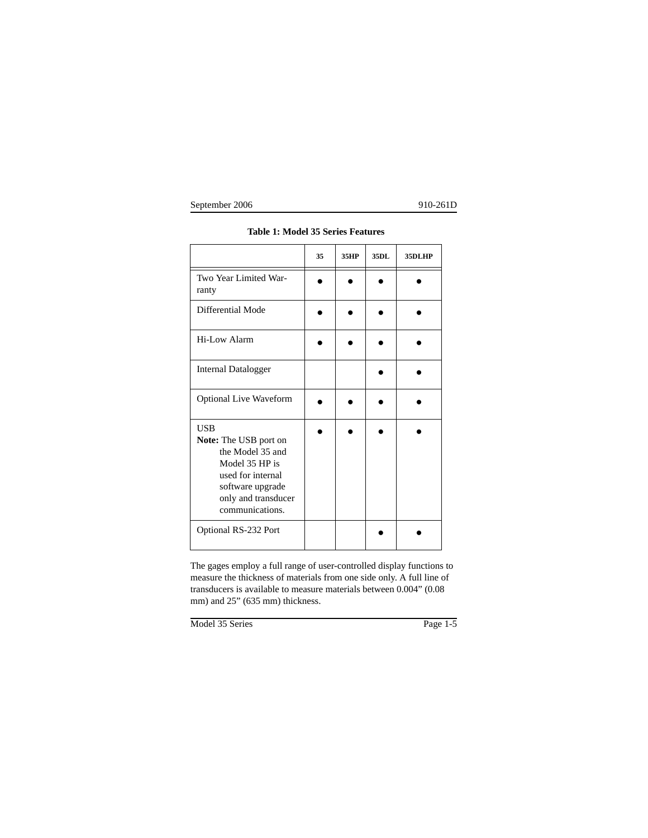September 2006 910-261D

|                                                                                                                                                                     | 35 | 35HP | 35DL | 35DLHP |
|---------------------------------------------------------------------------------------------------------------------------------------------------------------------|----|------|------|--------|
| Two Year Limited War-<br>ranty                                                                                                                                      |    |      |      |        |
| Differential Mode                                                                                                                                                   |    |      |      |        |
| Hi-Low Alarm                                                                                                                                                        |    |      |      |        |
| <b>Internal Datalogger</b>                                                                                                                                          |    |      |      |        |
| Optional Live Waveform                                                                                                                                              |    |      |      |        |
| <b>USB</b><br><b>Note:</b> The USB port on<br>the Model 35 and<br>Model 35 HP is<br>used for internal<br>software upgrade<br>only and transducer<br>communications. |    |      |      |        |
| Optional RS-232 Port                                                                                                                                                |    |      |      |        |

**Table 1: Model 35 Series Features**

The gages employ a full range of user-controlled display functions to measure the thickness of materials from one side only. A full line of transducers is available to measure materials between 0.004" (0.08 mm) and 25" (635 mm) thickness.

Model 35 Series Page 1-5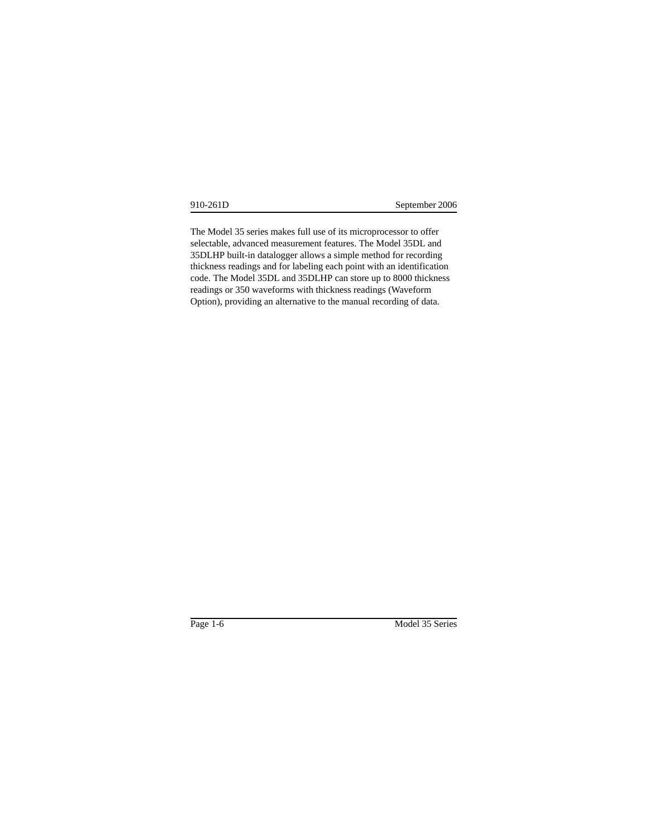The Model 35 series makes full use of its microprocessor to offer selectable, advanced measurement features. The Model 35DL and 35DLHP built-in datalogger allows a simple method for recording thickness readings and for labeling each point with an identification code. The Model 35DL and 35DLHP can store up to 8000 thickness readings or 350 waveforms with thickness readings (Waveform Option), providing an alternative to the manual recording of data.

Page 1-6 Model 35 Series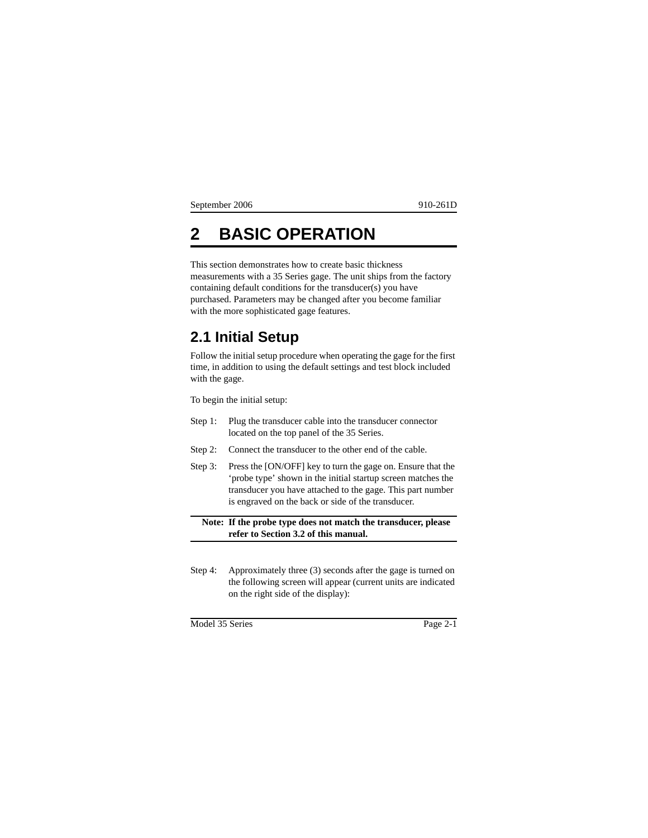September 2006 910-261D

# **2 BASIC OPERATION**

This section demonstrates how to create basic thickness measurements with a 35 Series gage. The unit ships from the factory containing default conditions for the transducer(s) you have purchased. Parameters may be changed after you become familiar with the more sophisticated gage features.

# **2.1 Initial Setup**

Follow the initial setup procedure when operating the gage for the first time, in addition to using the default settings and test block included with the gage.

To begin the initial setup:

| Step $1$ : | Plug the transducer cable into the transducer connector |
|------------|---------------------------------------------------------|
|            | located on the top panel of the 35 Series.              |

- Step 2: Connect the transducer to the other end of the cable.
- Step 3: Press the [ON/OFF] key to turn the gage on. Ensure that the 'probe type' shown in the initial startup screen matches the transducer you have attached to the gage. This part number is engraved on the back or side of the transducer.

**Note: If the probe type does not match the transducer, please refer to Section 3.2 of this manual.**

Step 4: Approximately three (3) seconds after the gage is turned on the following screen will appear (current units are indicated on the right side of the display):

Model 35 Series Page 2-1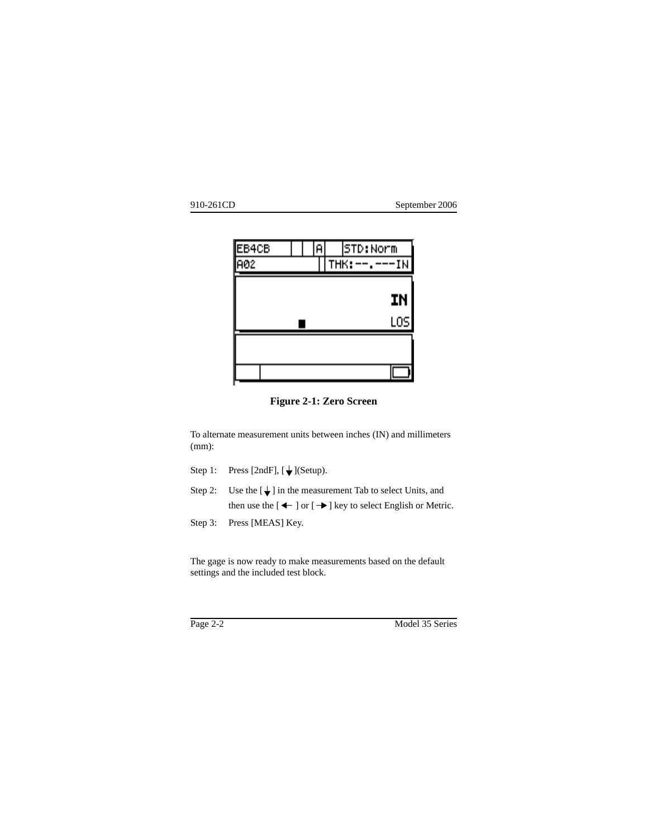

**Figure 2-1: Zero Screen**

To alternate measurement units between inches (IN) and millimeters (mm):

| Step 1: Press [2ndF], $[\bigstar]$ (Setup).                                                             |
|---------------------------------------------------------------------------------------------------------|
| Step 2: Use the $\left[\frac{1}{\sqrt{2}}\right]$ in the measurement Tab to select Units, and           |
| then use the $\left[\right] \leftarrow$ or $\left[\right] \rightarrow$ key to select English or Metric. |
| $\alpha$ $\alpha$ n $\alpha$                                                                            |

Step 3: Press [MEAS] Key.

The gage is now ready to make measurements based on the default settings and the included test block.

Page 2-2 Model 35 Series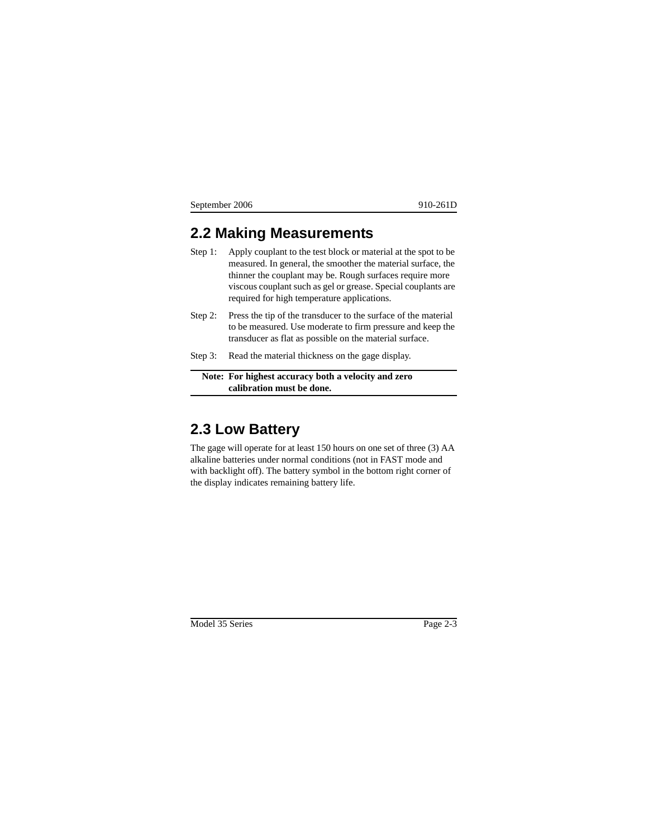| September 2006 |  |
|----------------|--|
|----------------|--|

#### 910-261D

## **2.2 Making Measurements**

- Step 1: Apply couplant to the test block or material at the spot to be measured. In general, the smoother the material surface, the thinner the couplant may be. Rough surfaces require more viscous couplant such as gel or grease. Special couplants are required for high temperature applications.
- Step 2: Press the tip of the transducer to the surface of the material to be measured. Use moderate to firm pressure and keep the transducer as flat as possible on the material surface.
- Step 3: Read the material thickness on the gage display.

**Note: For highest accuracy both a velocity and zero calibration must be done.**

# **2.3 Low Battery**

The gage will operate for at least 150 hours on one set of three (3) AA alkaline batteries under normal conditions (not in FAST mode and with backlight off). The battery symbol in the bottom right corner of the display indicates remaining battery life.

Model 35 Series Page 2-3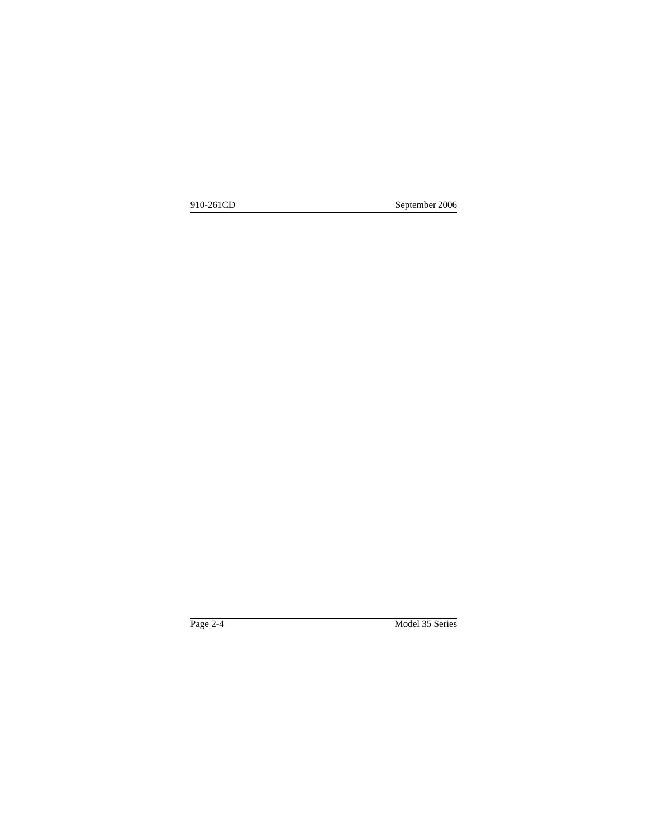Page 2-4 Model 35 Series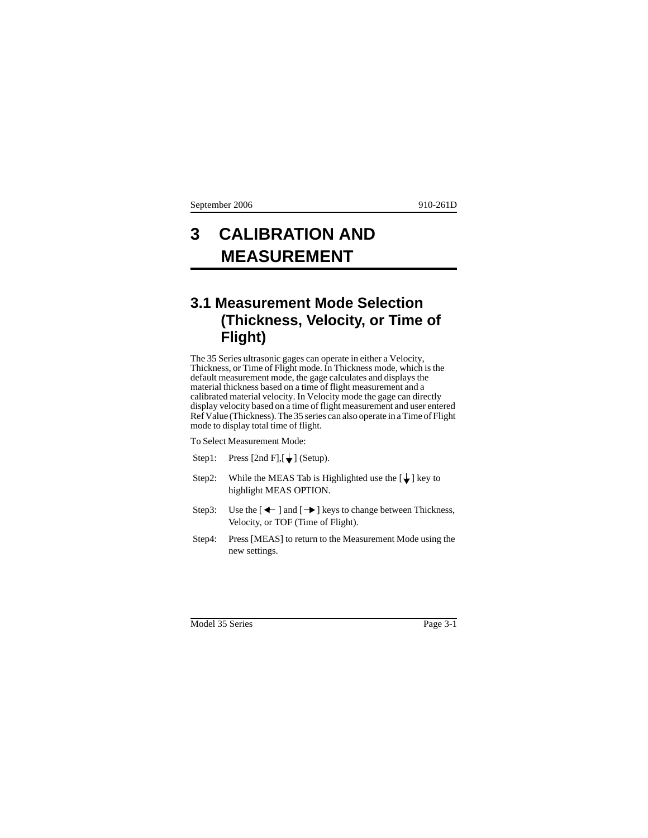September 2006 910-261D

# **3 CALIBRATION AND MEASUREMENT**

# **3.1 Measurement Mode Selection (Thickness, Velocity, or Time of Flight)**

The 35 Series ultrasonic gages can operate in either a Velocity, Thickness, or Time of Flight mode. In Thickness mode, which is the default measurement mode, the gage calculates and displays the material thickness based on a time of flight measurement and a calibrated material velocity. In Velocity mode the gage can directly display velocity based on a time of flight measurement and user entered Ref Value (Thickness). The 35 series can also operate in a Time of Flight mode to display total time of flight.

To Select Measurement Mode:

- Step1: Press [2nd F], $[\bigstar]$  (Setup).
- Step2: While the MEAS Tab is Highlighted use the  $[\bigstar]$  key to highlight MEAS OPTION.
- Step3: Use the  $[\triangleleft]$  and  $[\triangleleft]$  keys to change between Thickness, Velocity, or TOF (Time of Flight).
- Step4: Press [MEAS] to return to the Measurement Mode using the new settings.

Model 35 Series Page 3-1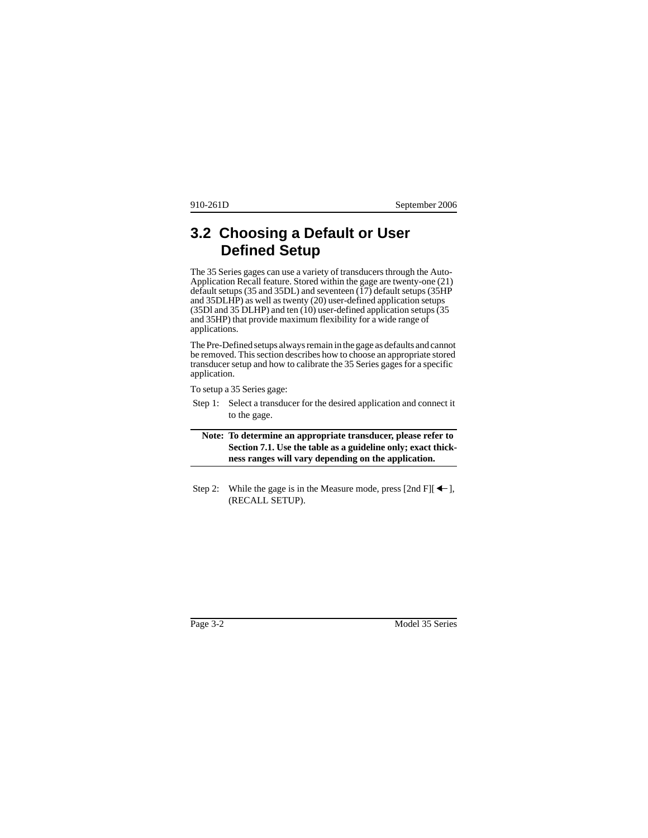# **3.2 Choosing a Default or User Defined Setup**

The 35 Series gages can use a variety of transducers through the Auto-Application Recall feature. Stored within the gage are twenty-one (21) default setups (35 and 35DL) and seventeen (17) default setups (35HP and 35DLHP) as well as twenty (20) user-defined application setups (35Dl and 35 DLHP) and ten (10) user-defined application setups (35 and 35HP) that provide maximum flexibility for a wide range of applications.

The Pre-Defined setups always remain in the gage as defaults and cannot be removed. This section describes how to choose an appropriate stored transducer setup and how to calibrate the 35 Series gages for a specific application.

To setup a 35 Series gage:

 Step 1: Select a transducer for the desired application and connect it to the gage.

#### **Note: To determine an appropriate transducer, please refer to Section 7.1. Use the table as a guideline only; exact thickness ranges will vary depending on the application.**

Step 2: While the gage is in the Measure mode, press [2nd F][ $\blacktriangleleft$ ], (RECALL SETUP).

Page 3-2 Model 35 Series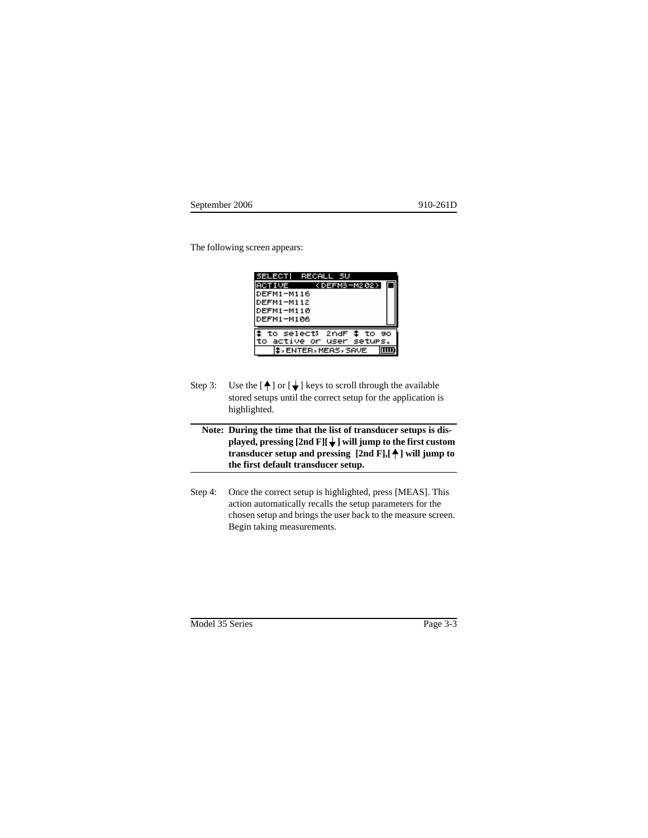| September 2006 |  |  |
|----------------|--|--|
|                |  |  |

910-261D

The following screen appears:

| SELECT  RECALL SU       |  |
|-------------------------|--|
| ACTIVE (DEFM3-M202)     |  |
| DEFM1-M116              |  |
| DEFM1-M112              |  |
| DEFM1-M110              |  |
| DEFM1-M106              |  |
| to select; 2ndF ‡ to 90 |  |
| active or user seturs.  |  |
|                         |  |
| l‡, ENTER, MEAS, SAVE   |  |

Step 3: Use the  $[4]$  or  $[\frac{1}{2}]$  keys to scroll through the available stored setups until the correct setup for the application is highlighted.

**Note: During the time that the list of transducer setups is displayed, pressing [2nd F][ ] will jump to the first custom**  transducer setup and pressing [2nd F],[ $\biguparrow$ ] will jump to **the first default transducer setup.**

Step 4: Once the correct setup is highlighted, press [MEAS]. This action automatically recalls the setup parameters for the chosen setup and brings the user back to the measure screen. Begin taking measurements.

Model 35 Series Page 3-3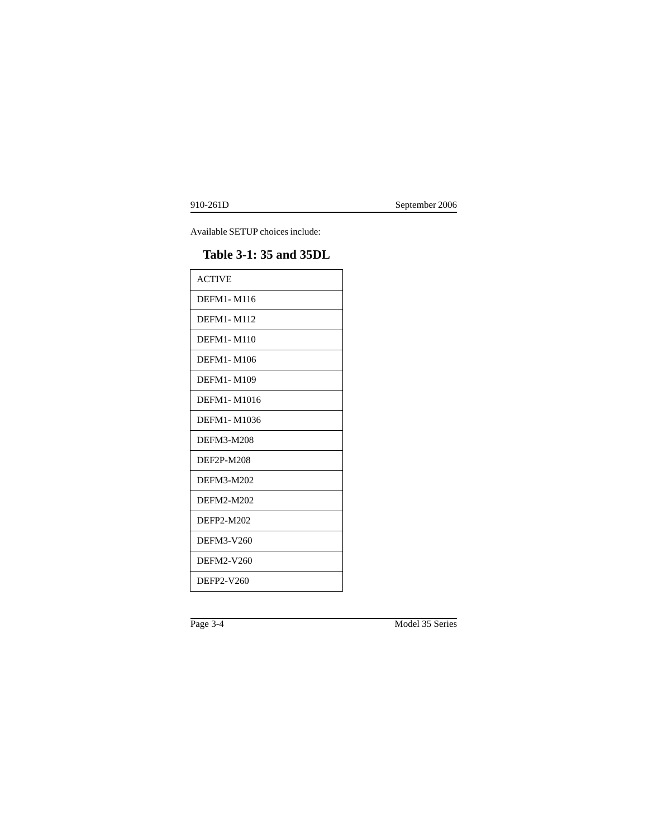Available SETUP choices include:

### **Table 3-1: 35 and 35DL**

| <b>ACTIVE</b>     |
|-------------------|
| <b>DEFM1-M116</b> |
| <b>DEFM1-M112</b> |
| <b>DEFM1-M110</b> |
| <b>DEFM1-M106</b> |
| <b>DEFM1-M109</b> |
| DEFM1-M1016       |
| DEFM1-M1036       |
| <b>DEFM3-M208</b> |
| <b>DEF2P-M208</b> |
| <b>DEFM3-M202</b> |
| <b>DEFM2-M202</b> |
| DEFP2-M202        |
| DEFM3-V260        |
| DEFM2-V260        |
| DEFP2-V260        |

Page 3-4 Model 35 Series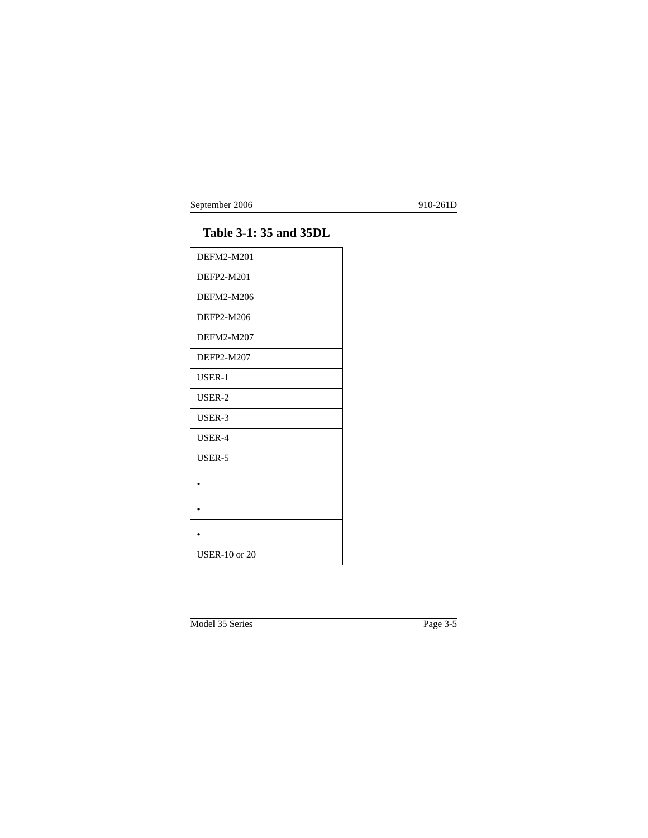September 2006 910-261D

## **Table 3-1: 35 and 35DL**

| <b>DEFM2-M201</b>    |
|----------------------|
| DEFP2-M201           |
| <b>DEFM2-M206</b>    |
| DEFP2-M206           |
| <b>DEFM2-M207</b>    |
| DEFP2-M207           |
| USER-1               |
| USER-2               |
| USER-3               |
| USER-4               |
| USER-5               |
|                      |
|                      |
|                      |
| <b>USER-10 or 20</b> |

Model 35 Series Page 3-5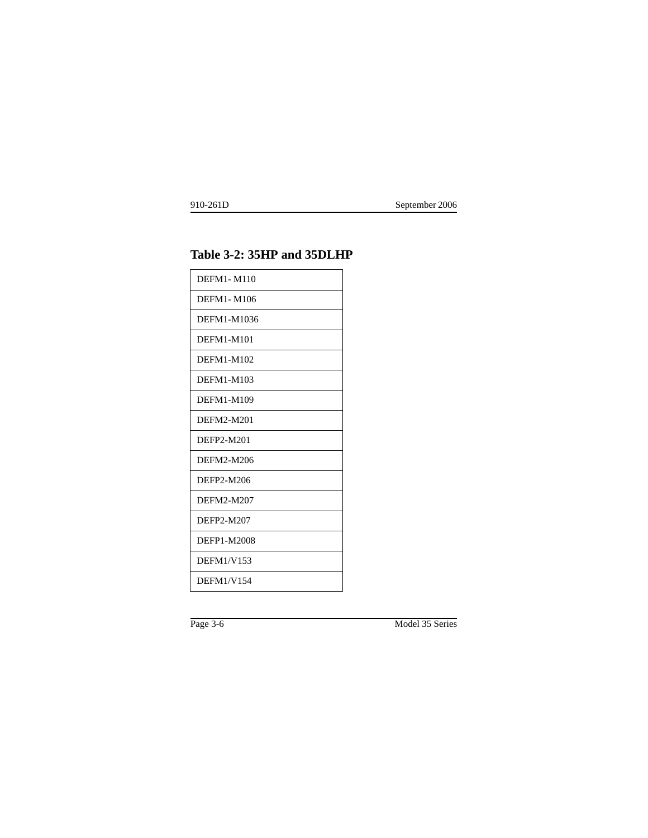## **Table 3-2: 35HP and 35DLHP**

| <b>DEFM1-M110</b> |
|-------------------|
| <b>DEFM1-M106</b> |
| DEFM1-M1036       |
| <b>DEFM1-M101</b> |
| <b>DEFM1-M102</b> |
| <b>DEFM1-M103</b> |
| <b>DEFM1-M109</b> |
| <b>DEFM2-M201</b> |
| DEFP2-M201        |
| <b>DEFM2-M206</b> |
| DEFP2-M206        |
| <b>DEFM2-M207</b> |
| DEFP2-M207        |
| DEFP1-M2008       |
| <b>DEFM1/V153</b> |
| <b>DEFM1/V154</b> |

Page 3-6 Model 35 Series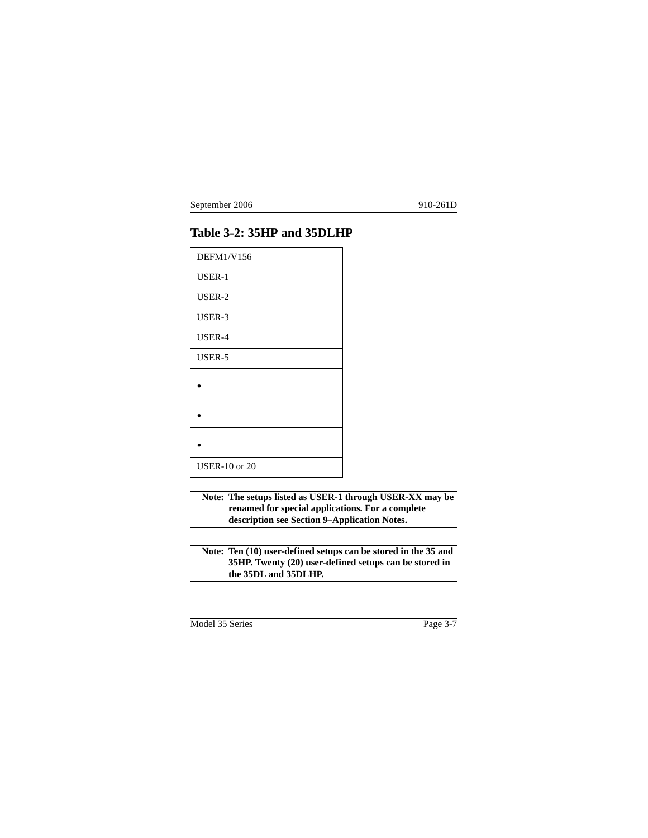September 2006 910-261D

## **Table 3-2: 35HP and 35DLHP**

| DEFM1/V156           |
|----------------------|
| USER-1               |
| USER-2               |
| USER-3               |
| USER-4               |
| USER-5               |
|                      |
|                      |
|                      |
| <b>USER-10 or 20</b> |

**Note: The setups listed as USER-1 through USER-XX may be renamed for special applications. For a complete description see Section 9–Application Notes.**

**Note: Ten (10) user-defined setups can be stored in the 35 and 35HP. Twenty (20) user-defined setups can be stored in the 35DL and 35DLHP.**

Model 35 Series Page 3-7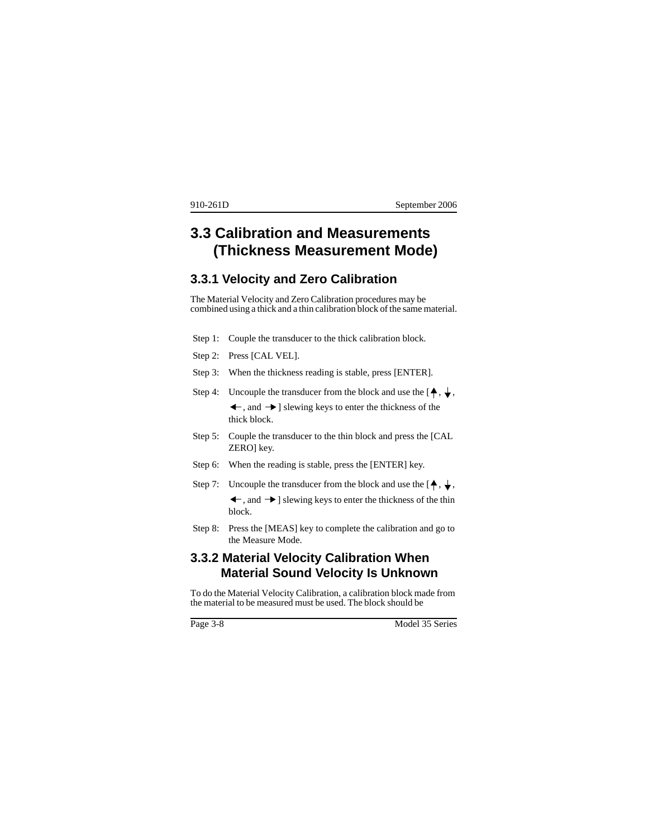| )10-261D |  |
|----------|--|
|----------|--|

#### September 2006

# **3.3 Calibration and Measurements (Thickness Measurement Mode)**

### **3.3.1 Velocity and Zero Calibration**

The Material Velocity and Zero Calibration procedures may be combined using a thick and a thin calibration block of the same material.

- Step 1: Couple the transducer to the thick calibration block.
- Step 2: Press [CAL VEL].
- Step 3: When the thickness reading is stable, press [ENTER].
- Step 4: Uncouple the transducer from the block and use the  $[\n\blacktriangleleft, \downarrow]$ ,  $\leftarrow$ , and  $\rightarrow$  ] slewing keys to enter the thickness of the thick block.
- Step 5: Couple the transducer to the thin block and press the [CAL ZERO] key.
- Step 6: When the reading is stable, press the [ENTER] key.
- Step 7: Uncouple the transducer from the block and use the  $[\n\blacklozenge, \downarrow, \downarrow]$  $\leftarrow$ , and  $\rightarrow$  ] slewing keys to enter the thickness of the thin block.
- Step 8: Press the [MEAS] key to complete the calibration and go to the Measure Mode.

#### **3.3.2 Material Velocity Calibration When Material Sound Velocity Is Unknown**

To do the Material Velocity Calibration, a calibration block made from the material to be measured must be used. The block should be

Page 3-8 Model 35 Series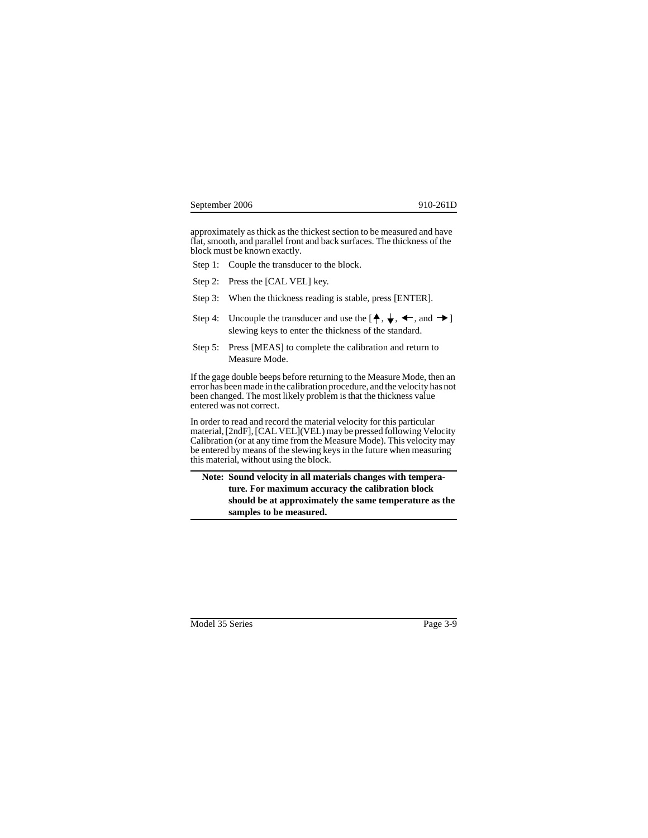| September 2006 |  |  |
|----------------|--|--|
|                |  |  |

910-261D

approximately as thick as the thickest section to be measured and have flat, smooth, and parallel front and back surfaces. The thickness of the block must be known exactly.

- Step 1: Couple the transducer to the block.
- Step 2: Press the [CAL VEL] key.
- Step 3: When the thickness reading is stable, press [ENTER].
- Step 4: Uncouple the transducer and use the  $[\n\blacklozenge, \downarrow, \leftarrow, \text{and} \rightarrow]$ slewing keys to enter the thickness of the standard.
- Step 5: Press [MEAS] to complete the calibration and return to Measure Mode.

If the gage double beeps before returning to the Measure Mode, then an error has been made in the calibration procedure, and the velocity has not been changed. The most likely problem is that the thickness value entered was not correct.

In order to read and record the material velocity for this particular material, [2ndF], [CAL VEL](VEL) may be pressed following Velocity Calibration (or at any time from the Measure Mode). This velocity may be entered by means of the slewing keys in the future when measuring this material, without using the block.

**Note: Sound velocity in all materials changes with temperature. For maximum accuracy the calibration block should be at approximately the same temperature as the samples to be measured.**

Model 35 Series Page 3-9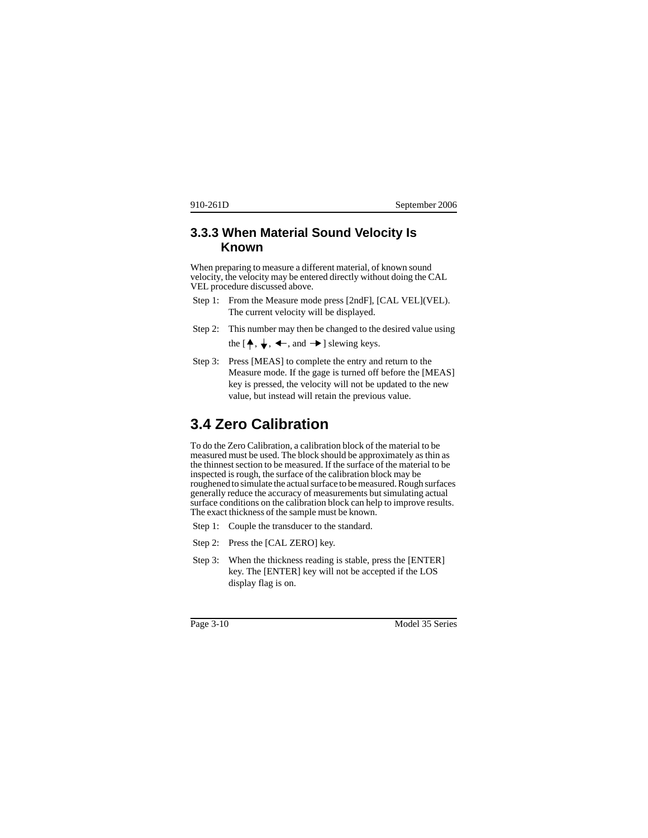### **3.3.3 When Material Sound Velocity Is Known**

When preparing to measure a different material, of known sound velocity, the velocity may be entered directly without doing the CAL VEL procedure discussed above.

- Step 1: From the Measure mode press [2ndF], [CAL VEL](VEL). The current velocity will be displayed.
- Step 2: This number may then be changed to the desired value using the  $[\uparrow, \downarrow, \leftarrow, \text{ and } \rightarrow]$  slewing keys.
- Step 3: Press [MEAS] to complete the entry and return to the Measure mode. If the gage is turned off before the [MEAS] key is pressed, the velocity will not be updated to the new value, but instead will retain the previous value.

# **3.4 Zero Calibration**

To do the Zero Calibration, a calibration block of the material to be measured must be used. The block should be approximately as thin as the thinnest section to be measured. If the surface of the material to be inspected is rough, the surface of the calibration block may be roughened to simulate the actual surface to be measured. Rough surfaces generally reduce the accuracy of measurements but simulating actual surface conditions on the calibration block can help to improve results. The exact thickness of the sample must be known.

- Step 1: Couple the transducer to the standard.
- Step 2: Press the [CAL ZERO] key.
- Step 3: When the thickness reading is stable, press the [ENTER] key. The [ENTER] key will not be accepted if the LOS display flag is on.

Page 3-10 Model 35 Series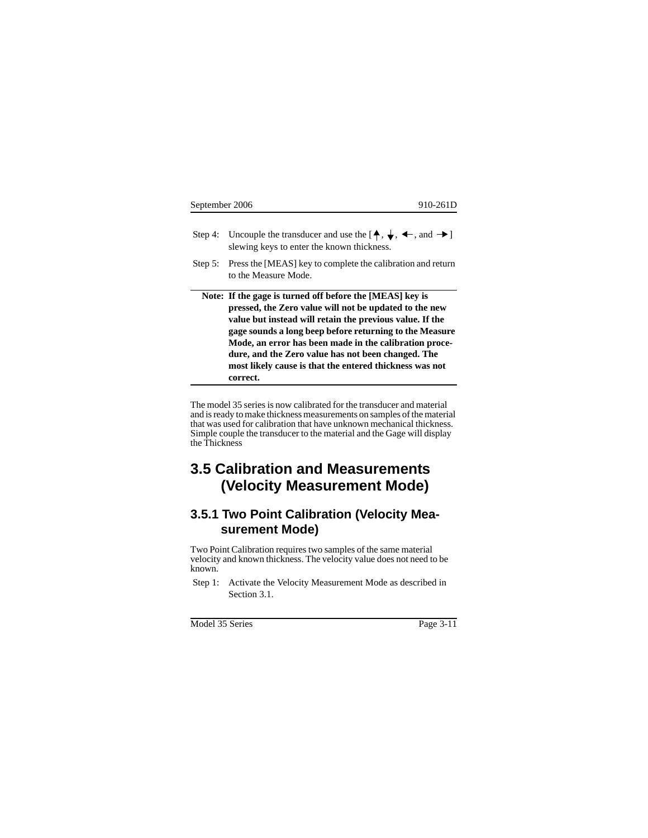| September 2006 |                                                                                                                                                                                                                                                                                                                                                                                                                                  | 910-261D |
|----------------|----------------------------------------------------------------------------------------------------------------------------------------------------------------------------------------------------------------------------------------------------------------------------------------------------------------------------------------------------------------------------------------------------------------------------------|----------|
| Step 4:        | Uncouple the transducer and use the $[\,\blacklozenge, \, \blacklozenge, \, \blacktriangleleft, \, \text{and} \, \blacktriangleright]$<br>slewing keys to enter the known thickness.                                                                                                                                                                                                                                             |          |
|                | Step 5: Press the [MEAS] key to complete the calibration and return<br>to the Measure Mode.                                                                                                                                                                                                                                                                                                                                      |          |
|                | Note: If the gage is turned off before the [MEAS] key is<br>pressed, the Zero value will not be updated to the new<br>value but instead will retain the previous value. If the<br>gage sounds a long beep before returning to the Measure<br>Mode, an error has been made in the calibration proce-<br>dure, and the Zero value has not been changed. The<br>most likely cause is that the entered thickness was not<br>correct. |          |

The model 35 series is now calibrated for the transducer and material and is ready to make thickness measurements on samples of the material that was used for calibration that have unknown mechanical thickness. Simple couple the transducer to the material and the Gage will display the Thickness

# **3.5 Calibration and Measurements (Velocity Measurement Mode)**

## **3.5.1 Two Point Calibration (Velocity Measurement Mode)**

Two Point Calibration requires two samples of the same material velocity and known thickness. The velocity value does not need to be known.

 Step 1: Activate the Velocity Measurement Mode as described in Section 3.1.

Model 35 Series Page 3-11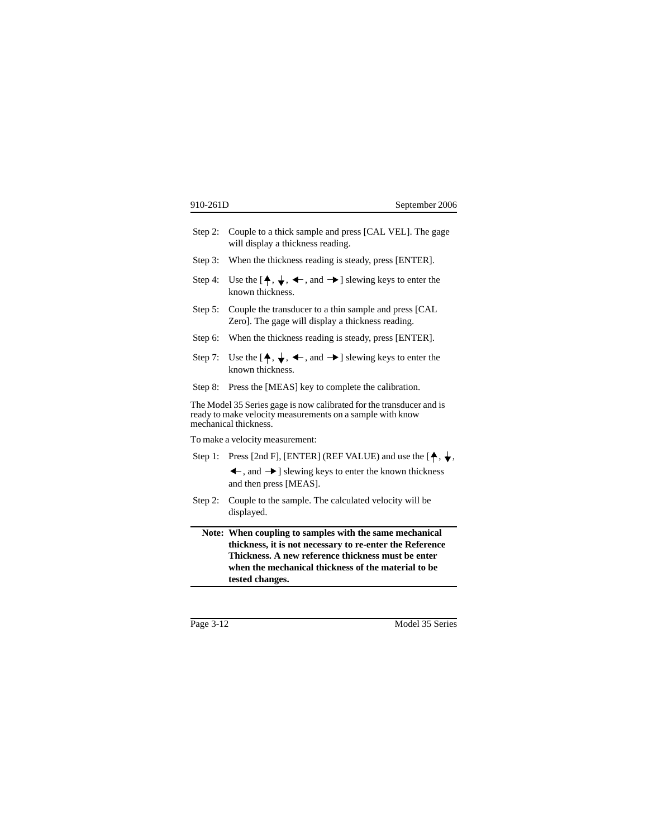|  |  | 910-261D |
|--|--|----------|
|  |  |          |

| 910-261D | September 2006 |
|----------|----------------|
|          |                |

|           | Note: When coupling to samples with the same mechanical<br>thickness, it is not necessary to re-enter the Reference<br>Thickness. A new reference thickness must be enter<br>when the mechanical thickness of the material to be<br>tested changes. |
|-----------|-----------------------------------------------------------------------------------------------------------------------------------------------------------------------------------------------------------------------------------------------------|
| Step 2:   | Couple to the sample. The calculated velocity will be<br>displayed.                                                                                                                                                                                 |
|           | $\leftarrow$ , and $\rightarrow$ slewing keys to enter the known thickness<br>and then press [MEAS].                                                                                                                                                |
| Step 1:   | Press [2nd F], [ENTER] (REF VALUE) and use the $[\n\blacklozenge, \downarrow]$ ,                                                                                                                                                                    |
|           | To make a velocity measurement:                                                                                                                                                                                                                     |
|           | The Model 35 Series gage is now calibrated for the transducer and is<br>ready to make velocity measurements on a sample with know<br>mechanical thickness.                                                                                          |
| Step 8:   | Press the [MEAS] key to complete the calibration.                                                                                                                                                                                                   |
| Step $7:$ | Use the $[\uparrow, \downarrow, \leftarrow, \text{ and } \rightarrow]$ slewing keys to enter the<br>known thickness.                                                                                                                                |
| Step 6:   | When the thickness reading is steady, press [ENTER].                                                                                                                                                                                                |
| Step $5:$ | Couple the transducer to a thin sample and press [CAL<br>Zero]. The gage will display a thickness reading.                                                                                                                                          |
| Step 4:   | Use the $[\uparrow, \downarrow, \leftarrow, \text{ and } \rightarrow]$ slewing keys to enter the<br>known thickness.                                                                                                                                |
| Step $3:$ | When the thickness reading is steady, press [ENTER].                                                                                                                                                                                                |
| Step 2:   | Couple to a thick sample and press [CAL VEL]. The gage<br>will display a thickness reading.                                                                                                                                                         |

Page 3-12 Model 35 Series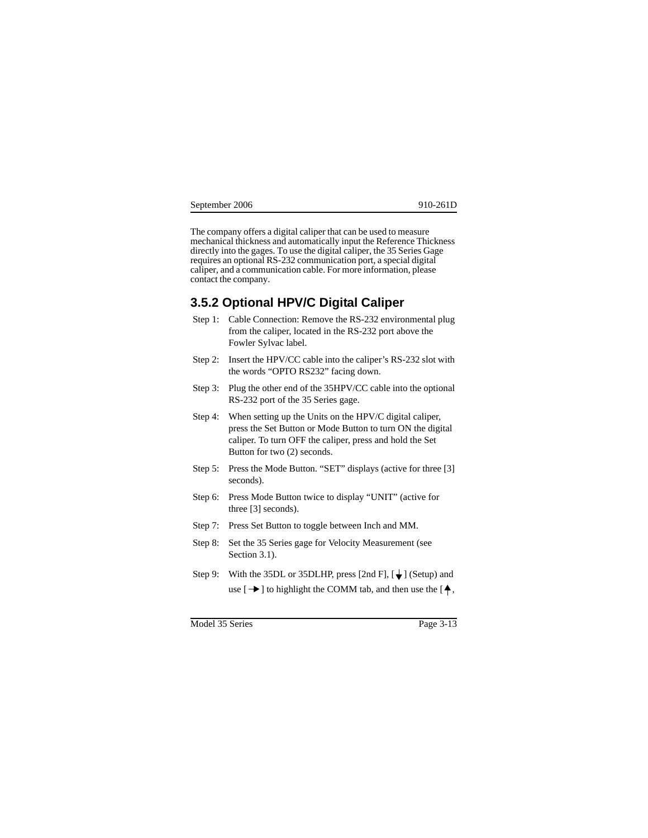| September 2006 |  |
|----------------|--|
|                |  |

The company offers a digital caliper that can be used to measure mechanical thickness and automatically input the Reference Thickness directly into the gages. To use the digital caliper, the 35 Series Gage requires an optional RS-232 communication port, a special digital caliper, and a communication cable. For more information, please contact the company.

### **3.5.2 Optional HPV/C Digital Caliper**

- Step 1: Cable Connection: Remove the RS-232 environmental plug from the caliper, located in the RS-232 port above the Fowler Sylvac label.
- Step 2: Insert the HPV/CC cable into the caliper's RS-232 slot with the words "OPTO RS232" facing down.
- Step 3: Plug the other end of the 35HPV/CC cable into the optional RS-232 port of the 35 Series gage.
- Step 4: When setting up the Units on the HPV/C digital caliper, press the Set Button or Mode Button to turn ON the digital caliper. To turn OFF the caliper, press and hold the Set Button for two (2) seconds.
- Step 5: Press the Mode Button. "SET" displays (active for three [3] seconds).
- Step 6: Press Mode Button twice to display "UNIT" (active for three [3] seconds).
- Step 7: Press Set Button to toggle between Inch and MM.
- Step 8: Set the 35 Series gage for Velocity Measurement (see Section 3.1).
- Step 9: With the 35DL or 35DLHP, press [2nd F],  $[\downarrow]$  (Setup) and use  $[\rightarrow]$  to highlight the COMM tab, and then use the  $[\rightarrow]$ ,

Model 35 Series Page 3-13

910-261D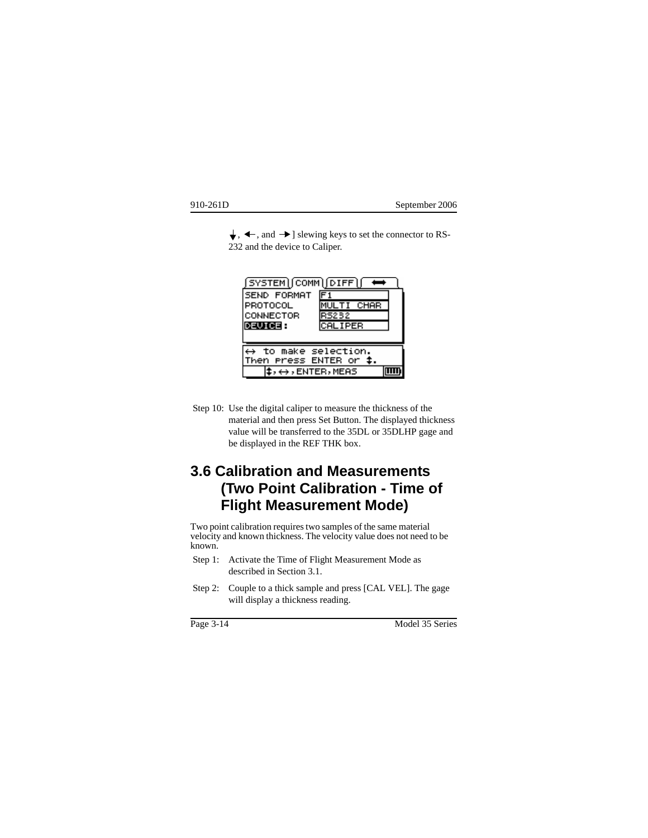$\downarrow$ ,  $\leftarrow$ , and  $\rightarrow$  ] slewing keys to set the connector to RS-232 and the device to Caliper.



 Step 10: Use the digital caliper to measure the thickness of the material and then press Set Button. The displayed thickness value will be transferred to the 35DL or 35DLHP gage and be displayed in the REF THK box.

# **3.6 Calibration and Measurements (Two Point Calibration - Time of Flight Measurement Mode)**

Two point calibration requires two samples of the same material velocity and known thickness. The velocity value does not need to be known.

- Step 1: Activate the Time of Flight Measurement Mode as described in Section 3.1.
- Step 2: Couple to a thick sample and press [CAL VEL]. The gage will display a thickness reading.

Page 3-14 Model 35 Series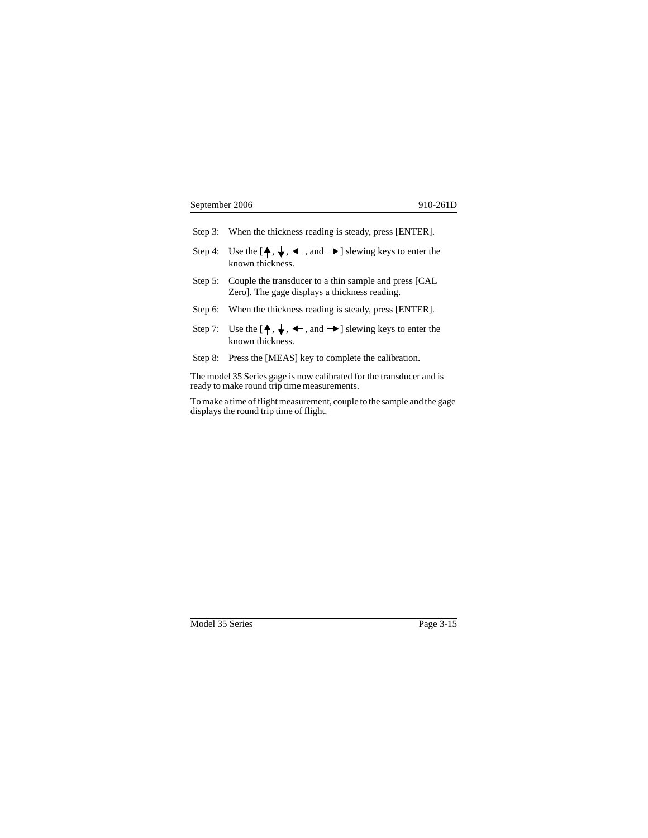| September 2006 | 910-261D |
|----------------|----------|
|----------------|----------|

| 910-261D |  |  |
|----------|--|--|
|          |  |  |

| Step 3: When the thickness reading is steady, press [ENTER].                                                                          |
|---------------------------------------------------------------------------------------------------------------------------------------|
| Step 4: Use the $[\uparrow, \downarrow, \leftarrow, \text{ and } \rightarrow]$ slewing keys to enter the<br>known thickness.          |
| Step 5: Couple the transducer to a thin sample and press [CAL<br>Zero]. The gage displays a thickness reading.                        |
| Step 6: When the thickness reading is steady, press [ENTER].                                                                          |
| Step 7: Use the $[\triangleleft, \triangleleft, \triangleleft]$ , and $\triangleleft$ ] slewing keys to enter the<br>known thickness. |
| Step 8: Press the [MEAS] key to complete the calibration.                                                                             |

The model 35 Series gage is now calibrated for the transducer and is ready to make round trip time measurements.

To make a time of flight measurement, couple to the sample and the gage displays the round trip time of flight.

Model 35 Series Page 3-15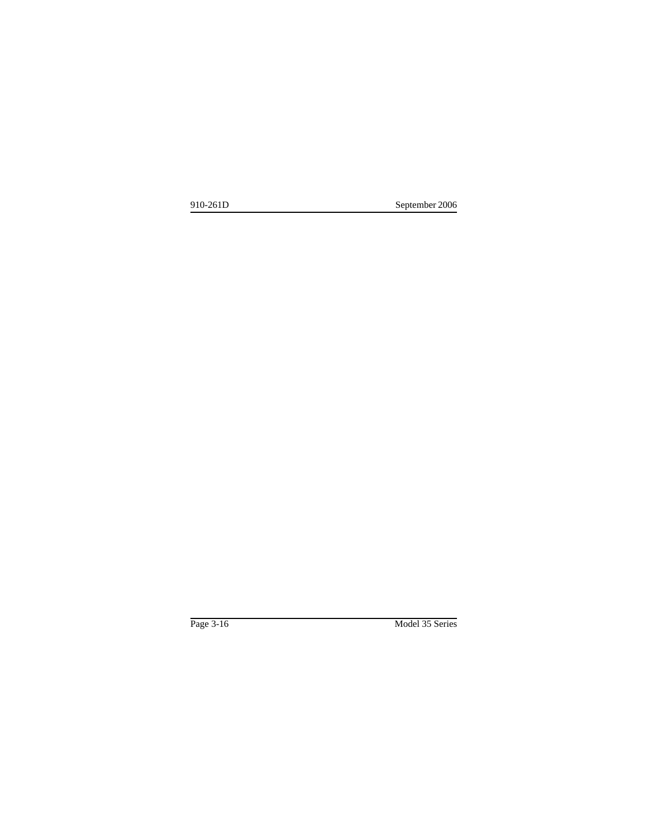Page 3-16 Model 35 Series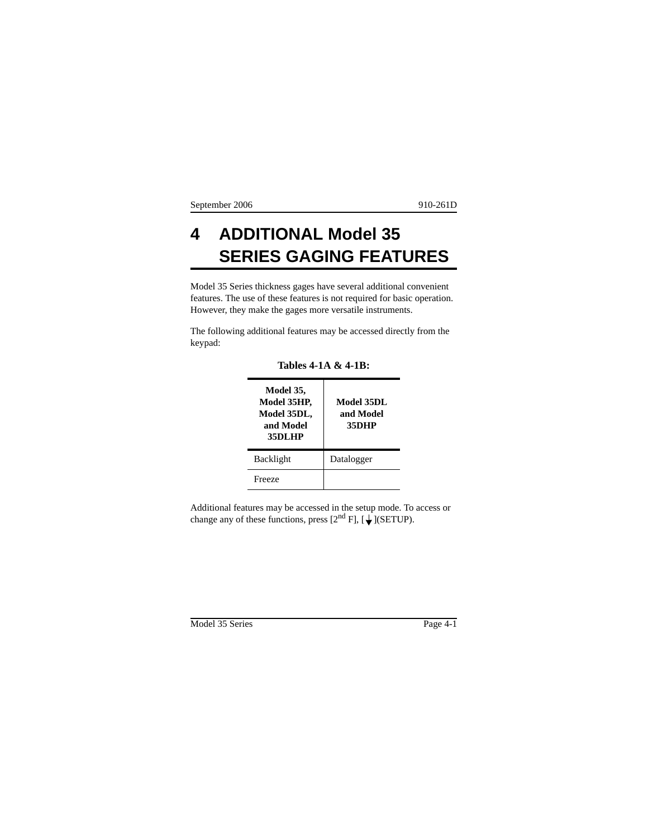| September 2006 |
|----------------|
|----------------|

# $6 \t 910-261D$

# **4 ADDITIONAL Model 35 SERIES GAGING FEATURES**

Model 35 Series thickness gages have several additional convenient features. The use of these features is not required for basic operation. However, they make the gages more versatile instruments.

The following additional features may be accessed directly from the keypad:

| Model 35,<br>Model 35HP.<br>Model 35DL,<br>and Model<br>35DLHP | Model 35DL<br>and Model<br>35DHP |
|----------------------------------------------------------------|----------------------------------|
| Backlight                                                      | Datalogger                       |
| Freeze                                                         |                                  |

**Tables 4-1A & 4-1B:** 

Additional features may be accessed in the setup mode. To access or change any of these functions, press  $[2^{nd} F]$ ,  $[\downarrow]$  (SETUP).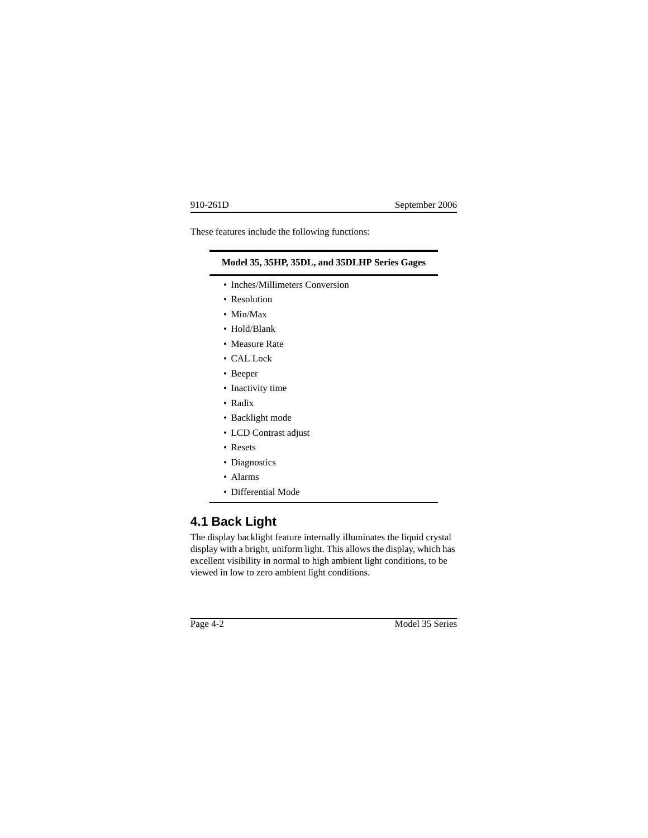| 910-261D |  |  |  |
|----------|--|--|--|
|          |  |  |  |

September 2006

These features include the following functions:

# **Model 35, 35HP, 35DL, and 35DLHP Series Gages**

- Inches/Millimeters Conversion
- Resolution
- Min/Max
- Hold/Blank
- Measure Rate
- CAL Lock
- Beeper
- Inactivity time
- Radix
- Backlight mode
- LCD Contrast adjust
- Resets
- Diagnostics
- Alarms
- Differential Mode

# **4.1 Back Light**

The display backlight feature internally illuminates the liquid crystal display with a bright, uniform light. This allows the display, which has excellent visibility in normal to high ambient light conditions, to be viewed in low to zero ambient light conditions.

Page 4-2 Model 35 Series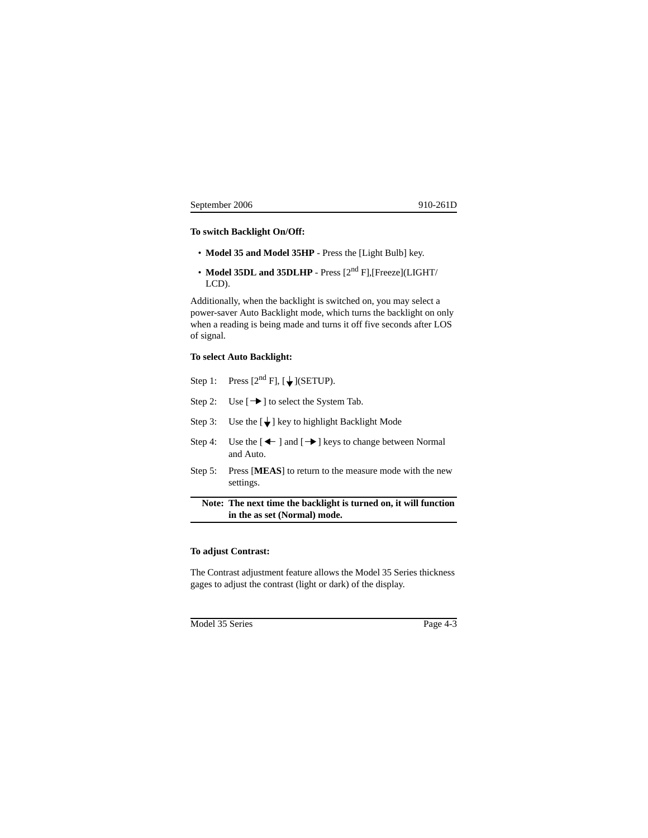| September 2006 |  |
|----------------|--|
|----------------|--|

# 910-261D

# **To switch Backlight On/Off:**

- **Model 35 and Model 35HP** Press the [Light Bulb] key.
- **Model 35DL and 35DLHP** Press [2<sup>nd</sup> F],[Freeze](LIGHT/ LCD).

Additionally, when the backlight is switched on, you may select a power-saver Auto Backlight mode, which turns the backlight on only when a reading is being made and turns it off five seconds after LOS of signal.

#### **To select Auto Backlight:**

|            | Note: The next time the backlight is turned on, it will function<br>in the as set (Normal) mode.              |
|------------|---------------------------------------------------------------------------------------------------------------|
| Step $5$ : | Press [MEAS] to return to the measure mode with the new<br>settings.                                          |
| Step 4:    | Use the $\lceil \leftarrow \rceil$ and $\lceil \rightarrow \rceil$ keys to change between Normal<br>and Auto. |
| Step $3:$  | Use the $[\bigstar]$ key to highlight Backlight Mode                                                          |
| Step 2:    | Use $[\rightarrow]$ to select the System Tab.                                                                 |
|            | Step 1: Press $[2^{nd} F]$ , $[\bigstar]$ (SETUP).                                                            |

# **To adjust Contrast:**

The Contrast adjustment feature allows the Model 35 Series thickness gages to adjust the contrast (light or dark) of the display.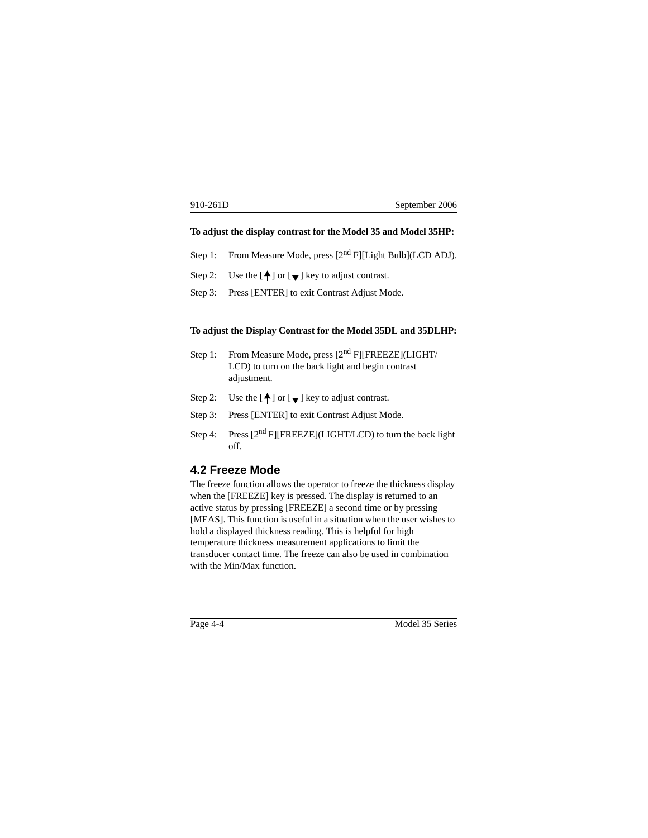#### 910-261D September 2006

#### **To adjust the display contrast for the Model 35 and Model 35HP:**

- Step 1: From Measure Mode, press  $[2<sup>nd</sup> F][Light Bulb](LCD ADJ)$ .
- Step 2: Use the  $[$   $\biguparrow$   $]$  or  $[$   $\bigdownarrow$   $]$  key to adjust contrast.
- Step 3: Press [ENTER] to exit Contrast Adjust Mode.

# **To adjust the Display Contrast for the Model 35DL and 35DLHP:**

- Step 1: From Measure Mode, press  $[2^{nd} F][FREEZE](LIGHT/$ LCD) to turn on the back light and begin contrast adjustment.
- Step 2: Use the  $[$   $\bigtriangleup$  ] or  $[\bigvee]$  ley to adjust contrast.
- Step 3: Press [ENTER] to exit Contrast Adjust Mode.
- Step 4: Press  $[2^{nd} F][FREEZE](LIGHT/LCD)$  to turn the back light off.

# **4.2 Freeze Mode**

The freeze function allows the operator to freeze the thickness display when the [FREEZE] key is pressed. The display is returned to an active status by pressing [FREEZE] a second time or by pressing [MEAS]. This function is useful in a situation when the user wishes to hold a displayed thickness reading. This is helpful for high temperature thickness measurement applications to limit the transducer contact time. The freeze can also be used in combination with the Min/Max function.

Page 4-4 Model 35 Series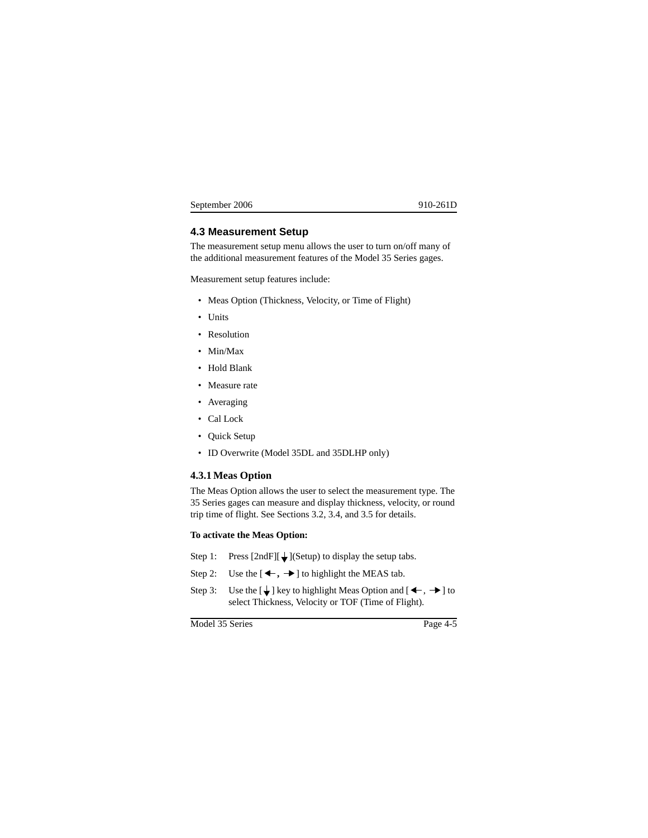| September 2006 | 910-261D |
|----------------|----------|
|                |          |

# **4.3 Measurement Setup**

The measurement setup menu allows the user to turn on/off many of the additional measurement features of the Model 35 Series gages.

Measurement setup features include:

- Meas Option (Thickness, Velocity, or Time of Flight)
- Units
- Resolution
- Min/Max
- Hold Blank
- Measure rate
- Averaging
- Cal Lock
- Quick Setup
- ID Overwrite (Model 35DL and 35DLHP only)

# **4.3.1 Meas Option**

The Meas Option allows the user to select the measurement type. The 35 Series gages can measure and display thickness, velocity, or round trip time of flight. See Sections 3.2, 3.4, and 3.5 for details.

### **To activate the Meas Option:**

Step 1: Press  $[2ndF][\bigstar]$  (Setup) to display the setup tabs.

- Step 2: Use the  $[\blacktriangleleft, \rightarrow]$  to highlight the MEAS tab.
- Step 3: Use the  $[\bigstar]$  key to highlight Meas Option and  $[\bullet, \to]$  to select Thickness, Velocity or TOF (Time of Flight).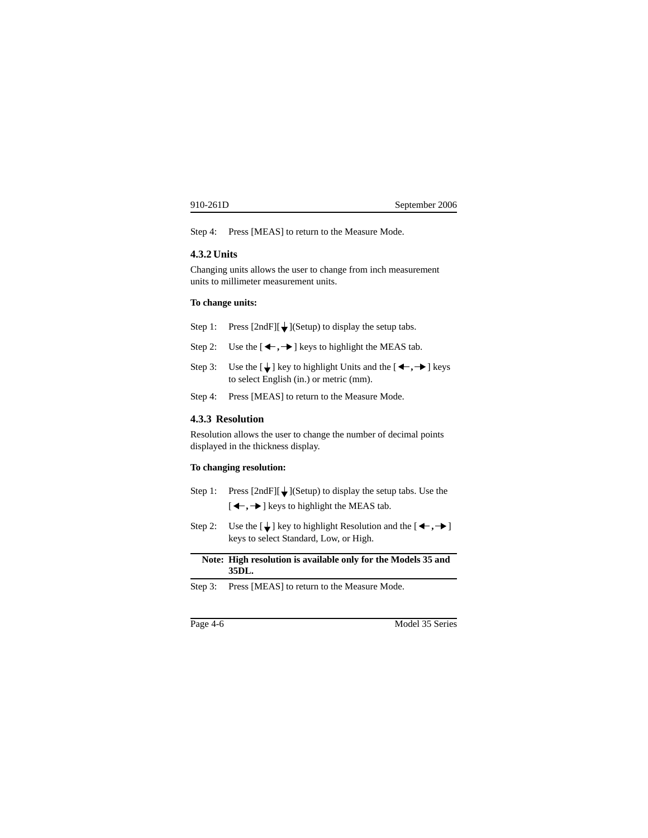#### September 2006

Step 4: Press [MEAS] to return to the Measure Mode.

# **4.3.2 Units**

Changing units allows the user to change from inch measurement units to millimeter measurement units.

# **To change units:**

|           | Step 1: Press [2ndF][ $\bigcup$ ](Setup) to display the setup tabs.                                                             |
|-----------|---------------------------------------------------------------------------------------------------------------------------------|
| Step 2:   | Use the $[\blacktriangleleft, \rightarrow]$ keys to highlight the MEAS tab.                                                     |
| Step $3:$ | Use the $[\downarrow]$ key to highlight Units and the $[\uparrow, \rightarrow]$ keys<br>to select English (in.) or metric (mm). |
| Step 4:   | Press [MEAS] to return to the Measure Mode.                                                                                     |
|           |                                                                                                                                 |

# **4.3.3 Resolution**

Resolution allows the user to change the number of decimal points displayed in the thickness display.

#### **To changing resolution:**

- Step 1: Press  $[2ndF][\bigstar]$  (Setup) to display the setup tabs. Use the [ $\leftarrow, \rightarrow$ ] keys to highlight the MEAS tab.
- Step 2: Use the  $[\downarrow]$  key to highlight Resolution and the  $[\downarrow, \rightarrow]$ keys to select Standard, Low, or High.

**Note: High resolution is available only for the Models 35 and 35DL.**

Step 3: Press [MEAS] to return to the Measure Mode.

Page 4-6 Model 35 Series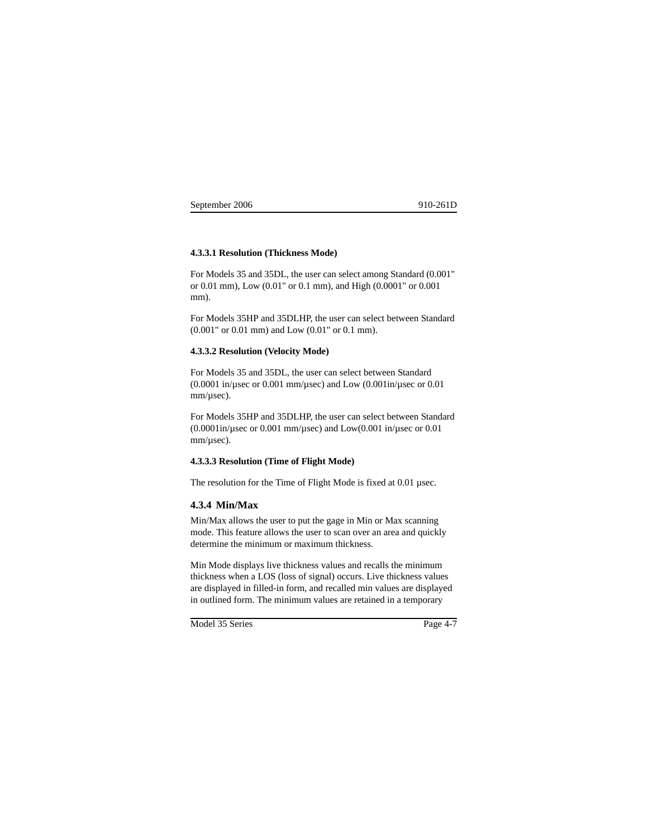| September 2006 |  |  |
|----------------|--|--|
|----------------|--|--|

#### 910-261D

#### **4.3.3.1 Resolution (Thickness Mode)**

For Models 35 and 35DL, the user can select among Standard (0.001" or 0.01 mm), Low (0.01" or 0.1 mm), and High (0.0001" or 0.001 mm).

For Models 35HP and 35DLHP, the user can select between Standard (0.001" or 0.01 mm) and Low (0.01" or 0.1 mm).

#### **4.3.3.2 Resolution (Velocity Mode)**

For Models 35 and 35DL, the user can select between Standard (0.0001 in/µsec or 0.001 mm/µsec) and Low (0.001in/µsec or 0.01 mm/µsec).

For Models 35HP and 35DLHP, the user can select between Standard (0.0001in/µsec or 0.001 mm/µsec) and Low(0.001 in/µsec or 0.01 mm/µsec).

## **4.3.3.3 Resolution (Time of Flight Mode)**

The resolution for the Time of Flight Mode is fixed at 0.01 µsec.

#### **4.3.4 Min/Max**

Min/Max allows the user to put the gage in Min or Max scanning mode. This feature allows the user to scan over an area and quickly determine the minimum or maximum thickness.

Min Mode displays live thickness values and recalls the minimum thickness when a LOS (loss of signal) occurs. Live thickness values are displayed in filled-in form, and recalled min values are displayed in outlined form. The minimum values are retained in a temporary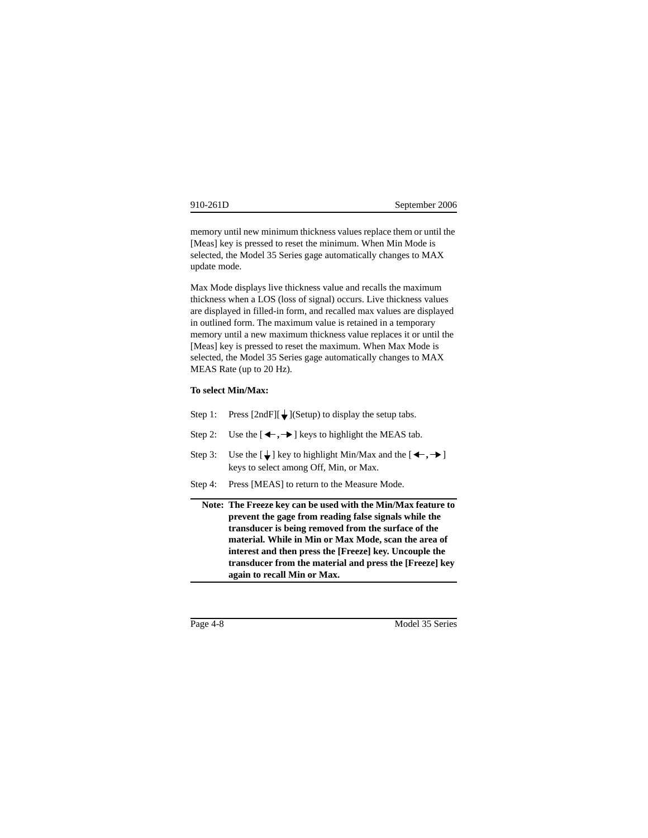| 910-261D |  |  |
|----------|--|--|
|          |  |  |

| 910-261D | September 2006 |  |
|----------|----------------|--|
|          |                |  |

memory until new minimum thickness values replace them or until the [Meas] key is pressed to reset the minimum. When Min Mode is selected, the Model 35 Series gage automatically changes to MAX update mode.

Max Mode displays live thickness value and recalls the maximum thickness when a LOS (loss of signal) occurs. Live thickness values are displayed in filled-in form, and recalled max values are displayed in outlined form. The maximum value is retained in a temporary memory until a new maximum thickness value replaces it or until the [Meas] key is pressed to reset the maximum. When Max Mode is selected, the Model 35 Series gage automatically changes to MAX MEAS Rate (up to 20 Hz).

### **To select Min/Max:**

|            | Note: The Freeze key can be used with the Min/Max feature to<br>prevent the gage from reading false signals while the<br>transducer is being removed from the surface of the<br>material. While in Min or Max Mode, scan the area of<br>interest and then press the [Freeze] key. Uncouple the |
|------------|------------------------------------------------------------------------------------------------------------------------------------------------------------------------------------------------------------------------------------------------------------------------------------------------|
| Step $4:$  | Press [MEAS] to return to the Measure Mode.                                                                                                                                                                                                                                                    |
| Step $3$ : | Use the $[\downarrow]$ key to highlight Min/Max and the $[\downarrow, \rightarrow]$<br>keys to select among Off, Min, or Max.                                                                                                                                                                  |
| Step 2:    | Use the $[\blacktriangleleft, \rightarrow]$ keys to highlight the MEAS tab.                                                                                                                                                                                                                    |
| Step $1$ : | Press [2ndF][ $\bigcup$ ](Setup) to display the setup tabs.                                                                                                                                                                                                                                    |

Page 4-8 Model 35 Series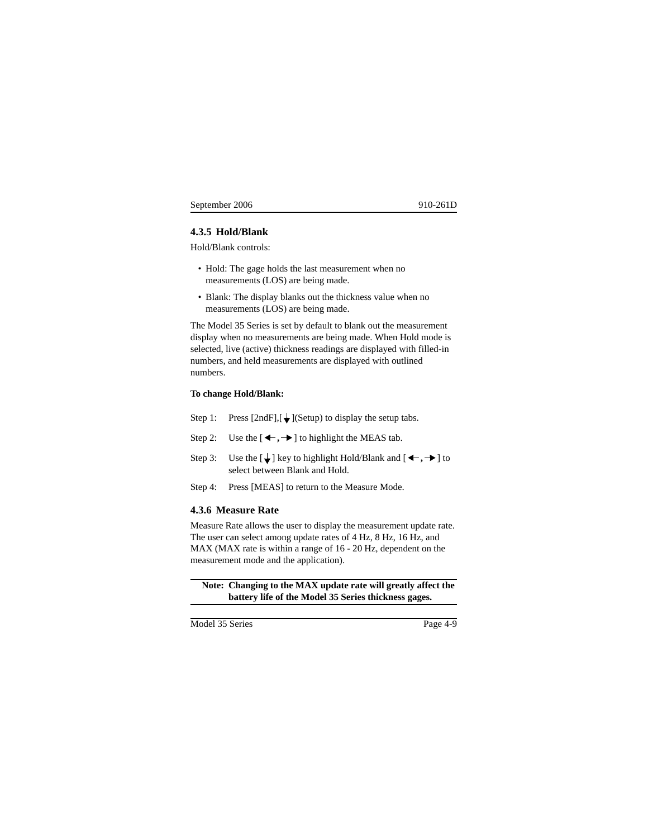| September 2006 | 910-261D |
|----------------|----------|
|                |          |

# **4.3.5 Hold/Blank**

Hold/Blank controls:

- Hold: The gage holds the last measurement when no measurements (LOS) are being made.
- Blank: The display blanks out the thickness value when no measurements (LOS) are being made.

The Model 35 Series is set by default to blank out the measurement display when no measurements are being made. When Hold mode is selected, live (active) thickness readings are displayed with filled-in numbers, and held measurements are displayed with outlined numbers.

#### **To change Hold/Blank:**

| Step 1: Press [2ndF], $\downarrow$ ](Setup) to display the setup tabs.                                                        |
|-------------------------------------------------------------------------------------------------------------------------------|
| Step 2: Use the $\left[\leftarrow, \rightarrow\right]$ to highlight the MEAS tab.                                             |
| Step 3: Use the $[\downarrow]$ key to highlight Hold/Blank and $[\uparrow, \rightarrow]$ to<br>select between Blank and Hold. |

Step 4: Press [MEAS] to return to the Measure Mode.

### **4.3.6 Measure Rate**

Measure Rate allows the user to display the measurement update rate. The user can select among update rates of 4 Hz, 8 Hz, 16 Hz, and MAX (MAX rate is within a range of 16 - 20 Hz, dependent on the measurement mode and the application).

# **Note: Changing to the MAX update rate will greatly affect the battery life of the Model 35 Series thickness gages.**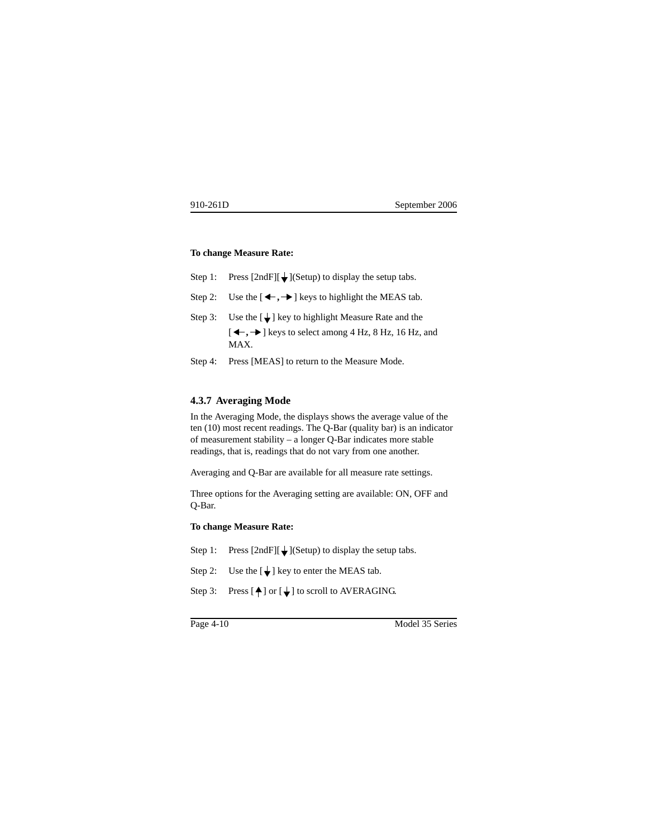#### September 2006

#### **To change Measure Rate:**

|           | Step 1: Press [2ndF][ $\bigcup$ ](Setup) to display the setup tabs.                          |
|-----------|----------------------------------------------------------------------------------------------|
| Step 2:   | Use the $[\blacktriangleleft, \rightarrow]$ keys to highlight the MEAS tab.                  |
| Step $3:$ | Use the $[\bigstar]$ key to highlight Measure Rate and the                                   |
|           | $\left[ \leftarrow, \rightarrow \right]$ keys to select among 4 Hz, 8 Hz, 16 Hz, and<br>MAX. |
| Step 4:   | Press [MEAS] to return to the Measure Mode.                                                  |

# **4.3.7 Averaging Mode**

In the Averaging Mode, the displays shows the average value of the ten (10) most recent readings. The Q-Bar (quality bar) is an indicator of measurement stability – a longer Q-Bar indicates more stable readings, that is, readings that do not vary from one another.

Averaging and Q-Bar are available for all measure rate settings.

Three options for the Averaging setting are available: ON, OFF and Q-Bar.

# **To change Measure Rate:**

Step 1: Press  $[2ndF][\downarrow]$  (Setup) to display the setup tabs.

Step 2: Use the  $[\bigstar]$  key to enter the MEAS tab.

Step 3: Press  $[$   $\biguparrow$   $]$  or  $[$   $\bigdownarrow$   $]$  to scroll to AVERAGING.

Page 4-10 Model 35 Series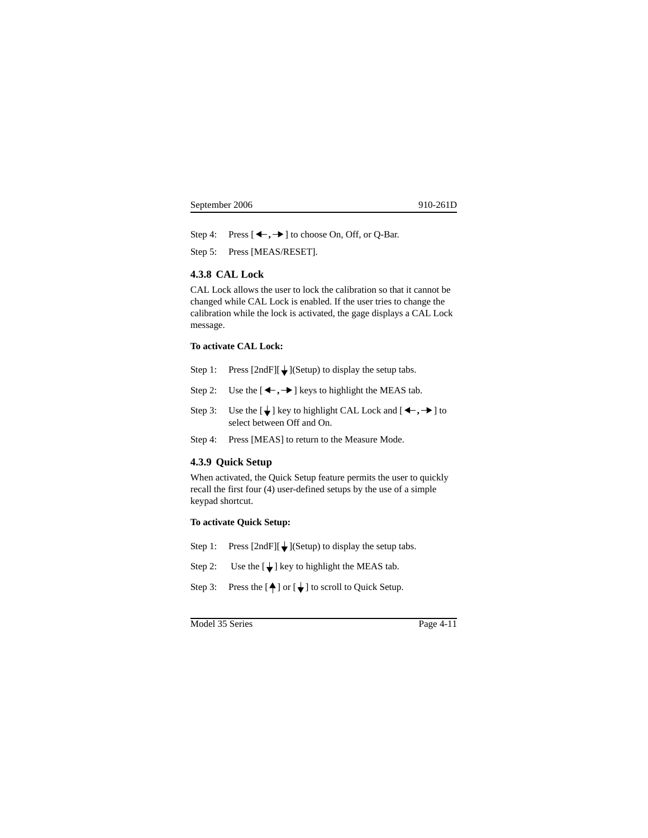| September 2006 |  |
|----------------|--|
|----------------|--|

# $5 \t 910-261D$

Step 4: Press  $[\leftarrow, \rightarrow]$  to choose On, Off, or Q-Bar.

Step 5: Press [MEAS/RESET].

# **4.3.8 CAL Lock**

CAL Lock allows the user to lock the calibration so that it cannot be changed while CAL Lock is enabled. If the user tries to change the calibration while the lock is activated, the gage displays a CAL Lock message.

# **To activate CAL Lock:**

- Step 1: Press  $[2ndF][\bigstar]$  (Setup) to display the setup tabs.
- Step 2: Use the  $\left[ \leftarrow, \rightarrow \right]$  keys to highlight the MEAS tab.
- Step 3: Use the  $\left[\frac{1}{2}\right]$  key to highlight CAL Lock and  $\left[\frac{4}{2}, \frac{1}{2}\right]$  to select between Off and On.
- Step 4: Press [MEAS] to return to the Measure Mode.

## **4.3.9 Quick Setup**

When activated, the Quick Setup feature permits the user to quickly recall the first four (4) user-defined setups by the use of a simple keypad shortcut.

# **To activate Quick Setup:**

Step 1: Press  $[2ndF][\bigstar]$  (Setup) to display the setup tabs.

Step 2: Use the  $\left[\bigstar\right]$  key to highlight the MEAS tab.

Step 3: Press the  $[$   $\biguparrow$   $]$  or  $[$   $\bigdownarrow$   $]$  to scroll to Quick Setup.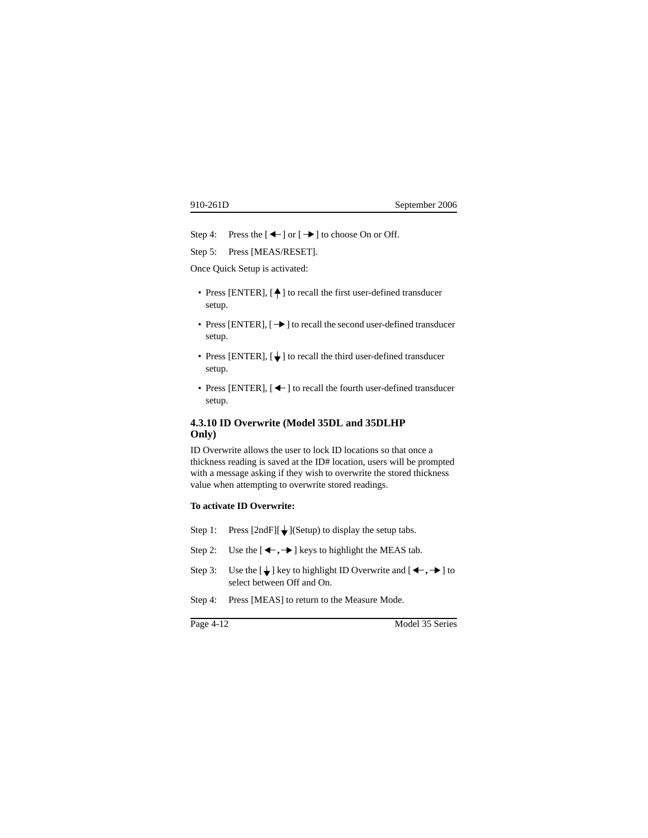# 910-261D September 2006

Step 4: Press the  $[\triangleleft]$  or  $[\triangleleft]$  to choose On or Off.

Step 5: Press [MEAS/RESET].

Once Quick Setup is activated:

- Press [ENTER],  $[$ <sup> $\uparrow$ </sup>] to recall the first user-defined transducer setup.
- Press [ENTER],  $[\rightarrow]$  to recall the second user-defined transducer setup.
- Press [ENTER],  $[\bigstar]$  to recall the third user-defined transducer setup.
- Press [ENTER],  $[$   $\leftarrow$  ] to recall the fourth user-defined transducer setup.

# **4.3.10 ID Overwrite (Model 35DL and 35DLHP Only)**

ID Overwrite allows the user to lock ID locations so that once a thickness reading is saved at the ID# location, users will be prompted with a message asking if they wish to overwrite the stored thickness value when attempting to overwrite stored readings.

# **To activate ID Overwrite:**

|            | Step 1: Press [2ndF][ $\bigcup$ ](Setup) to display the setup tabs.                                                   |
|------------|-----------------------------------------------------------------------------------------------------------------------|
| Step 2:    | Use the $\left[\leftarrow, \rightarrow\right]$ keys to highlight the MEAS tab.                                        |
| Step $3$ : | Use the $[\downarrow]$ key to highlight ID Overwrite and $[\downarrow, \rightarrow]$ to<br>select between Off and On. |
| Step $4$ : | Press [MEAS] to return to the Measure Mode.                                                                           |
| Page 4-12  | Model 35 Series                                                                                                       |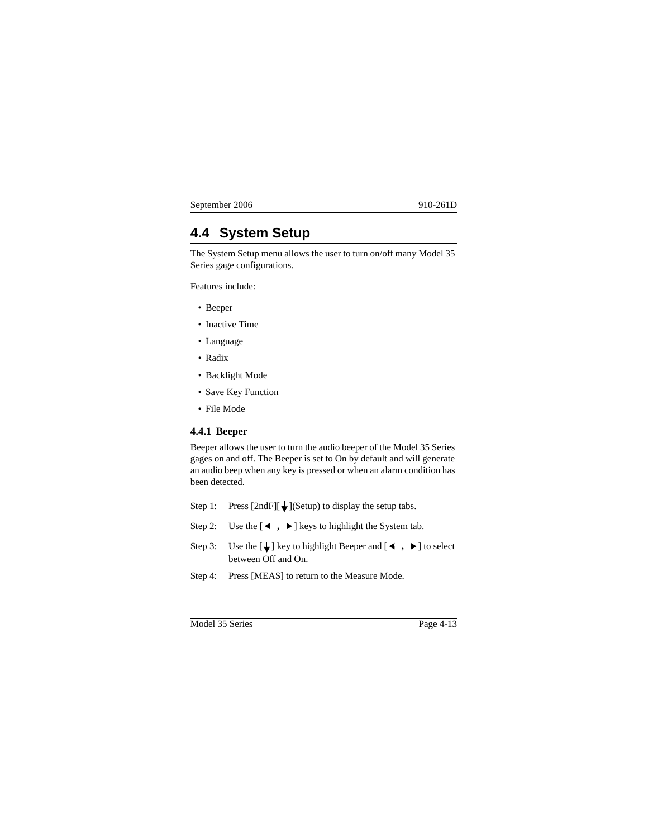September 2006 910-261D

# **4.4 System Setup**

The System Setup menu allows the user to turn on/off many Model 35 Series gage configurations.

Features include:

- Beeper
- Inactive Time
- Language
- Radix
- Backlight Mode
- Save Key Function
- File Mode

# **4.4.1 Beeper**

Beeper allows the user to turn the audio beeper of the Model 35 Series gages on and off. The Beeper is set to On by default and will generate an audio beep when any key is pressed or when an alarm condition has been detected.

- Step 1: Press [2ndF][ $\bigcup$ ](Setup) to display the setup tabs.
- Step 2: Use the  $[\blacktriangleleft, \rightarrow]$  keys to highlight the System tab.
- Step 3: Use the  $\left[\bigstar\right]$  key to highlight Beeper and  $\left[\bullet, \to\right]$  to select between Off and On.
- Step 4: Press [MEAS] to return to the Measure Mode.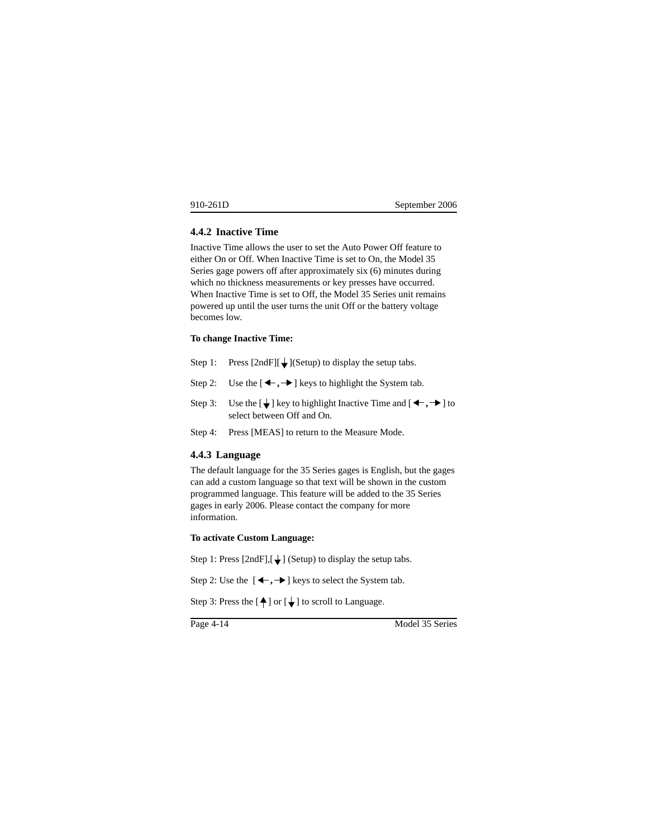#### 910-261D September 2006

#### **4.4.2 Inactive Time**

Inactive Time allows the user to set the Auto Power Off feature to either On or Off. When Inactive Time is set to On, the Model 35 Series gage powers off after approximately six (6) minutes during which no thickness measurements or key presses have occurred. When Inactive Time is set to Off, the Model 35 Series unit remains powered up until the user turns the unit Off or the battery voltage becomes low.

#### **To change Inactive Time:**

|  |  |  |  | Step 1: Press [2ndF][ $\bigvee$ ](Setup) to display the setup tabs. |
|--|--|--|--|---------------------------------------------------------------------|
|--|--|--|--|---------------------------------------------------------------------|

- Step 2: Use the  $[\blacktriangleleft, \rightarrow]$  keys to highlight the System tab.
- Step 3: Use the  $\left[\frac{1}{\bullet}\right]$  key to highlight Inactive Time and  $\left[\frac{1}{\bullet}, \frac{1}{\bullet}\right]$  to select between Off and On.
- Step 4: Press [MEAS] to return to the Measure Mode.

# **4.4.3 Language**

The default language for the 35 Series gages is English, but the gages can add a custom language so that text will be shown in the custom programmed language. This feature will be added to the 35 Series gages in early 2006. Please contact the company for more information.

#### **To activate Custom Language:**

Step 1: Press [2ndF],  $\downarrow$ ] (Setup) to display the setup tabs.

Step 2: Use the  $\left[ \leftarrow, \rightarrow \right]$  keys to select the System tab.

Step 3: Press the  $[$   $\bigtriangleup$   $]$  or  $[$   $\bigvee$   $]$  to scroll to Language.

Page 4-14 Model 35 Series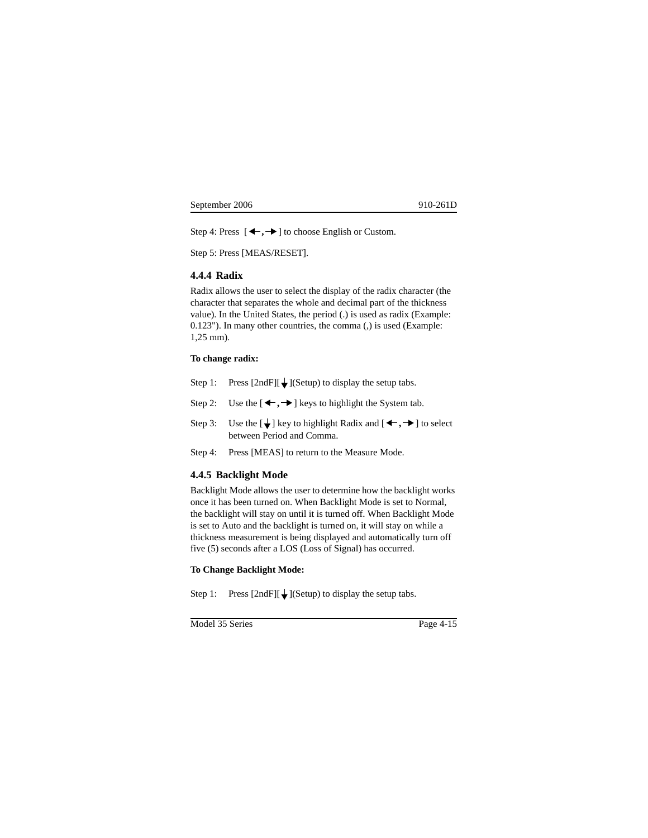| September 2006 |
|----------------|
|----------------|

910-261D

Step 4: Press  $[\triangleleft, \rightarrow]$  to choose English or Custom.

Step 5: Press [MEAS/RESET].

#### **4.4.4 Radix**

Radix allows the user to select the display of the radix character (the character that separates the whole and decimal part of the thickness value). In the United States, the period (.) is used as radix (Example: 0.123"). In many other countries, the comma (,) is used (Example: 1,25 mm).

# **To change radix:**

| Step 1: | Press [2ndF][ $\bigvee$ ](Setup) to display the setup tabs. |  |  |  |  |
|---------|-------------------------------------------------------------|--|--|--|--|
|---------|-------------------------------------------------------------|--|--|--|--|

- Step 2: Use the  $[\blacktriangleleft, \rightarrow]$  keys to highlight the System tab.
- Step 3: Use the  $\left[\bigstar\right]$  key to highlight Radix and  $\left[\bigstar\right]$ ,  $\rightarrow$  to select between Period and Comma.
- Step 4: Press [MEAS] to return to the Measure Mode.

## **4.4.5 Backlight Mode**

Backlight Mode allows the user to determine how the backlight works once it has been turned on. When Backlight Mode is set to Normal, the backlight will stay on until it is turned off. When Backlight Mode is set to Auto and the backlight is turned on, it will stay on while a thickness measurement is being displayed and automatically turn off five (5) seconds after a LOS (Loss of Signal) has occurred.

# **To Change Backlight Mode:**

Step 1: Press  $[2ndF][\bigstar]$  (Setup) to display the setup tabs.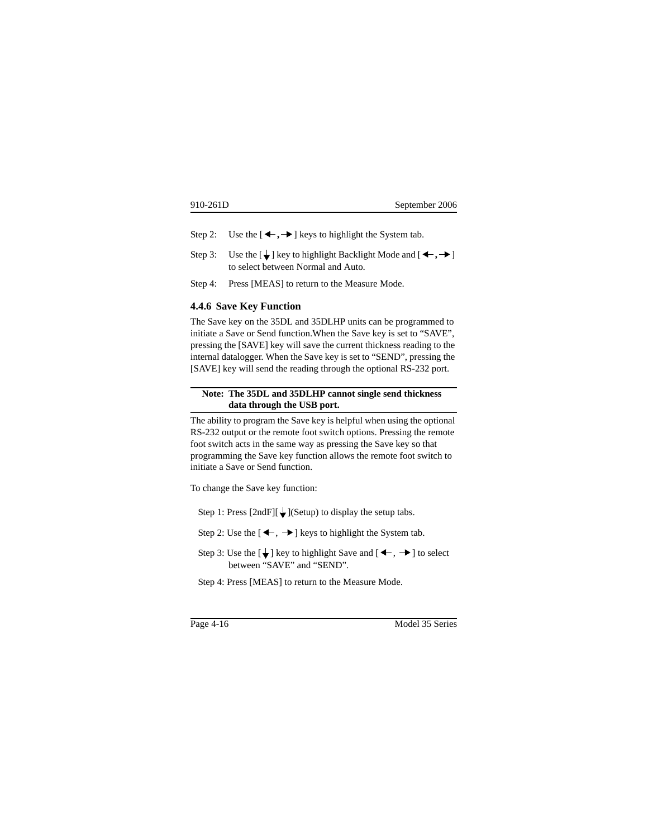| September 2006 |  |  |
|----------------|--|--|
|                |  |  |

- Step 2: Use the  $[\blacktriangleleft, \rightarrow]$  keys to highlight the System tab.
- Step 3: Use the  $[\downarrow]$  key to highlight Backlight Mode and  $[\downarrow, \rightarrow]$ to select between Normal and Auto.
- Step 4: Press [MEAS] to return to the Measure Mode.

#### **4.4.6 Save Key Function**

910-261D

The Save key on the 35DL and 35DLHP units can be programmed to initiate a Save or Send function.When the Save key is set to "SAVE", pressing the [SAVE] key will save the current thickness reading to the internal datalogger. When the Save key is set to "SEND", pressing the [SAVE] key will send the reading through the optional RS-232 port.

# **Note: The 35DL and 35DLHP cannot single send thickness data through the USB port.**

The ability to program the Save key is helpful when using the optional RS-232 output or the remote foot switch options. Pressing the remote foot switch acts in the same way as pressing the Save key so that programming the Save key function allows the remote foot switch to initiate a Save or Send function.

To change the Save key function:

Step 1: Press [2ndF][ $\bigvee$ ](Setup) to display the setup tabs.

Step 2: Use the  $[\blacktriangleleft, \rightarrow]$  keys to highlight the System tab.

Step 3: Use the  $[\downarrow]$  key to highlight Save and  $[\downarrow, \rightarrow]$  to select between "SAVE" and "SEND".

Step 4: Press [MEAS] to return to the Measure Mode.

Page 4-16 Model 35 Series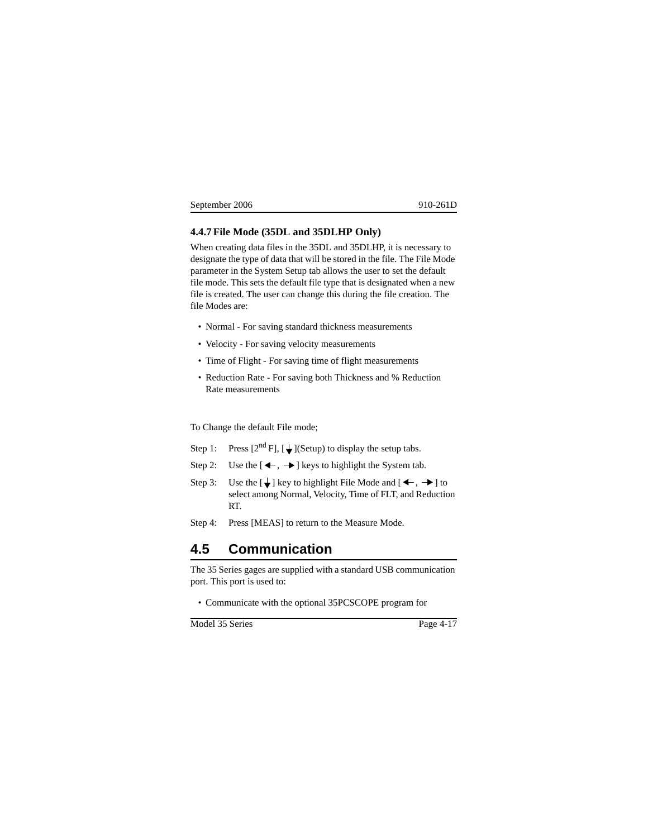| September 2006 |  |
|----------------|--|
|----------------|--|

# 910-261D

# **4.4.7 File Mode (35DL and 35DLHP Only)**

When creating data files in the 35DL and 35DLHP, it is necessary to designate the type of data that will be stored in the file. The File Mode parameter in the System Setup tab allows the user to set the default file mode. This sets the default file type that is designated when a new file is created. The user can change this during the file creation. The file Modes are:

- Normal For saving standard thickness measurements
- Velocity For saving velocity measurements
- Time of Flight For saving time of flight measurements
- Reduction Rate For saving both Thickness and % Reduction Rate measurements

To Change the default File mode;

- Step 1: Press  $[2^{nd} F]$ ,  $[\bigstar]$  (Setup) to display the setup tabs.
- Step 2: Use the  $[\blacktriangleleft, \rightarrow]$  keys to highlight the System tab.
- Step 3: Use the  $\left[\bigstar\right]$  key to highlight File Mode and  $\left[\bigstar\right]$ ,  $\rightarrow$  to select among Normal, Velocity, Time of FLT, and Reduction RT.
- Step 4: Press [MEAS] to return to the Measure Mode.

# **4.5 Communication**

The 35 Series gages are supplied with a standard USB communication port. This port is used to:

• Communicate with the optional 35PCSCOPE program for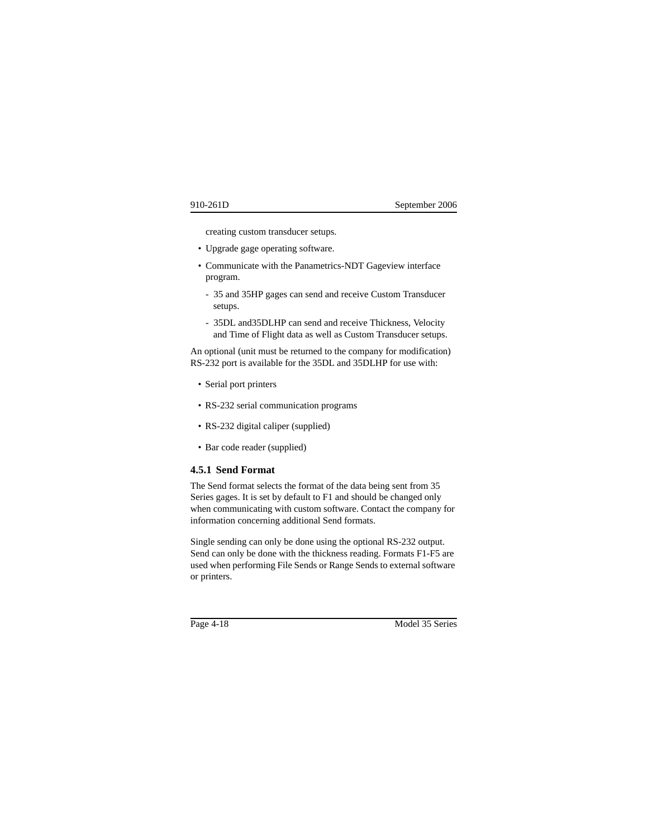910-261D September 2006

creating custom transducer setups.

- Upgrade gage operating software.
- Communicate with the Panametrics-NDT Gageview interface program.
	- 35 and 35HP gages can send and receive Custom Transducer setups.
	- 35DL and35DLHP can send and receive Thickness, Velocity and Time of Flight data as well as Custom Transducer setups.

An optional (unit must be returned to the company for modification) RS-232 port is available for the 35DL and 35DLHP for use with:

- Serial port printers
- RS-232 serial communication programs
- RS-232 digital caliper (supplied)
- Bar code reader (supplied)

# **4.5.1 Send Format**

The Send format selects the format of the data being sent from 35 Series gages. It is set by default to F1 and should be changed only when communicating with custom software. Contact the company for information concerning additional Send formats.

Single sending can only be done using the optional RS-232 output. Send can only be done with the thickness reading. Formats F1-F5 are used when performing File Sends or Range Sends to external software or printers.

Page 4-18 Model 35 Series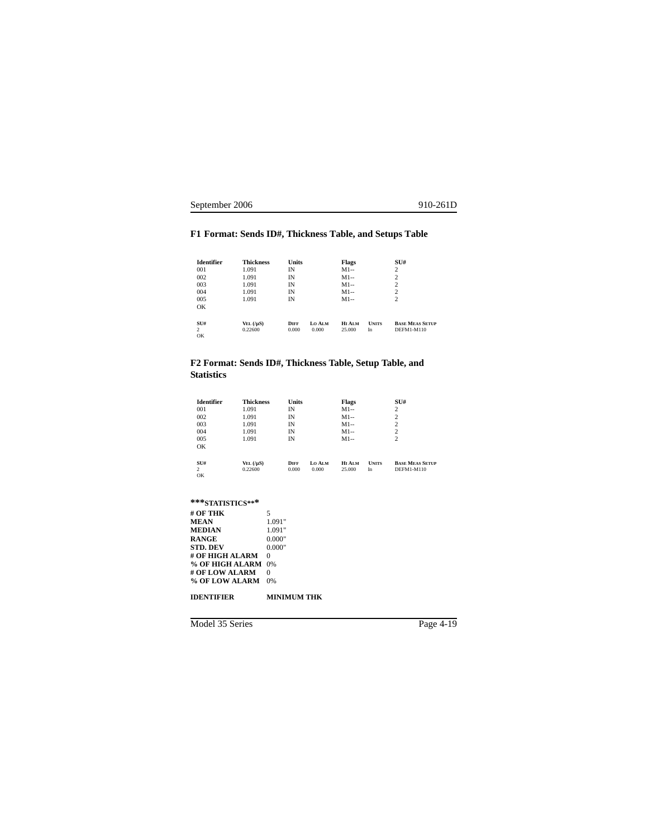| September 200 |  |  |  |
|---------------|--|--|--|
|---------------|--|--|--|

# $910-261D$

# **F1 Format: Sends ID#, Thickness Table, and Setups Table**

| <b>Identifier</b>    | <b>Thickness</b> | Units       |        | Flags  |              | SU#                    |
|----------------------|------------------|-------------|--------|--------|--------------|------------------------|
| 001                  | 1.091            | IN          |        | $M1-$  |              | 2                      |
| 002                  | 1.091            | IN          |        | $M1 -$ |              | $\overline{c}$         |
| 003                  | 1.091            | IN          |        | $M1-$  |              | 2                      |
| 004                  | 1.091            | IN          |        | $M1-$  |              | $\overline{c}$         |
| 005                  | 1.091            | IN          |        | $M1 -$ |              | $\overline{c}$         |
| OK                   |                  |             |        |        |              |                        |
| SU#                  | VEL $( \mu S)$   | <b>DIFF</b> | LO ALM | HI ALM | <b>UNITS</b> | <b>BASE MEAS SETUP</b> |
| $\mathfrak{D}$<br>OK | 0.22600          | 0.000       | 0.000  | 25,000 | In           | <b>DEFM1-M110</b>      |

# **F2 Format: Sends ID#, Thickness Table, Setup Table, and Statistics**

| <b>Identifier</b> | <b>Thickness</b>                       | Units       |        | Flags         |              | SU#                    |
|-------------------|----------------------------------------|-------------|--------|---------------|--------------|------------------------|
| 001               | 1.091                                  | IN          |        | $M1-$         |              | 2                      |
| 002               | 1.091                                  | IN          |        | $M1-$         |              | 2                      |
| 003               | 1.091                                  | IN          |        | $M1-$         |              | $\overline{c}$         |
| 004               | 1.091                                  | IN          |        | $M1-$         |              | 2                      |
| 005               | 1.091                                  | IN          |        | $M1 -$        |              | 2                      |
| OK                |                                        |             |        |               |              |                        |
| SU#               | VEL $\left(\frac{\mu S}{\mu S}\right)$ | <b>DIFF</b> | LO ALM | <b>HI ALM</b> | <b>UNITS</b> | <b>BASE MEAS SETUP</b> |
| $\mathfrak{D}$    | 0.22600                                | 0.000       | 0.000  | 25,000        | In           | <b>DEFM1-M110</b>      |
| OK                |                                        |             |        |               |              |                        |

# **\*\*\*STATISTICS\*\*\* # OF THK** 5<br>**MEAN** 1.091" **MEAN** 1.091"<br> **MEDIAN** 1.091" **MEDIAN** 1.091" **RANGE** 0.000" **STD. DEV** 0.000" **# OF HIGH ALARM** 0 **% OF HIGH ALARM** 0% **# OF LOW ALARM** 0 **% OF LOW ALARM** 0% **IDENTIFIER MINIMUM THK**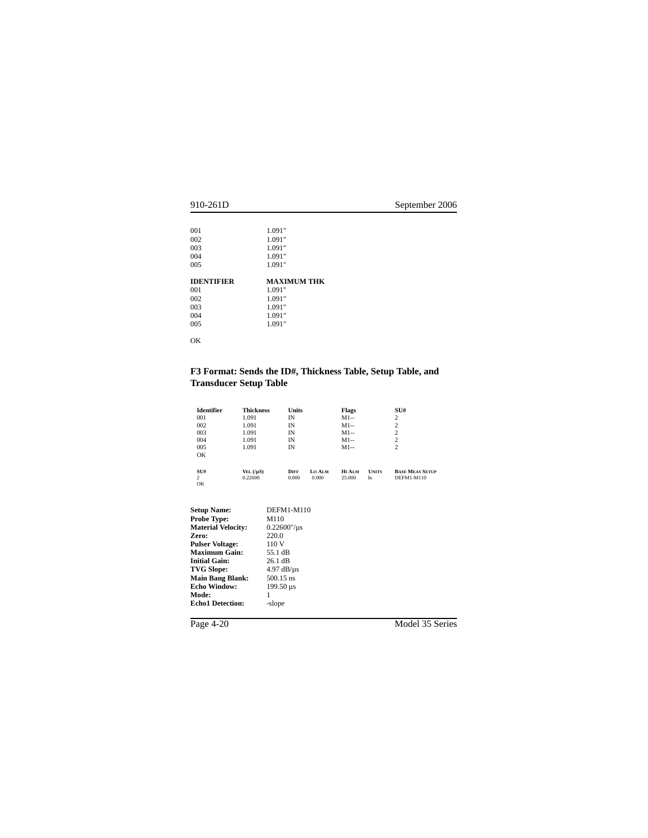| 910-261D          |                    | September 2006 |
|-------------------|--------------------|----------------|
|                   |                    |                |
| 001               | 1.091"             |                |
| 002               | 1.091"             |                |
| 003               | 1.091"             |                |
| 004               | 1.091"             |                |
| 005               | 1.091"             |                |
| <b>IDENTIFIER</b> | <b>MAXIMUM THK</b> |                |
| 001               | 1.091"             |                |
| 002               | 1.091"             |                |
| 003               | 1.091"             |                |
| 004               | 1.091"             |                |
| 005               | 1.091"             |                |
| OK                |                    |                |

# **F3 Format: Sends the ID#, Thickness Table, Setup Table, and Transducer Setup Table**

| <b>Identifier</b>                                                                                        | <b>Thickness</b> | Units                                            |        | Flags  |              | SU#                                       |
|----------------------------------------------------------------------------------------------------------|------------------|--------------------------------------------------|--------|--------|--------------|-------------------------------------------|
| 001                                                                                                      | 1.091            | IN                                               |        | $M1-$  |              | 2                                         |
| 002                                                                                                      | 1.091            | IN                                               |        | $M1-$  |              | $\overline{c}$                            |
| 003                                                                                                      | 1.091            | IN                                               |        | $M1-$  |              | $\overline{c}$                            |
| 004                                                                                                      | 1.091            | IN                                               |        | $M1-$  |              | $\overline{\mathbf{c}}$<br>$\overline{c}$ |
| 005                                                                                                      | 1.091            | IN                                               |        | $M1-$  |              |                                           |
| OK                                                                                                       |                  |                                                  |        |        |              |                                           |
| SU#                                                                                                      | VEL $( \mu S )$  | <b>DIFF</b>                                      | LO ALM | HI ALM | <b>UNITS</b> | <b>BASE MEAS SETUP</b>                    |
| 2                                                                                                        | 0.22600          | 0.000                                            | 0.000  | 25,000 | In           | <b>DEFM1-M110</b>                         |
| OK                                                                                                       |                  |                                                  |        |        |              |                                           |
| <b>Setup Name:</b><br><b>Probe Type:</b><br><b>Material Velocity:</b><br>Zero:<br><b>Pulser Voltage:</b> | M110<br>220.0    | <b>DEFM1-M110</b><br>$0.22600''/ \mu s$<br>110 V |        |        |              |                                           |
| <b>Maximum Gain:</b>                                                                                     |                  | 55.1 dB                                          |        |        |              |                                           |
| <b>Initial Gain:</b>                                                                                     |                  | 26.1 dB                                          |        |        |              |                                           |
| <b>TVG Slope:</b>                                                                                        |                  | $4.97$ dB/ $\mu$ s                               |        |        |              |                                           |
| <b>Main Bang Blank:</b>                                                                                  |                  | $500.15$ ns                                      |        |        |              |                                           |
| <b>Echo Window:</b>                                                                                      |                  | $199.50 \,\mu s$                                 |        |        |              |                                           |
| Mode:                                                                                                    | 1                |                                                  |        |        |              |                                           |
| <b>Echo1 Detection:</b>                                                                                  |                  | -slope                                           |        |        |              |                                           |
|                                                                                                          |                  |                                                  |        |        |              |                                           |

Page 4-20 Model 35 Series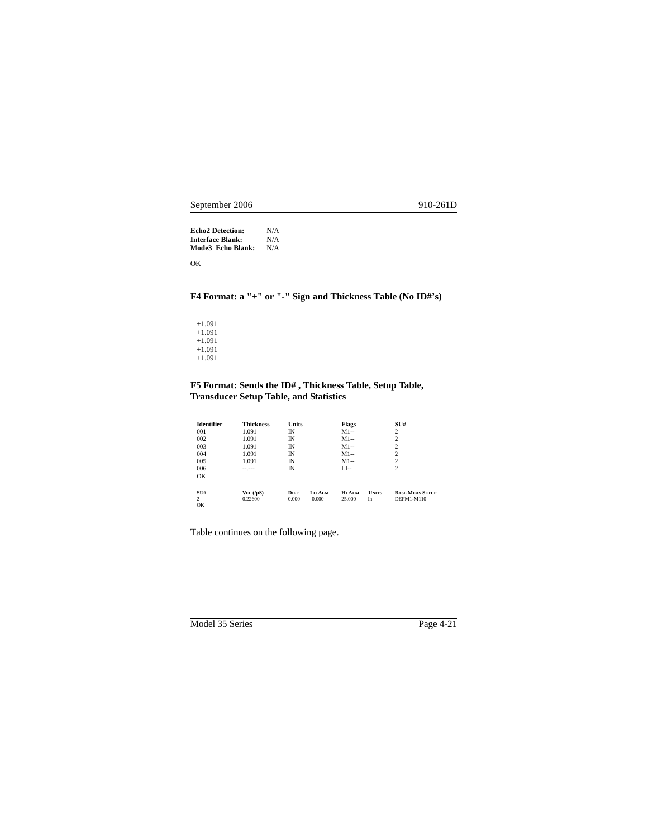| September 2006 |  |
|----------------|--|
|                |  |

910-261D

**Echo2 Detection:** N/A<br>**Interface Blank:** N/A **Interface Blank:** N/A<br>**Mode3** Echo Blank: N/A Mode3 Echo Blank:

OK

**F4 Format: a "+" or "-" Sign and Thickness Table (No ID#'s)**

+1.091 +1.091 +1.091 +1.091 +1.091

# **F5 Format: Sends the ID# , Thickness Table, Setup Table, Transducer Setup Table, and Statistics**

| <b>Identifier</b> | <b>Thickness</b>                       | Units       |        | Flags         |              | SU#                    |
|-------------------|----------------------------------------|-------------|--------|---------------|--------------|------------------------|
| 001               | 1.091                                  | IN          |        | $M1-$         |              | 2                      |
| 002               | 1.091                                  | IN          |        | $M1-$         |              | 2                      |
| 003               | 1.091                                  | IN          |        | $M1-$         |              | 2                      |
| 004               | 1.091                                  | IN          |        | $M1-$         |              | 2                      |
| 005               | 1.091                                  | IN          |        | $M1-$         |              | 2                      |
| 006               | -----                                  | IN          |        | $L_{\rm H}$   |              | 2                      |
| OK                |                                        |             |        |               |              |                        |
| SU#               | VEL $\left(\frac{\mu S}{\mu S}\right)$ | <b>DIFF</b> | LO ALM | <b>HI ALM</b> | <b>UNITS</b> | <b>BASE MEAS SETUP</b> |
| $\mathfrak{D}$    | 0.22600                                | 0.000       | 0.000  | 25.000        | In           | <b>DEFM1-M110</b>      |
| OK                |                                        |             |        |               |              |                        |

Table continues on the following page.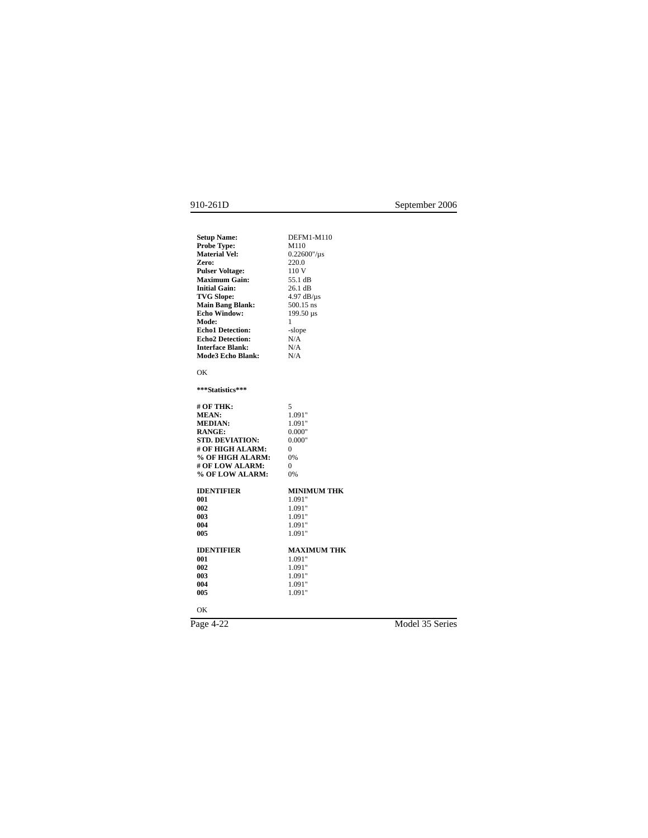910-261D September 2006

| <b>Setup Name:</b>       | DEFM1-M110              |                 |
|--------------------------|-------------------------|-----------------|
| <b>Probe Type:</b>       | M110                    |                 |
| <b>Material Vel:</b>     | $0.22600''/ \mu s$      |                 |
| Zero:                    | 220.0                   |                 |
| <b>Pulser Voltage:</b>   | 110 V                   |                 |
| <b>Maximum Gain:</b>     | 55.1 dB                 |                 |
| <b>Initial Gain:</b>     | $26.1 \text{ dB}$       |                 |
| <b>TVG Slope:</b>        | $4.97$ dB/ $\mu$ s      |                 |
| <b>Main Bang Blank:</b>  | 500.15 ns               |                 |
| <b>Echo Window:</b>      | $199.50 \,\mathrm{u}$ s |                 |
| Mode:                    | 1                       |                 |
| <b>Echo1 Detection:</b>  | -slope                  |                 |
| <b>Echo2 Detection:</b>  | N/A                     |                 |
| <b>Interface Blank:</b>  | N/A                     |                 |
| <b>Mode3 Echo Blank:</b> | N/A                     |                 |
| OK                       |                         |                 |
| ***Statistics***         |                         |                 |
| # OF THK:                | 5                       |                 |
| MEAN:                    | 1.091"                  |                 |
| <b>MEDIAN:</b>           | 1.091"                  |                 |
| <b>RANGE:</b>            | 0.000"                  |                 |
| <b>STD. DEVIATION:</b>   | 0.000"                  |                 |
| # OF HIGH ALARM:         | $\Omega$                |                 |
| % OF HIGH ALARM:         | 0%                      |                 |
| # OF LOW ALARM:          | $\Omega$                |                 |
| % OF LOW ALARM:          | 0%                      |                 |
| <b>IDENTIFIER</b>        | <b>MINIMUM THK</b>      |                 |
| 001                      | 1.091"                  |                 |
| 002                      | 1.091"                  |                 |
| 003                      | 1.091"                  |                 |
| 004                      | 1.091"                  |                 |
| 005                      | 1.091"                  |                 |
| <b>IDENTIFIER</b>        | <b>MAXIMUM THK</b>      |                 |
| 001                      | 1.091"                  |                 |
| 002                      | 1.091"                  |                 |
| 003                      | 1.091"                  |                 |
| 004                      | 1.091"                  |                 |
| 005                      | 1.091"                  |                 |
| OK                       |                         |                 |
| Page 4-22                |                         | Model 35 Series |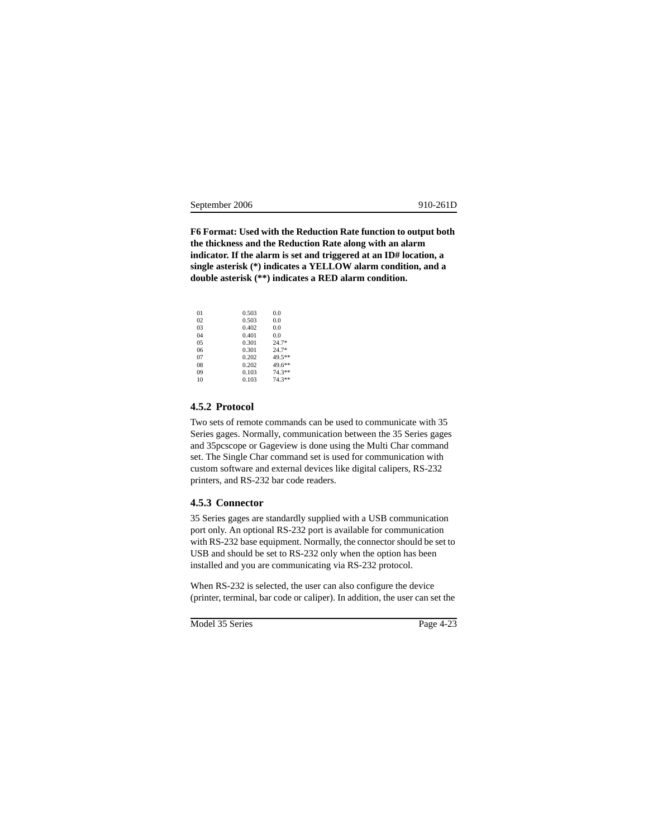| September 2006 |  |  |  |
|----------------|--|--|--|
|----------------|--|--|--|

**F6 Format: Used with the Reduction Rate function to output both the thickness and the Reduction Rate along with an alarm indicator. If the alarm is set and triggered at an ID# location, a single asterisk (\*) indicates a YELLOW alarm condition, and a double asterisk (\*\*) indicates a RED alarm condition.** 

| 01 | 0.503 | 0.0      |
|----|-------|----------|
| 02 | 0.503 | 0.0      |
| 03 | 0.402 | 0.0      |
| 04 | 0.401 | 0.0      |
| 05 | 0.301 | $24.7*$  |
| 06 | 0.301 | $24.7*$  |
| 07 | 0.202 | 49.5**   |
| 08 | 0.202 | 49.6**   |
| 09 | 0.103 | $74.3**$ |
| 10 | 0.103 | 74.3**   |

### **4.5.2 Protocol**

Two sets of remote commands can be used to communicate with 35 Series gages. Normally, communication between the 35 Series gages and 35pcscope or Gageview is done using the Multi Char command set. The Single Char command set is used for communication with custom software and external devices like digital calipers, RS-232 printers, and RS-232 bar code readers.

#### **4.5.3 Connector**

35 Series gages are standardly supplied with a USB communication port only. An optional RS-232 port is available for communication with RS-232 base equipment. Normally, the connector should be set to USB and should be set to RS-232 only when the option has been installed and you are communicating via RS-232 protocol.

When RS-232 is selected, the user can also configure the device (printer, terminal, bar code or caliper). In addition, the user can set the

Model 35 Series Page 4-23

910-261D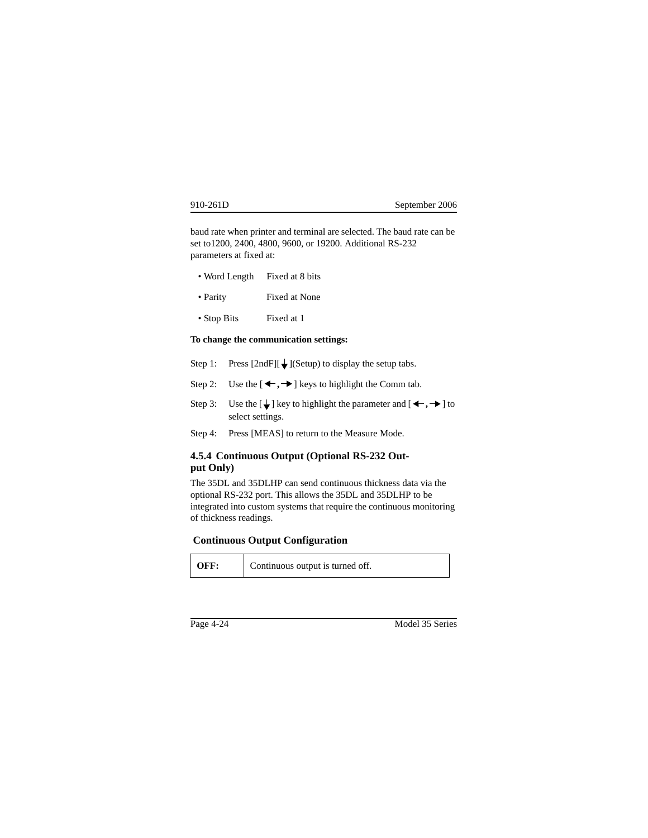| 910-261D |  |  |  |
|----------|--|--|--|
|          |  |  |  |

| 910-261D | September 2006 |  |
|----------|----------------|--|
|          |                |  |

baud rate when printer and terminal are selected. The baud rate can be set to1200, 2400, 4800, 9600, or 19200. Additional RS-232 parameters at fixed at:

• Word Length Fixed at 8 bits • Parity Fixed at None

• Stop Bits Fixed at 1

**To change the communication settings:**

- Step 1: Press  $[2ndF][\bigstar]$  (Setup) to display the setup tabs.
- Step 2: Use the  $[\blacktriangleleft, \rightarrow]$  keys to highlight the Comm tab.
- Step 3: Use the  $\left[\frac{1}{2}\right]$  key to highlight the parameter and  $\left[\frac{1}{2}, \frac{1}{2}\right]$  to select settings.
- Step 4: Press [MEAS] to return to the Measure Mode.

# **4.5.4 Continuous Output (Optional RS-232 Output Only)**

The 35DL and 35DLHP can send continuous thickness data via the optional RS-232 port. This allows the 35DL and 35DLHP to be integrated into custom systems that require the continuous monitoring of thickness readings.

# **Continuous Output Configuration**

| $\blacksquare$ OFF: | Continuous output is turned off. |  |
|---------------------|----------------------------------|--|
|---------------------|----------------------------------|--|

Page 4-24 Model 35 Series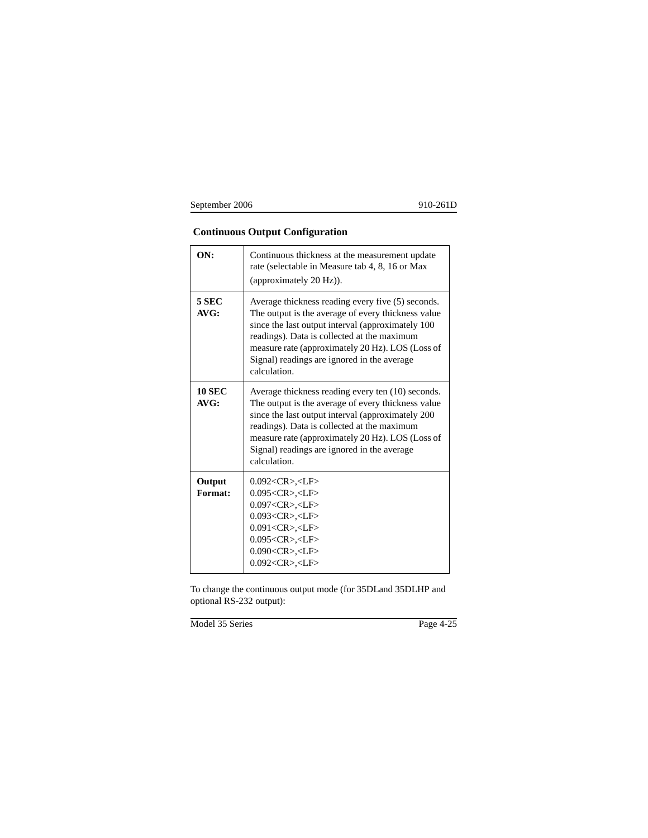| September 2006 |  |
|----------------|--|
|----------------|--|

# 5 910-261D

# **Continuous Output Configuration**

| ON:                   | Continuous thickness at the measurement update<br>rate (selectable in Measure tab 4, 8, 16 or Max<br>(approximately 20 Hz)).                                                                                                                                                                                                   |
|-----------------------|--------------------------------------------------------------------------------------------------------------------------------------------------------------------------------------------------------------------------------------------------------------------------------------------------------------------------------|
| <b>5 SEC</b><br>AVG:  | Average thickness reading every five (5) seconds.<br>The output is the average of every thickness value<br>since the last output interval (approximately 100<br>readings). Data is collected at the maximum<br>measure rate (approximately 20 Hz). LOS (Loss of<br>Signal) readings are ignored in the average<br>calculation. |
| <b>10 SEC</b><br>AVG: | Average thickness reading every ten (10) seconds.<br>The output is the average of every thickness value<br>since the last output interval (approximately 200<br>readings). Data is collected at the maximum<br>measure rate (approximately 20 Hz). LOS (Loss of<br>Signal) readings are ignored in the average<br>calculation. |
| Output<br>Format:     | 0.092 <cr>,<lf><br/><math>0.095 &lt; CR</math>&gt;,<lf><br/><math>0.097 &lt; CR</math>&gt;,<lf><br/>0.093<cr>,<lf><br/><math>0.091 &lt; CR</math>&gt;,<lf><br/><math>0.095 &lt; CR</math>&gt;,<lf><br/><math>0.090 &lt; CR</math>&gt;,<lf><br/>0.092<cr>,<lf></lf></cr></lf></lf></lf></lf></cr></lf></lf></lf></cr>           |

To change the continuous output mode (for 35DLand 35DLHP and optional RS-232 output):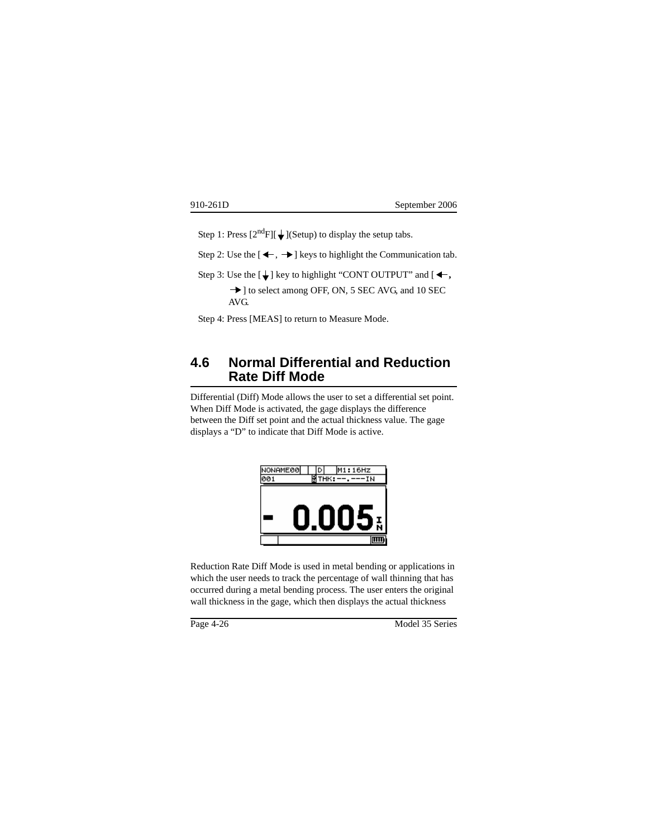| 910-261D | September 2006 |  |
|----------|----------------|--|
|          |                |  |

Step 1: Press  $[2<sup>nd</sup>F][\bigstar]$  (Setup) to display the setup tabs.

Step 2: Use the  $[ \leftarrow, \rightarrow ]$  keys to highlight the Communication tab.

Step 3: Use the  $\left[\downarrow\right]$  key to highlight "CONT OUTPUT" and  $\left[\downarrow\right]$ ,

] to select among OFF, ON, 5 SEC AVG, and 10 SEC AVG.

Step 4: Press [MEAS] to return to Measure Mode.

# **4.6 Normal Differential and Reduction Rate Diff Mode**

Differential (Diff) Mode allows the user to set a differential set point. When Diff Mode is activated, the gage displays the difference between the Diff set point and the actual thickness value. The gage displays a "D" to indicate that Diff Mode is active.



Reduction Rate Diff Mode is used in metal bending or applications in which the user needs to track the percentage of wall thinning that has occurred during a metal bending process. The user enters the original wall thickness in the gage, which then displays the actual thickness

Page 4-26 Model 35 Series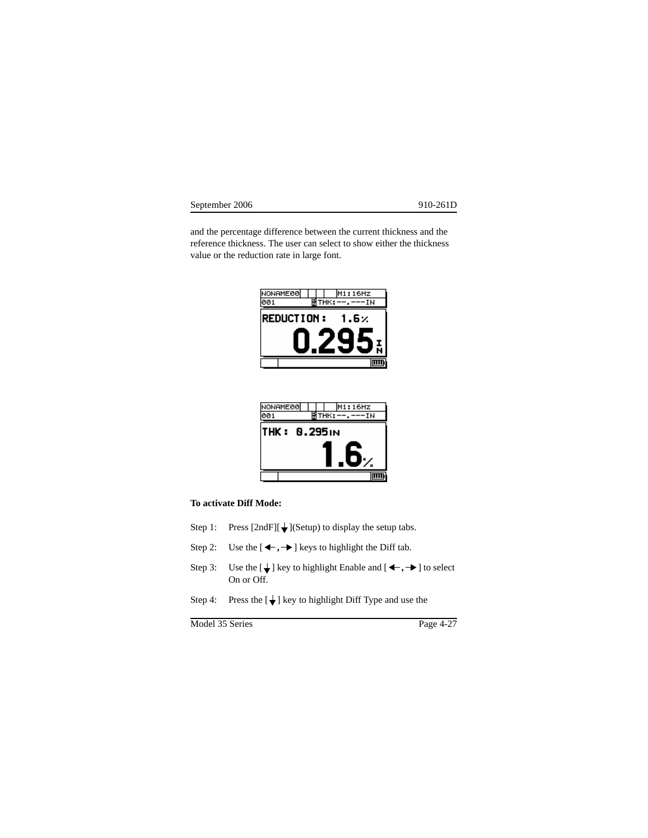September 2006 910-261D

and the percentage difference between the current thickness and the reference thickness. The user can select to show either the thickness value or the reduction rate in large font.





# **To activate Diff Mode:**

- Step 1: Press  $[2ndF][\bigstar]$  (Setup) to display the setup tabs.
- Step 2: Use the  $[\blacktriangleleft, \rightarrow]$  keys to highlight the Diff tab.
- Step 3: Use the  $\left[\bigstar\right]$  key to highlight Enable and  $\left[\bullet, \to\right]$  to select On or Off.
- Step 4: Press the  $[\bigstar]$  key to highlight Diff Type and use the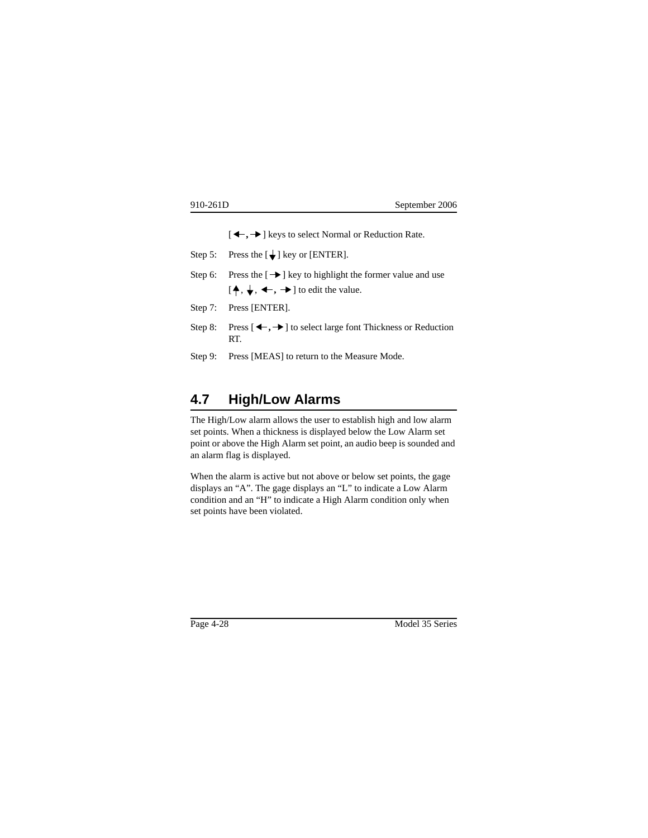| 910-261D | September 2006 |
|----------|----------------|
|          |                |

[ ←, → ] keys to select Normal or Reduction Rate.

| Step $5$ : | Press the $[\bigvee]$ key or [ENTER]. |
|------------|---------------------------------------|
|------------|---------------------------------------|

| Step 6: Press the $[\rightarrow]$ key to highlight the former value and use |
|-----------------------------------------------------------------------------|
| $[\uparrow, \downarrow, \leftarrow, \rightarrow]$ to edit the value.        |

Step 7: Press [ENTER].

- Step 8: Press  $[\triangleleft, \triangleleft]$  to select large font Thickness or Reduction RT.
- Step 9: Press [MEAS] to return to the Measure Mode.

# **4.7 High/Low Alarms**

The High/Low alarm allows the user to establish high and low alarm set points. When a thickness is displayed below the Low Alarm set point or above the High Alarm set point, an audio beep is sounded and an alarm flag is displayed.

When the alarm is active but not above or below set points, the gage displays an "A". The gage displays an "L" to indicate a Low Alarm condition and an "H" to indicate a High Alarm condition only when set points have been violated.

Page 4-28 Model 35 Series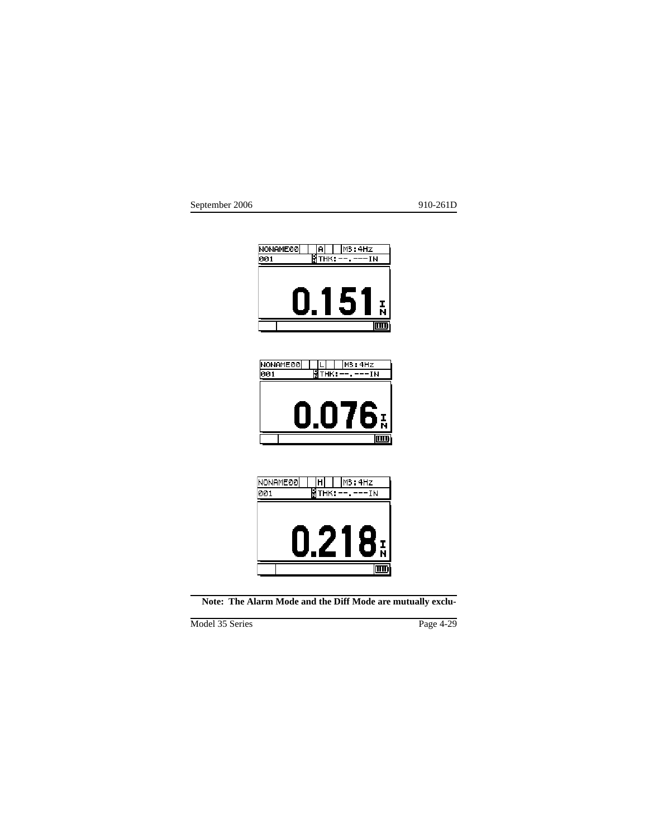September 2006 910-261D







**Note: The Alarm Mode and the Diff Mode are mutually exclu-**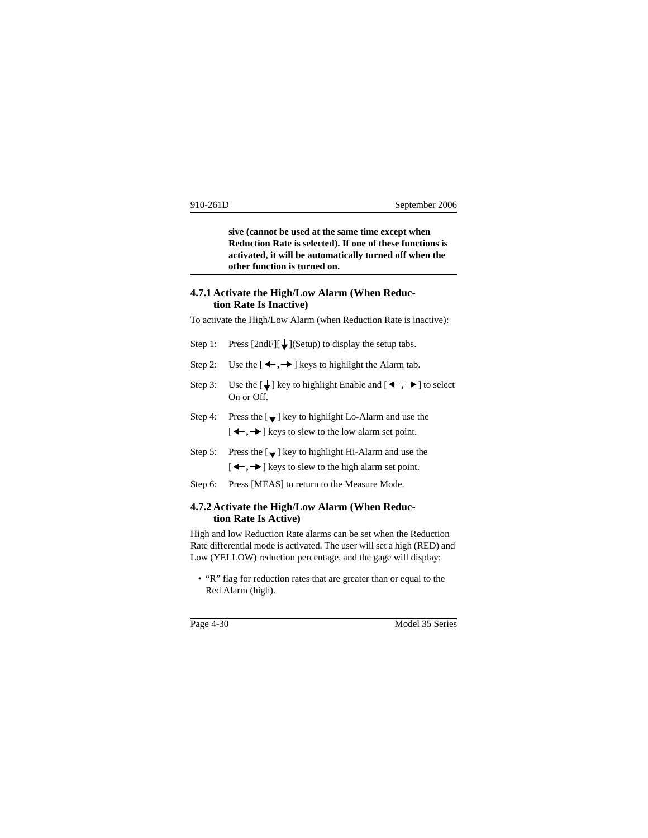September 2006

**sive (cannot be used at the same time except when Reduction Rate is selected). If one of these functions is activated, it will be automatically turned off when the other function is turned on.** 

## **4.7.1 Activate the High/Low Alarm (When Reduction Rate Is Inactive)**

To activate the High/Low Alarm (when Reduction Rate is inactive):

- Step 1: Press  $[2ndF][\bigstar]$  (Setup) to display the setup tabs.
- Step 2: Use the  $\left[ \leftarrow, \rightarrow \right]$  keys to highlight the Alarm tab.
- Step 3: Use the  $[\downarrow]$  key to highlight Enable and  $[\downarrow, \rightarrow]$  to select On or Off.

Step 4: Press the  $\left[\bigstar\right]$  key to highlight Lo-Alarm and use the  $\left[ \leftarrow, \rightarrow \right]$  keys to slew to the low alarm set point.

- Step 5: Press the  $\left[\bigstar\right]$  key to highlight Hi-Alarm and use the [ $\leftarrow, \rightarrow$ ] keys to slew to the high alarm set point.
- Step 6: Press [MEAS] to return to the Measure Mode.

# **4.7.2 Activate the High/Low Alarm (When Reduction Rate Is Active)**

High and low Reduction Rate alarms can be set when the Reduction Rate differential mode is activated. The user will set a high (RED) and Low (YELLOW) reduction percentage, and the gage will display:

• "R" flag for reduction rates that are greater than or equal to the Red Alarm (high).

Page 4-30 Model 35 Series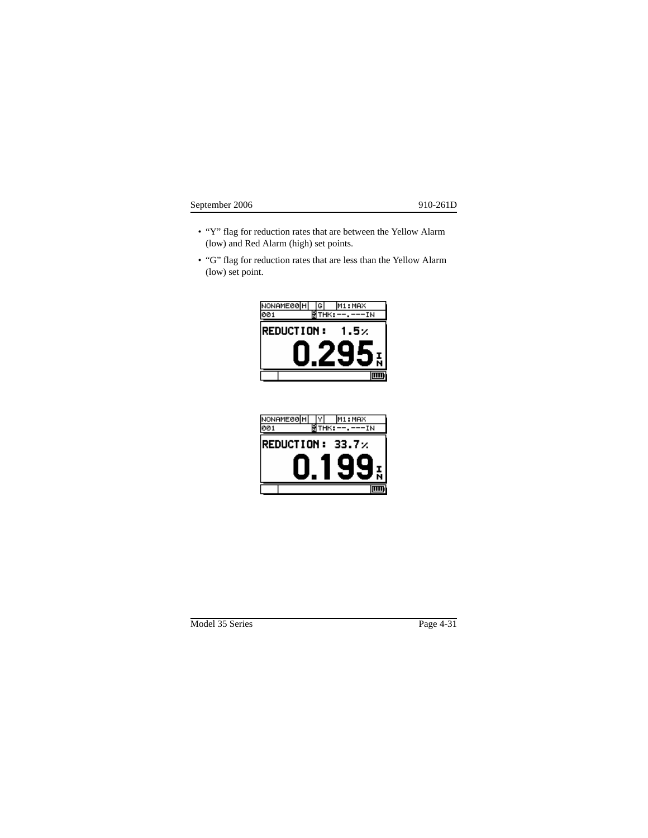| September 2006 |  |  |  |  |  |
|----------------|--|--|--|--|--|
|----------------|--|--|--|--|--|

# $5 \t 910-261D$

- "Y" flag for reduction rates that are between the Yellow Alarm (low) and Red Alarm (high) set points.
- "G" flag for reduction rates that are less than the Yellow Alarm (low) set point.



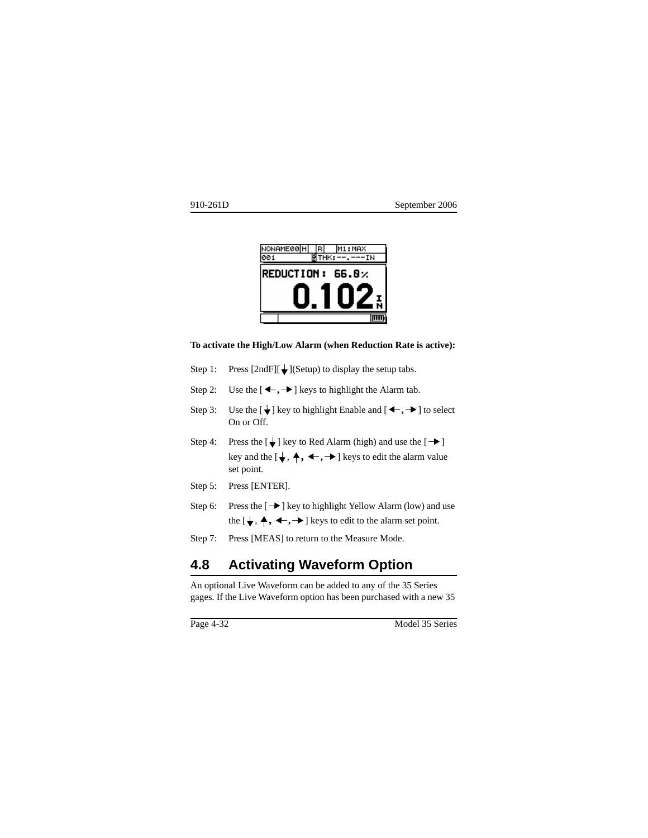910-261D September 2006



#### **To activate the High/Low Alarm (when Reduction Rate is active):**

- Step 1: Press  $[2ndF][\bigstar]$  (Setup) to display the setup tabs.
- Step 2: Use the  $[\blacktriangleleft, \rightarrow]$  keys to highlight the Alarm tab.
- Step 3: Use the  $\left[\frac{1}{\bullet}\right]$  key to highlight Enable and  $\left[\frac{1}{\bullet}, \frac{1}{\bullet}\right]$  to select On or Off.
- Step 4: Press the  $[\bigstar]$  key to Red Alarm (high) and use the  $[\rightarrow]$ key and the  $[\downarrow, \uparrow, \leftarrow, \rightarrow]$  keys to edit the alarm value set point.
- Step 5: Press [ENTER].
- Step 6: Press the  $[\rightarrow]$  key to highlight Yellow Alarm (low) and use the  $[\downarrow, \uparrow, \leftarrow, \rightarrow]$  keys to edit to the alarm set point.
- Step 7: Press [MEAS] to return to the Measure Mode.

# **4.8 Activating Waveform Option**

An optional Live Waveform can be added to any of the 35 Series gages. If the Live Waveform option has been purchased with a new 35

Page 4-32 Model 35 Series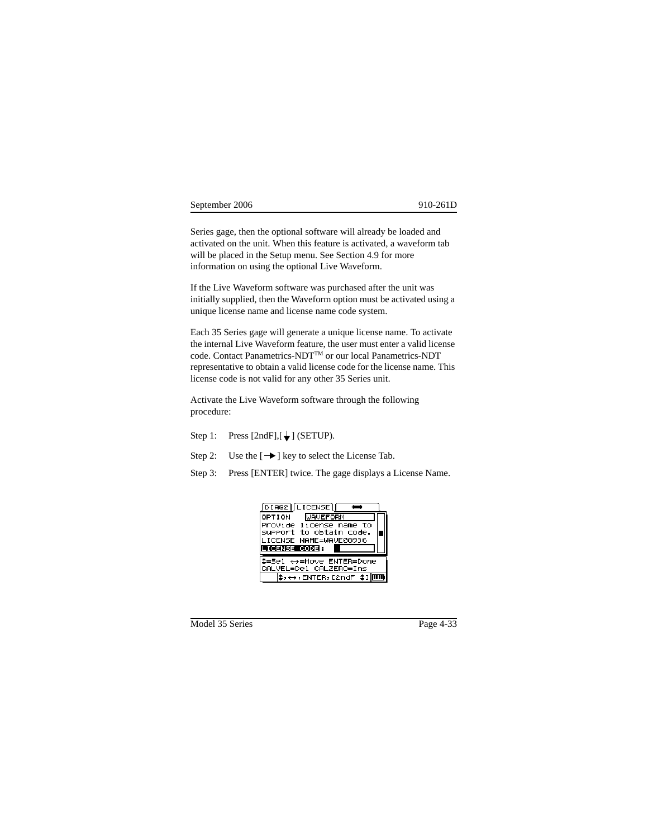| September 2006 |  |  |
|----------------|--|--|
|                |  |  |

Series gage, then the optional software will already be loaded and activated on the unit. When this feature is activated, a waveform tab will be placed in the Setup menu. See Section 4.9 for more information on using the optional Live Waveform.

If the Live Waveform software was purchased after the unit was initially supplied, then the Waveform option must be activated using a unique license name and license name code system.

Each 35 Series gage will generate a unique license name. To activate the internal Live Waveform feature, the user must enter a valid license code. Contact Panametrics-NDT<sup>TM</sup> or our local Panametrics-NDT representative to obtain a valid license code for the license name. This license code is not valid for any other 35 Series unit.

Activate the Live Waveform software through the following procedure:

Step 1: Press [2ndF], $[\bigstar]$  (SETUP).

- Step 2: Use the  $[\rightarrow]$  key to select the License Tab.
- Step 3: Press [ENTER] twice. The gage displays a License Name.



Model 35 Series Page 4-33

910-261D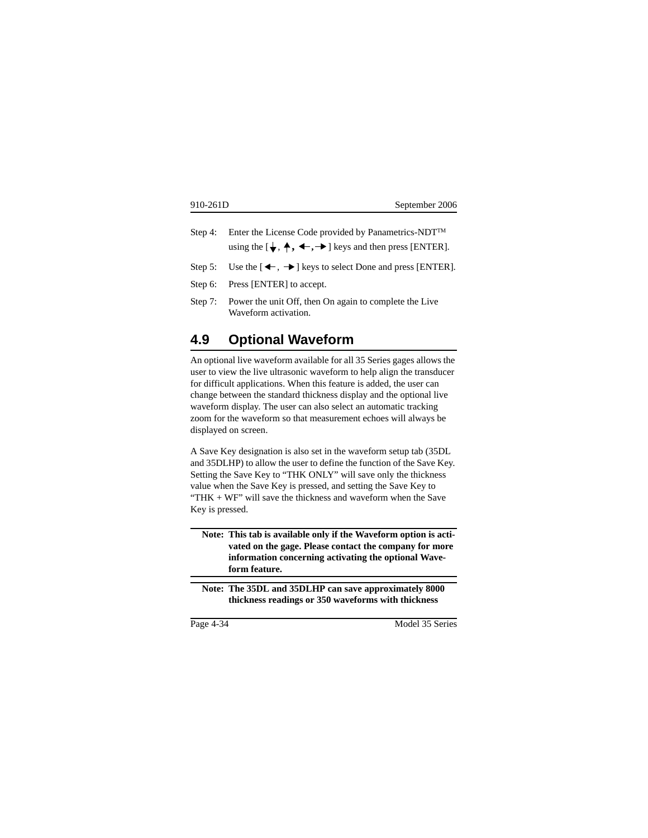| 910-261D |  |  |  |
|----------|--|--|--|
|          |  |  |  |

|  | 910-261D | September 2006 |
|--|----------|----------------|
|--|----------|----------------|

| Step 4: Enter the License Code provided by Panametrics-NDT™                                          |
|------------------------------------------------------------------------------------------------------|
| using the $\left[\downarrow, \uparrow, \leftarrow, \rightarrow \right]$ keys and then press [ENTER]. |

- Step 5: Use the  $[ \leftarrow, \rightarrow ]$  keys to select Done and press [ENTER].
- Step 6: Press [ENTER] to accept.

Step 7: Power the unit Off, then On again to complete the Live Waveform activation.

# **4.9 Optional Waveform**

An optional live waveform available for all 35 Series gages allows the user to view the live ultrasonic waveform to help align the transducer for difficult applications. When this feature is added, the user can change between the standard thickness display and the optional live waveform display. The user can also select an automatic tracking zoom for the waveform so that measurement echoes will always be displayed on screen.

A Save Key designation is also set in the waveform setup tab (35DL and 35DLHP) to allow the user to define the function of the Save Key. Setting the Save Key to "THK ONLY" will save only the thickness value when the Save Key is pressed, and setting the Save Key to "THK + WF" will save the thickness and waveform when the Save Key is pressed.

**Note: This tab is available only if the Waveform option is activated on the gage. Please contact the company for more information concerning activating the optional Waveform feature.**

**Note: The 35DL and 35DLHP can save approximately 8000 thickness readings or 350 waveforms with thickness** 

Page 4-34 Model 35 Series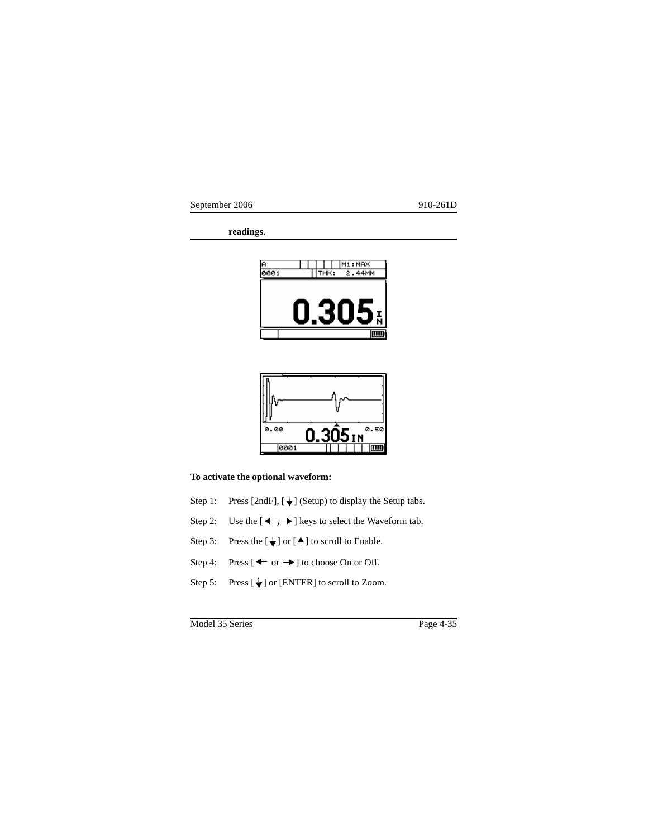September 2006 910-261D

**readings.**





# **To activate the optional waveform:**

- Step 1: Press [2ndF],  $[\downarrow]$  (Setup) to display the Setup tabs.
- Step 2: Use the  $[\blacktriangleleft, \blacktriangleright]$  keys to select the Waveform tab.
- Step 3: Press the  $[\bigstar]$  or  $[\bigstar]$  to scroll to Enable.
- Step 4: Press  $[\triangleleft \text{ or } \triangleleft ]$  to choose On or Off.
- Step 5: Press  $[\bigstar]$  or [ENTER] to scroll to Zoom.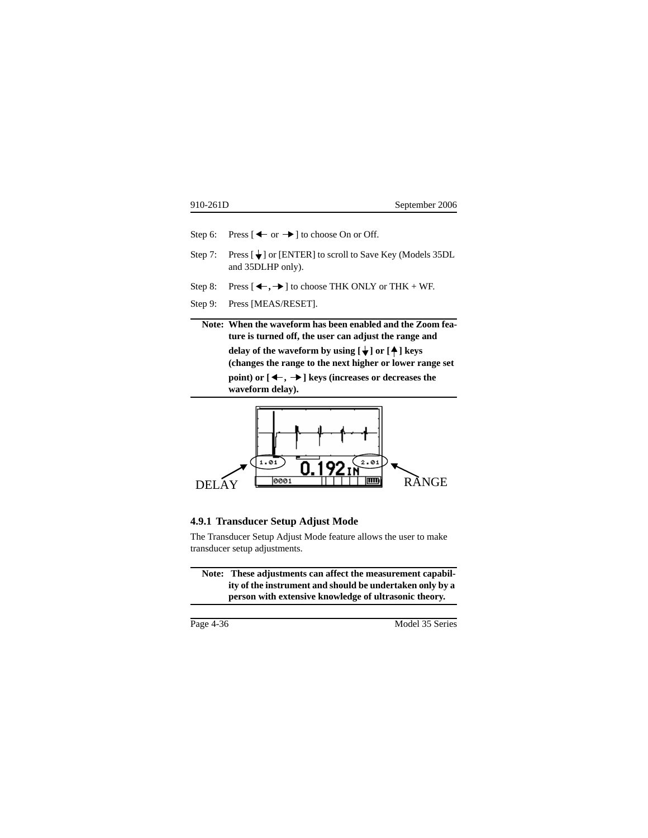| 910-261D | September 2006                                                                                               |
|----------|--------------------------------------------------------------------------------------------------------------|
|          | Step 6: Press $\lceil \leftarrow \text{ or } \rightarrow \rceil$ to choose On or Off.                        |
|          | Step 7: Press $\lceil \frac{1}{2} \rceil$ or [ENTER] to scroll to Save Key (Models 35DL<br>and 35DLHP only). |

Step 8: Press  $[\triangleleft, \rightarrow]$  to choose THK ONLY or THK + WF.

Step 9: Press [MEAS/RESET].

**Note: When the waveform has been enabled and the Zoom feature is turned off, the user can adjust the range and**  delay of the waveform by using  $[\bigstar]$  or  $[\bigstar]$  keys **(changes the range to the next higher or lower range set**  point) or [ ←, → ] keys (increases or decreases the **waveform delay).** 



# **4.9.1 Transducer Setup Adjust Mode**

The Transducer Setup Adjust Mode feature allows the user to make transducer setup adjustments.

**Note: These adjustments can affect the measurement capability of the instrument and should be undertaken only by a person with extensive knowledge of ultrasonic theory.** 

Page 4-36 Model 35 Series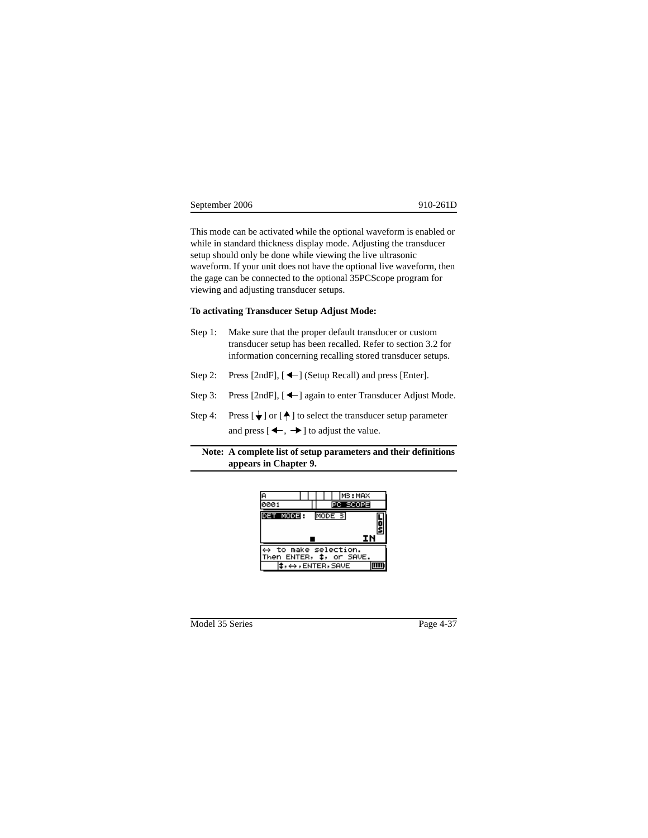| September 2006 |
|----------------|
|----------------|

910-261D

This mode can be activated while the optional waveform is enabled or while in standard thickness display mode. Adjusting the transducer setup should only be done while viewing the live ultrasonic waveform. If your unit does not have the optional live waveform, then the gage can be connected to the optional 35PCScope program for viewing and adjusting transducer setups.

#### **To activating Transducer Setup Adjust Mode:**

- Step 1: Make sure that the proper default transducer or custom transducer setup has been recalled. Refer to section 3.2 for information concerning recalling stored transducer setups.
- Step 2: Press [2ndF],  $[ \leftarrow ]$  (Setup Recall) and press [Enter].
- Step 3: Press [2ndF], [ $\blacklozenge$ ] again to enter Transducer Adjust Mode.
- Step 4: Press  $\left[\bigstar\right]$  or  $\left[\bigstar\right]$  to select the transducer setup parameter and press  $[ \leftarrow, \rightarrow ]$  to adjust the value.

#### **Note: A complete list of setup parameters and their definitions appears in Chapter 9.**

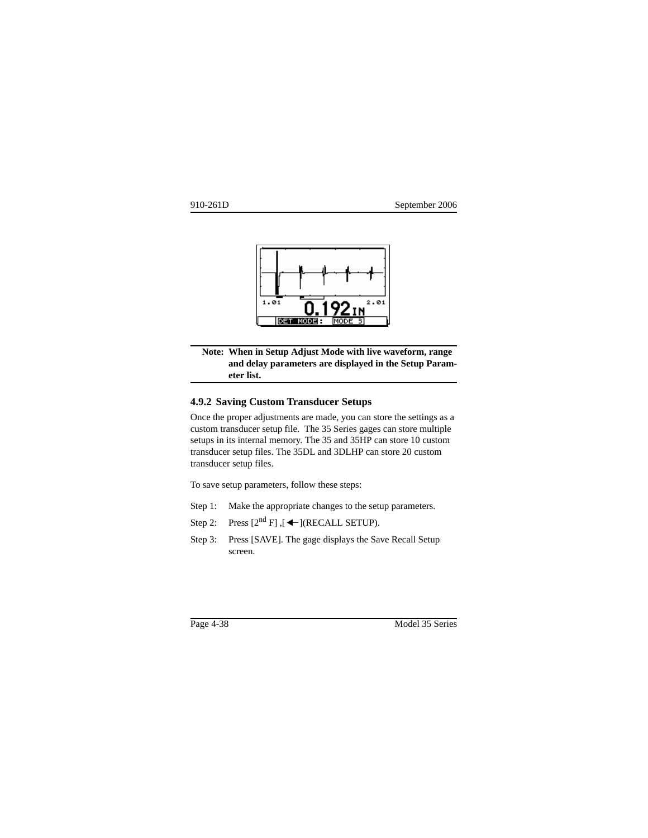910-261D September 2006





## **4.9.2 Saving Custom Transducer Setups**

Once the proper adjustments are made, you can store the settings as a custom transducer setup file. The 35 Series gages can store multiple setups in its internal memory. The 35 and 35HP can store 10 custom transducer setup files. The 35DL and 3DLHP can store 20 custom transducer setup files.

To save setup parameters, follow these steps:

- Step 1: Make the appropriate changes to the setup parameters.
- Step 2: Press  $[2^{nd} F]$ ,  $[4]$ (RECALL SETUP).
- Step 3: Press [SAVE]. The gage displays the Save Recall Setup screen.

Page 4-38 Model 35 Series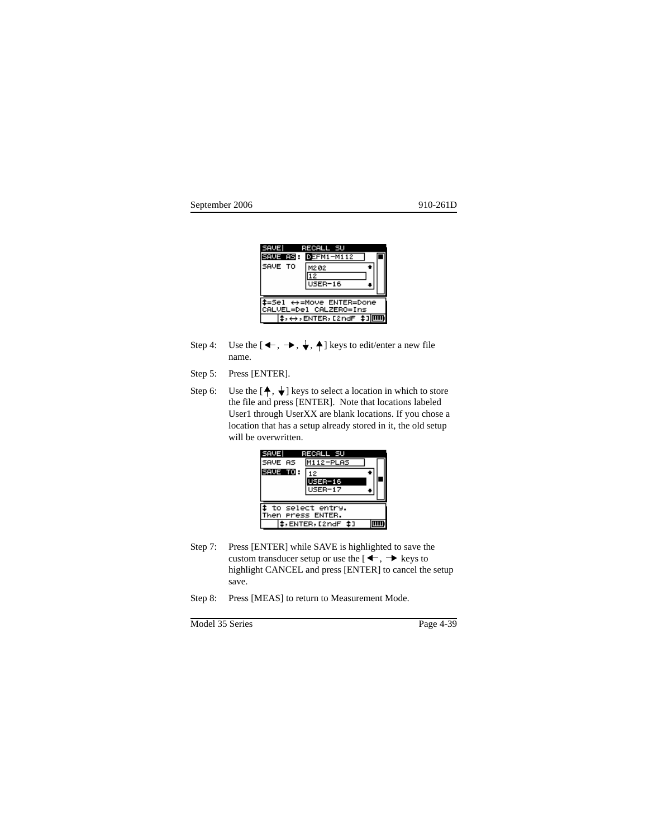September 2006 910-261D

| $DEFM1-M112$<br>AVE ASB<br>SAVE TO                                                          |
|---------------------------------------------------------------------------------------------|
|                                                                                             |
| M202                                                                                        |
|                                                                                             |
| $USER-16$                                                                                   |
|                                                                                             |
| ‡=Sel ↔=Move ENTER=Done<br>CALVEL=Del CALZERO=Ins                                           |
|                                                                                             |
| $\textcolor{red}{\downarrow}, \leftrightarrow$ ,ENTER,[2ndF $\textcolor{red}{\downarrow}$ ] |

- Step 4: Use the  $[\blacktriangleleft, \rightarrow, \downarrow, \uparrow]$  keys to edit/enter a new file name.
- Step 5: Press [ENTER].
- Step 6: Use the  $[\n\bigstar, \downarrow]$  keys to select a location in which to store the file and press [ENTER]. Note that locations labeled User1 through UserXX are blank locations. If you chose a location that has a setup already stored in it, the old setup will be overwritten.



- Step 7: Press [ENTER] while SAVE is highlighted to save the custom transducer setup or use the  $[ \leftarrow, \rightarrow \text{keys to}]$ highlight CANCEL and press [ENTER] to cancel the setup save.
- Step 8: Press [MEAS] to return to Measurement Mode.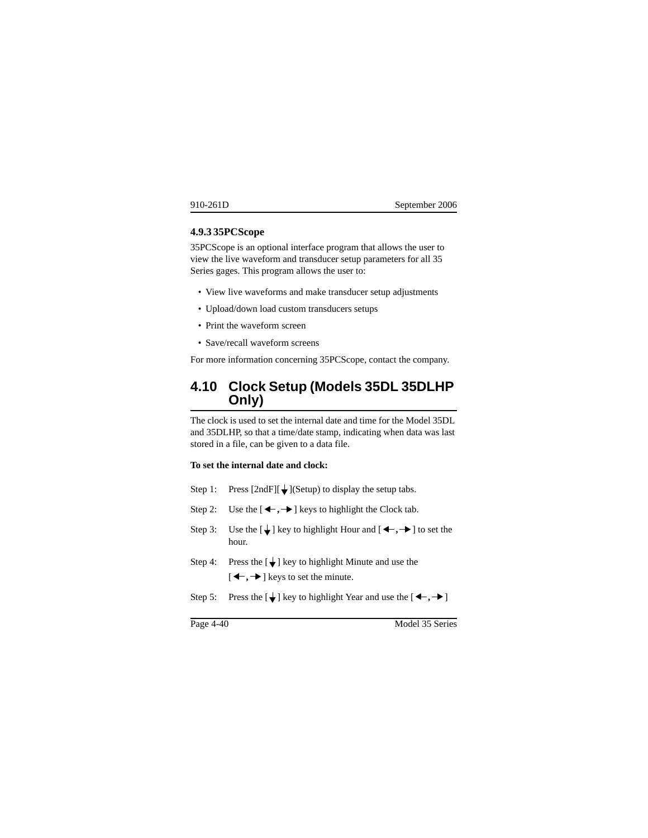| 0-261D |  |
|--------|--|
|--------|--|

910-261D September 2006

#### **4.9.3 35PCScope**

35PCScope is an optional interface program that allows the user to view the live waveform and transducer setup parameters for all 35 Series gages. This program allows the user to:

- View live waveforms and make transducer setup adjustments
- Upload/down load custom transducers setups
- Print the waveform screen
- Save/recall waveform screens

For more information concerning 35PCScope, contact the company.

## **4.10 Clock Setup (Models 35DL 35DLHP Only)**

The clock is used to set the internal date and time for the Model 35DL and 35DLHP, so that a time/date stamp, indicating when data was last stored in a file, can be given to a data file.

#### **To set the internal date and clock:**

- Step 1: Press  $[2ndF][\bigstar]$  (Setup) to display the setup tabs.
- Step 2: Use the  $[\blacktriangleleft, \rightarrow]$  keys to highlight the Clock tab.
- Step 3: Use the  $[\downarrow]$  key to highlight Hour and  $[\downarrow, \rightarrow]$  to set the hour.
- Step 4: Press the  $\left[\bigstar\right]$  key to highlight Minute and use the  $[\blacktriangleleft, \rightarrow]$  keys to set the minute.
- Step 5: Press the  $\left[\bigstar\right]$  key to highlight Year and use the  $\left[\bigstar\right]$

Page 4-40 Model 35 Series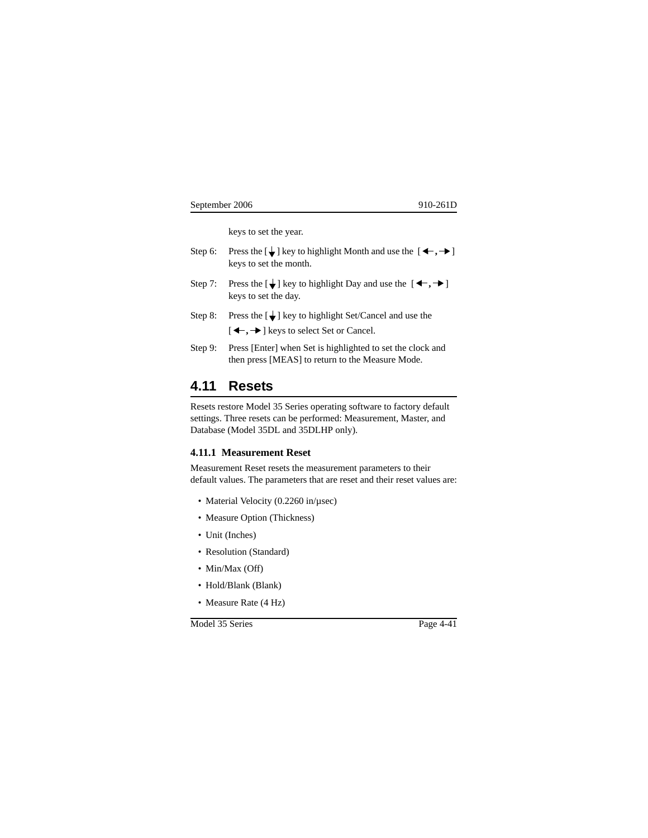| September 2006 |  |
|----------------|--|
|----------------|--|

910-261D

keys to set the year.

| Step 6:   | Press the $\lceil \cdot \cdot \rceil$ key to highlight Month and use the $\lceil \cdot \cdot \cdot \rceil$<br>keys to set the month.              |
|-----------|---------------------------------------------------------------------------------------------------------------------------------------------------|
| Step $7:$ | Press the $[\downarrow]$ key to highlight Day and use the $[\uparrow, \rightarrow]$<br>keys to set the day.                                       |
| Step 8:   | Press the $\left[\bigstar\right]$ key to highlight Set/Cancel and use the<br>$\left[\leftarrow, \rightarrow\right]$ keys to select Set or Cancel. |
| Step 9:   | Press [Enter] when Set is highlighted to set the clock and<br>then press [MEAS] to return to the Measure Mode.                                    |

## **4.11 Resets**

Resets restore Model 35 Series operating software to factory default settings. Three resets can be performed: Measurement, Master, and Database (Model 35DL and 35DLHP only).

### **4.11.1 Measurement Reset**

Measurement Reset resets the measurement parameters to their default values. The parameters that are reset and their reset values are:

- Material Velocity (0.2260 in/usec)
- Measure Option (Thickness)
- Unit (Inches)
- Resolution (Standard)
- Min/Max (Off)
- Hold/Blank (Blank)
- Measure Rate (4 Hz)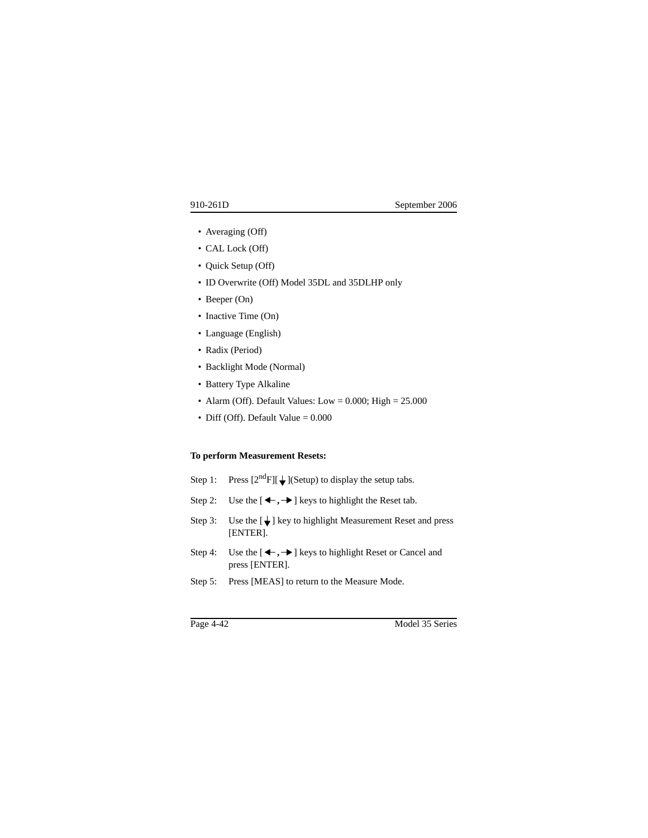#### 910-261D September 2006

- Averaging (Off)
- CAL Lock (Off)
- Quick Setup (Off)
- ID Overwrite (Off) Model 35DL and 35DLHP only
- Beeper (On)
- Inactive Time (On)
- Language (English)
- Radix (Period)
- Backlight Mode (Normal)
- Battery Type Alkaline
- Alarm (Off). Default Values: Low =  $0.000$ ; High =  $25.000$
- Diff (Off). Default Value = 0.000

#### **To perform Measurement Resets:**

- Step 1: Press  $[2<sup>nd</sup>F][\bigotimes]$  (Setup) to display the setup tabs.
- Step 2: Use the  $[\blacktriangleleft, \rightarrow]$  keys to highlight the Reset tab.
- Step 3: Use the  $[\bigstar]$  key to highlight Measurement Reset and press [ENTER].
- Step 4: Use the  $[\blacktriangleleft, \rightarrow]$  keys to highlight Reset or Cancel and press [ENTER].
- Step 5: Press [MEAS] to return to the Measure Mode.

Page 4-42 Model 35 Series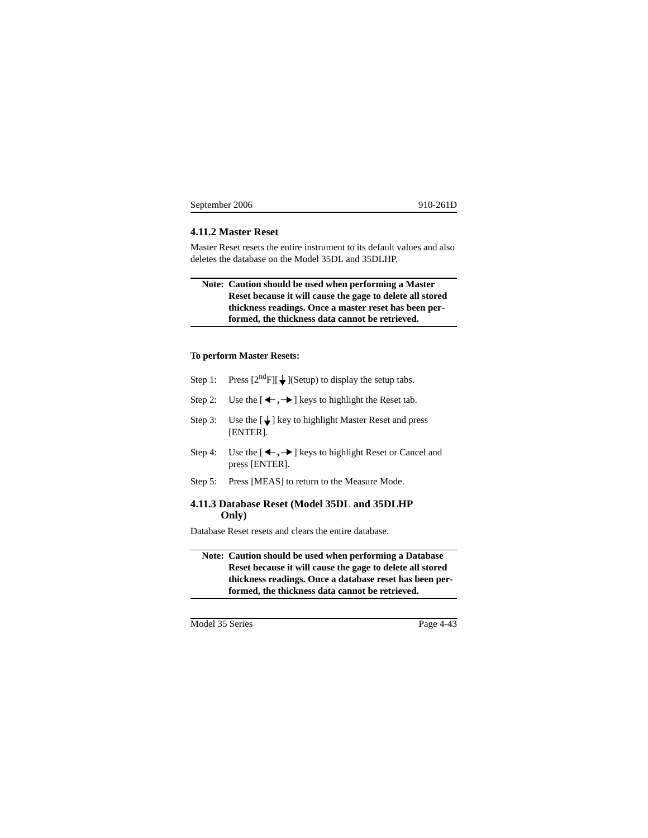| September 2006 |  |  |  |
|----------------|--|--|--|
|----------------|--|--|--|

#### 910-261D

#### **4.11.2 Master Reset**

Master Reset resets the entire instrument to its default values and also deletes the database on the Model 35DL and 35DLHP.

**Note: Caution should be used when performing a Master Reset because it will cause the gage to delete all stored thickness readings. Once a master reset has been performed, the thickness data cannot be retrieved.**

#### **To perform Master Resets:**

| 4.11.3 Database Reset (Model 35DL and 35DLHP                                                                              |
|---------------------------------------------------------------------------------------------------------------------------|
| Step 5: Press [MEAS] to return to the Measure Mode.                                                                       |
| Step 4: Use the $\left[\blacklozenge, \blacktriangleright\right]$ keys to highlight Reset or Cancel and<br>press [ENTER]. |
| Step 3: Use the $\left[\bigstar\right]$ key to highlight Master Reset and press<br>[ENTER].                               |
| Step 2: Use the $[\triangleleft, \rightarrow]$ keys to highlight the Reset tab.                                           |
| Step 1: Press $[2^{nd}F][\downarrow](Setup)$ to display the setup tabs.                                                   |

**Only)** 

Database Reset resets and clears the entire database.

**Note: Caution should be used when performing a Database Reset because it will cause the gage to delete all stored thickness readings. Once a database reset has been performed, the thickness data cannot be retrieved.**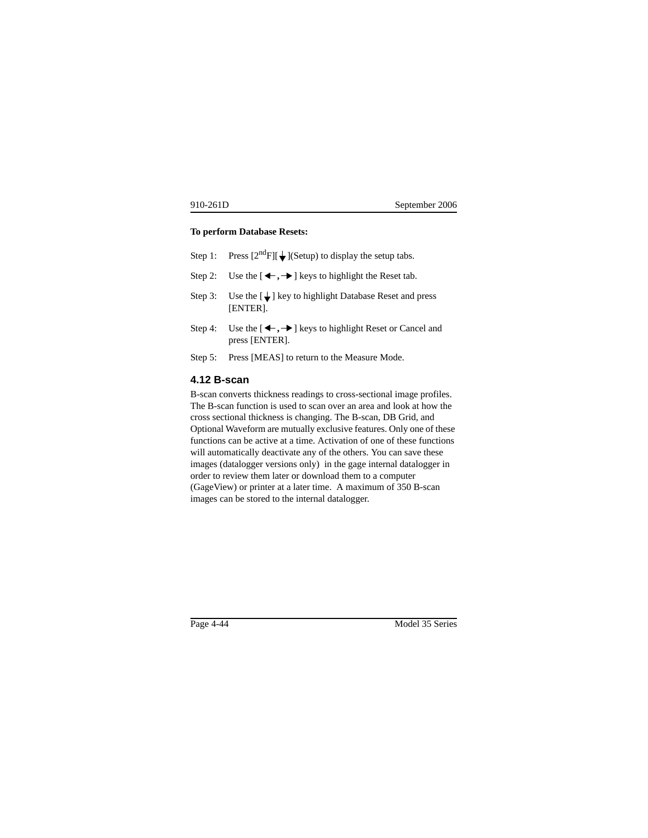|  |  | 910-261D |
|--|--|----------|
|  |  |          |

| 910-261D | September 2006 |
|----------|----------------|
|          |                |

#### **To perform Database Resets:**

| 4.12 B-scan |                                                                                                     |
|-------------|-----------------------------------------------------------------------------------------------------|
|             | Step 5: Press [MEAS] to return to the Measure Mode.                                                 |
| Step 4:     | Use the $[\blacktriangleleft, \rightarrow]$ keys to highlight Reset or Cancel and<br>press [ENTER]. |
|             | Step 3: Use the $\lceil \frac{1}{2} \rceil$ key to highlight Database Reset and press<br>[ENTER].   |
|             | Step 2: Use the $[\triangleleft, \rightarrow]$ keys to highlight the Reset tab.                     |
|             | Step 1: Press $[2ndF][\bigotimes]$ (Setup) to display the setup tabs.                               |

B-scan converts thickness readings to cross-sectional image profiles. The B-scan function is used to scan over an area and look at how the cross sectional thickness is changing. The B-scan, DB Grid, and Optional Waveform are mutually exclusive features. Only one of these functions can be active at a time. Activation of one of these functions will automatically deactivate any of the others. You can save these images (datalogger versions only) in the gage internal datalogger in order to review them later or download them to a computer (GageView) or printer at a later time. A maximum of 350 B-scan images can be stored to the internal datalogger.

Page 4-44 Model 35 Series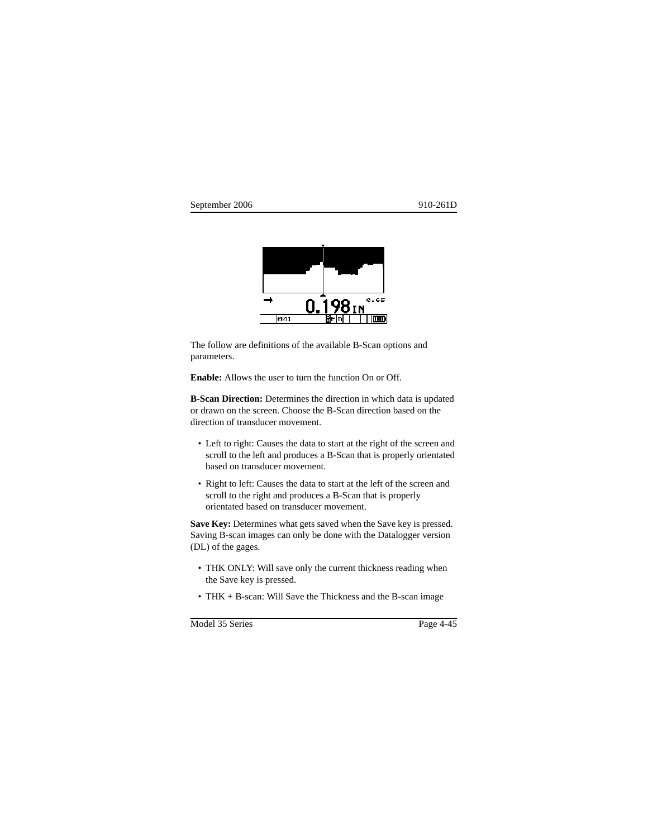September 2006 910-261D



The follow are definitions of the available B-Scan options and parameters.

**Enable:** Allows the user to turn the function On or Off.

**B-Scan Direction:** Determines the direction in which data is updated or drawn on the screen. Choose the B-Scan direction based on the direction of transducer movement.

- Left to right: Causes the data to start at the right of the screen and scroll to the left and produces a B-Scan that is properly orientated based on transducer movement.
- Right to left: Causes the data to start at the left of the screen and scroll to the right and produces a B-Scan that is properly orientated based on transducer movement.

**Save Key:** Determines what gets saved when the Save key is pressed. Saving B-scan images can only be done with the Datalogger version (DL) of the gages.

- THK ONLY: Will save only the current thickness reading when the Save key is pressed.
- THK + B-scan: Will Save the Thickness and the B-scan image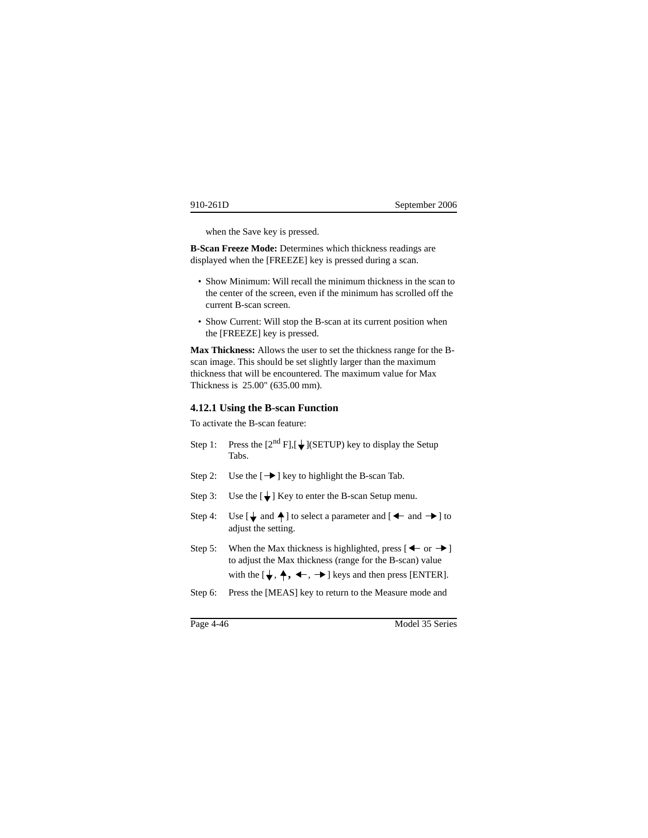|  |  | September 2006 |  |  |
|--|--|----------------|--|--|
|--|--|----------------|--|--|

when the Save key is pressed.

910-261D

**B-Scan Freeze Mode:** Determines which thickness readings are displayed when the [FREEZE] key is pressed during a scan.

- Show Minimum: Will recall the minimum thickness in the scan to the center of the screen, even if the minimum has scrolled off the current B-scan screen.
- Show Current: Will stop the B-scan at its current position when the [FREEZE] key is pressed.

**Max Thickness:** Allows the user to set the thickness range for the Bscan image. This should be set slightly larger than the maximum thickness that will be encountered. The maximum value for Max Thickness is 25.00" (635.00 mm).

#### **4.12.1 Using the B-scan Function**

To activate the B-scan feature:

Step 1: Press the  $[2^{nd} F]$ ,  $\bigcup$  (SETUP) key to display the Setup Tabs. Step 2: Use the  $[\rightarrow]$  key to highlight the B-scan Tab. Step 3: Use the  $[\bigstar]$  Key to enter the B-scan Setup menu. Step 4: Use  $[\downarrow$  and  $\uparrow$ ] to select a parameter and  $[\downarrow$  and  $\rightarrow$ ] to adjust the setting. Step 5: When the Max thickness is highlighted, press  $\lceil \leftarrow \text{or } \rightarrow \rceil$ to adjust the Max thickness (range for the B-scan) value with the  $[\downarrow, \uparrow, \leftarrow, \rightarrow]$  keys and then press [ENTER]. Step 6: Press the [MEAS] key to return to the Measure mode and

Page 4-46 Model 35 Series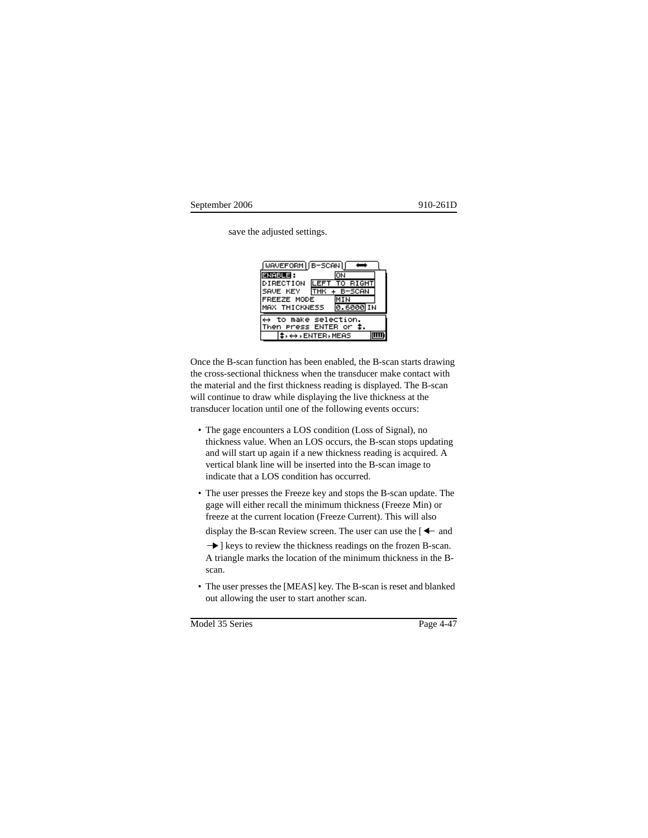September 2006 910-261D

save the adjusted settings.



Once the B-scan function has been enabled, the B-scan starts drawing the cross-sectional thickness when the transducer make contact with the material and the first thickness reading is displayed. The B-scan will continue to draw while displaying the live thickness at the transducer location until one of the following events occurs:

- The gage encounters a LOS condition (Loss of Signal), no thickness value. When an LOS occurs, the B-scan stops updating and will start up again if a new thickness reading is acquired. A vertical blank line will be inserted into the B-scan image to indicate that a LOS condition has occurred.
- The user presses the Freeze key and stops the B-scan update. The gage will either recall the minimum thickness (Freeze Min) or freeze at the current location (Freeze Current). This will also

display the B-scan Review screen. The user can use the  $\mathcal{I}$  and

- ] keys to review the thickness readings on the frozen B-scan. A triangle marks the location of the minimum thickness in the Bscan.
- The user presses the [MEAS] key. The B-scan is reset and blanked out allowing the user to start another scan.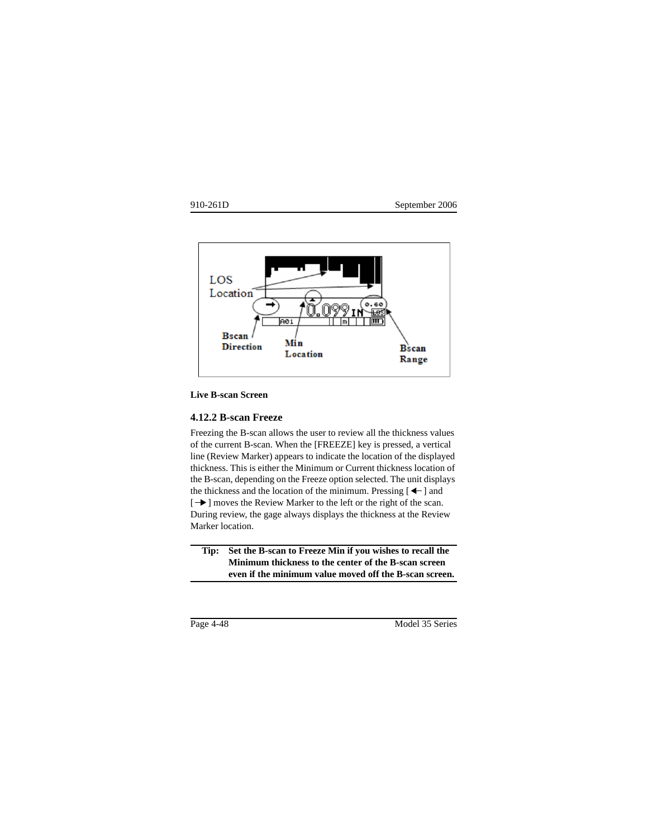910-261D September 2006



**Live B-scan Screen**

#### **4.12.2 B-scan Freeze**

Freezing the B-scan allows the user to review all the thickness values of the current B-scan. When the [FREEZE] key is pressed, a vertical line (Review Marker) appears to indicate the location of the displayed thickness. This is either the Minimum or Current thickness location of the B-scan, depending on the Freeze option selected. The unit displays the thickness and the location of the minimum. Pressing  $[$   $\blacklozenge$  and [ $\rightarrow$ ] moves the Review Marker to the left or the right of the scan. During review, the gage always displays the thickness at the Review Marker location.

**Tip: Set the B-scan to Freeze Min if you wishes to recall the Minimum thickness to the center of the B-scan screen even if the minimum value moved off the B-scan screen.**

Page 4-48 Model 35 Series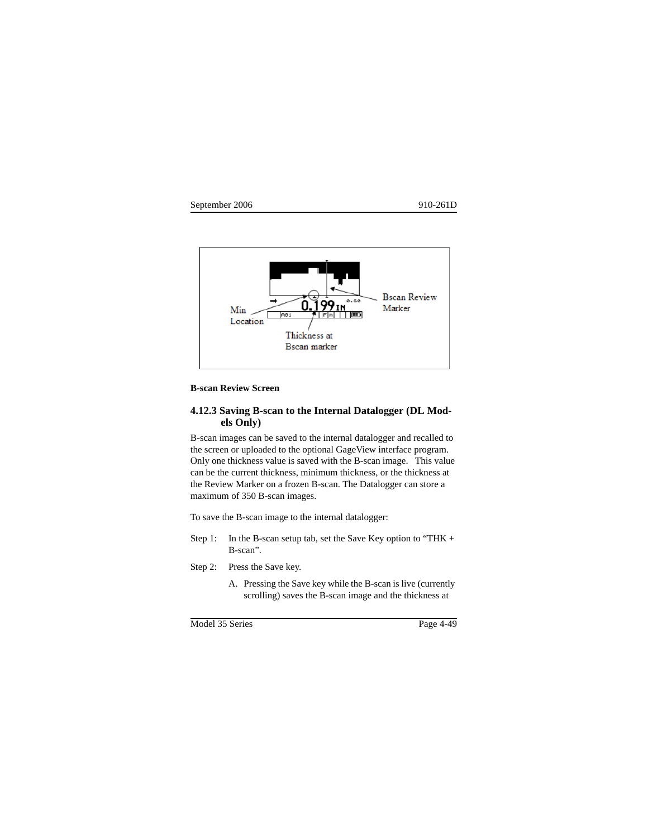September 2006 910-261D



**B-scan Review Screen**

#### **4.12.3 Saving B-scan to the Internal Datalogger (DL Models Only)**

B-scan images can be saved to the internal datalogger and recalled to the screen or uploaded to the optional GageView interface program. Only one thickness value is saved with the B-scan image. This value can be the current thickness, minimum thickness, or the thickness at the Review Marker on a frozen B-scan. The Datalogger can store a maximum of 350 B-scan images.

To save the B-scan image to the internal datalogger:

- Step 1: In the B-scan setup tab, set the Save Key option to "THK  $+$ B-scan".
- Step 2: Press the Save key.
	- A. Pressing the Save key while the B-scan is live (currently scrolling) saves the B-scan image and the thickness at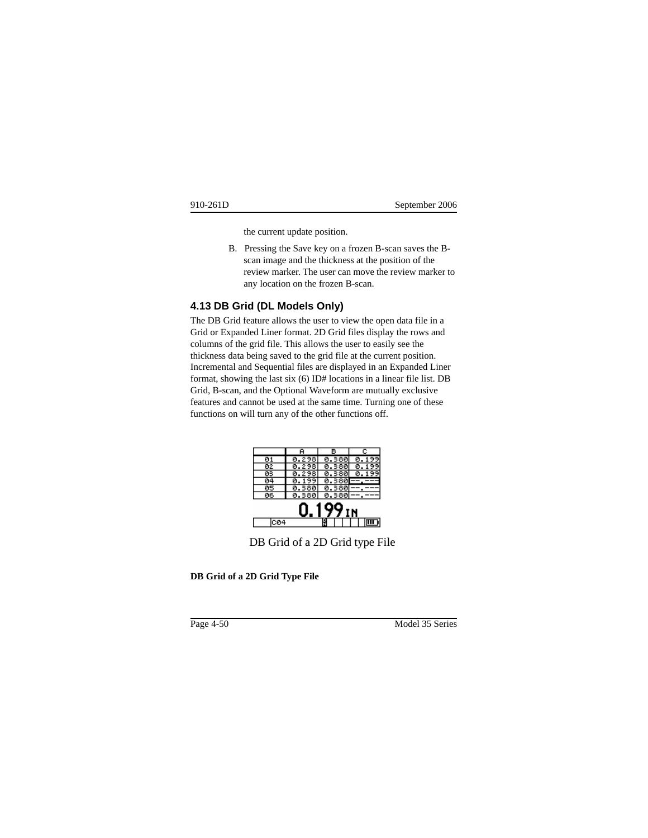B. Pressing the Save key on a frozen B-scan saves the Bscan image and the thickness at the position of the review marker. The user can move the review marker to any location on the frozen B-scan.

#### **4.13 DB Grid (DL Models Only)**

the current update position.

The DB Grid feature allows the user to view the open data file in a Grid or Expanded Liner format. 2D Grid files display the rows and columns of the grid file. This allows the user to easily see the thickness data being saved to the grid file at the current position. Incremental and Sequential files are displayed in an Expanded Liner format, showing the last six (6) ID# locations in a linear file list. DB Grid, B-scan, and the Optional Waveform are mutually exclusive features and cannot be used at the same time. Turning one of these functions on will turn any of the other functions off.



DB Grid of a 2D Grid type File

### **DB Grid of a 2D Grid Type File**

Page 4-50 Model 35 Series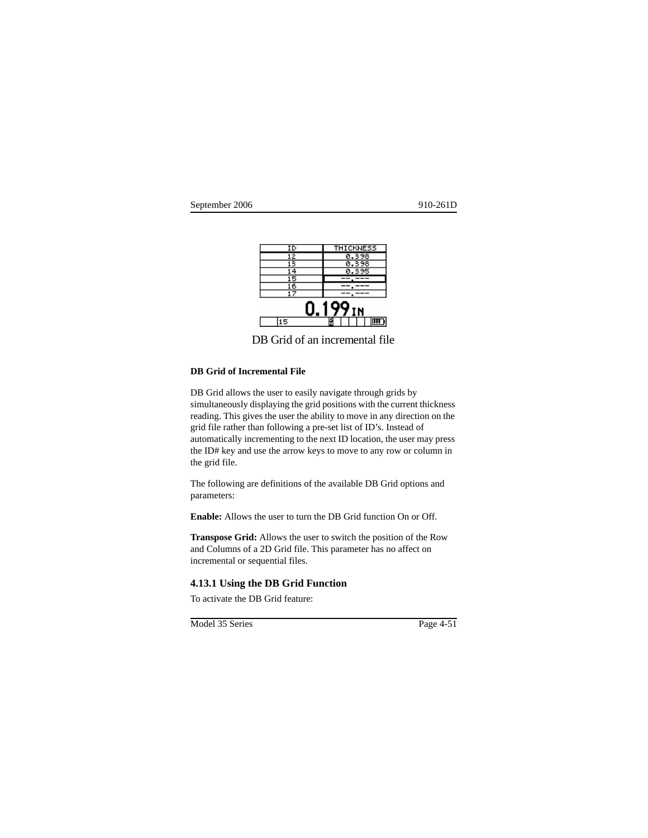September 2006 910-261D



DB Grid of an incremental file

#### **DB Grid of Incremental File**

DB Grid allows the user to easily navigate through grids by simultaneously displaying the grid positions with the current thickness reading. This gives the user the ability to move in any direction on the grid file rather than following a pre-set list of ID's. Instead of automatically incrementing to the next ID location, the user may press the ID# key and use the arrow keys to move to any row or column in the grid file.

The following are definitions of the available DB Grid options and parameters:

**Enable:** Allows the user to turn the DB Grid function On or Off.

**Transpose Grid:** Allows the user to switch the position of the Row and Columns of a 2D Grid file. This parameter has no affect on incremental or sequential files.

#### **4.13.1 Using the DB Grid Function**

To activate the DB Grid feature: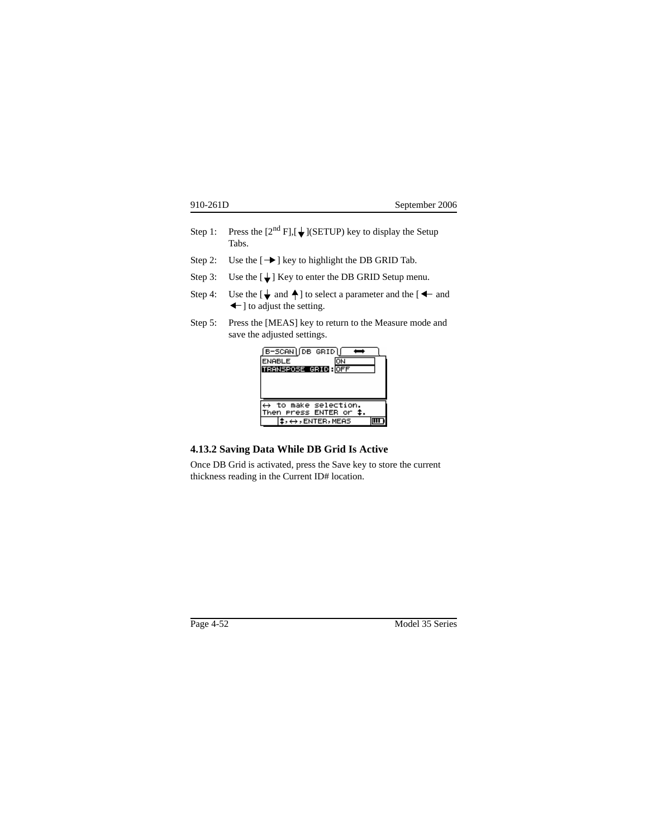|  | 910-261D |  |  |
|--|----------|--|--|
|  |          |  |  |

| 910-261D | September 2006 |  |
|----------|----------------|--|
|          |                |  |

- Step 1: Press the  $[2^{nd} F]$ ,  $\downarrow$  (SETUP) key to display the Setup Tabs.
- Step 2: Use the  $[\rightarrow]$  key to highlight the DB GRID Tab.
- Step 3: Use the  $[\bigstar]$  Key to enter the DB GRID Setup menu.
- Step 4: Use the  $[\downarrow \text{ and } \uparrow]$  to select a parameter and the  $[\downarrow \text{ and }$ ] to adjust the setting.
- Step 5: Press the [MEAS] key to return to the Measure mode and save the adjusted settings.

| $B-SCAN$ $DB$ $GRID$ $B$<br>ENABLE<br>TRANSPOSE GRID: <mark>OFF</mark>                                         |  |
|----------------------------------------------------------------------------------------------------------------|--|
| to make selection.<br>Press ENTER or $\textcolor{red}{\ddagger}.$                                              |  |
| ${\color{red} \texttt{\color{blue} \ddots \color{blue} \leftrightarrow \color{blue} \mathsf{F}}$ . ENTER, MEAS |  |

### **4.13.2 Saving Data While DB Grid Is Active**

Once DB Grid is activated, press the Save key to store the current thickness reading in the Current ID# location.

Page 4-52 Model 35 Series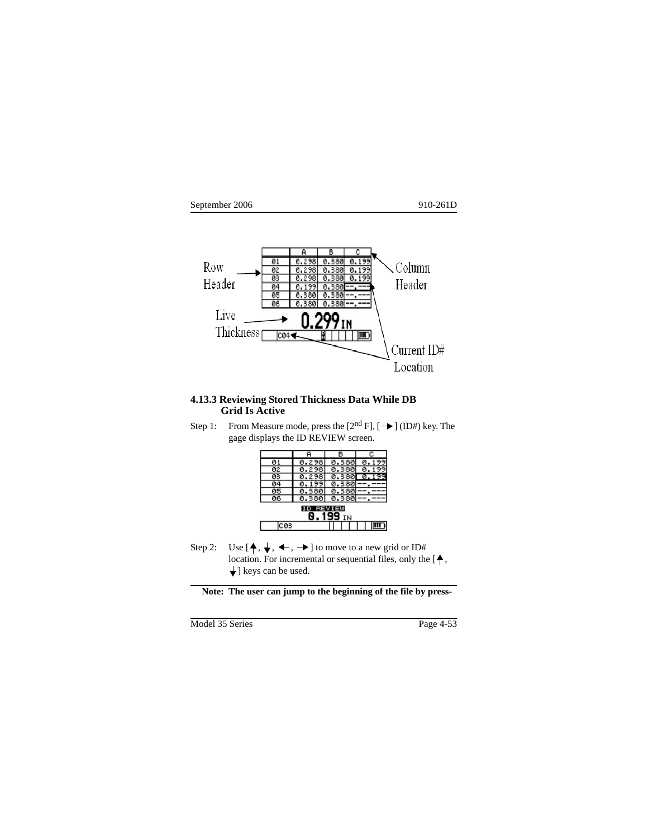



#### **4.13.3 Reviewing Stored Thickness Data While DB Grid Is Active**

Step 1: From Measure mode, press the  $[2^{nd} F]$ ,  $[ \rightarrow ] (ID#)$  key. The gage displays the ID REVIEW screen.

|     | я     | в                | с        |
|-----|-------|------------------|----------|
| Ø1  | 0.298 | 0.380            | 199<br>ø |
| Ø2  | 0.298 | 0.380            | 199<br>ø |
| øз  | 0.298 | 0.380            | 0.7      |
| 04  | 0.199 | 0.380            |          |
| Ø5  | 0.380 | 0.380            |          |
| 06  | 0.380 | 0.380            |          |
|     | ΙО    | REVIEW<br>199 IN |          |
| сөз |       |                  |          |

Step 2: Use  $[\biguparrow, \bigdownarrow, \biguparrow, \biguparrow]$  to move to a new grid or ID# location. For incremental or sequential files, only the  $[\triangleleft,$  $\bigstar$ ] keys can be used.

**Note: The user can jump to the beginning of the file by press-**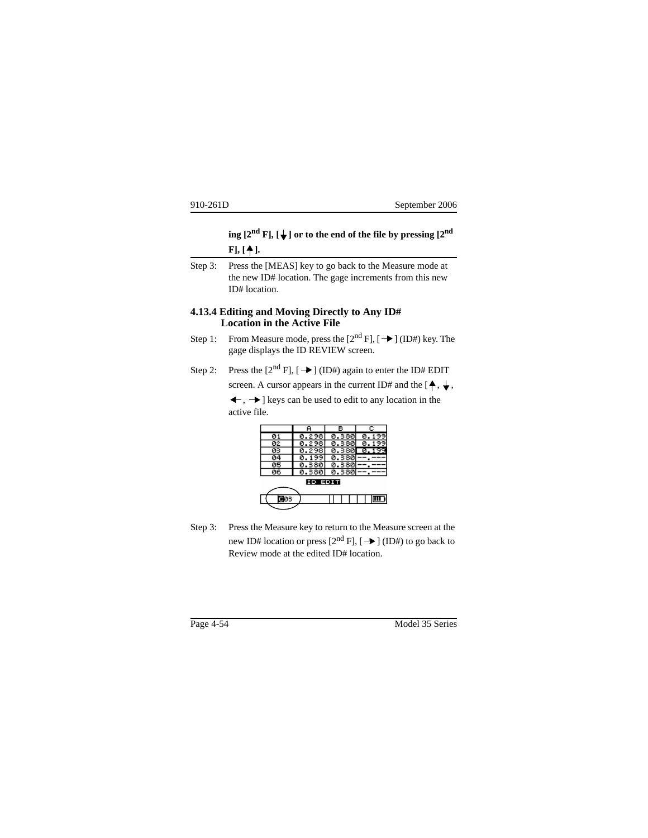|  | September 2006 |
|--|----------------|
|  |                |

**ing [2nd F], [ ] or to the end of the file by pressing [2nd**  $F$ ],  $[4]$ .

Step 3: Press the [MEAS] key to go back to the Measure mode at the new ID# location. The gage increments from this new ID# location.

#### **4.13.4 Editing and Moving Directly to Any ID# Location in the Active File**

- Step 1: From Measure mode, press the  $[2<sup>nd</sup> F]$ ,  $[ \rightarrow ](ID#)$  key. The gage displays the ID REVIEW screen.
- Step 2: Press the  $[2^{nd} F]$ ,  $[ \rightarrow ]$  (ID#) again to enter the ID# EDIT

screen. A cursor appears in the current ID# and the  $[\triangleleft, \triangleleft, \triangleleft]$ 

 $\leftarrow, \rightarrow$  ] keys can be used to edit to any location in the active file.

|    | ≏         | в            | с |
|----|-----------|--------------|---|
| ø  | .298<br>ø | ø<br>38<br>Ø |   |
| 02 | .298<br>ø |              |   |
| øз | 0.298     |              |   |
| 04 | э<br>ø    |              |   |
| 05 | ø<br>.380 | ø            |   |
| 06 | 0.380     | 0.380        |   |
|    | ID EDIT   |              |   |
|    |           |              |   |

Step 3: Press the Measure key to return to the Measure screen at the new ID# location or press  $[2^{nd} F]$ ,  $[\rightarrow]$  (ID#) to go back to Review mode at the edited ID# location.

910-261D

Page 4-54 Model 35 Series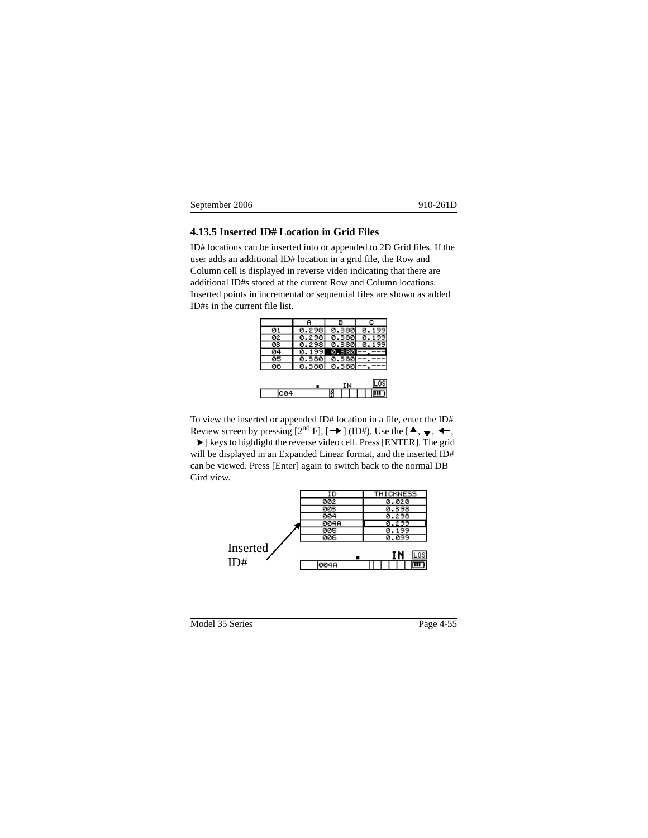| September 2006 |  |
|----------------|--|
|----------------|--|

#### $5 \t 910-261D$

#### **4.13.5 Inserted ID# Location in Grid Files**

ID# locations can be inserted into or appended to 2D Grid files. If the user adds an additional ID# location in a grid file, the Row and Column cell is displayed in reverse video indicating that there are additional ID#s stored at the current Row and Column locations. Inserted points in incremental or sequential files are shown as added ID#s in the current file list.

|    | A        | в         | с        |
|----|----------|-----------|----------|
| Ø1 | 0.298    | 0.380     | 199<br>ø |
| 02 | 0.298    | .380<br>ø | 99<br>Й  |
| øз | 0.298    | .380<br>ø | Э.<br>ø  |
| 04 | 199<br>ø | ø         |          |
| 05 | 0.380    | 80        |          |
| 06 | 0.380    | 0.380     |          |
|    |          | ΙN        | LOS      |
|    |          |           |          |

To view the inserted or appended ID# location in a file, enter the ID# Review screen by pressing  $[2^{nd} F]$ ,  $[ \rightarrow ]$  (ID#). Use the  $[ \clubsuit, \downarrow, \leftarrow,$ ] keys to highlight the reverse video cell. Press [ENTER]. The grid will be displayed in an Expanded Linear format, and the inserted ID# can be viewed. Press [Enter] again to switch back to the normal DB Gird view.

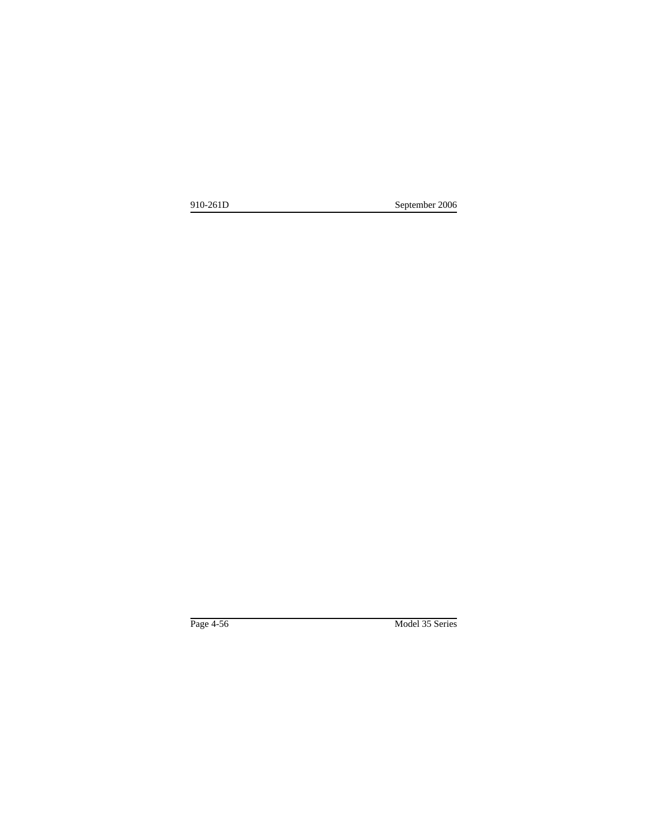910-261D September 2006

Page 4-56 Model 35 Series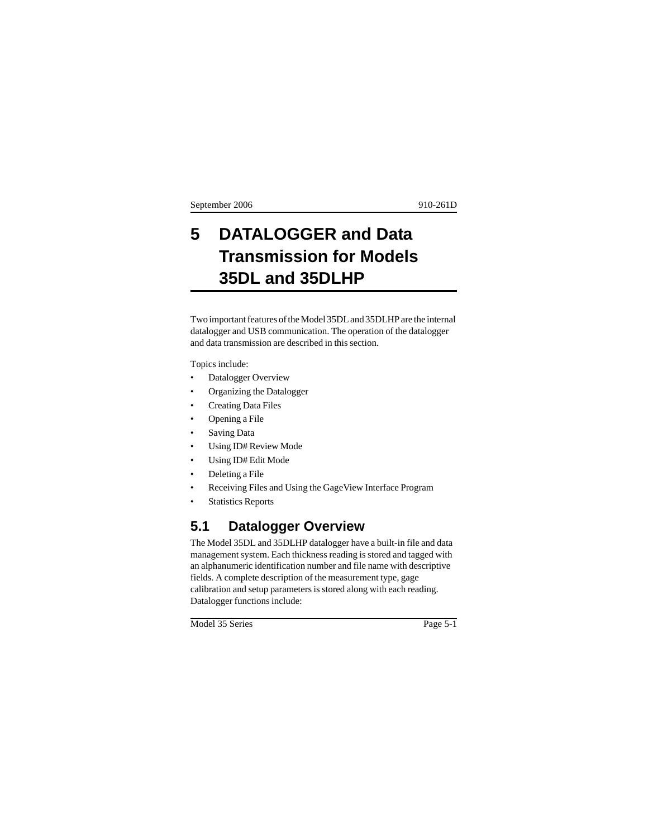# **5 DATALOGGER and Data Transmission for Models 35DL and 35DLHP**

Two important features of the Model 35DL and 35DLHP are the internal datalogger and USB communication. The operation of the datalogger and data transmission are described in this section.

Topics include:

- Datalogger Overview
- Organizing the Datalogger
- Creating Data Files
- Opening a File
- Saving Data
- Using ID# Review Mode
- Using ID# Edit Mode
- Deleting a File
- Receiving Files and Using the GageView Interface Program
- Statistics Reports

## **5.1 Datalogger Overview**

The Model 35DL and 35DLHP datalogger have a built-in file and data management system. Each thickness reading is stored and tagged with an alphanumeric identification number and file name with descriptive fields. A complete description of the measurement type, gage calibration and setup parameters is stored along with each reading. Datalogger functions include: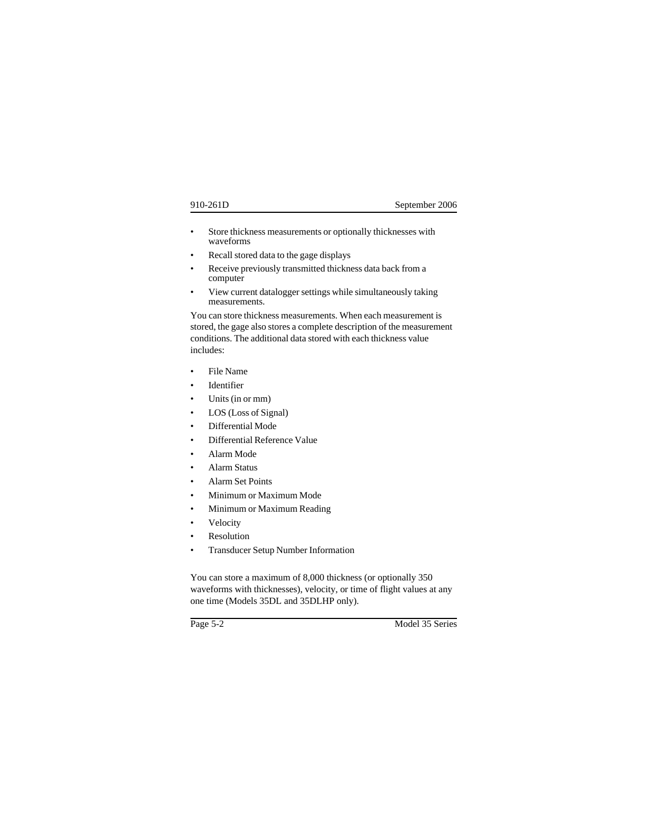#### 910-261D September 2006

- Store thickness measurements or optionally thicknesses with waveforms
- Recall stored data to the gage displays
- Receive previously transmitted thickness data back from a computer
- View current datalogger settings while simultaneously taking measurements.

You can store thickness measurements. When each measurement is stored, the gage also stores a complete description of the measurement conditions. The additional data stored with each thickness value includes:

- File Name
- Identifier
- Units (in or mm)
- LOS (Loss of Signal)
- Differential Mode
- Differential Reference Value
- Alarm Mode
- Alarm Status
- Alarm Set Points
- Minimum or Maximum Mode
- Minimum or Maximum Reading
- Velocity
- **Resolution**
- Transducer Setup Number Information

You can store a maximum of 8,000 thickness (or optionally 350 waveforms with thicknesses), velocity, or time of flight values at any one time (Models 35DL and 35DLHP only).

Page 5-2 Model 35 Series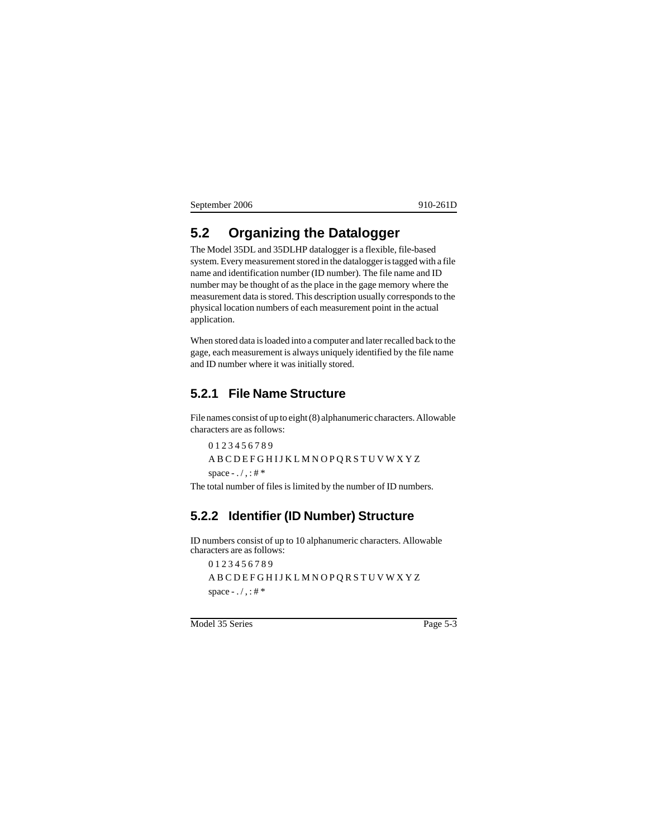September 2006 910-261D

## **5.2 Organizing the Datalogger**

The Model 35DL and 35DLHP datalogger is a flexible, file-based system. Every measurement stored in the datalogger is tagged with a file name and identification number (ID number). The file name and ID number may be thought of as the place in the gage memory where the measurement data is stored. This description usually corresponds to the physical location numbers of each measurement point in the actual application.

When stored data is loaded into a computer and later recalled back to the gage, each measurement is always uniquely identified by the file name and ID number where it was initially stored.

## **5.2.1 File Name Structure**

File names consist of up to eight (8) alphanumeric characters. Allowable characters are as follows:

0 1 2 3 4 5 6 7 8 9 A B C D E F G H I J K L M N O P Q R S T U V W X Y Z space - . /, : #  $*$ 

The total number of files is limited by the number of ID numbers.

## **5.2.2 Identifier (ID Number) Structure**

ID numbers consist of up to 10 alphanumeric characters. Allowable characters are as follows:

0 1 2 3 4 5 6 7 8 9 A B C D E F G H I J K L M N O P Q R S T U V W X Y Z space - . /, : #  $*$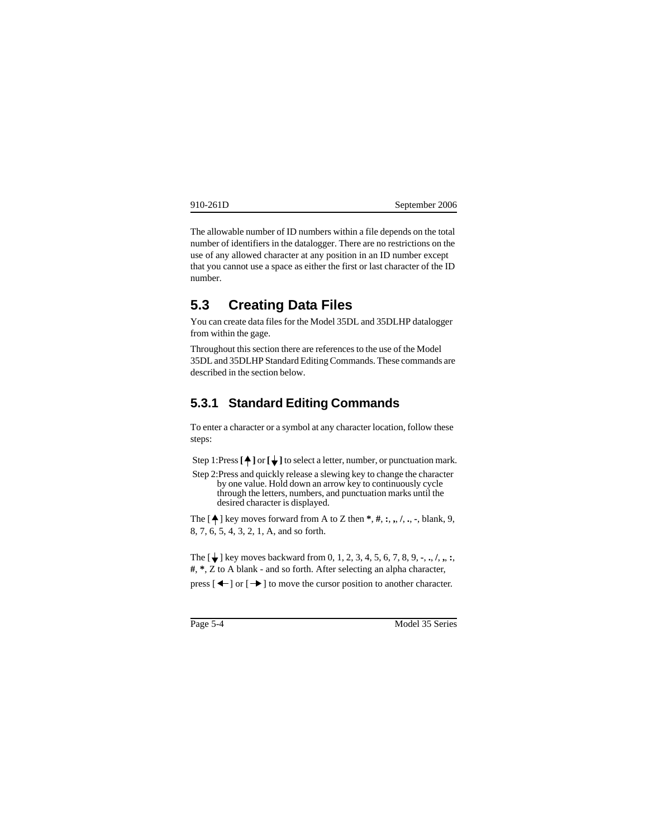| September 2006 |  |
|----------------|--|
|                |  |

The allowable number of ID numbers within a file depends on the total number of identifiers in the datalogger. There are no restrictions on the use of any allowed character at any position in an ID number except that you cannot use a space as either the first or last character of the ID number.

## **5.3 Creating Data Files**

910-261D

You can create data files for the Model 35DL and 35DLHP datalogger from within the gage.

Throughout this section there are references to the use of the Model 35DL and 35DLHP Standard Editing Commands. These commands are described in the section below.

## **5.3.1 Standard Editing Commands**

To enter a character or a symbol at any character location, follow these steps:

Step 1:Press  $[\triangleq]$  or  $[\triangleq]$  to select a letter, number, or punctuation mark.

 Step 2:Press and quickly release a slewing key to change the character by one value. Hold down an arrow key to continuously cycle through the letters, numbers, and punctuation marks until the desired character is displayed.

The  $[\n\blacktriangle]$  key moves forward from A to Z then  $*, \#$ ,  $;$ ,  $,$ ,  $',$ ,  $,$ ,  $\blacktriangle$ , blank, 9, 8, 7, 6, 5, 4, 3, 2, 1, A, and so forth.

The [ ] key moves backward from 0, 1, 2, 3, 4, 5, 6, 7, 8, 9, **-**, **.**, **/**, **,**, **:**, **#**, **\***, Z to A blank - and so forth. After selecting an alpha character,

press  $[ \leftarrow ]$  or  $[ \rightarrow ]$  to move the cursor position to another character.

Page 5-4 Model 35 Series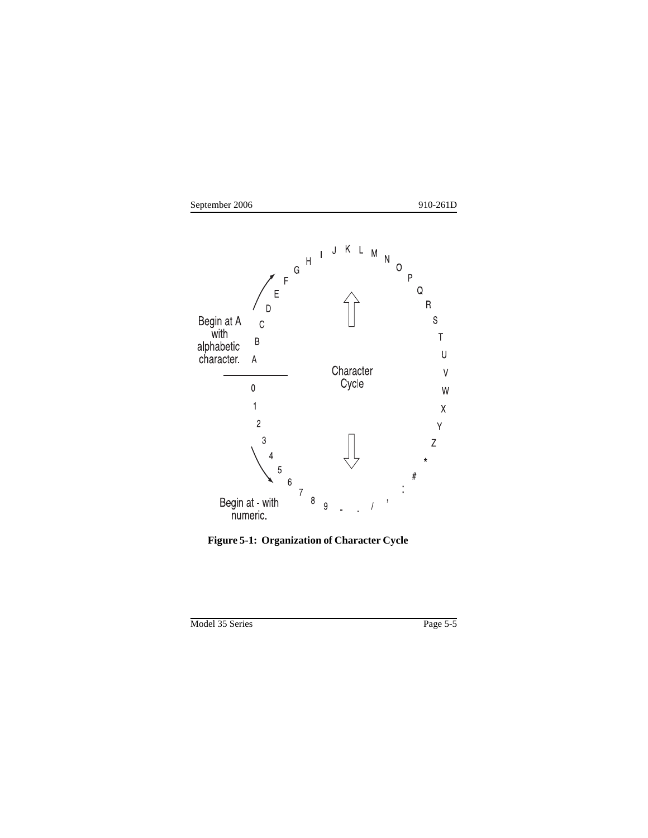| September 2006 |  |
|----------------|--|
|----------------|--|

910-261D



 **Figure 5-1: Organization of Character Cycle**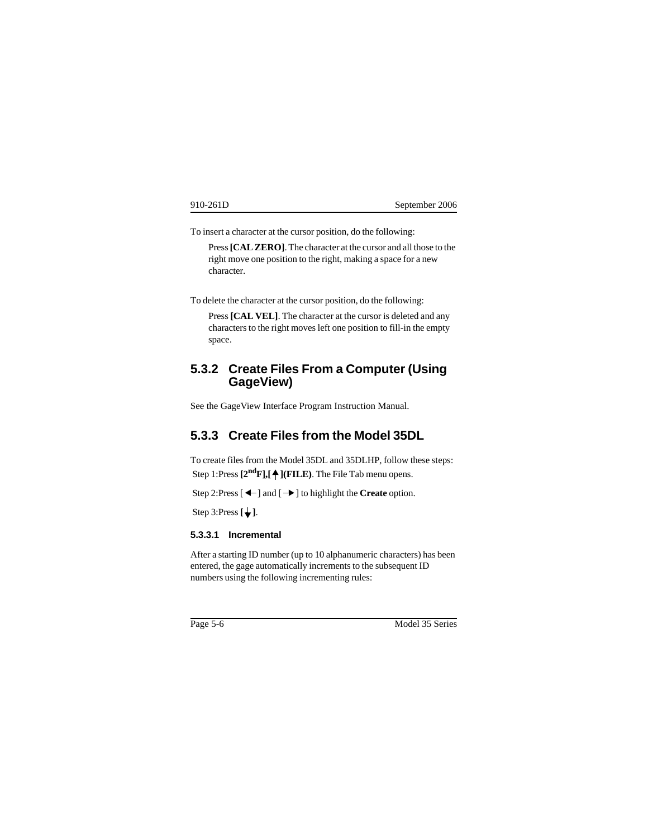#### September 2006

To insert a character at the cursor position, do the following:

Press **[CAL ZERO]**. The character at the cursor and all those to the right move one position to the right, making a space for a new character.

To delete the character at the cursor position, do the following:

Press **[CAL VEL]**. The character at the cursor is deleted and any characters to the right moves left one position to fill-in the empty space.

## **5.3.2 Create Files From a Computer (Using GageView)**

See the GageView Interface Program Instruction Manual.

## **5.3.3 Create Files from the Model 35DL**

To create files from the Model 35DL and 35DLHP, follow these steps: Step 1:Press  $[2<sup>nd</sup>F], [4]$  (FILE). The File Tab menu opens.

Step 2:Press  $[ \leftarrow ]$  and  $[ \rightarrow ]$  to highlight the **Create** option.

Step 3:Press  $[\bigstar]$ .

#### **5.3.3.1 Incremental**

After a starting ID number (up to 10 alphanumeric characters) has been entered, the gage automatically increments to the subsequent ID numbers using the following incrementing rules:

Page 5-6 Model 35 Series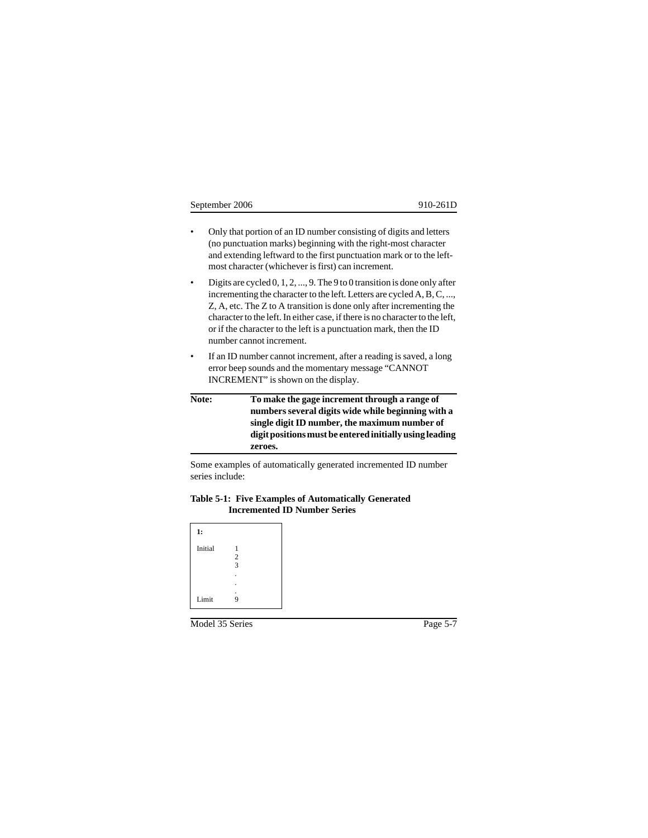| September 2006 | 910-261D |
|----------------|----------|
|                |          |

| 910-261D |
|----------|
|----------|

- Only that portion of an ID number consisting of digits and letters (no punctuation marks) beginning with the right-most character and extending leftward to the first punctuation mark or to the leftmost character (whichever is first) can increment.
- Digits are cycled 0, 1, 2, ..., 9. The 9 to 0 transition is done only after incrementing the character to the left. Letters are cycled A, B, C, ..., Z, A, etc. The Z to A transition is done only after incrementing the character to the left. In either case, if there is no character to the left, or if the character to the left is a punctuation mark, then the ID number cannot increment.
- If an ID number cannot increment, after a reading is saved, a long error beep sounds and the momentary message "CANNOT INCREMENT" is shown on the display.

| Note: | To make the gage increment through a range of           |
|-------|---------------------------------------------------------|
|       | numbers several digits wide while beginning with a      |
|       | single digit ID number, the maximum number of           |
|       | digit positions must be entered initially using leading |
|       | zeroes.                                                 |

Some examples of automatically generated incremented ID number series include:

#### **Table 5-1: Five Examples of Automatically Generated Incremented ID Number Series**

| 1:      |                    |
|---------|--------------------|
| Initial | 1<br>$\frac{2}{3}$ |
|         |                    |
| Limit   | q                  |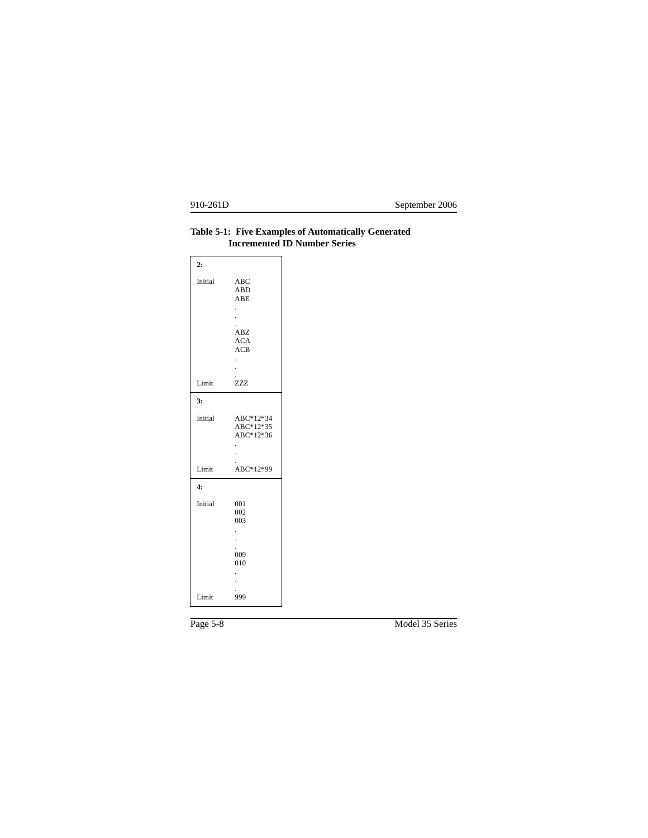| 910-261D |  |  |  |
|----------|--|--|--|
|          |  |  |  |

September 2006

#### **Table 5-1: Five Examples of Automatically Generated Incremented ID Number Series**

| Initial          | ABC<br><b>ABD</b><br>ABE<br>ABZ<br><b>ACA</b><br>ACB |
|------------------|------------------------------------------------------|
| Limit            | .<br>ZZZ                                             |
|                  |                                                      |
| 3:               |                                                      |
| Initial<br>Limit | ABC*12*34<br>ABC*12*35<br>ABC*12*36<br>ABC*12*99     |
| 4:               |                                                      |
| Initial<br>Limit | 001<br>002<br>003<br>ï<br>009<br>010<br>999          |

Page 5-8 Model 35 Series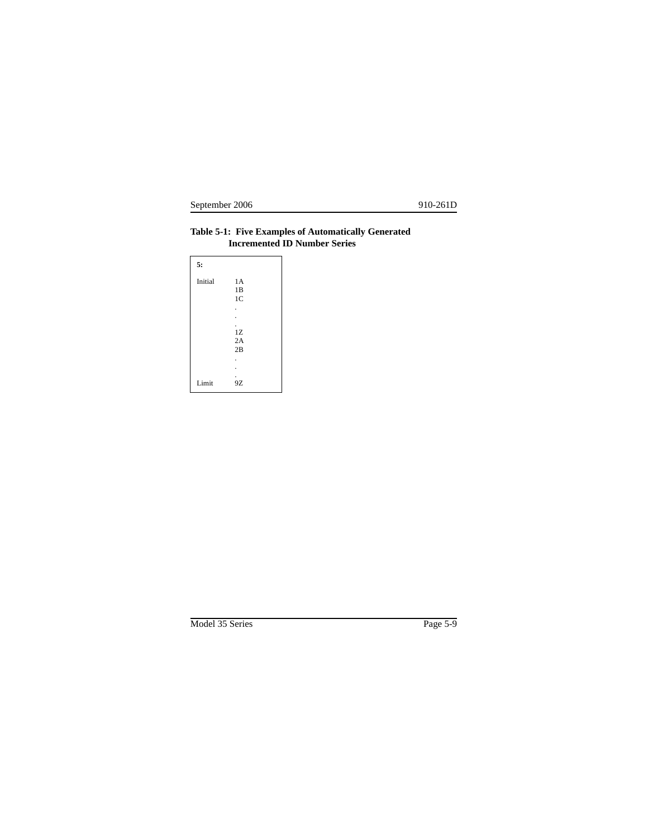| September 2006 |  |  |
|----------------|--|--|
|----------------|--|--|

ested by the 10-261D separate 10-261D

#### **Table 5-1: Five Examples of Automatically Generated Incremented ID Number Series**

| 5:      |                                                        |
|---------|--------------------------------------------------------|
| Initial | 1A<br>1B<br>1 <sup>C</sup><br>٠<br>1Z<br>2A<br>2B<br>ï |
| Limit   | ٠<br>9Ζ                                                |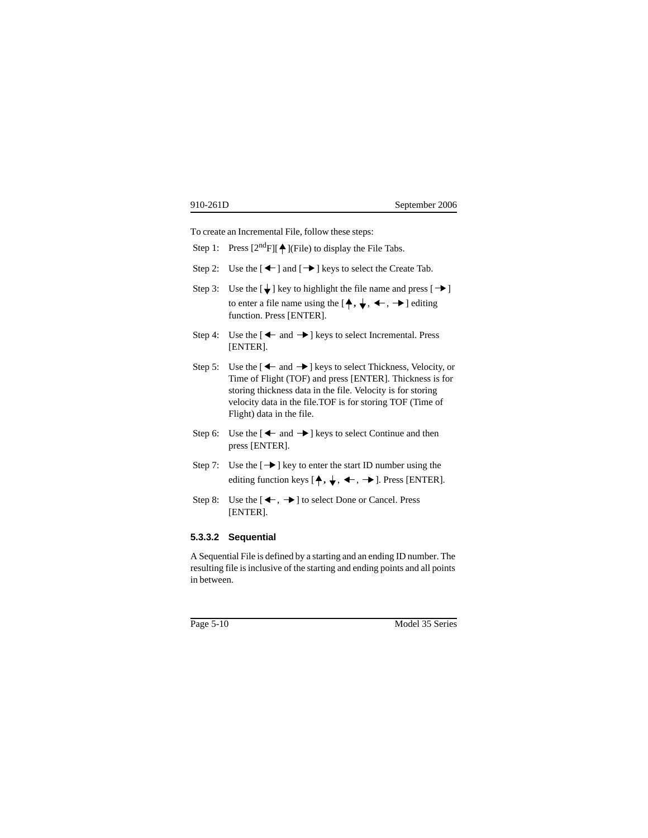| 910-261D | September 2006 |  |
|----------|----------------|--|
|          |                |  |

To create an Incremental File, follow these steps:

- Step 1: Press  $[2<sup>nd</sup>F][A]$  (File) to display the File Tabs.
- Step 2: Use the  $[ \leftarrow ]$  and  $[ \rightarrow ]$  keys to select the Create Tab.
- Step 3: Use the  $[\bigstar]$  key to highlight the file name and press  $[\rightarrow]$ to enter a file name using the  $[\uparrow, \downarrow, \leftarrow, \rightarrow]$  editing function. Press [ENTER].
- Step 4: Use the  $\left[ \leftarrow \text{ and } \rightarrow \right]$  keys to select Incremental. Press [ENTER].

| Step 5: Use the $\left[ \leftarrow \text{ and } \rightarrow \right]$ keys to select Thickness, Velocity, or |
|-------------------------------------------------------------------------------------------------------------|
| Time of Flight (TOF) and press [ENTER]. Thickness is for                                                    |
| storing thickness data in the file. Velocity is for storing                                                 |
| velocity data in the file. TOF is for storing TOF (Time of                                                  |
| Flight) data in the file.                                                                                   |

- Step 6: Use the  $[\triangleleft \bullet]$  and  $\triangleleft]$  keys to select Continue and then press [ENTER].
- Step 7: Use the  $[\rightarrow]$  key to enter the start ID number using the editing function keys  $[\biguparrow, \bigdownarrow, \biguparrow, \biguparrow]$ . Press [ENTER].
- Step 8: Use the  $[ \leftarrow, \rightarrow ]$  to select Done or Cancel. Press [ENTER].

#### **5.3.3.2 Sequential**

A Sequential File is defined by a starting and an ending ID number. The resulting file is inclusive of the starting and ending points and all points in between.

Page 5-10 Model 35 Series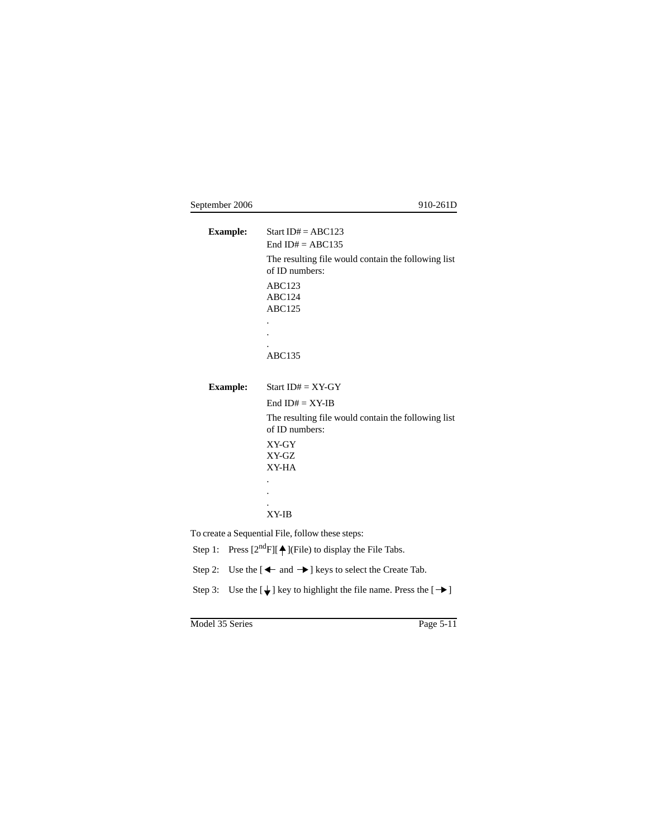| September 2006 | 910-261D |
|----------------|----------|
|----------------|----------|

|  | 910-261D |  |
|--|----------|--|
|  |          |  |

```
Example: Start ID# = ABC123
                     End ID# = ABC135The resulting file would contain the following list 
                     of ID numbers:
                     ABC123
                     ABC124
                     ABC125
                     .
                     .
                     .
                     ABC135
    Example: Start ID# = XY-GY
                     End ID# = XY-IBThe resulting file would contain the following list 
                     of ID numbers:
                     XY-GY
                     XY-GZ
                     XY-HA
                     .
                     .
                     .
                     XY-IB
To create a Sequential File, follow these steps:
Step 1: Press [2^{nd}F][\bigtriangleup] (File) to display the File Tabs.
Step 2: Use the [ \blacklozenge and \blacktriangleright ] keys to select the Create Tab.
Step 3: Use the \left[\bigstar\right] key to highlight the file name. Press the \left[\to\right]
```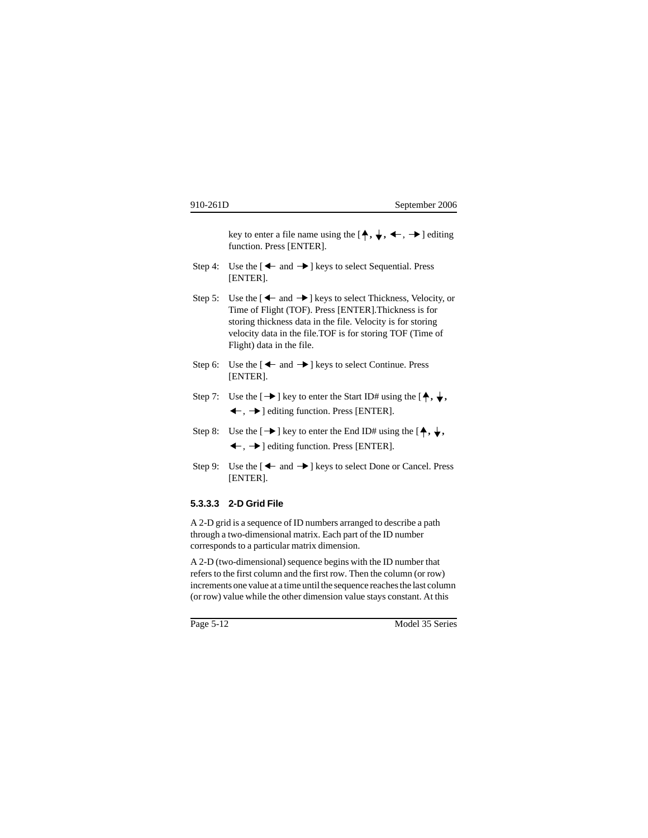| 910-261D |  |  |  |
|----------|--|--|--|
|          |  |  |  |

| 910-261D | September 2006 |  |
|----------|----------------|--|
|          |                |  |

key to enter a file name using the  $[\n\blacklozenge, \downarrow, \leftarrow, \rightarrow]$  editing function. Press [ENTER].

- Step 4: Use the  $[$   $\leftarrow$  and  $\rightarrow$  ] keys to select Sequential. Press [ENTER].
- Step 5: Use the  $\left[ \leftarrow \text{ and } \rightarrow \right]$  keys to select Thickness, Velocity, or Time of Flight (TOF). Press [ENTER].Thickness is for storing thickness data in the file. Velocity is for storing velocity data in the file.TOF is for storing TOF (Time of Flight) data in the file.
- Step 6: Use the  $[$   $\leftarrow$  and  $\rightarrow$  ] keys to select Continue. Press [ENTER].
- Step 7: Use the  $[\rightarrow]$  key to enter the Start ID# using the  $[\uparrow, \downarrow]$ ,  $\leftarrow$ ,  $\rightarrow$  ] editing function. Press [ENTER].
- Step 8: Use the  $[\rightarrow]$  key to enter the End ID# using the  $[\uparrow, \downarrow]$ ,  $\leftarrow$ ,  $\rightarrow$  ] editing function. Press [ENTER].
- Step 9: Use the  $[$   $\leftarrow$  and  $\rightarrow$  ] keys to select Done or Cancel. Press [ENTER].

#### **5.3.3.3 2-D Grid File**

A 2-D grid is a sequence of ID numbers arranged to describe a path through a two-dimensional matrix. Each part of the ID number corresponds to a particular matrix dimension.

A 2-D (two-dimensional) sequence begins with the ID number that refers to the first column and the first row. Then the column (or row) increments one value at a time until the sequence reaches the last column (or row) value while the other dimension value stays constant. At this

Page 5-12 Model 35 Series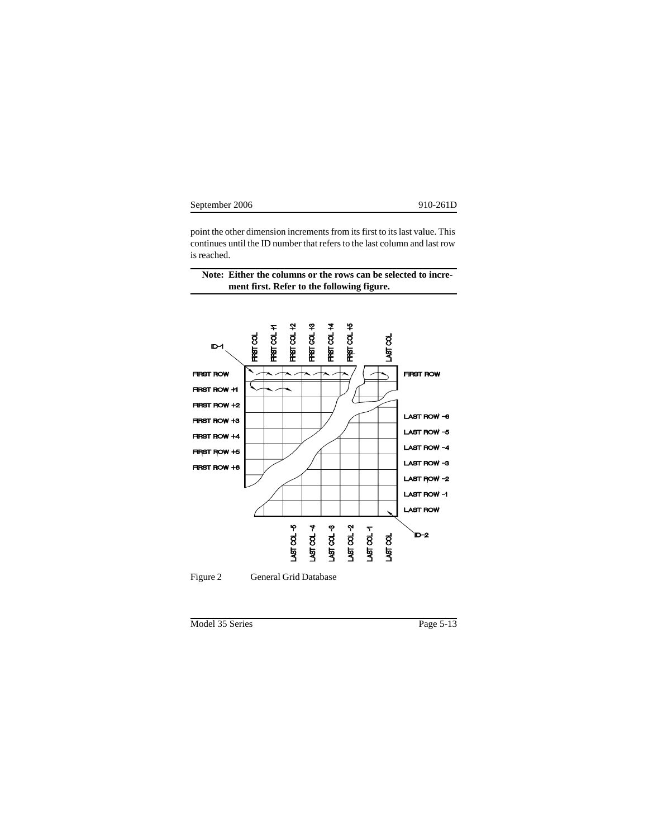| September 2006 |  |
|----------------|--|
|                |  |

910-261D

point the other dimension increments from its first to its last value. This continues until the ID number that refers to the last column and last row is reached.

**Note: Either the columns or the rows can be selected to increment first. Refer to the following figure.**

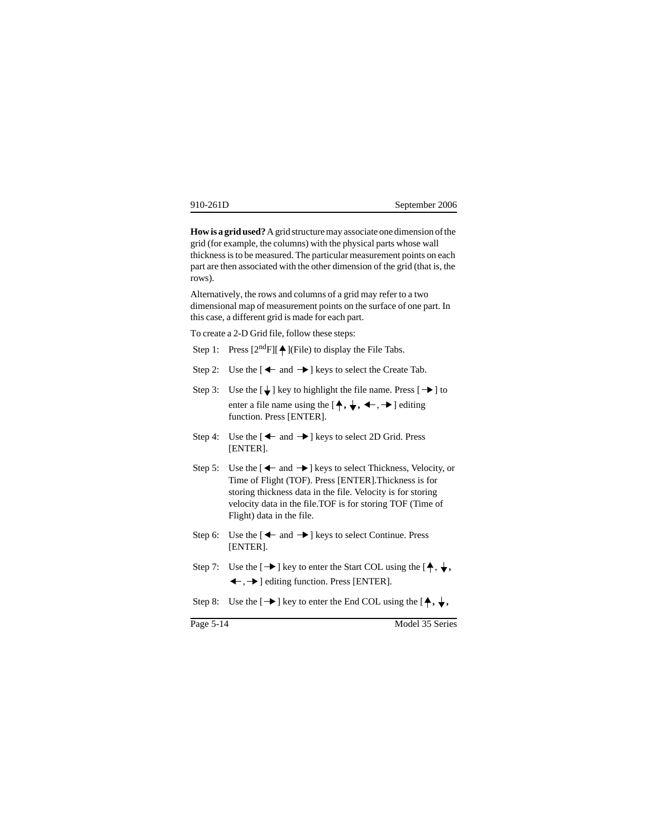|  |  | 910-261D |  |
|--|--|----------|--|
|--|--|----------|--|

| 910-261D | September 2006 |  |
|----------|----------------|--|
|          |                |  |

**How is a grid used?**A grid structure may associate one dimension of the grid (for example, the columns) with the physical parts whose wall thickness is to be measured. The particular measurement points on each part are then associated with the other dimension of the grid (that is, the rows).

Alternatively, the rows and columns of a grid may refer to a two dimensional map of measurement points on the surface of one part. In this case, a different grid is made for each part.

To create a 2-D Grid file, follow these steps:

- Step 1: Press  $[2^{nd}F][\bigtriangleup]$  (File) to display the File Tabs.
- Step 2: Use the  $[$   $\leftarrow$  and  $\rightarrow$  ] keys to select the Create Tab.
- Step 3: Use the  $\left[\bigstar\right]$  key to highlight the file name. Press  $\left[\to\right]$  to enter a file name using the  $[\n\blacklozenge, \downarrow, \leftarrow, \rightarrow]$  editing function. Press [ENTER].
- Step 4: Use the  $[$   $\blacklozenge$  and  $\blacktriangleright$  ] keys to select 2D Grid. Press [ENTER].
- Step 5: Use the  $[$   $\leftarrow$  and  $\rightarrow$  ] keys to select Thickness, Velocity, or Time of Flight (TOF). Press [ENTER].Thickness is for storing thickness data in the file. Velocity is for storing velocity data in the file.TOF is for storing TOF (Time of Flight) data in the file.
- Step 6: Use the  $[$   $\leftarrow$  and  $\rightarrow$  ] keys to select Continue. Press [ENTER].
- Step 7: Use the  $[\rightarrow]$  key to enter the Start COL using the  $[\nrightarrow]$ ,  $\downarrow$ ,  $\leftarrow, \rightarrow$  ] editing function. Press [ENTER].
- Step 8: Use the  $\left[\rightarrow\right]$  key to enter the End COL using the  $\left[\uparrow,\downarrow\right]$

Page 5-14 Model 35 Series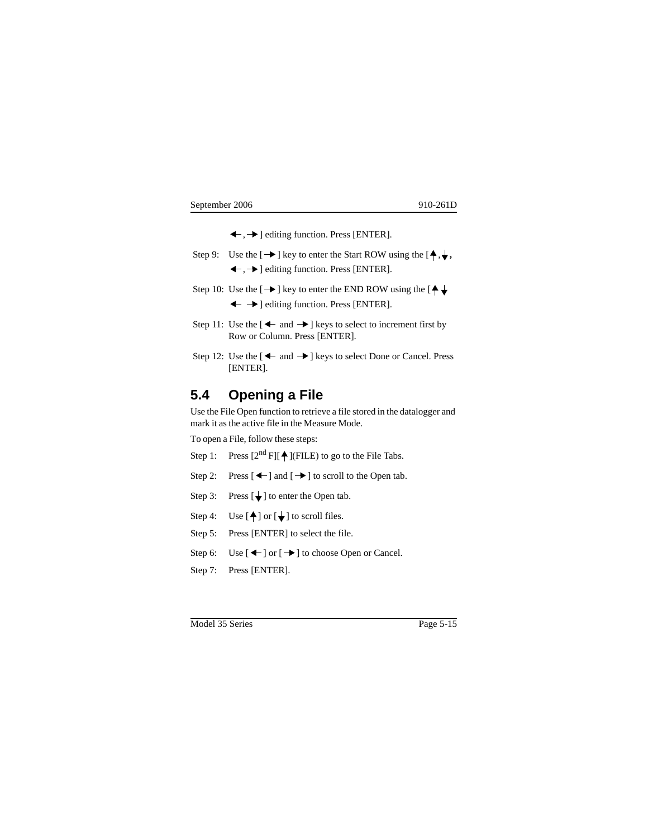| September 2006 | 910-261D |
|----------------|----------|
|----------------|----------|

| 910-261D |  |
|----------|--|
|----------|--|

- $\leftarrow$ ,  $\rightarrow$  ] editing function. Press [ENTER].
- Step 9: Use the  $[\rightarrow]$  key to enter the Start ROW using the  $[\nrightarrow]$ ,  $\downarrow$ ,  $\leftarrow, \rightarrow$  ] editing function. Press [ENTER].
- Step 10: Use the  $[\rightarrow]$  key to enter the END ROW using the  $[\uparrow]$  $\leftarrow \rightarrow$ ] editing function. Press [ENTER].
- Step 11: Use the  $[\blacktriangleleft$  and  $\blacktriangleright]$  keys to select to increment first by Row or Column. Press [ENTER].
- Step 12: Use the  $[$   $\leftarrow$  and  $\rightarrow$  ] keys to select Done or Cancel. Press [ENTER].

## **5.4 Opening a File**

Use the File Open function to retrieve a file stored in the datalogger and mark it as the active file in the Measure Mode.

To open a File, follow these steps:

- Step 1: Press  $[2<sup>nd</sup> F][A]$ (FILE) to go to the File Tabs.
- Step 2: Press  $[ \leftarrow ]$  and  $[ \rightarrow ]$  to scroll to the Open tab.
- Step 3: Press  $[\bigstar]$  to enter the Open tab.
- Step 4: Use  $[$   $\biguparrow$   $]$  or  $[$   $\bigdownarrow$  $]$  to scroll files.
- Step 5: Press [ENTER] to select the file.
- Step 6: Use  $[\triangleleft]$  or  $[\triangleleft]$  to choose Open or Cancel.
- Step 7: Press [ENTER].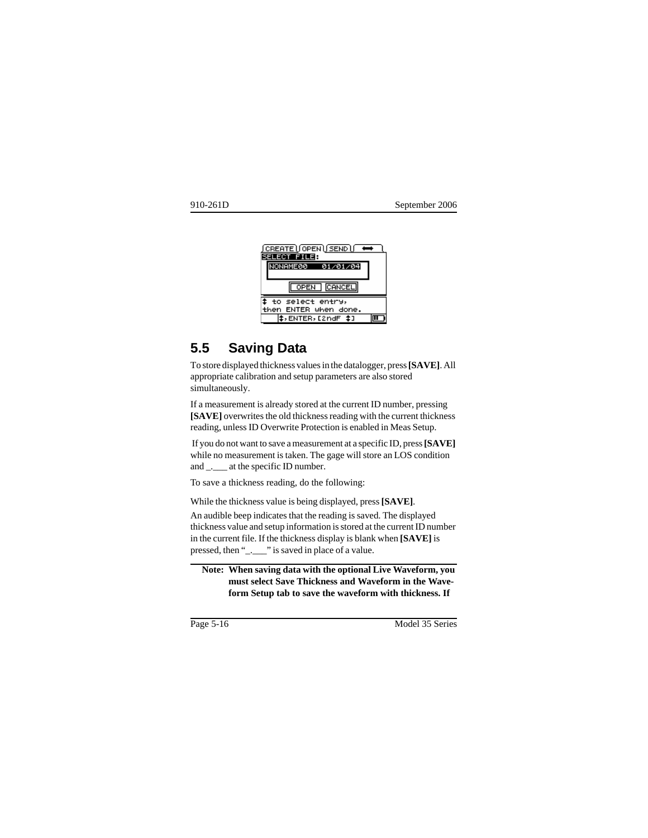910-261D September 2006



## **5.5 Saving Data**

To store displayed thickness values in the datalogger, press **[SAVE]**. All appropriate calibration and setup parameters are also stored simultaneously.

If a measurement is already stored at the current ID number, pressing **[SAVE]** overwrites the old thickness reading with the current thickness reading, unless ID Overwrite Protection is enabled in Meas Setup.

 If you do not want to save a measurement at a specific ID, press **[SAVE]** while no measurement is taken. The gage will store an LOS condition and \_.\_\_\_ at the specific ID number.

To save a thickness reading, do the following:

While the thickness value is being displayed, press **[SAVE]**.

An audible beep indicates that the reading is saved. The displayed thickness value and setup information is stored at the current ID number in the current file. If the thickness display is blank when **[SAVE]** is pressed, then "\_.\_\_\_" is saved in place of a value.

**Note: When saving data with the optional Live Waveform, you must select Save Thickness and Waveform in the Waveform Setup tab to save the waveform with thickness. If** 

Page 5-16 Model 35 Series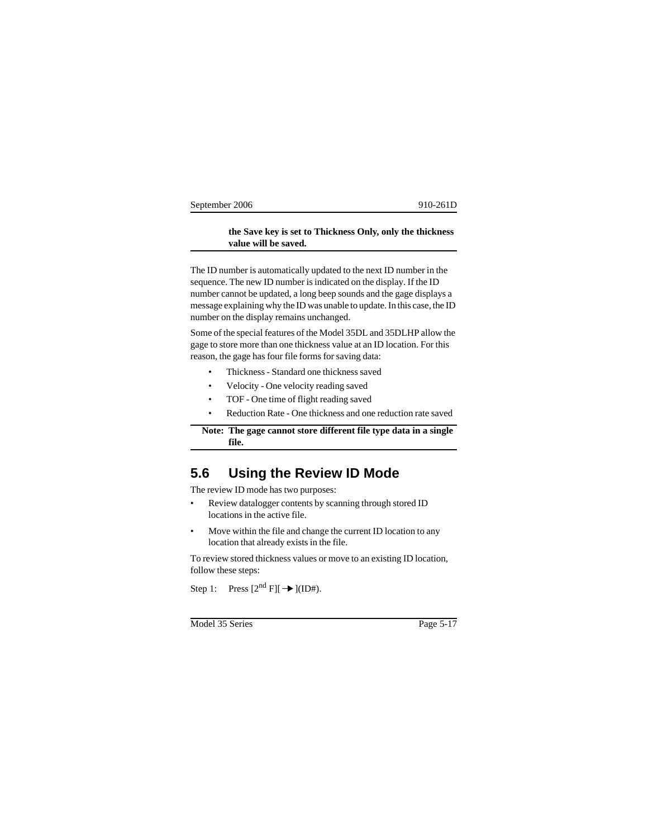| September 2006 |
|----------------|
|----------------|

# $6 \t 910-261D$

#### **the Save key is set to Thickness Only, only the thickness value will be saved.**

The ID number is automatically updated to the next ID number in the sequence. The new ID number is indicated on the display. If the ID number cannot be updated, a long beep sounds and the gage displays a message explaining why the ID was unable to update. In this case, the ID number on the display remains unchanged.

Some of the special features of the Model 35DL and 35DLHP allow the gage to store more than one thickness value at an ID location. For this reason, the gage has four file forms for saving data:

- Thickness Standard one thickness saved
- Velocity One velocity reading saved
- TOF One time of flight reading saved
- Reduction Rate One thickness and one reduction rate saved

**Note: The gage cannot store different file type data in a single file.**

# **5.6 Using the Review ID Mode**

The review ID mode has two purposes:

- Review datalogger contents by scanning through stored ID locations in the active file.
- Move within the file and change the current ID location to any location that already exists in the file.

To review stored thickness values or move to an existing ID location, follow these steps:

Step 1: Press  $[2^{nd} F]$ [ $\rightarrow$ ](ID#).

Model 35 Series Page 5-17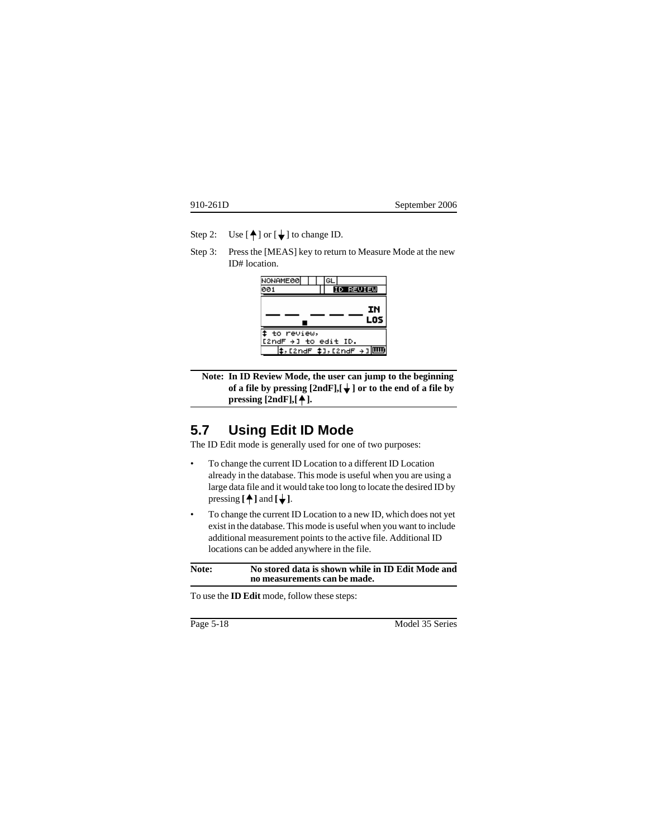| 910-261D | September 2006 |
|----------|----------------|
|          |                |

- Step 2: Use  $[$   $\biguparrow$   $]$  or  $[$   $\bigdownarrow$  $]$  to change ID.
- Step 3: Press the [MEAS] key to return to Measure Mode at the new ID# location.



**Note: In ID Review Mode, the user can jump to the beginning**  of a file by pressing [2ndF], [ $\bigtriangledown$ ] or to the end of a file by  $presing [2ndF], [4].$ 

# **5.7 Using Edit ID Mode**

The ID Edit mode is generally used for one of two purposes:

- To change the current ID Location to a different ID Location already in the database. This mode is useful when you are using a large data file and it would take too long to locate the desired ID by pressing  $[$   $\blacktriangle$   $]$  and  $[$   $\blacktriangleright$   $]$ .
- To change the current ID Location to a new ID, which does not yet exist in the database. This mode is useful when you want to include additional measurement points to the active file. Additional ID locations can be added anywhere in the file.

| Note: | No stored data is shown while in ID Edit Mode and |
|-------|---------------------------------------------------|
|       | no measurements can be made.                      |

To use the **ID Edit** mode, follow these steps:

Page 5-18 Model 35 Series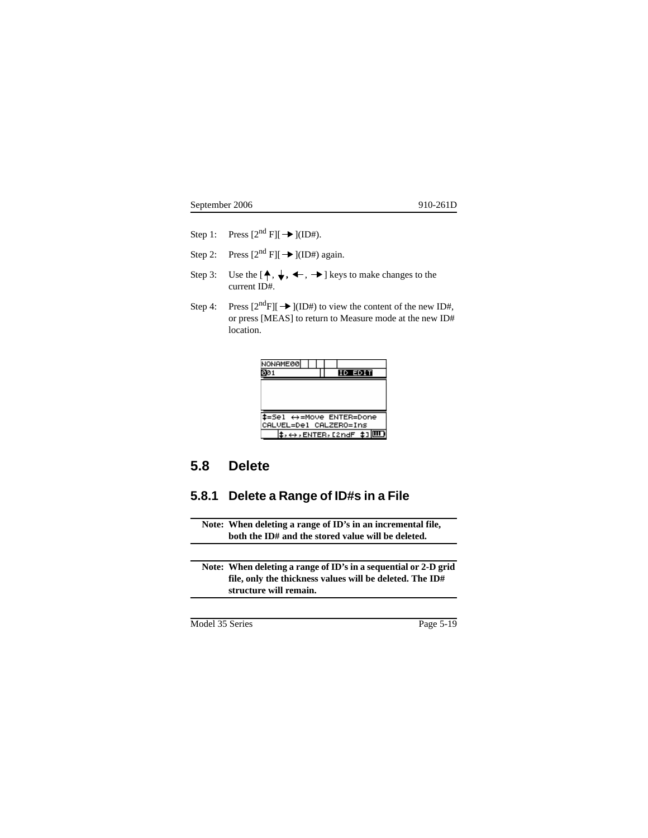| 910-261D<br>September 2006 |
|----------------------------|
|----------------------------|

| 910-261D |  |  |
|----------|--|--|

| Step 1: |  |  | Press $[2^{\text{nd}}$ F][ $\rightarrow$ ](ID#). |
|---------|--|--|--------------------------------------------------|
|---------|--|--|--------------------------------------------------|

Step 2: Press  $[2^{nd} F]$ [ $\rightarrow$ ](ID#) again.

- Step 3: Use the  $[\n\blacklozenge, \downarrow, \leftarrow, \rightarrow]$  keys to make changes to the current ID#.
- Step 4: Press  $[2^{nd}F][\rightarrow] (ID#)$  to view the content of the new ID#, or press [MEAS] to return to Measure mode at the new ID# location.



# **5.8 Delete**

# **5.8.1 Delete a Range of ID#s in a File**

**Note: When deleting a range of ID's in an incremental file, both the ID# and the stored value will be deleted.**

**Note: When deleting a range of ID's in a sequential or 2-D grid file, only the thickness values will be deleted. The ID# structure will remain.**

Model 35 Series Page 5-19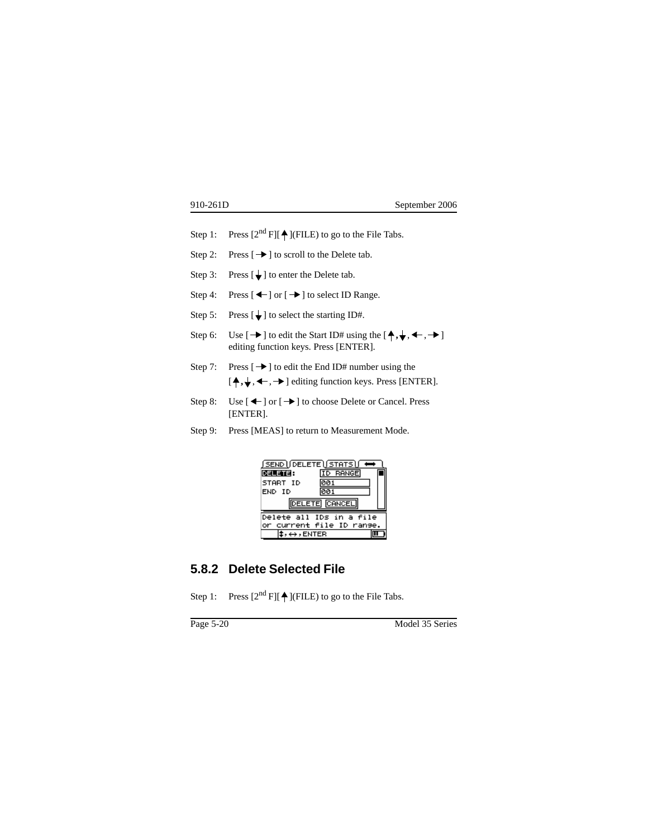| 910-261D |  |  |  |
|----------|--|--|--|
|          |  |  |  |

| 910-261D | September 2006 |  |
|----------|----------------|--|
|          |                |  |

Step 1: Press  $[2<sup>nd</sup> F][A]$  (FILE) to go to the File Tabs. Step 2: Press  $[\rightarrow]$  to scroll to the Delete tab. Step 3: Press  $[\bigstar]$  to enter the Delete tab. Step 4: Press  $[ \leftarrow ]$  or  $[ \rightarrow ]$  to select ID Range. Step 5: Press  $[\bigstar]$  to select the starting ID#. Step 6: Use  $[\rightarrow]$  to edit the Start ID# using the  $[\uparrow, \downarrow, \leftarrow, \rightarrow]$ editing function keys. Press [ENTER]. Step 7: Press  $[\rightarrow]$  to edit the End ID# number using the  $[\uparrow, \downarrow, \leftarrow, \rightarrow]$  editing function keys. Press [ENTER]. Step 8: Use  $[ \leftarrow ]$  or  $[ \rightarrow ]$  to choose Delete or Cancel. Press [ENTER]. Step 9: Press [MEAS] to return to Measurement Mode.



# **5.8.2 Delete Selected File**

Step 1: Press  $[2<sup>nd</sup> F][A]$  (FILE) to go to the File Tabs.

Page 5-20 Model 35 Series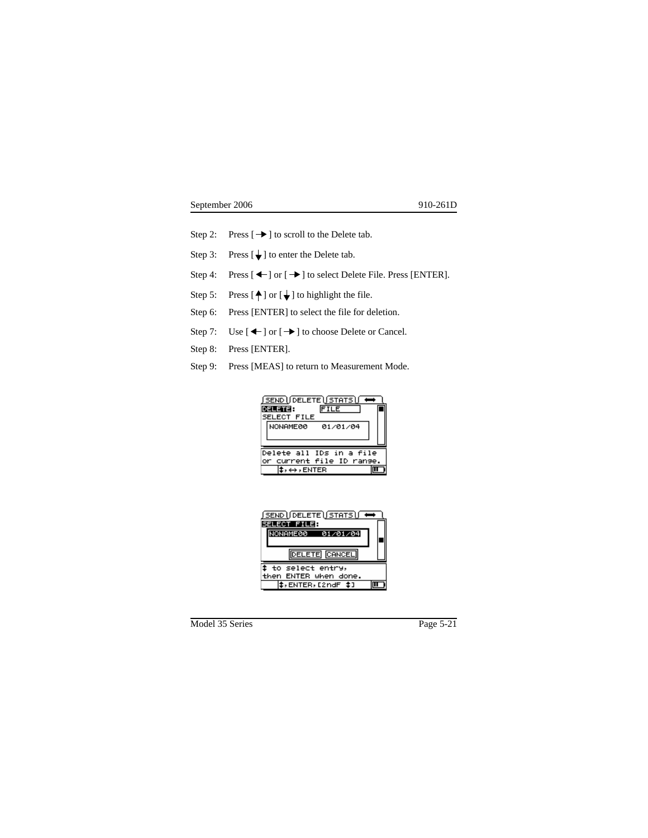| September 2006 | 910-261D |
|----------------|----------|
|----------------|----------|

| 910-261D |  |
|----------|--|
|----------|--|

- Step 2: Press  $[\rightarrow]$  to scroll to the Delete tab.
- Step 3: Press  $[\bigstar]$  to enter the Delete tab.
- Step 4: Press  $[ \leftarrow ]$  or  $[ \rightarrow ]$  to select Delete File. Press [ENTER].
- Step 5: Press  $[$   $\biguparrow$   $]$  or  $[\biguparrow$   $]$  to highlight the file.
- Step 6: Press [ENTER] to select the file for deletion.
- Step 7: Use  $[\triangleleft]$  or  $[\triangleleft]$  to choose Delete or Cancel.
- Step 8: Press [ENTER].
- Step 9: Press [MEAS] to return to Measurement Mode.



| $[SEND]$ $[PELETE]$ $STATS$ $[$<br><b>SELECT FILE:</b> |  |
|--------------------------------------------------------|--|
| NONAME00 01/01/04                                      |  |
| <b>DELETE CANCEL</b>                                   |  |
| t to select entry,<br>then ENTER when done.            |  |
| $\sharp$ , ENTER, [2ndF $\sharp$ ]                     |  |

Model 35 Series Page 5-21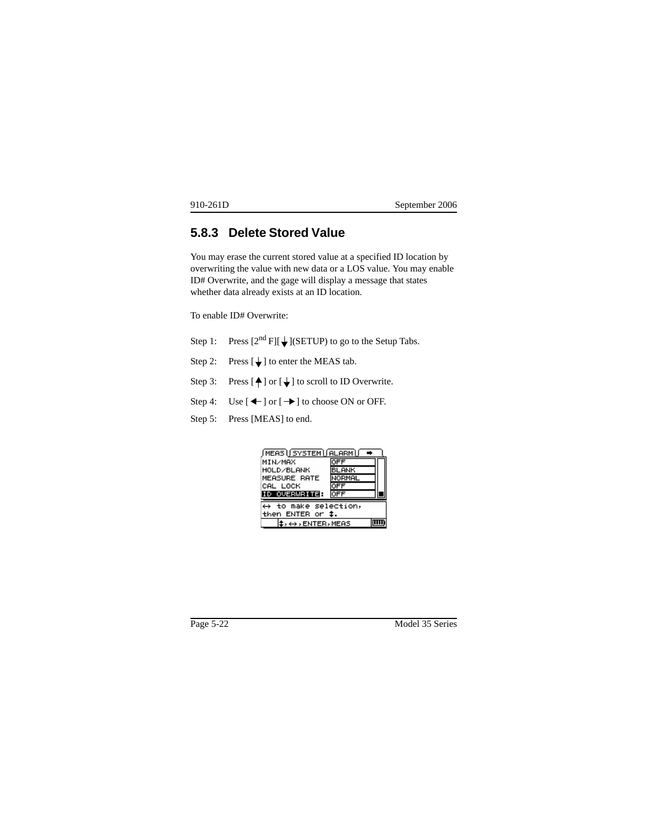## **5.8.3 Delete Stored Value**

You may erase the current stored value at a specified ID location by overwriting the value with new data or a LOS value. You may enable ID# Overwrite, and the gage will display a message that states whether data already exists at an ID location.

To enable ID# Overwrite:

- Step 1: Press  $[2^{nd} F] [\downarrow] (SETUP)$  to go to the Setup Tabs.
- Step 2: Press  $[\bigstar]$  to enter the MEAS tab.
- Step 3: Press  $[\triangleleft]$  or  $[\triangleleft]$  to scroll to ID Overwrite.
- Step 4: Use  $[ \leftarrow ]$  or  $[ \rightarrow ]$  to choose ON or OFF.
- Step 5: Press [MEAS] to end.

| (MEAS)∫SYSTEM)∫ALARM)∫ |              |
|------------------------|--------------|
| MIN/MAX                |              |
| HOLD/BLANK             | <b>BLANK</b> |
| MEASURE RATE           | NORMAL       |
| CAL LOCK               | OFF          |
| ID OVERWRITER          | <b>OFF</b>   |
| to make selection,     |              |
|                        |              |
| then ENTER or \$.      |              |

Page 5-22 Model 35 Series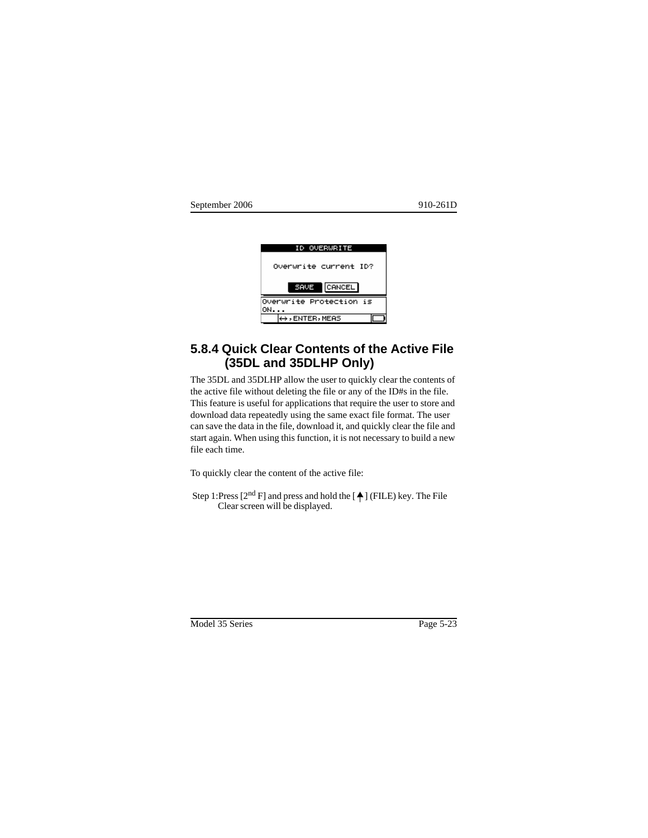September 2006 910-261D



# **5.8.4 Quick Clear Contents of the Active File (35DL and 35DLHP Only)**

The 35DL and 35DLHP allow the user to quickly clear the contents of the active file without deleting the file or any of the ID#s in the file. This feature is useful for applications that require the user to store and download data repeatedly using the same exact file format. The user can save the data in the file, download it, and quickly clear the file and start again. When using this function, it is not necessary to build a new file each time.

To quickly clear the content of the active file:

Step 1:Press  $[2^{nd} F]$  and press and hold the  $[4]$  (FILE) key. The File Clear screen will be displayed.

Model 35 Series Page 5-23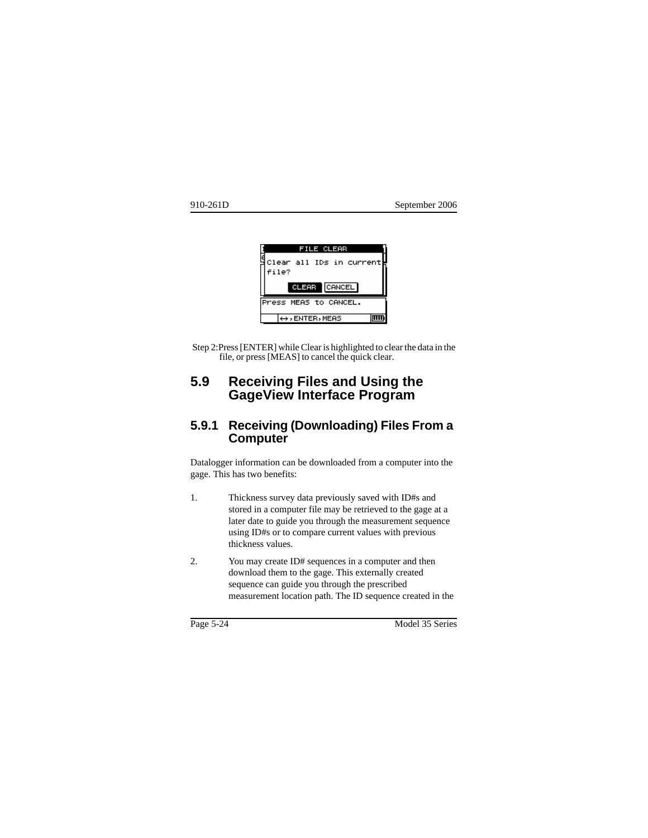910-261D September 2006



 Step 2:Press [ENTER] while Clear is highlighted to clear the data in the file, or press [MEAS] to cancel the quick clear.

# **5.9 Receiving Files and Using the GageView Interface Program**

## **5.9.1 Receiving (Downloading) Files From a Computer**

Datalogger information can be downloaded from a computer into the gage. This has two benefits:

- 1. Thickness survey data previously saved with ID#s and stored in a computer file may be retrieved to the gage at a later date to guide you through the measurement sequence using ID#s or to compare current values with previous thickness values.
- 2. You may create ID# sequences in a computer and then download them to the gage. This externally created sequence can guide you through the prescribed measurement location path. The ID sequence created in the

Page 5-24 Model 35 Series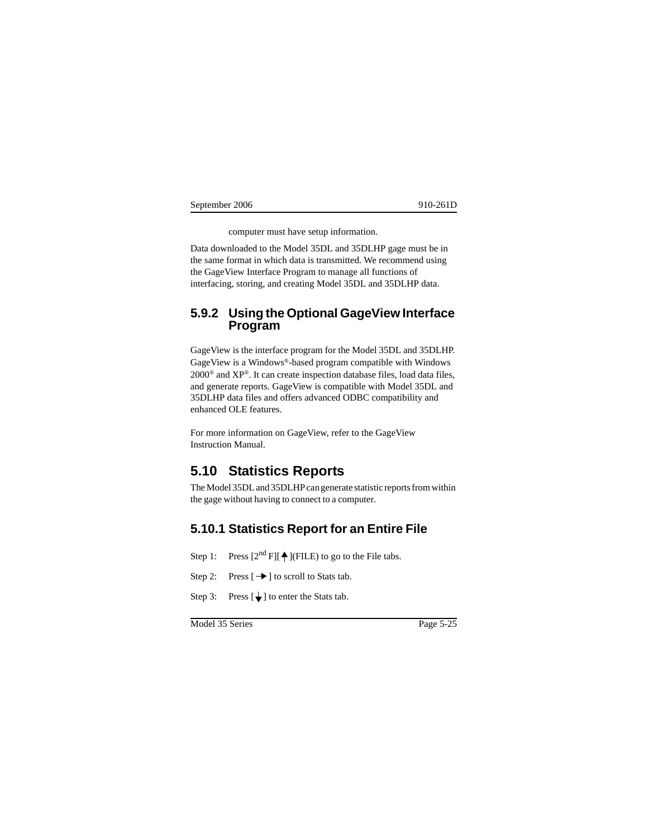| September 2006 |  |  |
|----------------|--|--|
|                |  |  |

910-261D

computer must have setup information.

Data downloaded to the Model 35DL and 35DLHP gage must be in the same format in which data is transmitted. We recommend using the GageView Interface Program to manage all functions of interfacing, storing, and creating Model 35DL and 35DLHP data.

## **5.9.2 Using the Optional GageView Interface Program**

GageView is the interface program for the Model 35DL and 35DLHP. GageView is a Windows®-based program compatible with Windows 2000® and XP®. It can create inspection database files, load data files, and generate reports. GageView is compatible with Model 35DL and 35DLHP data files and offers advanced ODBC compatibility and enhanced OLE features.

For more information on GageView, refer to the GageView Instruction Manual.

# **5.10 Statistics Reports**

The Model 35DL and 35DLHP can generate statistic reports from within the gage without having to connect to a computer.

## **5.10.1 Statistics Report for an Entire File**

Step 1: Press  $[2^{nd} F]$ [ $\biguparrow$ ](FILE) to go to the File tabs.

- Step 2: Press  $[\rightarrow]$  to scroll to Stats tab.
- Step 3: Press  $[\bigstar]$  to enter the Stats tab.

Model 35 Series Page 5-25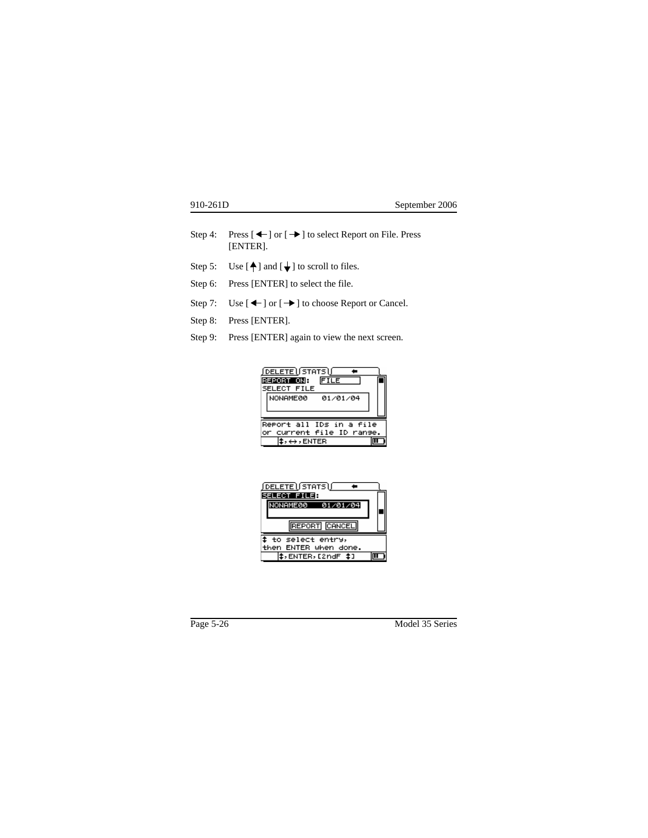| 910-261D |  |  |  |
|----------|--|--|--|
|          |  |  |  |

| 910-261D | September 2006 |  |
|----------|----------------|--|
|          |                |  |

- Step 4: Press  $[ \leftarrow ]$  or  $[ \rightarrow ]$  to select Report on File. Press [ENTER].
- Step 5: Use  $[\triangleq]$  and  $[\triangleleft]$  to scroll to files.
- Step 6: Press [ENTER] to select the file.
- Step 7: Use  $[ \leftarrow ]$  or  $[ \rightarrow ]$  to choose Report or Cancel.
- Step 8: Press [ENTER].
- Step 9: Press [ENTER] again to view the next screen.





Page 5-26 Model 35 Series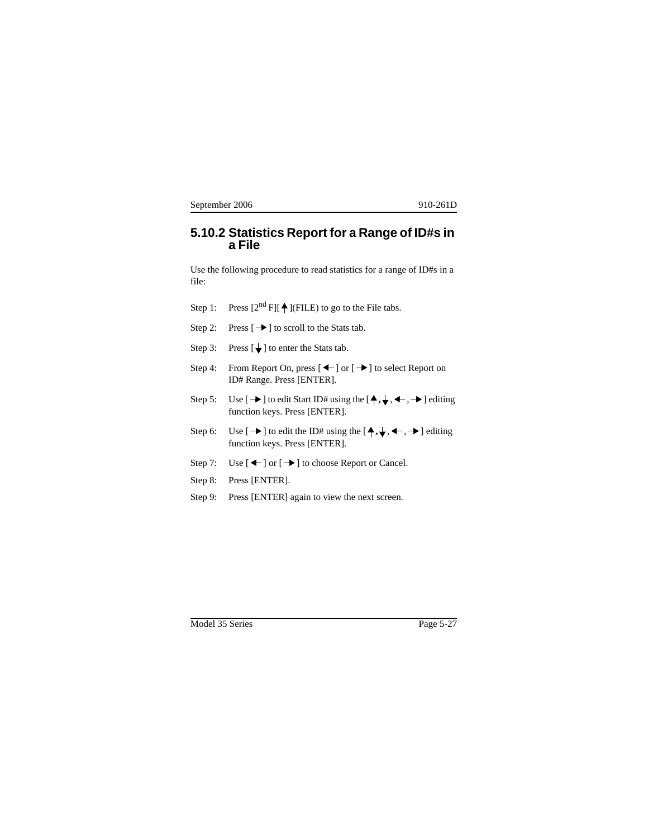| September 2006 |
|----------------|
|----------------|

#### $5 \t 910-261D$

### **5.10.2 Statistics Report for a Range of ID#s in a File**

Use the following procedure to read statistics for a range of ID#s in a file:

Step 1: Press  $[2<sup>nd</sup> F][A]$  (FILE) to go to the File tabs. Step 2: Press  $[\rightarrow]$  to scroll to the Stats tab. Step 3: Press  $[\bigstar]$  to enter the Stats tab. Step 4: From Report On, press  $[ \leftarrow ]$  or  $[ \rightarrow ]$  to select Report on ID# Range. Press [ENTER]. Step 5: Use  $[\rightarrow]$  to edit Start ID# using the  $[\rightarrow, \rightarrow, \rightarrow]$  editing function keys. Press [ENTER]. Step 6: Use  $[\rightarrow]$  to edit the ID# using the  $[\uparrow, \downarrow, \leftarrow, \rightarrow]$  editing function keys. Press [ENTER]. Step 7: Use  $[ \leftarrow ]$  or  $[ \rightarrow ]$  to choose Report or Cancel. Step 8: Press [ENTER]. Step 9: Press [ENTER] again to view the next screen.

Model 35 Series Page 5-27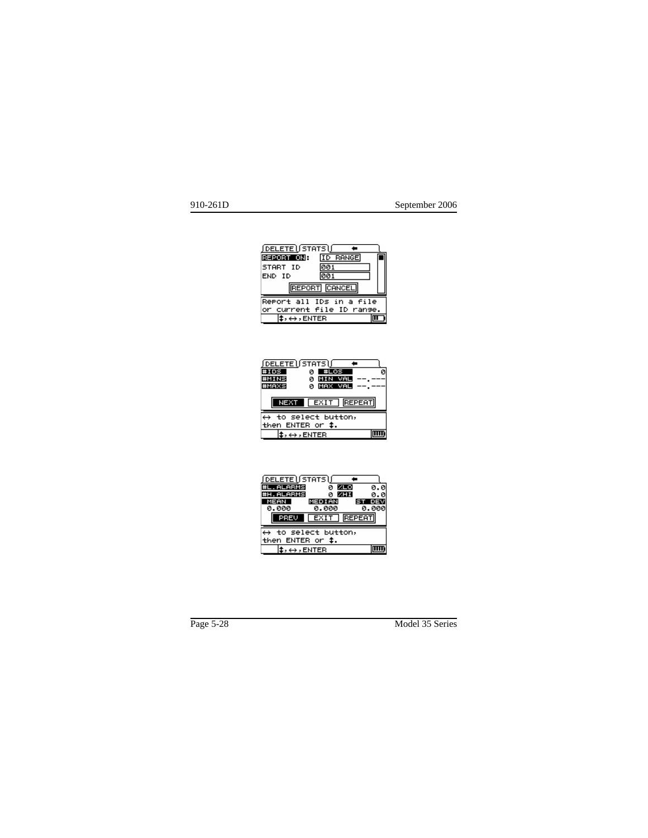910-261D September 2006

| (DELETE)∫STATS)∫                     |  |
|--------------------------------------|--|
| <b>ID RANGE</b><br>REPORT ONE        |  |
| 001<br>START ID                      |  |
| END ID                               |  |
| <b>REPORT CANCEL</b>                 |  |
| Report all IDs in a file             |  |
| or current file ID range.            |  |
| $\sharp$ , $\leftrightarrow$ , ENTER |  |

| ∫DELETE)∫STATS)∫                       |                            |  |  |  |
|----------------------------------------|----------------------------|--|--|--|
|                                        | #LOS                       |  |  |  |
| #MINS                                  | MIN VAL<br>ø               |  |  |  |
| #MAXS                                  | <b>Ø MAX VAL</b>           |  |  |  |
|                                        |                            |  |  |  |
|                                        | <b>REPEAT</b><br>NEXT EXIT |  |  |  |
| to select button,<br>then ENTER or \$. |                            |  |  |  |
| ${\tt 1}, \leftrightarrow$ , ENTER     |                            |  |  |  |



Page 5-28 Model 35 Series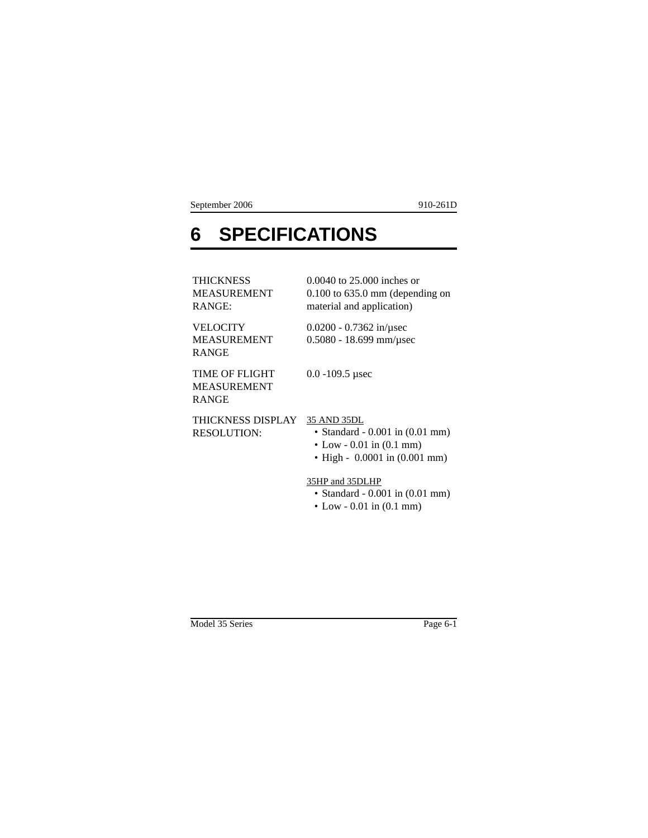September 2006 910-261D

# **6 SPECIFICATIONS**

| <b>THICKNESS</b><br><b>MEASUREMENT</b><br>RANGE:      | $0.0040$ to 25.000 inches or<br>$0.100$ to 635.0 mm (depending on<br>material and application)                          |
|-------------------------------------------------------|-------------------------------------------------------------------------------------------------------------------------|
| <b>VELOCITY</b><br><b>MEASUREMENT</b><br><b>RANGE</b> | $0.0200 - 0.7362$ in/usec<br>$0.5080 - 18.699$ mm/usec                                                                  |
| TIME OF FLIGHT<br><b>MEASUREMENT</b><br><b>RANGE</b>  | $0.0 - 109.5$ usec                                                                                                      |
| THICKNESS DISPLAY<br><b>RESOLUTION:</b>               | 35 AND 35DL<br>• Standard - $0.001$ in $(0.01$ mm)<br>• Low - $0.01$ in $(0.1$ mm)<br>• High - $0.0001$ in $(0.001$ mm) |
|                                                       | 35HP and 35DLHP<br>• Standard - $0.001$ in $(0.01$ mm)<br>• Low - $0.01$ in $(0.1$ mm)                                  |

Model 35 Series Page 6-1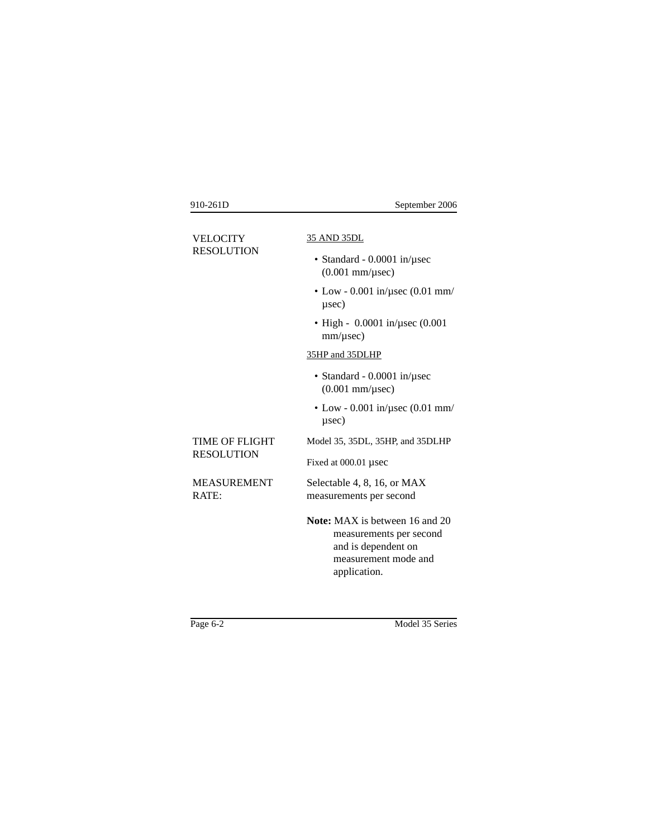| <b>VELOCITY</b><br><b>RESOLUTION</b> | 35 AND 35DL<br>• Standard - $0.0001$ in/ $\mu$ sec<br>$(0.001$ mm/ $\mu$ sec)                                                   |
|--------------------------------------|---------------------------------------------------------------------------------------------------------------------------------|
|                                      | • Low - 0.001 in/usec $(0.01 \text{ mm/s})$<br>$\mu$ sec $)$                                                                    |
|                                      | • High - $0.0001$ in/usec $(0.001)$<br>$mm/$ usec)                                                                              |
|                                      | 35HP and 35DLHP                                                                                                                 |
|                                      | • Standard - $0.0001$ in/ $\mu$ sec<br>$(0.001$ mm/ $\mu$ sec)                                                                  |
|                                      | • Low - 0.001 in/usec $(0.01 \text{ mm/s})$<br>$\mu$ sec $)$                                                                    |
| <b>TIME OF FLIGHT</b>                | Model 35, 35DL, 35HP, and 35DLHP                                                                                                |
| <b>RESOLUTION</b>                    | Fixed at 000.01 usec                                                                                                            |
| <b>MEASUREMENT</b><br>RATE:          | Selectable 4, 8, 16, or MAX<br>measurements per second                                                                          |
|                                      | <b>Note:</b> MAX is between 16 and 20<br>measurements per second<br>and is dependent on<br>measurement mode and<br>application. |

910-261D September 2006

Page 6-2 Model 35 Series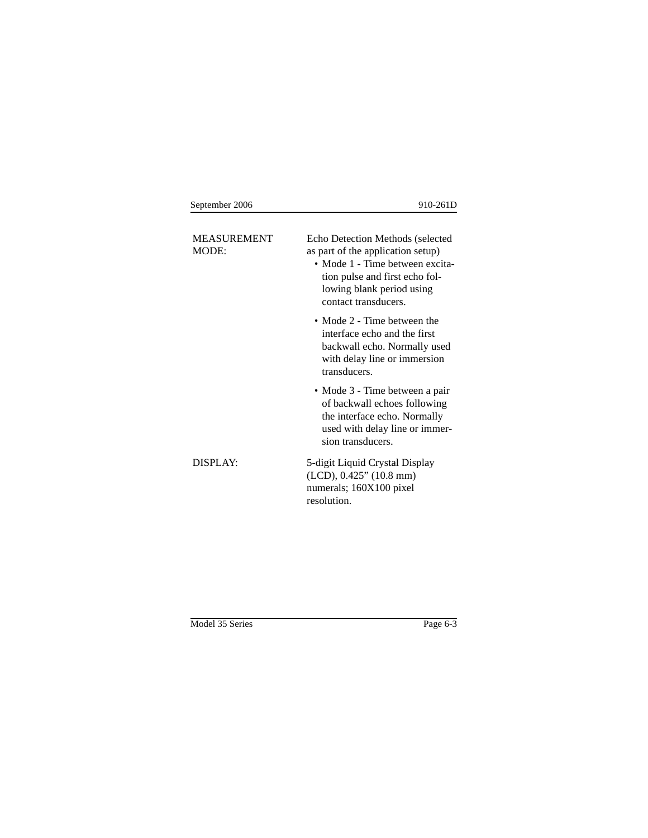| September 2006              | 910-261D                                                                                                                                                                                        |
|-----------------------------|-------------------------------------------------------------------------------------------------------------------------------------------------------------------------------------------------|
| <b>MEASUREMENT</b><br>MODE: | Echo Detection Methods (selected<br>as part of the application setup)<br>• Mode 1 - Time between excita-<br>tion pulse and first echo fol-<br>lowing blank period using<br>contact transducers. |
|                             | • Mode 2 - Time between the<br>interface echo and the first<br>backwall echo. Normally used<br>with delay line or immersion<br>transducers.                                                     |
|                             | • Mode 3 - Time between a pair<br>of backwall echoes following<br>the interface echo. Normally<br>used with delay line or immer-<br>sion transducers.                                           |
| DISPLAY:                    | 5-digit Liquid Crystal Display<br>(LCD), 0.425" (10.8 mm)<br>numerals; 160X100 pixel<br>resolution.                                                                                             |

Model 35 Series Page 6-3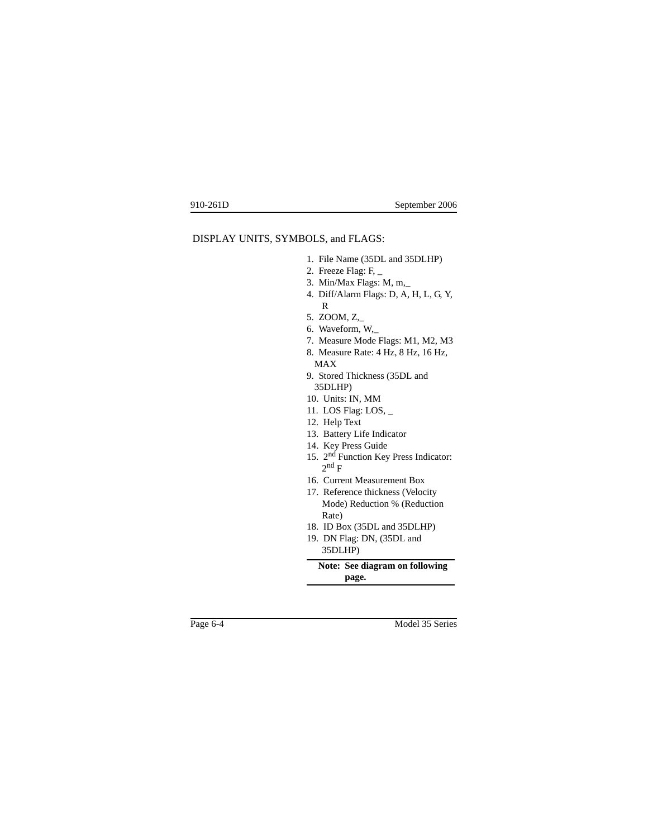|  |  | 910-261D |
|--|--|----------|
|  |  |          |

#### September 2006

### DISPLAY UNITS, SYMBOLS, and FLAGS:

- 1. File Name (35DL and 35DLHP)
- 2. Freeze Flag: F, \_
- 3. Min/Max Flags: M, m,\_
- 4. Diff/Alarm Flags: D, A, H, L, G, Y, R
- 5. ZOOM, Z,\_
- 6. Waveform, W,\_
- 7. Measure Mode Flags: M1, M2, M3
- 8. Measure Rate: 4 Hz, 8 Hz, 16 Hz, MAX
- 9. Stored Thickness (35DL and 35DLHP)
- 10. Units: IN, MM
- 11. LOS Flag: LOS, \_
- 12. Help Text
- 13. Battery Life Indicator
- 14. Key Press Guide
- 15. 2<sup>nd</sup> Function Key Press Indicator:  $2<sup>nd</sup>$  F
- 16. Current Measurement Box
- 17. Reference thickness (Velocity Mode) Reduction % (Reduction Rate)
- 18. ID Box (35DL and 35DLHP)
- 19. DN Flag: DN, (35DL and 35DLHP)

**Note: See diagram on following page.**

Page 6-4 Model 35 Series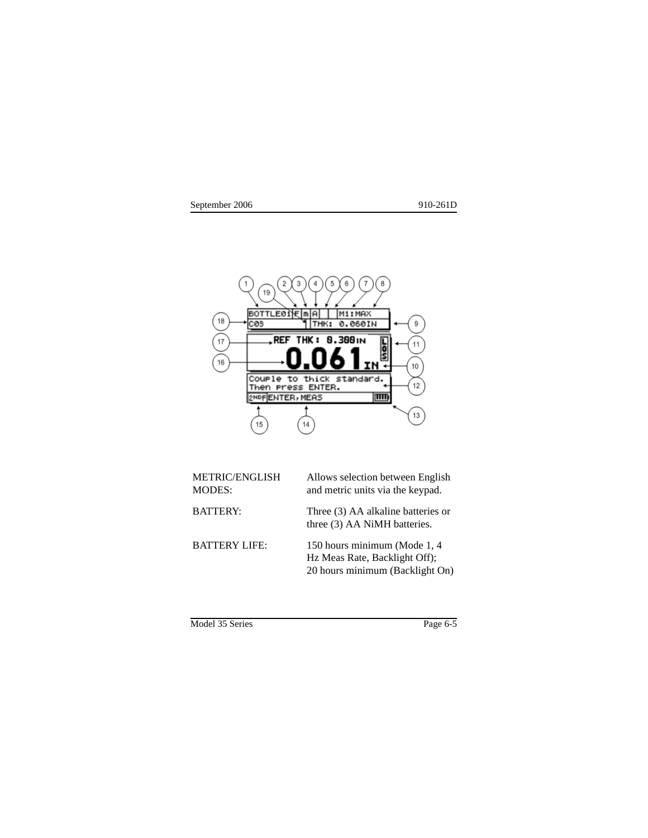September 2006 910-261D



| <b>METRIC/ENGLISH</b><br><b>MODES:</b> | Allows selection between English<br>and metric units via the keypad.                              |
|----------------------------------------|---------------------------------------------------------------------------------------------------|
| <b>BATTERY:</b>                        | Three (3) AA alkaline batteries or<br>three (3) AA NiMH batteries.                                |
| <b>BATTERY LIFE:</b>                   | 150 hours minimum (Mode 1, 4)<br>Hz Meas Rate, Backlight Off);<br>20 hours minimum (Backlight On) |

Model 35 Series Page 6-5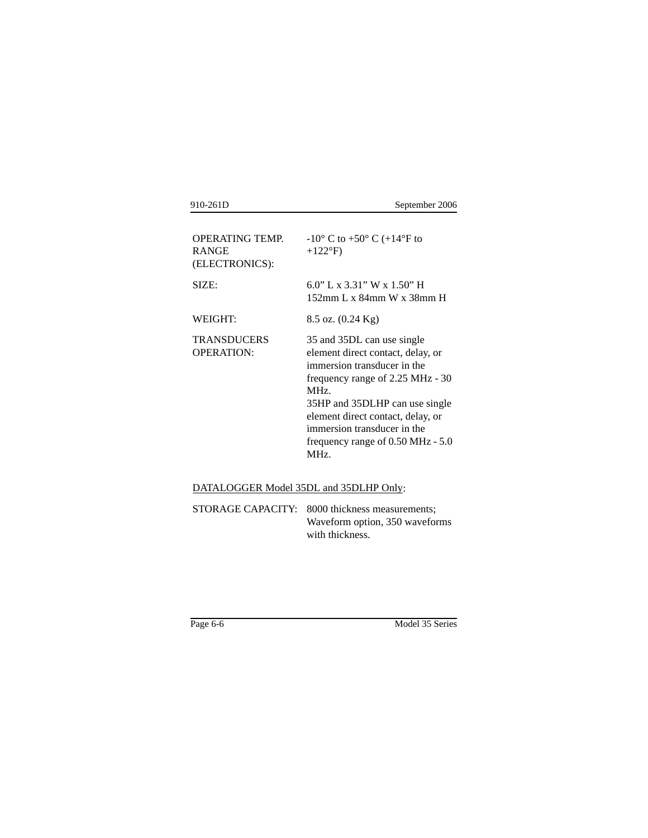| 910-261D |  |
|----------|--|
|          |  |

| 910-261D | September 2006 |  |
|----------|----------------|--|
|          |                |  |

| <b>OPERATING TEMP.</b><br>RANGE<br>(ELECTRONICS): | $-10^{\circ}$ C to $+50^{\circ}$ C ( $+14^{\circ}$ F to<br>$+122^{\circ}F$                                                                                                                                                                                                                        |
|---------------------------------------------------|---------------------------------------------------------------------------------------------------------------------------------------------------------------------------------------------------------------------------------------------------------------------------------------------------|
| SIZE:                                             | $6.0$ " L x 3.31" W x 1.50" H<br>$152$ mm L x 84mm W x 38mm H                                                                                                                                                                                                                                     |
| WEIGHT:                                           | $8.5$ oz. $(0.24 \text{ Kg})$                                                                                                                                                                                                                                                                     |
| TRANSDUCERS<br><b>OPERATION:</b>                  | 35 and 35DL can use single<br>element direct contact, delay, or<br>immersion transducer in the<br>frequency range of 2.25 MHz - 30<br>MHz.<br>35HP and 35DLHP can use single<br>element direct contact, delay, or<br>immersion transducer in the<br>frequency range of $0.50$ MHz - $5.0$<br>MHz. |

# DATALOGGER Model 35DL and 35DLHP Only:

| STORAGE CAPACITY: 8000 thickness measurements; |
|------------------------------------------------|
| Waveform option, 350 waveforms                 |
| with thickness.                                |

Page 6-6 Model 35 Series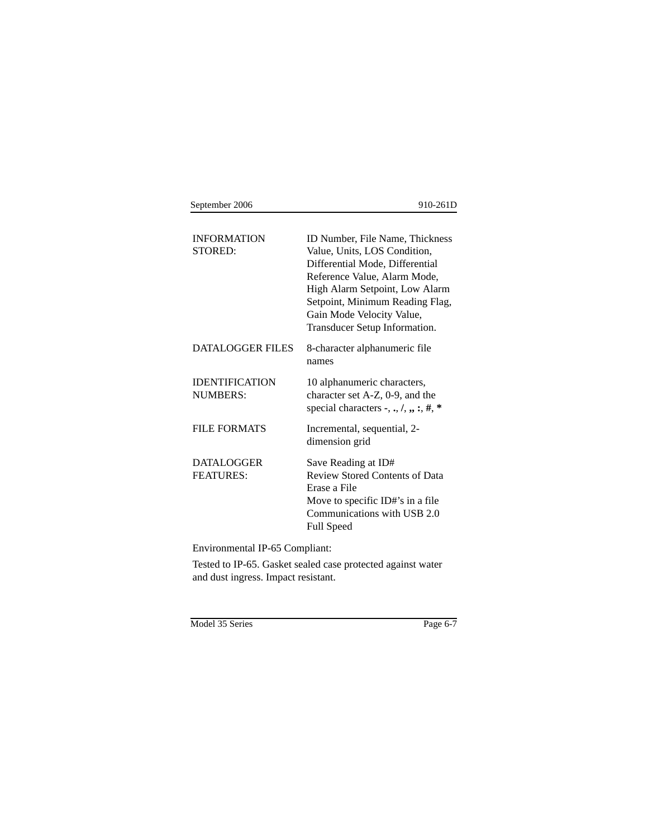| September 2006                           | $910 - 261D$                                                                                                                                                                                                                                                          |
|------------------------------------------|-----------------------------------------------------------------------------------------------------------------------------------------------------------------------------------------------------------------------------------------------------------------------|
| <b>INFORMATION</b><br><b>STORED:</b>     | ID Number, File Name, Thickness<br>Value, Units, LOS Condition,<br>Differential Mode, Differential<br>Reference Value, Alarm Mode,<br>High Alarm Setpoint, Low Alarm<br>Setpoint, Minimum Reading Flag,<br>Gain Mode Velocity Value,<br>Transducer Setup Information. |
| DATALOGGER FILES                         | 8-character alphanumeric file<br>names                                                                                                                                                                                                                                |
| <b>IDENTIFICATION</b><br><b>NUMBERS:</b> | 10 alphanumeric characters,<br>character set A-Z, 0-9, and the<br>special characters -, ., $\prime$ , , ., $\sharp$ , *                                                                                                                                               |
| <b>FILE FORMATS</b>                      | Incremental, sequential, 2-<br>dimension grid                                                                                                                                                                                                                         |
| <b>DATALOGGER</b><br><b>FEATURES:</b>    | Save Reading at ID#<br>Review Stored Contents of Data<br>Erase a File<br>Move to specific ID#'s in a file<br>Communications with USB 2.0<br>Full Speed                                                                                                                |

Environmental IP-65 Compliant:

Tested to IP-65. Gasket sealed case protected against water and dust ingress. Impact resistant.

Model 35 Series Page 6-7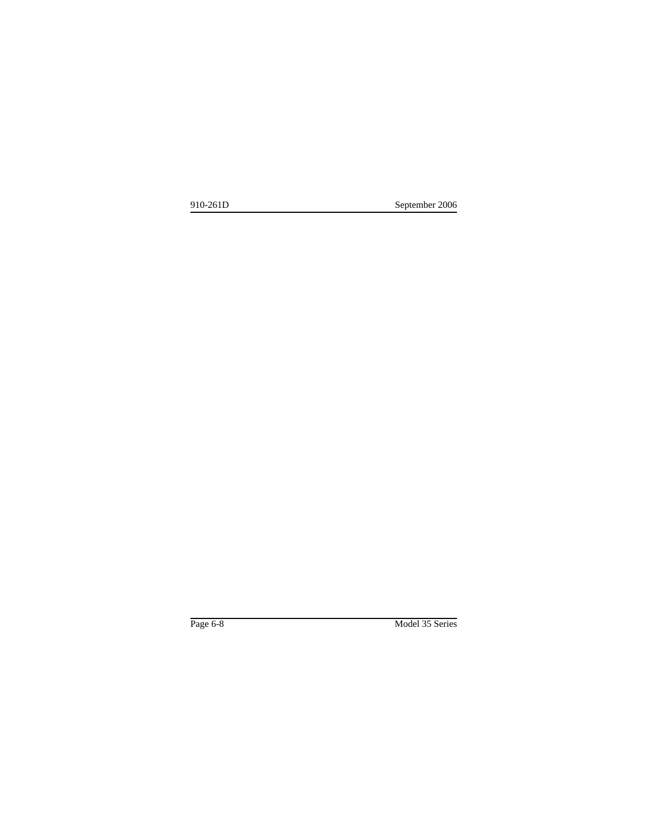910-261D September 2006

Page 6-8 Model 35 Series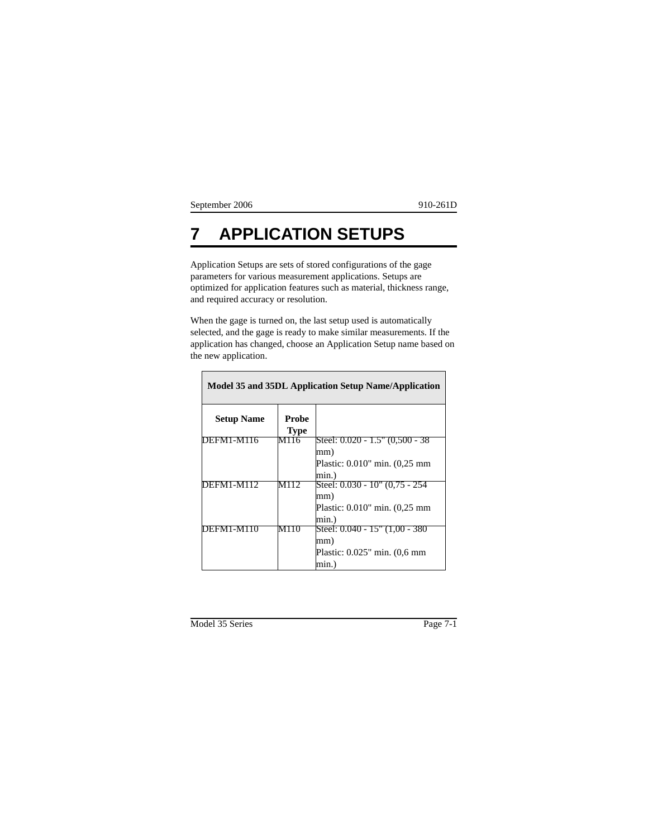|--|

Ē

### $6 \t 910-261D$

# **7 APPLICATION SETUPS**

Application Setups are sets of stored configurations of the gage parameters for various measurement applications. Setups are optimized for application features such as material, thickness range, and required accuracy or resolution.

When the gage is turned on, the last setup used is automatically selected, and the gage is ready to make similar measurements. If the application has changed, choose an Application Setup name based on the new application.

| Model 35 and 35DL Application Setup Name/Application |                             |                                                                                   |  |
|------------------------------------------------------|-----------------------------|-----------------------------------------------------------------------------------|--|
| <b>Setup Name</b>                                    | <b>Probe</b><br><b>Type</b> |                                                                                   |  |
| DEFM1-M116                                           | M116                        | Steel: 0.020 - 1.5" (0,500 - 38<br>mm)<br>Plastic: 0.010" min. (0.25 mm)<br>min.) |  |
| EFM I-M I                                            | M112                        | Steel: 0.030 - 10" (0,75 - 254<br>mm)<br>Plastic: 0.010" min. (0.25 mm)<br>min.)  |  |
| EFM L-N                                              |                             | Steel: 0.040 - 15" (1,00 - 380<br>mm)<br>Plastic: 0.025" min. (0.6 mm)<br>min.)   |  |

Model 35 Series Page 7-1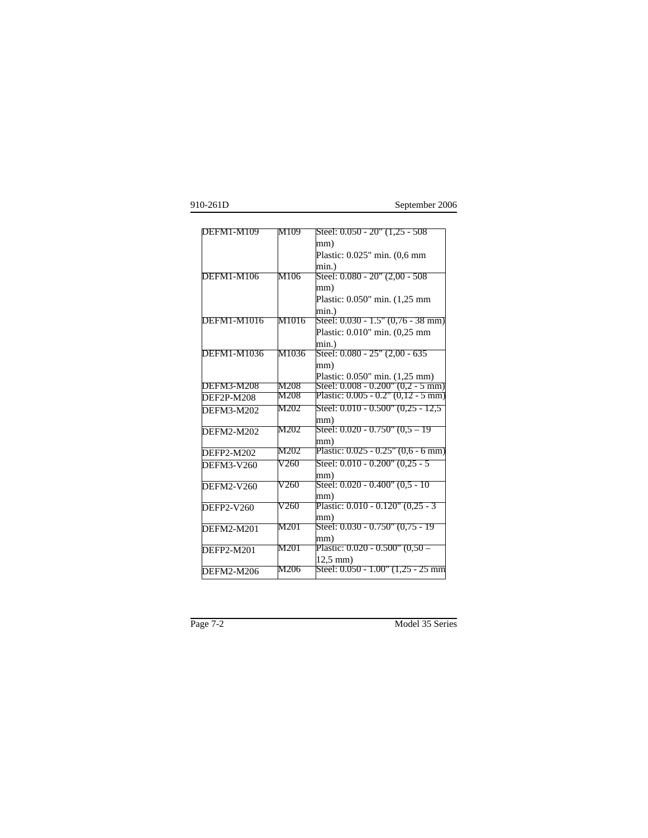September 2006

| DEFM1-M109        | M109  | Steel: 0.050 - 20" (1.25 - 508      |
|-------------------|-------|-------------------------------------|
|                   |       | mm)                                 |
|                   |       | Plastic: 0.025" min. (0.6 mm)       |
|                   |       | min.)                               |
| DEFM1-M106        | M106  | Steel: 0.080 - 20" (2.00 - 508      |
|                   |       | mm)                                 |
|                   |       | Plastic: 0.050" min. (1,25 mm       |
|                   |       | min.)                               |
| DEFM1-M1016       | M1016 | Steel: 0.030 - 1.5" (0,76 - 38 mm)  |
|                   |       | Plastic: 0.010" min. (0,25 mm       |
|                   |       | min.)                               |
| DEFM1-M1036       | M1036 | Steel: 0.080 - 25" (2,00 - 635      |
|                   |       | mm)                                 |
|                   |       | Plastic: 0.050" min. (1,25 mm)      |
| DEFM3-M208        | M208  | Steel: 0.008 - 0.200" (0,2 - 5 mm)  |
| DEF2P-M208        | M208  | Plastic: 0.005 - 0.2" (0,12 - 5 mm) |
| <b>DEFM3-M202</b> | M202  | Steel: 0.010 - 0.500" (0.25 - 12.5  |
|                   |       | mm)                                 |
| <b>DEFM2-M202</b> | M202. | Steel: 0.020 - 0.750" (0,5 – 19     |
|                   |       | mm)                                 |
| <b>DEFP2-M202</b> | M202  | Plastic: 0.025 - 0.25" (0,6 - 6 mm) |
| <b>DEFM3-V260</b> | V260  | Steel: 0.010 - 0.200" (0.25 - 5     |
|                   |       | mm)                                 |
| <b>DEFM2-V260</b> | V260  | Steel: 0.020 - 0.400" (0,5 - 10     |
|                   |       | mm)                                 |
| DEFP2-V260        | V260  | Plastic: 0.010 - 0.120" (0.25 - 3   |
|                   |       | mm)                                 |
| <b>DEFM2-M201</b> | M201  | Steel: 0.030 - 0.750" (0,75 - 19    |
|                   |       | mm)                                 |
| <b>DEFP2-M201</b> | M201  | Plastic: 0.020 - 0.500" (0,50 -     |
|                   | M206  | $12.5 \text{ mm}$ )                 |
| <b>DEFM2-M206</b> |       | Steel: 0.050 - 1.00" (1,25 - 25 mm  |

Page 7-2 Model 35 Series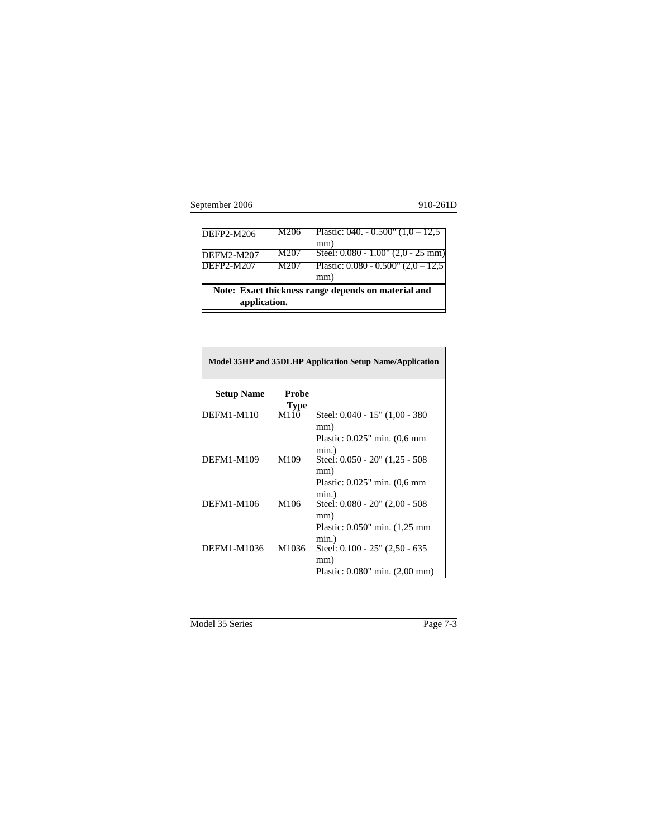| September 2006 | 910-261D |
|----------------|----------|
|----------------|----------|

| 910-261D |  |  |
|----------|--|--|
|          |  |  |

| DEFP2-M206<br>DEFM2-M207                                            | M206<br>M207 | Plastic: 040. - 0.500" $(1,0 - 12,5)$<br>mm)<br>Steel: 0.080 - 1.00" (2,0 - 25 mm) |
|---------------------------------------------------------------------|--------------|------------------------------------------------------------------------------------|
| DEFP2-M207                                                          |              | Plastic: $0.080 - 0.500$ " $(2.0 - 12.5)$<br>mm)                                   |
| Note: Exact thickness range depends on material and<br>application. |              |                                                                                    |

| Model 35HP and 35DLHP Application Setup Name/Application |                      |                                                                                  |  |
|----------------------------------------------------------|----------------------|----------------------------------------------------------------------------------|--|
| <b>Setup Name</b>                                        | <b>Probe</b><br>Type |                                                                                  |  |
| DEFM1-M110                                               | M110                 | Steel: 0.040 - 15" (1,00 - 380<br>mm)<br>Plastic: 0.025" min. (0.6 mm<br>min.)   |  |
| DEFM1-M109                                               | M109                 | Steel: 0.050 - 20" (1,25 - 508<br>mm)<br>Plastic: 0.025" min. (0.6 mm<br>min.)   |  |
| DEFM1-M106                                               | M106                 | Steel: 0.080 - 20" (2,00 - 508<br>mm)<br>Plastic: 0.050" min. (1,25 mm)<br>min.) |  |
| DEFM1-M1036                                              | M1036                | Steel: 0.100 - 25" (2.50 - 635<br>mm)<br>Plastic: 0.080" min. (2,00 mm)          |  |

Model 35 Series Page 7-3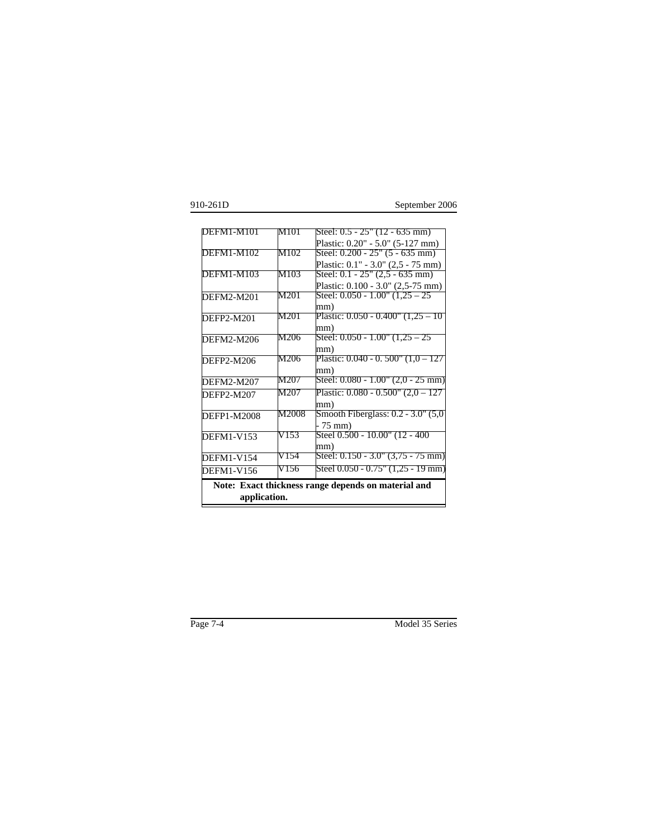| 910-261D |  |  |  |
|----------|--|--|--|
|          |  |  |  |

| 910-261D | September 2006 |  |
|----------|----------------|--|
|          |                |  |

| DEFM1-M101                                          | M101  | Steel: 0.5 - 25" (12 - 635 mm)           |  |  |
|-----------------------------------------------------|-------|------------------------------------------|--|--|
|                                                     |       | Plastic: 0.20" - 5.0" (5-127 mm)         |  |  |
| DEFM1-M102                                          | M102  | Steel: 0.200 - 25" (5 - 635 mm)          |  |  |
|                                                     |       | Plastic: 0.1" - 3.0" (2.5 - 75 mm)       |  |  |
| DEFM1-M103                                          | M103  | Steel: 0.1 - 25" (2,5 - 635 mm)          |  |  |
|                                                     |       | Plastic: 0.100 - 3.0" (2,5-75 mm)        |  |  |
| <b>DEFM2-M201</b>                                   | M201  | Steel: 0.050 - 1.00" (1,25 – 25          |  |  |
|                                                     |       | mm)                                      |  |  |
| <b>DEFP2-M201</b>                                   | M201  | Plastic: 0.050 - 0.400" (1,25 – 10       |  |  |
|                                                     |       | mm)                                      |  |  |
| <b>DEFM2-M206</b>                                   | M206  | Steel: 0.050 - 1.00" (1,25 – 25          |  |  |
|                                                     |       | mm)                                      |  |  |
| DEFP2-M206                                          | M206  | Plastic: $0.040 - 0.500$ " $(1.0 - 127)$ |  |  |
|                                                     |       | mm)                                      |  |  |
| <b>DEFM2-M207</b>                                   | M207  | Steel: 0.080 - 1.00" (2,0 - 25 mm)       |  |  |
| <b>DEFP2-M207</b>                                   | M207  | Plastic: $0.080 - 0.500$ " (2,0 - 127)   |  |  |
|                                                     |       | mm)                                      |  |  |
| <b>DEFP1-M2008</b>                                  | M2008 | Smooth Fiberglass: 0.2 - 3.0" (5,0)      |  |  |
|                                                     |       | $-75$ mm)                                |  |  |
| <b>DEFM1-V153</b>                                   | V153  |                                          |  |  |
|                                                     |       | mm)                                      |  |  |
| <b>DEFM1-V154</b>                                   | V154  | Steel: 0.150 - 3.0" (3,75 - 75 mm)       |  |  |
| <b>DEFM1-V156</b>                                   | VI 56 | Steel 0.050 - 0.75" (1,25 - 19 mm)       |  |  |
| Note: Exact thickness range depends on material and |       |                                          |  |  |
| application.                                        |       |                                          |  |  |
|                                                     |       |                                          |  |  |

Page 7-4 Model 35 Series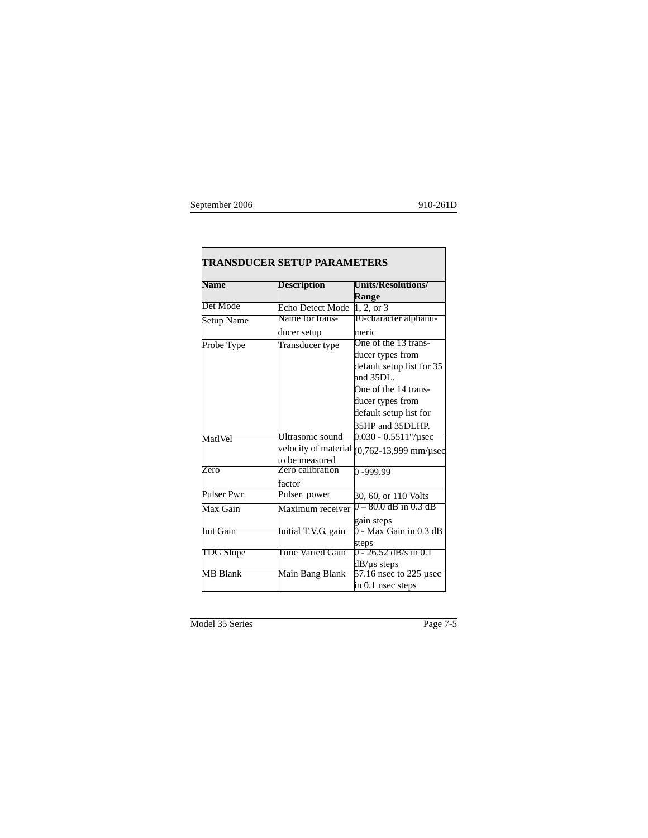| September 2006 |  |
|----------------|--|
|----------------|--|

910-261D

| Name       |                      | Units/Resolutions/        |
|------------|----------------------|---------------------------|
|            | <b>Description</b>   |                           |
|            |                      | <b>Range</b>              |
| Det Mode   | Echo Detect Mode     | $\overline{1}$ , 2, or 3  |
| Setup Name | Name for trans-      | 10-character alphanu-     |
|            | ducer setup          | meric                     |
| Probe Type | Transducer type      | One of the 13 trans-      |
|            |                      | ducer types from          |
|            |                      | default setup list for 35 |
|            |                      | and $35DI$                |
|            |                      | One of the 14 trans-      |
|            |                      | ducer types from          |
|            |                      | default setup list for    |
|            |                      | 35HP and 35DLHP.          |
| MatlVel    | Ultrasonic sound     | 0.030 - 0.5511"/usec      |
|            | velocity of material | $(0,762-13,999$ mm/usec   |
|            | to be measured       |                           |
| Zero       | Zero calibration     | 0-999.99                  |
|            | factor               |                           |
| Pulser Pwr | Pulser power         | 30, 60, or 110 Volts      |
| Max Gain   | Maximum receiver     | 0 – 80.0 dB in 0.3 dB     |
|            |                      | gain steps                |
| Init Gain  | Initial T.V.G. gain  | 0 - Max Gain in 0.3 dB    |
|            |                      | steps                     |
| TDG Slope  | Time Varied Gain     | 0 - 26.52 dB/s in 0.1     |
|            |                      | dB/μs steps               |
| MB Blank   | Main Bang Blank      | 57.16 nsec to 225 µsec    |
|            |                      | in 0.1 nsec steps         |

# **TRANSDUCER SETUP PARAMETERS**

Model 35 Series Page 7-5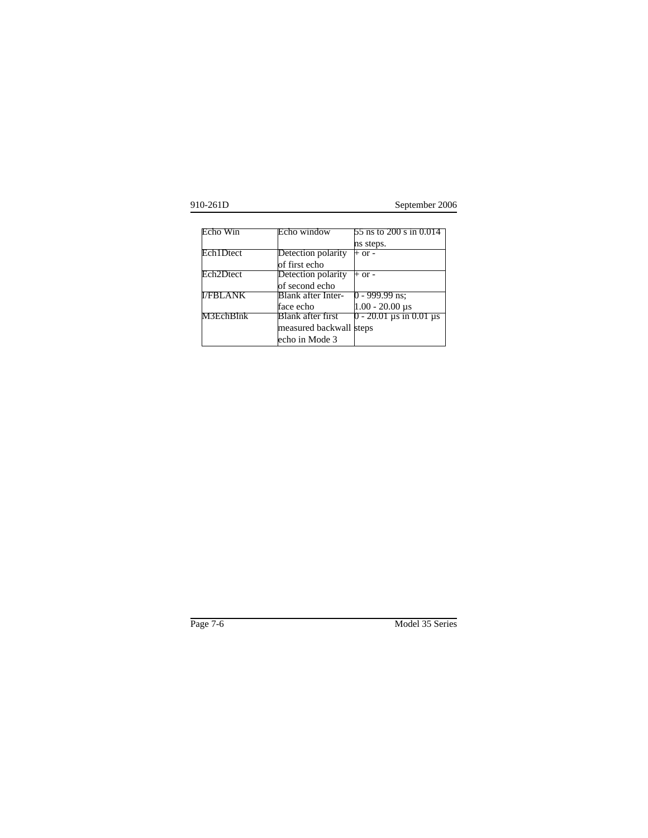September 2006

| Echo Win  | Echo window             | 55 ns to 200 s in 0.014 |
|-----------|-------------------------|-------------------------|
|           |                         | ns steps.               |
| Ech1Dtect | Detection polarity      | $+$ or $-$              |
|           | of first echo           |                         |
| Ech2Dtect | Detection polarity      | $+$ or $-$              |
|           | of second echo          |                         |
| I/FBLANK  | Blank after Inter-      | 0 - 999.99 ns;          |
|           | face echo               | $1.00 - 20.00 \,\mu s$  |
| M3EchBlnk | Blank after first       | 0 - 20.01 µs in 0.01 µs |
|           | measured backwall steps |                         |
|           | echo in Mode 3          |                         |

Page 7-6 Model 35 Series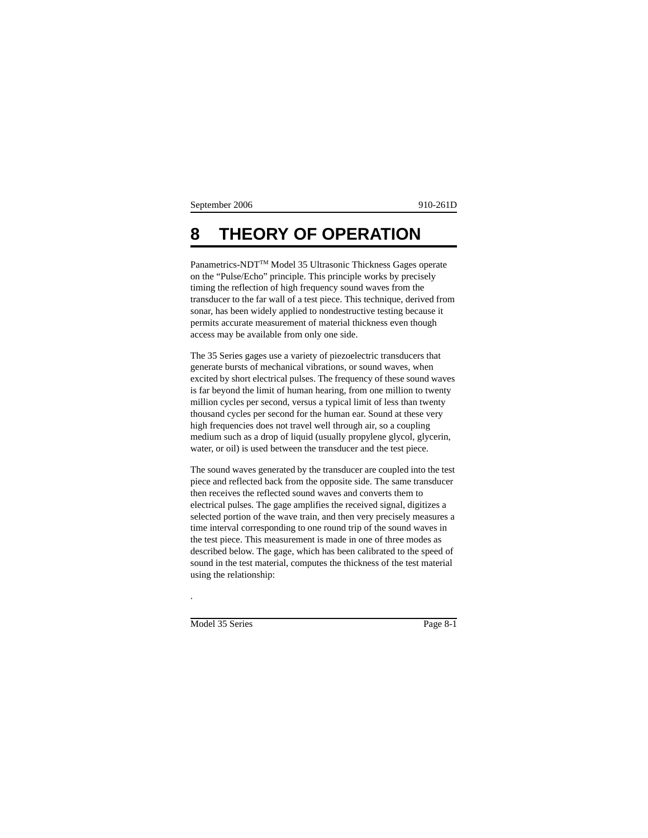# **8 THEORY OF OPERATION**

Panametrics-NDT™ Model 35 Ultrasonic Thickness Gages operate on the "Pulse/Echo" principle. This principle works by precisely timing the reflection of high frequency sound waves from the transducer to the far wall of a test piece. This technique, derived from sonar, has been widely applied to nondestructive testing because it permits accurate measurement of material thickness even though access may be available from only one side.

The 35 Series gages use a variety of piezoelectric transducers that generate bursts of mechanical vibrations, or sound waves, when excited by short electrical pulses. The frequency of these sound waves is far beyond the limit of human hearing, from one million to twenty million cycles per second, versus a typical limit of less than twenty thousand cycles per second for the human ear. Sound at these very high frequencies does not travel well through air, so a coupling medium such as a drop of liquid (usually propylene glycol, glycerin, water, or oil) is used between the transducer and the test piece.

The sound waves generated by the transducer are coupled into the test piece and reflected back from the opposite side. The same transducer then receives the reflected sound waves and converts them to electrical pulses. The gage amplifies the received signal, digitizes a selected portion of the wave train, and then very precisely measures a time interval corresponding to one round trip of the sound waves in the test piece. This measurement is made in one of three modes as described below. The gage, which has been calibrated to the speed of sound in the test material, computes the thickness of the test material using the relationship:

Model 35 Series Page 8-1

.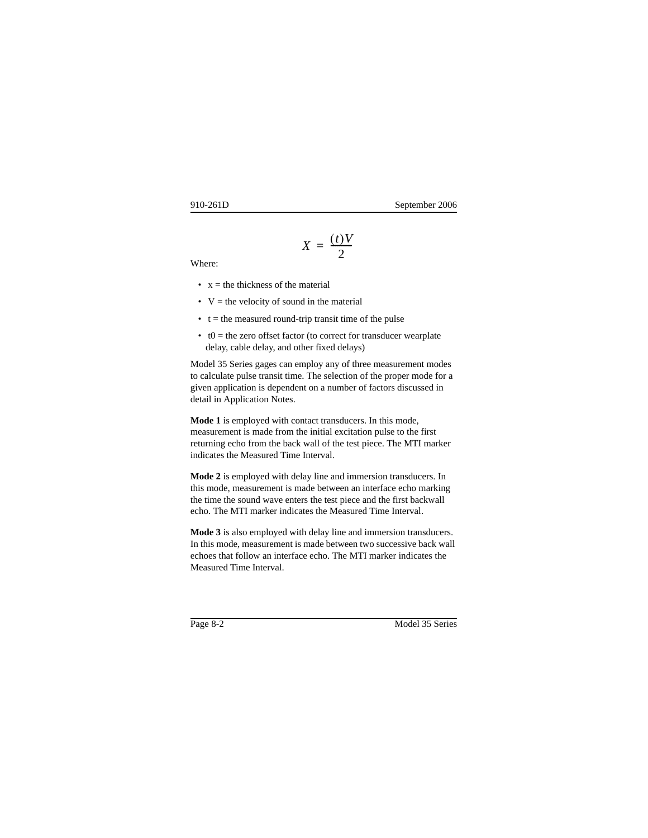910-261D

$$
X = \frac{(t)V}{2}
$$

Where:

- $x =$  the thickness of the material
- $V =$  the velocity of sound in the material
- $\bullet$  t = the measured round-trip transit time of the pulse
- $\cdot$  t0 = the zero offset factor (to correct for transducer wearplate delay, cable delay, and other fixed delays)

Model 35 Series gages can employ any of three measurement modes to calculate pulse transit time. The selection of the proper mode for a given application is dependent on a number of factors discussed in detail in Application Notes.

**Mode 1** is employed with contact transducers. In this mode, measurement is made from the initial excitation pulse to the first returning echo from the back wall of the test piece. The MTI marker indicates the Measured Time Interval.

**Mode 2** is employed with delay line and immersion transducers. In this mode, measurement is made between an interface echo marking the time the sound wave enters the test piece and the first backwall echo. The MTI marker indicates the Measured Time Interval.

**Mode 3** is also employed with delay line and immersion transducers. In this mode, measurement is made between two successive back wall echoes that follow an interface echo. The MTI marker indicates the Measured Time Interval.

Page 8-2 Model 35 Series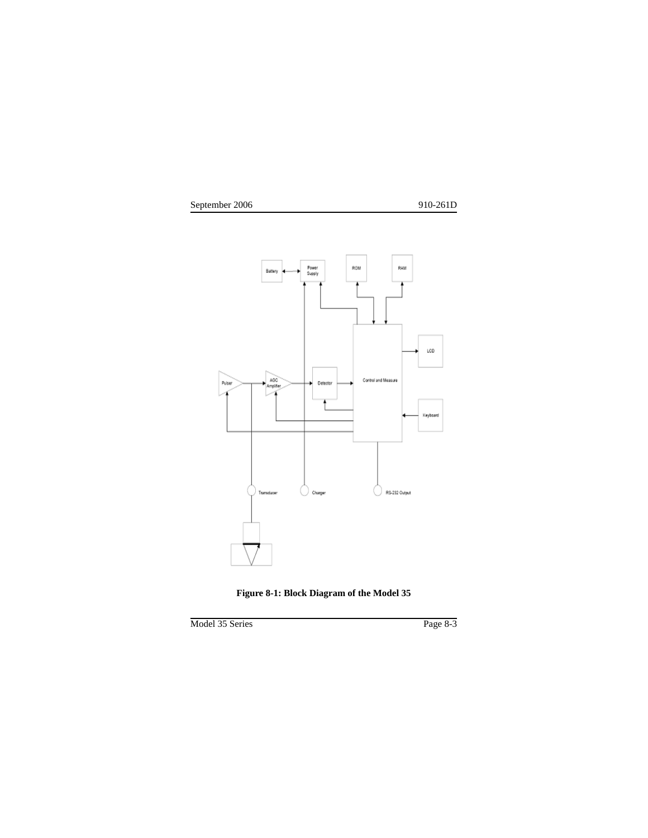|  |  | September 2006 |  |  |  |
|--|--|----------------|--|--|--|
|--|--|----------------|--|--|--|

 $5 \t 910-261D$ 





Model 35 Series Page 8-3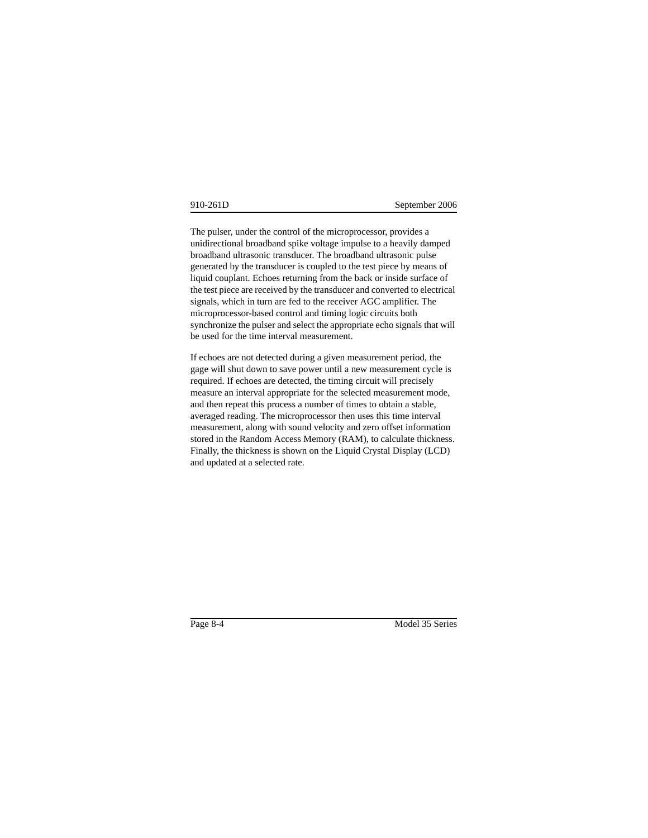910-261D September 2006

The pulser, under the control of the microprocessor, provides a unidirectional broadband spike voltage impulse to a heavily damped broadband ultrasonic transducer. The broadband ultrasonic pulse generated by the transducer is coupled to the test piece by means of liquid couplant. Echoes returning from the back or inside surface of the test piece are received by the transducer and converted to electrical signals, which in turn are fed to the receiver AGC amplifier. The microprocessor-based control and timing logic circuits both synchronize the pulser and select the appropriate echo signals that will be used for the time interval measurement.

If echoes are not detected during a given measurement period, the gage will shut down to save power until a new measurement cycle is required. If echoes are detected, the timing circuit will precisely measure an interval appropriate for the selected measurement mode, and then repeat this process a number of times to obtain a stable, averaged reading. The microprocessor then uses this time interval measurement, along with sound velocity and zero offset information stored in the Random Access Memory (RAM), to calculate thickness. Finally, the thickness is shown on the Liquid Crystal Display (LCD) and updated at a selected rate.

Page 8-4 Model 35 Series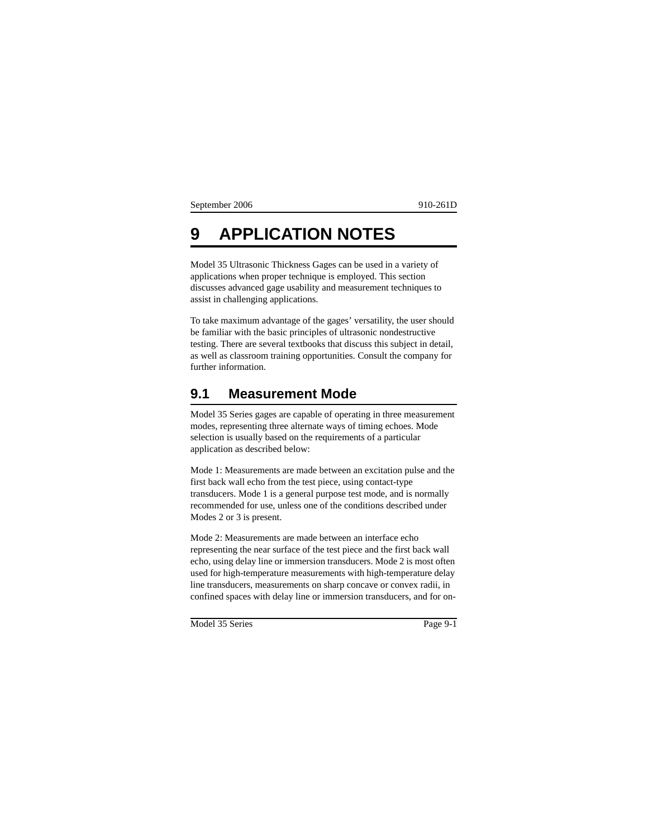# **9 APPLICATION NOTES**

Model 35 Ultrasonic Thickness Gages can be used in a variety of applications when proper technique is employed. This section discusses advanced gage usability and measurement techniques to assist in challenging applications.

To take maximum advantage of the gages' versatility, the user should be familiar with the basic principles of ultrasonic nondestructive testing. There are several textbooks that discuss this subject in detail, as well as classroom training opportunities. Consult the company for further information.

# **9.1 Measurement Mode**

Model 35 Series gages are capable of operating in three measurement modes, representing three alternate ways of timing echoes. Mode selection is usually based on the requirements of a particular application as described below:

Mode 1: Measurements are made between an excitation pulse and the first back wall echo from the test piece, using contact-type transducers. Mode 1 is a general purpose test mode, and is normally recommended for use, unless one of the conditions described under Modes 2 or 3 is present.

Mode 2: Measurements are made between an interface echo representing the near surface of the test piece and the first back wall echo, using delay line or immersion transducers. Mode 2 is most often used for high-temperature measurements with high-temperature delay line transducers, measurements on sharp concave or convex radii, in confined spaces with delay line or immersion transducers, and for on-

Model 35 Series Page 9-1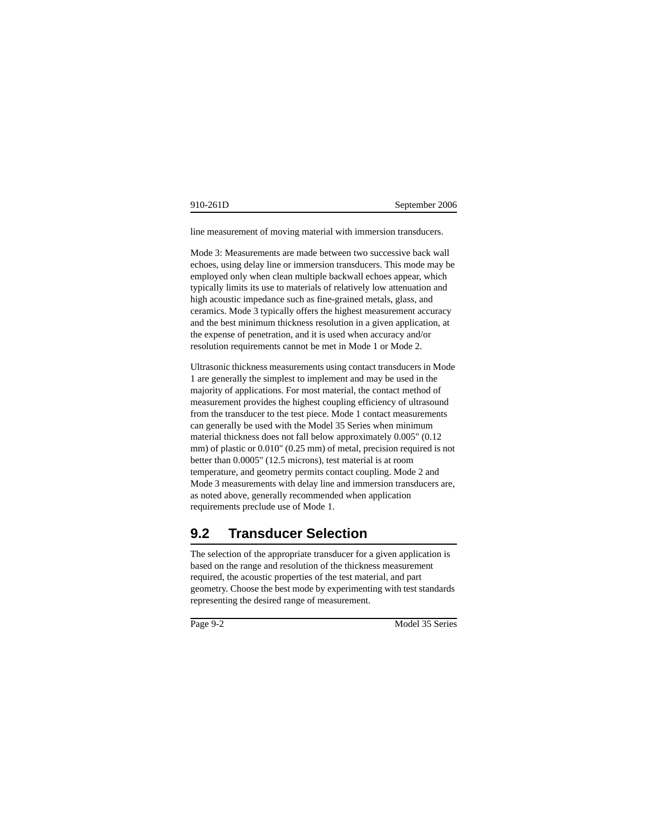910-261D September 2006

line measurement of moving material with immersion transducers.

Mode 3: Measurements are made between two successive back wall echoes, using delay line or immersion transducers. This mode may be employed only when clean multiple backwall echoes appear, which typically limits its use to materials of relatively low attenuation and high acoustic impedance such as fine-grained metals, glass, and ceramics. Mode 3 typically offers the highest measurement accuracy and the best minimum thickness resolution in a given application, at the expense of penetration, and it is used when accuracy and/or resolution requirements cannot be met in Mode 1 or Mode 2.

Ultrasonic thickness measurements using contact transducers in Mode 1 are generally the simplest to implement and may be used in the majority of applications. For most material, the contact method of measurement provides the highest coupling efficiency of ultrasound from the transducer to the test piece. Mode 1 contact measurements can generally be used with the Model 35 Series when minimum material thickness does not fall below approximately 0.005" (0.12 mm) of plastic or 0.010" (0.25 mm) of metal, precision required is not better than 0.0005" (12.5 microns), test material is at room temperature, and geometry permits contact coupling. Mode 2 and Mode 3 measurements with delay line and immersion transducers are, as noted above, generally recommended when application requirements preclude use of Mode 1.

# **9.2 Transducer Selection**

The selection of the appropriate transducer for a given application is based on the range and resolution of the thickness measurement required, the acoustic properties of the test material, and part geometry. Choose the best mode by experimenting with test standards representing the desired range of measurement.

Page 9-2 Model 35 Series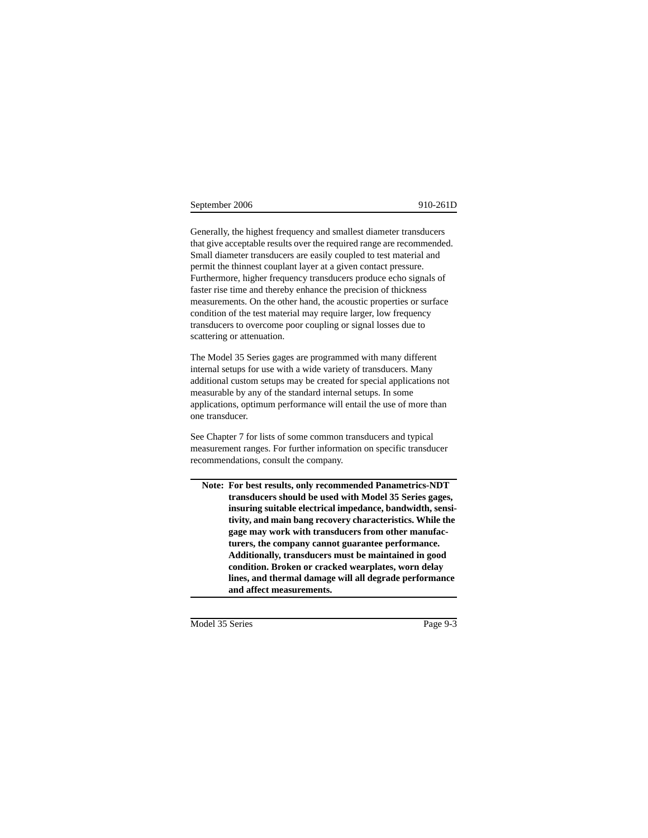|  |  | September 2006 |  |  |  |
|--|--|----------------|--|--|--|
|--|--|----------------|--|--|--|

 $5 \t 910-261D$ 

Generally, the highest frequency and smallest diameter transducers that give acceptable results over the required range are recommended. Small diameter transducers are easily coupled to test material and permit the thinnest couplant layer at a given contact pressure. Furthermore, higher frequency transducers produce echo signals of faster rise time and thereby enhance the precision of thickness measurements. On the other hand, the acoustic properties or surface condition of the test material may require larger, low frequency transducers to overcome poor coupling or signal losses due to scattering or attenuation.

The Model 35 Series gages are programmed with many different internal setups for use with a wide variety of transducers. Many additional custom setups may be created for special applications not measurable by any of the standard internal setups. In some applications, optimum performance will entail the use of more than one transducer.

See Chapter 7 for lists of some common transducers and typical measurement ranges. For further information on specific transducer recommendations, consult the company.

**Note: For best results, only recommended Panametrics-NDT transducers should be used with Model 35 Series gages, insuring suitable electrical impedance, bandwidth, sensitivity, and main bang recovery characteristics. While the gage may work with transducers from other manufacturers, the company cannot guarantee performance. Additionally, transducers must be maintained in good condition. Broken or cracked wearplates, worn delay lines, and thermal damage will all degrade performance and affect measurements.**

Model 35 Series Page 9-3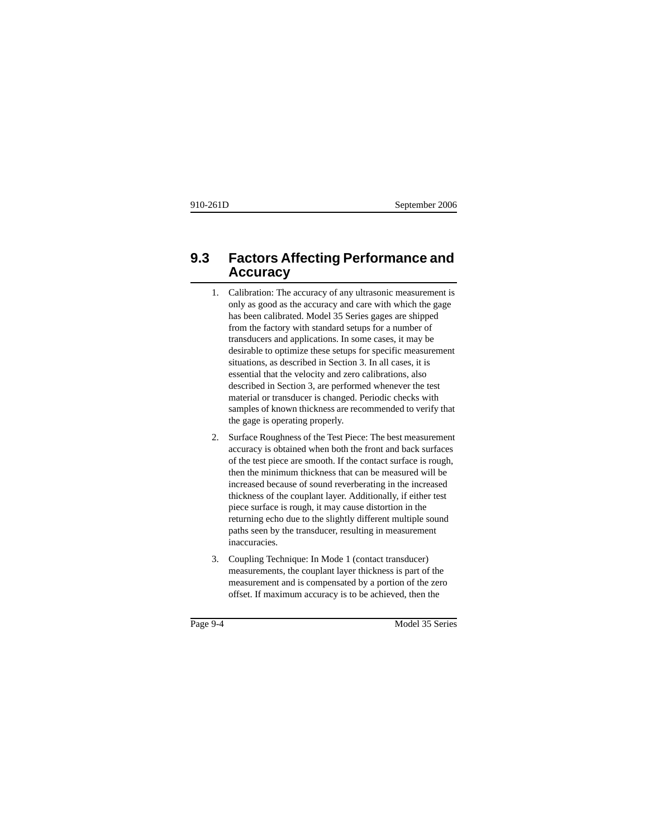# **9.3 Factors Affecting Performance and Accuracy**

- 1. Calibration: The accuracy of any ultrasonic measurement is only as good as the accuracy and care with which the gage has been calibrated. Model 35 Series gages are shipped from the factory with standard setups for a number of transducers and applications. In some cases, it may be desirable to optimize these setups for specific measurement situations, as described in Section 3. In all cases, it is essential that the velocity and zero calibrations, also described in Section 3, are performed whenever the test material or transducer is changed. Periodic checks with samples of known thickness are recommended to verify that the gage is operating properly.
- 2. Surface Roughness of the Test Piece: The best measurement accuracy is obtained when both the front and back surfaces of the test piece are smooth. If the contact surface is rough, then the minimum thickness that can be measured will be increased because of sound reverberating in the increased thickness of the couplant layer. Additionally, if either test piece surface is rough, it may cause distortion in the returning echo due to the slightly different multiple sound paths seen by the transducer, resulting in measurement inaccuracies.
- 3. Coupling Technique: In Mode 1 (contact transducer) measurements, the couplant layer thickness is part of the measurement and is compensated by a portion of the zero offset. If maximum accuracy is to be achieved, then the

Page 9-4 Model 35 Series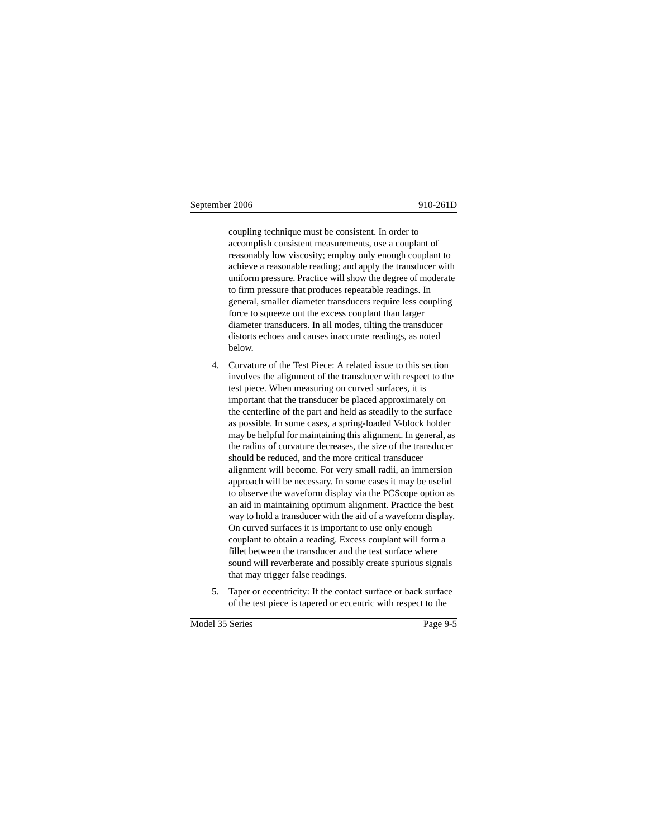#### September 2006 910-261D

coupling technique must be consistent. In order to accomplish consistent measurements, use a couplant of reasonably low viscosity; employ only enough couplant to achieve a reasonable reading; and apply the transducer with uniform pressure. Practice will show the degree of moderate to firm pressure that produces repeatable readings. In general, smaller diameter transducers require less coupling force to squeeze out the excess couplant than larger diameter transducers. In all modes, tilting the transducer distorts echoes and causes inaccurate readings, as noted below.

- 4. Curvature of the Test Piece: A related issue to this section involves the alignment of the transducer with respect to the test piece. When measuring on curved surfaces, it is important that the transducer be placed approximately on the centerline of the part and held as steadily to the surface as possible. In some cases, a spring-loaded V-block holder may be helpful for maintaining this alignment. In general, as the radius of curvature decreases, the size of the transducer should be reduced, and the more critical transducer alignment will become. For very small radii, an immersion approach will be necessary. In some cases it may be useful to observe the waveform display via the PCScope option as an aid in maintaining optimum alignment. Practice the best way to hold a transducer with the aid of a waveform display. On curved surfaces it is important to use only enough couplant to obtain a reading. Excess couplant will form a fillet between the transducer and the test surface where sound will reverberate and possibly create spurious signals that may trigger false readings.
- 5. Taper or eccentricity: If the contact surface or back surface of the test piece is tapered or eccentric with respect to the

Model 35 Series Page 9-5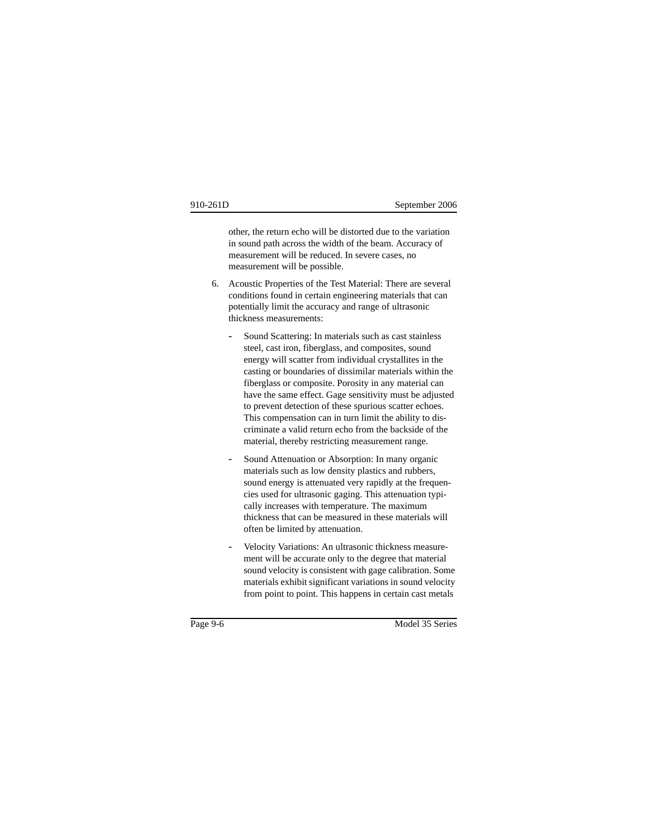910-261D September 2006

other, the return echo will be distorted due to the variation in sound path across the width of the beam. Accuracy of measurement will be reduced. In severe cases, no measurement will be possible.

- 6. Acoustic Properties of the Test Material: There are several conditions found in certain engineering materials that can potentially limit the accuracy and range of ultrasonic thickness measurements:
	- **-** Sound Scattering: In materials such as cast stainless steel, cast iron, fiberglass, and composites, sound energy will scatter from individual crystallites in the casting or boundaries of dissimilar materials within the fiberglass or composite. Porosity in any material can have the same effect. Gage sensitivity must be adjusted to prevent detection of these spurious scatter echoes. This compensation can in turn limit the ability to discriminate a valid return echo from the backside of the material, thereby restricting measurement range.
	- **-** Sound Attenuation or Absorption: In many organic materials such as low density plastics and rubbers, sound energy is attenuated very rapidly at the frequencies used for ultrasonic gaging. This attenuation typically increases with temperature. The maximum thickness that can be measured in these materials will often be limited by attenuation.
	- **-** Velocity Variations: An ultrasonic thickness measurement will be accurate only to the degree that material sound velocity is consistent with gage calibration. Some materials exhibit significant variations in sound velocity from point to point. This happens in certain cast metals

Page 9-6 Model 35 Series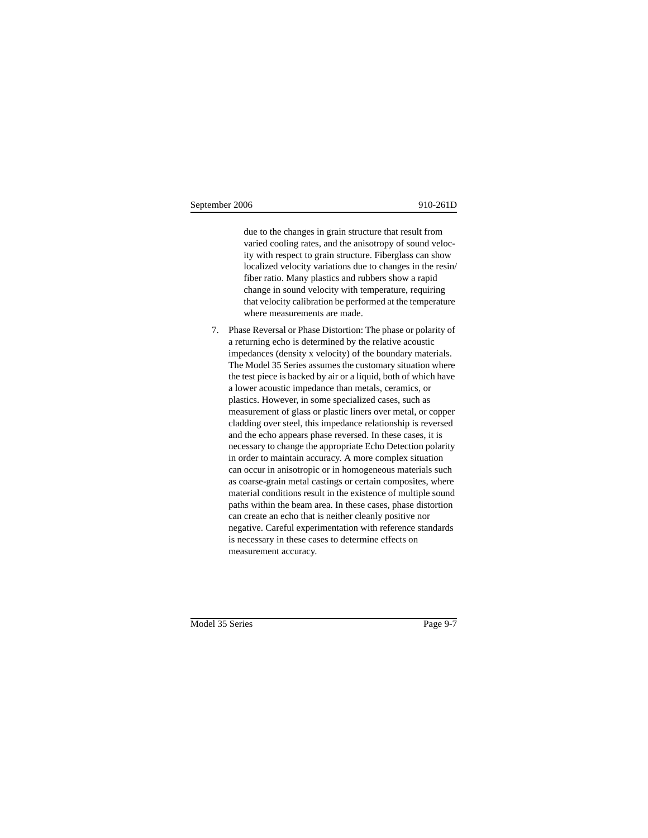| September 2006 | 910-261D |
|----------------|----------|
|                |          |

due to the changes in grain structure that result from varied cooling rates, and the anisotropy of sound velocity with respect to grain structure. Fiberglass can show localized velocity variations due to changes in the resin/ fiber ratio. Many plastics and rubbers show a rapid change in sound velocity with temperature, requiring that velocity calibration be performed at the temperature where measurements are made.

 7. Phase Reversal or Phase Distortion: The phase or polarity of a returning echo is determined by the relative acoustic impedances (density x velocity) of the boundary materials. The Model 35 Series assumes the customary situation where the test piece is backed by air or a liquid, both of which have a lower acoustic impedance than metals, ceramics, or plastics. However, in some specialized cases, such as measurement of glass or plastic liners over metal, or copper cladding over steel, this impedance relationship is reversed and the echo appears phase reversed. In these cases, it is necessary to change the appropriate Echo Detection polarity in order to maintain accuracy. A more complex situation can occur in anisotropic or in homogeneous materials such as coarse-grain metal castings or certain composites, where material conditions result in the existence of multiple sound paths within the beam area. In these cases, phase distortion can create an echo that is neither cleanly positive nor negative. Careful experimentation with reference standards is necessary in these cases to determine effects on measurement accuracy.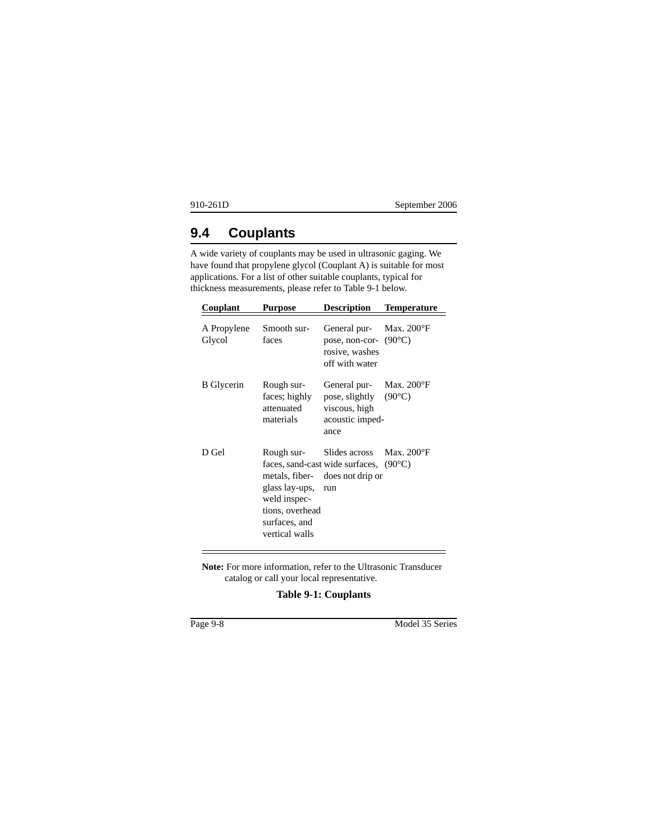# **9.4 Couplants**

A wide variety of couplants may be used in ultrasonic gaging. We have found that propylene glycol (Couplant A) is suitable for most applications. For a list of other suitable couplants, typical for thickness measurements, please refer to Table 9-1 below.

| Couplant              | Purpose                                                                                                              | Description                                                                                     | <b>Temperature</b>   |
|-----------------------|----------------------------------------------------------------------------------------------------------------------|-------------------------------------------------------------------------------------------------|----------------------|
| A Propylene<br>Glycol | Smooth sur-<br>faces                                                                                                 | General pur-<br>pose, non-cor- $(90^{\circ}C)$<br>rosive, washes<br>off with water              | Max. $200^{\circ}F$  |
| <b>B</b> Glycerin     | Rough sur-<br>faces; highly<br>attenuated<br>materials                                                               | General pur- Max. $200^{\circ}$ F<br>pose, slightly<br>viscous, high<br>acoustic imped-<br>ance | $(90^{\circ}C)$      |
| D Gel                 | Rough sur-<br>metals, fiber-<br>glass lay-ups,<br>weld inspec-<br>tions, overhead<br>surfaces, and<br>vertical walls | Slides across<br>faces, sand-cast wide surfaces, $(90^{\circ}C)$<br>does not drip or<br>run     | Max. $200^{\circ}$ F |

**Note:** For more information, refer to the Ultrasonic Transducer catalog or call your local representative.

### **Table 9-1: Couplants**

Page 9-8 Model 35 Series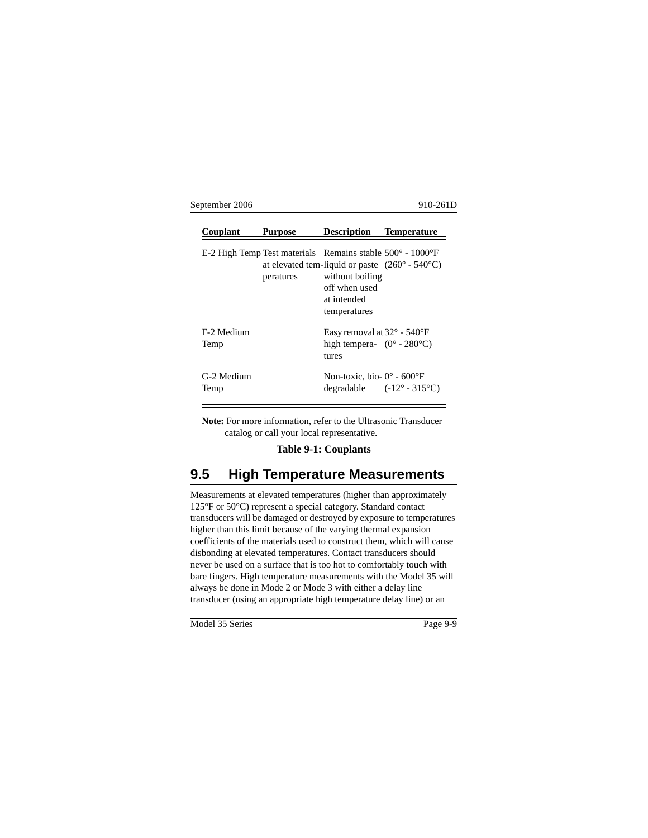| September 2006 | 910-261D |
|----------------|----------|
|                |          |

| Couplant           | <b>Purpose</b> | <b>Description</b>                                                                                                                                                                                                | <b>Temperature</b> |
|--------------------|----------------|-------------------------------------------------------------------------------------------------------------------------------------------------------------------------------------------------------------------|--------------------|
|                    | peratures      | E-2 High Temp Test materials Remains stable $500^{\circ}$ - $1000^{\circ}$ F<br>at elevated tem-liquid or paste $(260^{\circ} - 540^{\circ}C)$<br>without boiling<br>off when used<br>at intended<br>temperatures |                    |
| F-2 Medium<br>Temp |                | Easy removal at $32^{\circ}$ - $540^{\circ}$ F<br>high tempera- $(0^{\circ} - 280^{\circ}C)$<br>tures                                                                                                             |                    |
| G-2 Medium<br>Temp |                | Non-toxic, bio- $0^{\circ}$ - 600 $^{\circ}$ F<br>degradable $(-12^{\circ} - 315^{\circ}C)$                                                                                                                       |                    |

**Note:** For more information, refer to the Ultrasonic Transducer catalog or call your local representative.

### **Table 9-1: Couplants**

# **9.5 High Temperature Measurements**

Measurements at elevated temperatures (higher than approximately 125°F or 50°C) represent a special category. Standard contact transducers will be damaged or destroyed by exposure to temperatures higher than this limit because of the varying thermal expansion coefficients of the materials used to construct them, which will cause disbonding at elevated temperatures. Contact transducers should never be used on a surface that is too hot to comfortably touch with bare fingers. High temperature measurements with the Model 35 will always be done in Mode 2 or Mode 3 with either a delay line transducer (using an appropriate high temperature delay line) or an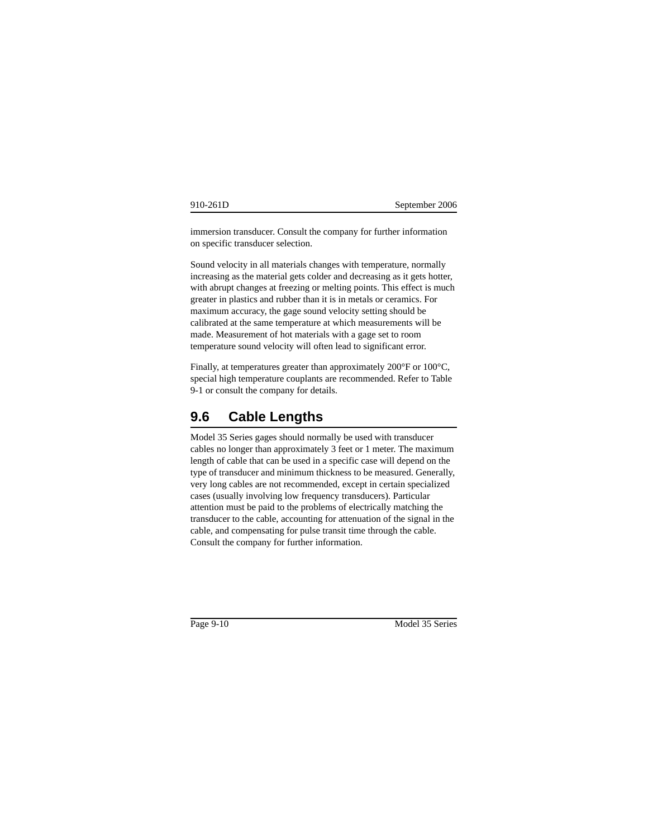immersion transducer. Consult the company for further information on specific transducer selection.

Sound velocity in all materials changes with temperature, normally increasing as the material gets colder and decreasing as it gets hotter, with abrupt changes at freezing or melting points. This effect is much greater in plastics and rubber than it is in metals or ceramics. For maximum accuracy, the gage sound velocity setting should be calibrated at the same temperature at which measurements will be made. Measurement of hot materials with a gage set to room temperature sound velocity will often lead to significant error.

Finally, at temperatures greater than approximately 200°F or 100°C, special high temperature couplants are recommended. Refer to Table 9-1 or consult the company for details.

## **9.6 Cable Lengths**

Model 35 Series gages should normally be used with transducer cables no longer than approximately 3 feet or 1 meter. The maximum length of cable that can be used in a specific case will depend on the type of transducer and minimum thickness to be measured. Generally, very long cables are not recommended, except in certain specialized cases (usually involving low frequency transducers). Particular attention must be paid to the problems of electrically matching the transducer to the cable, accounting for attenuation of the signal in the cable, and compensating for pulse transit time through the cable. Consult the company for further information.

Page 9-10 Model 35 Series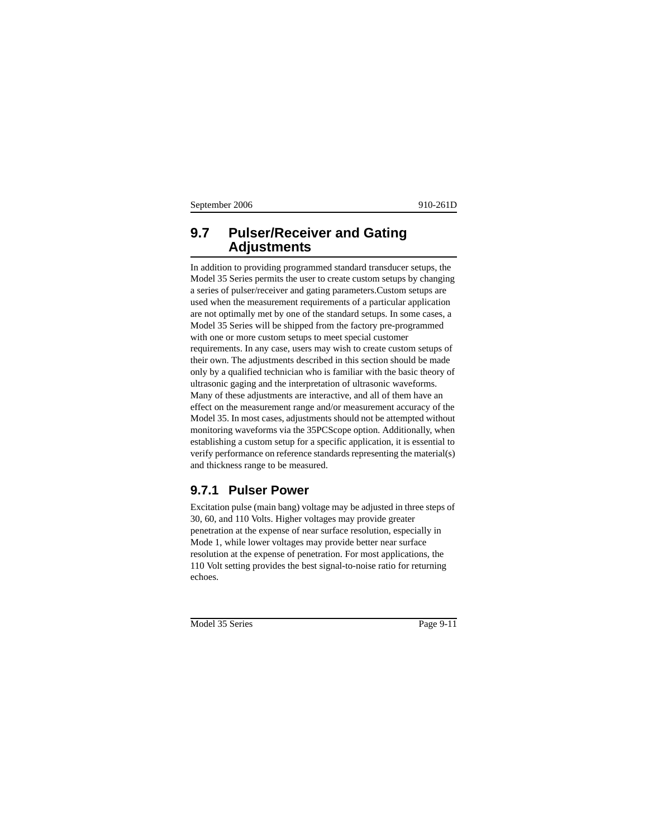September 2006 910-261D

# **9.7 Pulser/Receiver and Gating Adjustments**

In addition to providing programmed standard transducer setups, the Model 35 Series permits the user to create custom setups by changing a series of pulser/receiver and gating parameters.Custom setups are used when the measurement requirements of a particular application are not optimally met by one of the standard setups. In some cases, a Model 35 Series will be shipped from the factory pre-programmed with one or more custom setups to meet special customer requirements. In any case, users may wish to create custom setups of their own. The adjustments described in this section should be made only by a qualified technician who is familiar with the basic theory of ultrasonic gaging and the interpretation of ultrasonic waveforms. Many of these adjustments are interactive, and all of them have an effect on the measurement range and/or measurement accuracy of the Model 35. In most cases, adjustments should not be attempted without monitoring waveforms via the 35PCScope option. Additionally, when establishing a custom setup for a specific application, it is essential to verify performance on reference standards representing the material(s) and thickness range to be measured.

### **9.7.1 Pulser Power**

Excitation pulse (main bang) voltage may be adjusted in three steps of 30, 60, and 110 Volts. Higher voltages may provide greater penetration at the expense of near surface resolution, especially in Mode 1, while lower voltages may provide better near surface resolution at the expense of penetration. For most applications, the 110 Volt setting provides the best signal-to-noise ratio for returning echoes.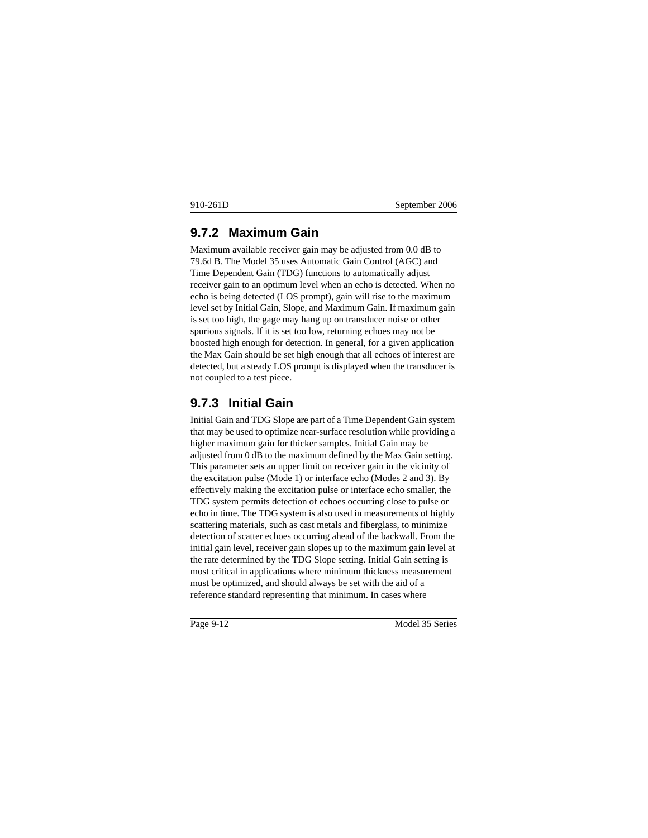### **9.7.2 Maximum Gain**

Maximum available receiver gain may be adjusted from 0.0 dB to 79.6d B. The Model 35 uses Automatic Gain Control (AGC) and Time Dependent Gain (TDG) functions to automatically adjust receiver gain to an optimum level when an echo is detected. When no echo is being detected (LOS prompt), gain will rise to the maximum level set by Initial Gain, Slope, and Maximum Gain. If maximum gain is set too high, the gage may hang up on transducer noise or other spurious signals. If it is set too low, returning echoes may not be boosted high enough for detection. In general, for a given application the Max Gain should be set high enough that all echoes of interest are detected, but a steady LOS prompt is displayed when the transducer is not coupled to a test piece.

### **9.7.3 Initial Gain**

Initial Gain and TDG Slope are part of a Time Dependent Gain system that may be used to optimize near-surface resolution while providing a higher maximum gain for thicker samples. Initial Gain may be adjusted from 0 dB to the maximum defined by the Max Gain setting. This parameter sets an upper limit on receiver gain in the vicinity of the excitation pulse (Mode 1) or interface echo (Modes 2 and 3). By effectively making the excitation pulse or interface echo smaller, the TDG system permits detection of echoes occurring close to pulse or echo in time. The TDG system is also used in measurements of highly scattering materials, such as cast metals and fiberglass, to minimize detection of scatter echoes occurring ahead of the backwall. From the initial gain level, receiver gain slopes up to the maximum gain level at the rate determined by the TDG Slope setting. Initial Gain setting is most critical in applications where minimum thickness measurement must be optimized, and should always be set with the aid of a reference standard representing that minimum. In cases where

Page 9-12 Model 35 Series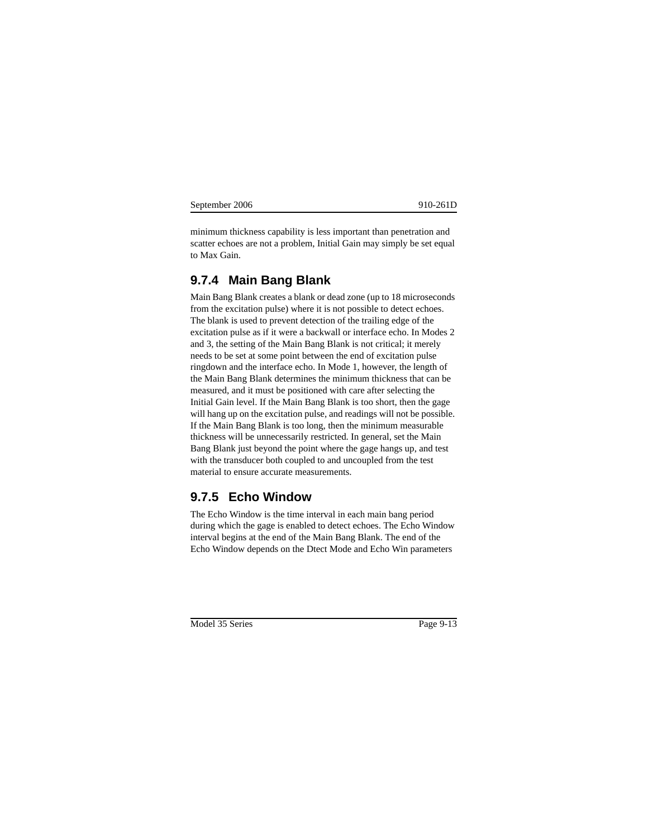| September 2006 |  |  |  |  |  |
|----------------|--|--|--|--|--|
|----------------|--|--|--|--|--|

 $5 \t 910-261D$ 

minimum thickness capability is less important than penetration and scatter echoes are not a problem, Initial Gain may simply be set equal to Max Gain.

### **9.7.4 Main Bang Blank**

Main Bang Blank creates a blank or dead zone (up to 18 microseconds from the excitation pulse) where it is not possible to detect echoes. The blank is used to prevent detection of the trailing edge of the excitation pulse as if it were a backwall or interface echo. In Modes 2 and 3, the setting of the Main Bang Blank is not critical; it merely needs to be set at some point between the end of excitation pulse ringdown and the interface echo. In Mode 1, however, the length of the Main Bang Blank determines the minimum thickness that can be measured, and it must be positioned with care after selecting the Initial Gain level. If the Main Bang Blank is too short, then the gage will hang up on the excitation pulse, and readings will not be possible. If the Main Bang Blank is too long, then the minimum measurable thickness will be unnecessarily restricted. In general, set the Main Bang Blank just beyond the point where the gage hangs up, and test with the transducer both coupled to and uncoupled from the test material to ensure accurate measurements.

# **9.7.5 Echo Window**

The Echo Window is the time interval in each main bang period during which the gage is enabled to detect echoes. The Echo Window interval begins at the end of the Main Bang Blank. The end of the Echo Window depends on the Dtect Mode and Echo Win parameters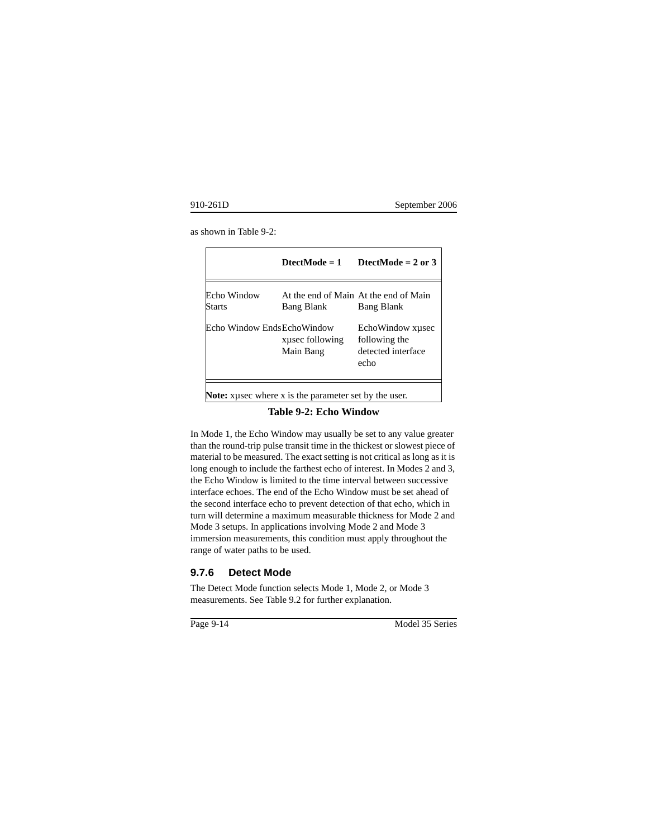as shown in Table 9-2:

|                              | $DtectMode = 1$                                              | DetectMode = $2$ or $3$                                         |
|------------------------------|--------------------------------------------------------------|-----------------------------------------------------------------|
| <b>Echo Window</b><br>Starts | Bang Blank                                                   | At the end of Main At the end of Main<br><b>Bang Blank</b>      |
| Echo Window EndsEchoWindow   | xusec following<br>Main Bang                                 | EchoWindow xusec<br>following the<br>detected interface<br>echo |
|                              | <b>Note:</b> xused where x is the parameter set by the user. |                                                                 |

### **Table 9-2: Echo Window**

In Mode 1, the Echo Window may usually be set to any value greater than the round-trip pulse transit time in the thickest or slowest piece of material to be measured. The exact setting is not critical as long as it is long enough to include the farthest echo of interest. In Modes 2 and 3, the Echo Window is limited to the time interval between successive interface echoes. The end of the Echo Window must be set ahead of the second interface echo to prevent detection of that echo, which in turn will determine a maximum measurable thickness for Mode 2 and Mode 3 setups. In applications involving Mode 2 and Mode 3 immersion measurements, this condition must apply throughout the range of water paths to be used.

### **9.7.6 Detect Mode**

The Detect Mode function selects Mode 1, Mode 2, or Mode 3 measurements. See Table 9.2 for further explanation.

Page 9-14 Model 35 Series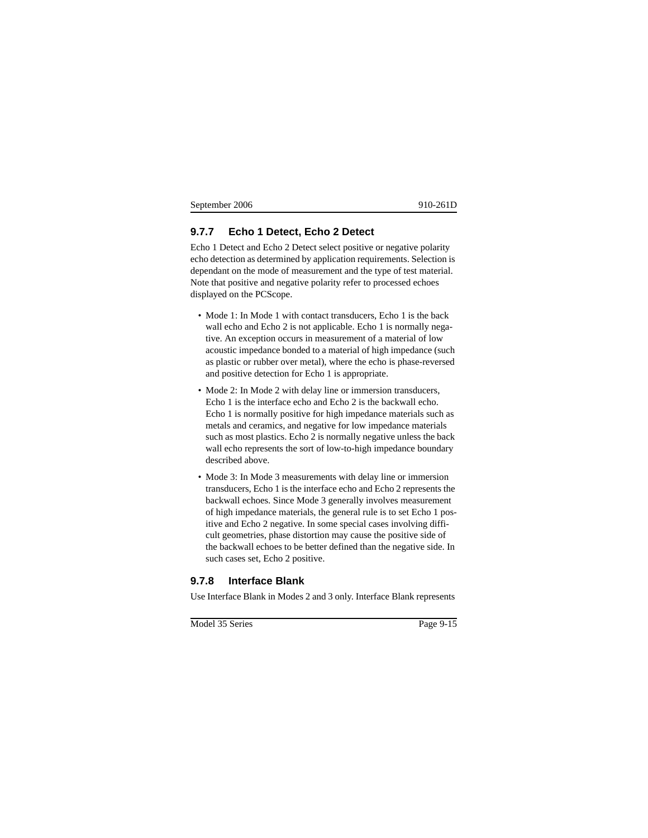| September 2006 |  |  |  |
|----------------|--|--|--|
|----------------|--|--|--|

### $5 \t 910-261D$

### **9.7.7 Echo 1 Detect, Echo 2 Detect**

Echo 1 Detect and Echo 2 Detect select positive or negative polarity echo detection as determined by application requirements. Selection is dependant on the mode of measurement and the type of test material. Note that positive and negative polarity refer to processed echoes displayed on the PCScope.

- Mode 1: In Mode 1 with contact transducers, Echo 1 is the back wall echo and Echo 2 is not applicable. Echo 1 is normally negative. An exception occurs in measurement of a material of low acoustic impedance bonded to a material of high impedance (such as plastic or rubber over metal), where the echo is phase-reversed and positive detection for Echo 1 is appropriate.
- Mode 2: In Mode 2 with delay line or immersion transducers, Echo 1 is the interface echo and Echo 2 is the backwall echo. Echo 1 is normally positive for high impedance materials such as metals and ceramics, and negative for low impedance materials such as most plastics. Echo 2 is normally negative unless the back wall echo represents the sort of low-to-high impedance boundary described above.
- Mode 3: In Mode 3 measurements with delay line or immersion transducers, Echo 1 is the interface echo and Echo 2 represents the backwall echoes. Since Mode 3 generally involves measurement of high impedance materials, the general rule is to set Echo 1 positive and Echo 2 negative. In some special cases involving difficult geometries, phase distortion may cause the positive side of the backwall echoes to be better defined than the negative side. In such cases set, Echo 2 positive.

### **9.7.8 Interface Blank**

Use Interface Blank in Modes 2 and 3 only. Interface Blank represents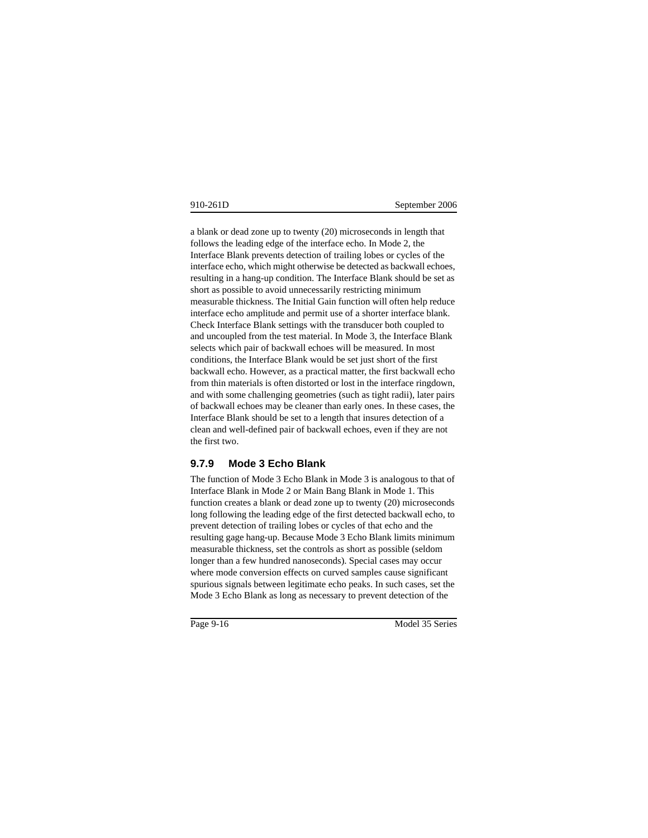a blank or dead zone up to twenty (20) microseconds in length that follows the leading edge of the interface echo. In Mode 2, the Interface Blank prevents detection of trailing lobes or cycles of the interface echo, which might otherwise be detected as backwall echoes, resulting in a hang-up condition. The Interface Blank should be set as short as possible to avoid unnecessarily restricting minimum measurable thickness. The Initial Gain function will often help reduce interface echo amplitude and permit use of a shorter interface blank. Check Interface Blank settings with the transducer both coupled to and uncoupled from the test material. In Mode 3, the Interface Blank selects which pair of backwall echoes will be measured. In most conditions, the Interface Blank would be set just short of the first backwall echo. However, as a practical matter, the first backwall echo from thin materials is often distorted or lost in the interface ringdown, and with some challenging geometries (such as tight radii), later pairs of backwall echoes may be cleaner than early ones. In these cases, the Interface Blank should be set to a length that insures detection of a clean and well-defined pair of backwall echoes, even if they are not the first two.

### **9.7.9 Mode 3 Echo Blank**

The function of Mode 3 Echo Blank in Mode 3 is analogous to that of Interface Blank in Mode 2 or Main Bang Blank in Mode 1. This function creates a blank or dead zone up to twenty (20) microseconds long following the leading edge of the first detected backwall echo, to prevent detection of trailing lobes or cycles of that echo and the resulting gage hang-up. Because Mode 3 Echo Blank limits minimum measurable thickness, set the controls as short as possible (seldom longer than a few hundred nanoseconds). Special cases may occur where mode conversion effects on curved samples cause significant spurious signals between legitimate echo peaks. In such cases, set the Mode 3 Echo Blank as long as necessary to prevent detection of the

Page 9-16 Model 35 Series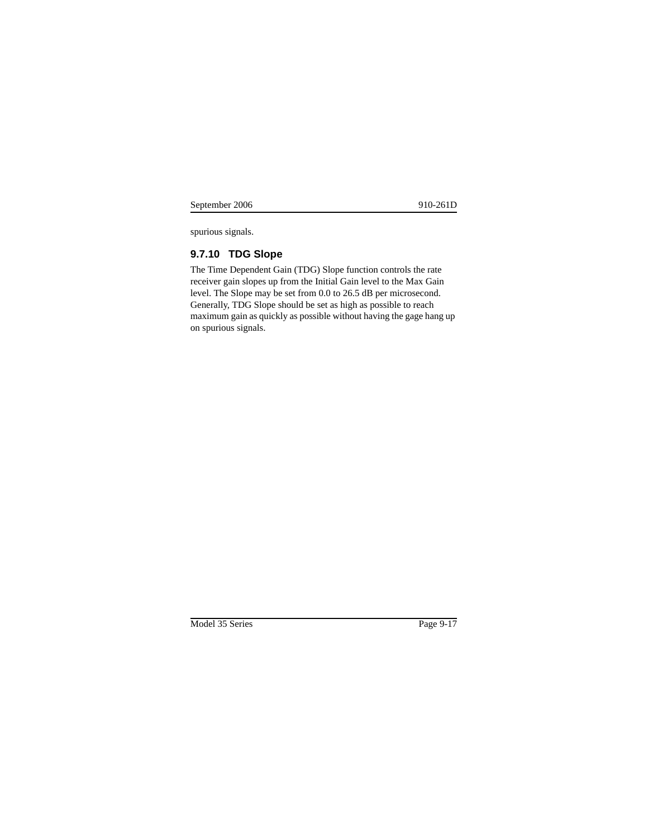September 2006 910-261D

spurious signals.

### **9.7.10 TDG Slope**

The Time Dependent Gain (TDG) Slope function controls the rate receiver gain slopes up from the Initial Gain level to the Max Gain level. The Slope may be set from 0.0 to 26.5 dB per microsecond. Generally, TDG Slope should be set as high as possible to reach maximum gain as quickly as possible without having the gage hang up on spurious signals.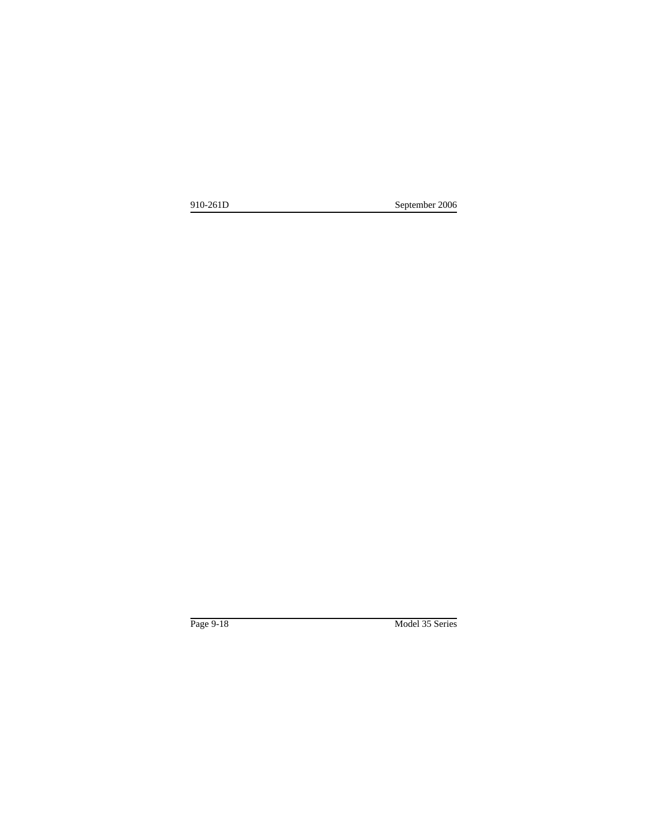Page 9-18 Model 35 Series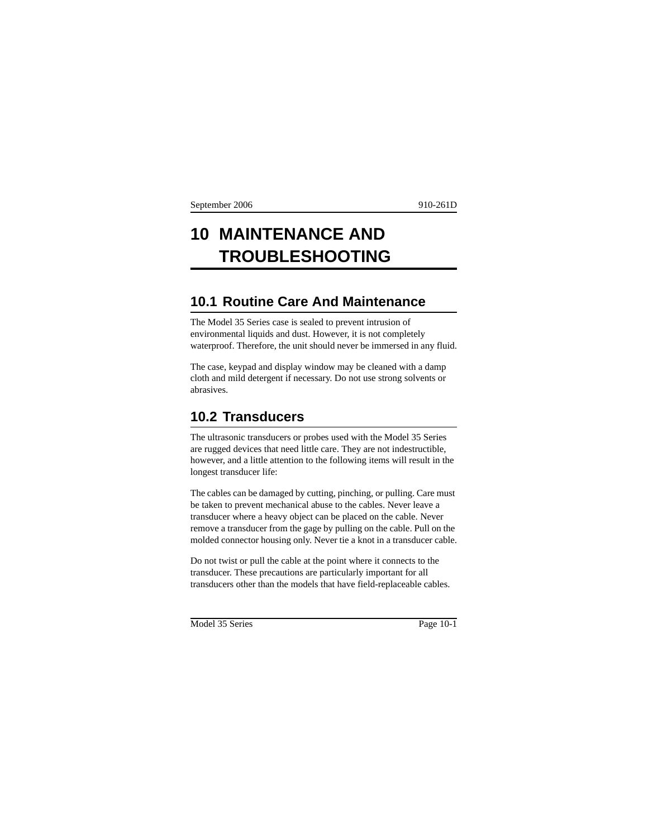September 2006 910-261D

# **10 MAINTENANCE AND TROUBLESHOOTING**

# **10.1 Routine Care And Maintenance**

The Model 35 Series case is sealed to prevent intrusion of environmental liquids and dust. However, it is not completely waterproof. Therefore, the unit should never be immersed in any fluid.

The case, keypad and display window may be cleaned with a damp cloth and mild detergent if necessary. Do not use strong solvents or abrasives.

# **10.2 Transducers**

The ultrasonic transducers or probes used with the Model 35 Series are rugged devices that need little care. They are not indestructible, however, and a little attention to the following items will result in the longest transducer life:

The cables can be damaged by cutting, pinching, or pulling. Care must be taken to prevent mechanical abuse to the cables. Never leave a transducer where a heavy object can be placed on the cable. Never remove a transducer from the gage by pulling on the cable. Pull on the molded connector housing only. Never tie a knot in a transducer cable.

Do not twist or pull the cable at the point where it connects to the transducer. These precautions are particularly important for all transducers other than the models that have field-replaceable cables.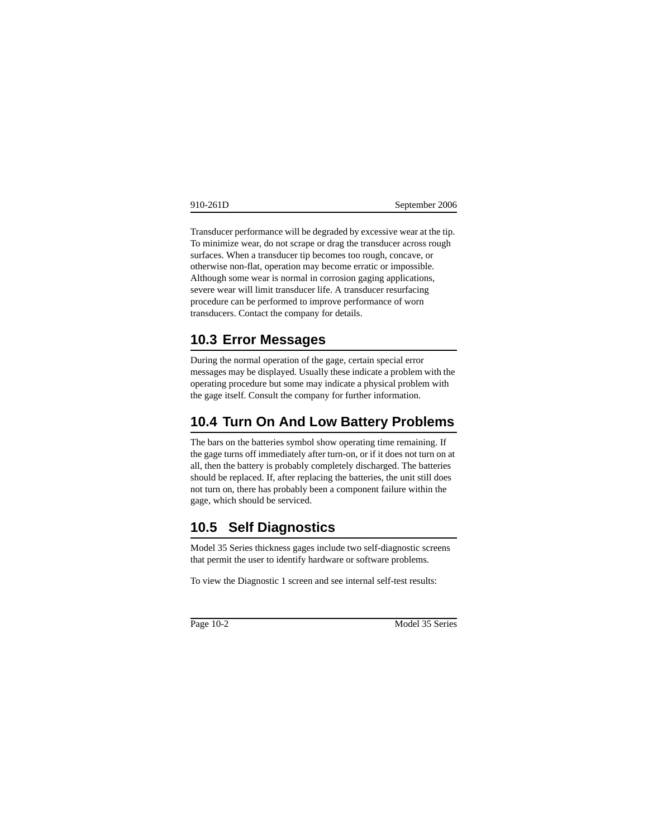Transducer performance will be degraded by excessive wear at the tip. To minimize wear, do not scrape or drag the transducer across rough surfaces. When a transducer tip becomes too rough, concave, or otherwise non-flat, operation may become erratic or impossible. Although some wear is normal in corrosion gaging applications, severe wear will limit transducer life. A transducer resurfacing procedure can be performed to improve performance of worn transducers. Contact the company for details.

## **10.3 Error Messages**

During the normal operation of the gage, certain special error messages may be displayed. Usually these indicate a problem with the operating procedure but some may indicate a physical problem with the gage itself. Consult the company for further information.

# **10.4 Turn On And Low Battery Problems**

The bars on the batteries symbol show operating time remaining. If the gage turns off immediately after turn-on, or if it does not turn on at all, then the battery is probably completely discharged. The batteries should be replaced. If, after replacing the batteries, the unit still does not turn on, there has probably been a component failure within the gage, which should be serviced.

# **10.5 Self Diagnostics**

Model 35 Series thickness gages include two self-diagnostic screens that permit the user to identify hardware or software problems.

To view the Diagnostic 1 screen and see internal self-test results:

Page 10-2 Model 35 Series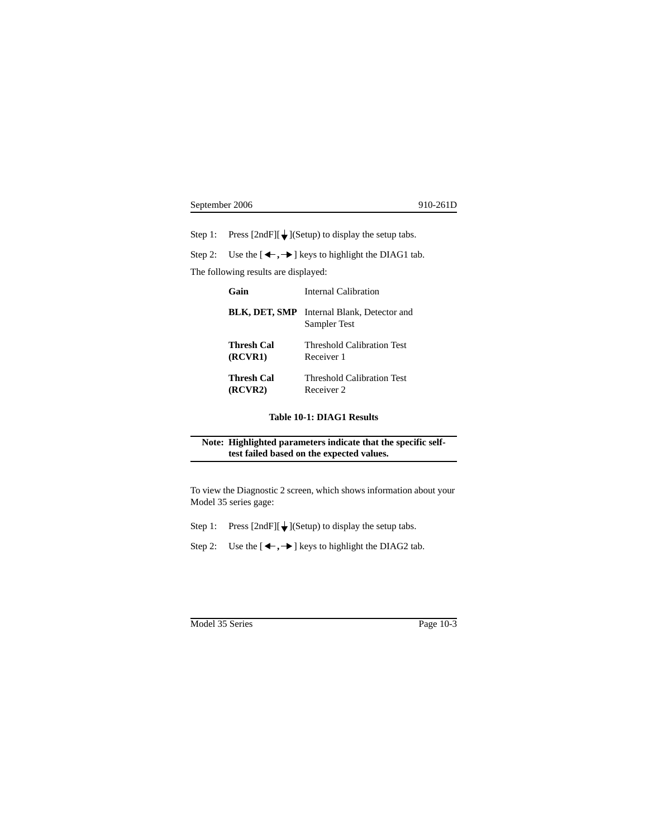| September 2006 |  |
|----------------|--|
|----------------|--|

### 910-261D

Step 1: Press  $[2ndF][\bigstar]$  (Setup) to display the setup tabs.

Step 2: Use the  $[\blacktriangleleft, \rightarrow]$  keys to highlight the DIAG1 tab.

The following results are displayed:

| Gain       | Internal Calibration                                              |
|------------|-------------------------------------------------------------------|
|            | <b>BLK, DET, SMP</b> Internal Blank, Detector and<br>Sampler Test |
| Thresh Cal | Threshold Calibration Test                                        |
| (RCVR1)    | Receiver 1                                                        |
| Thresh Cal | Threshold Calibration Test                                        |
| (RCVR2)    | Receiver 2                                                        |

### **Table 10-1: DIAG1 Results**

| Note: Highlighted parameters indicate that the specific self- |
|---------------------------------------------------------------|
| test failed based on the expected values.                     |

To view the Diagnostic 2 screen, which shows information about your Model 35 series gage:

Step 1: Press  $[2ndF][\bigstar]$  (Setup) to display the setup tabs.

Step 2: Use the  $[\blacktriangleleft, \rightarrow]$  keys to highlight the DIAG2 tab.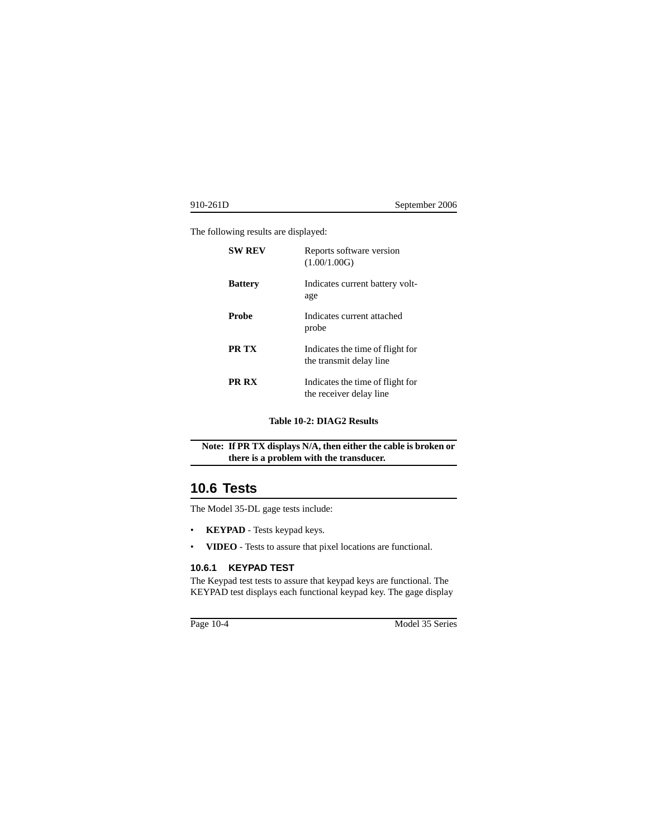| 910-261D |  |  |  |
|----------|--|--|--|
|          |  |  |  |

| 910-261D | September 2006 |  |
|----------|----------------|--|
|          |                |  |

The following results are displayed:

| <b>SW REV</b>  | Reports software version<br>(1.00/1.00G)                    |
|----------------|-------------------------------------------------------------|
| <b>Battery</b> | Indicates current battery volt-<br>age                      |
| Probe          | Indicates current attached<br>probe                         |
| <b>PR TX</b>   | Indicates the time of flight for<br>the transmit delay line |
| <b>PR RX</b>   | Indicates the time of flight for<br>the receiver delay line |

### **Table 10-2: DIAG2 Results**

**Note: If PR TX displays N/A, then either the cable is broken or there is a problem with the transducer.**

# **10.6 Tests**

The Model 35-DL gage tests include:

- **KEYPAD** Tests keypad keys.
- **VIDEO** Tests to assure that pixel locations are functional.

### **10.6.1 KEYPAD TEST**

The Keypad test tests to assure that keypad keys are functional. The KEYPAD test displays each functional keypad key. The gage display

Page 10-4 Model 35 Series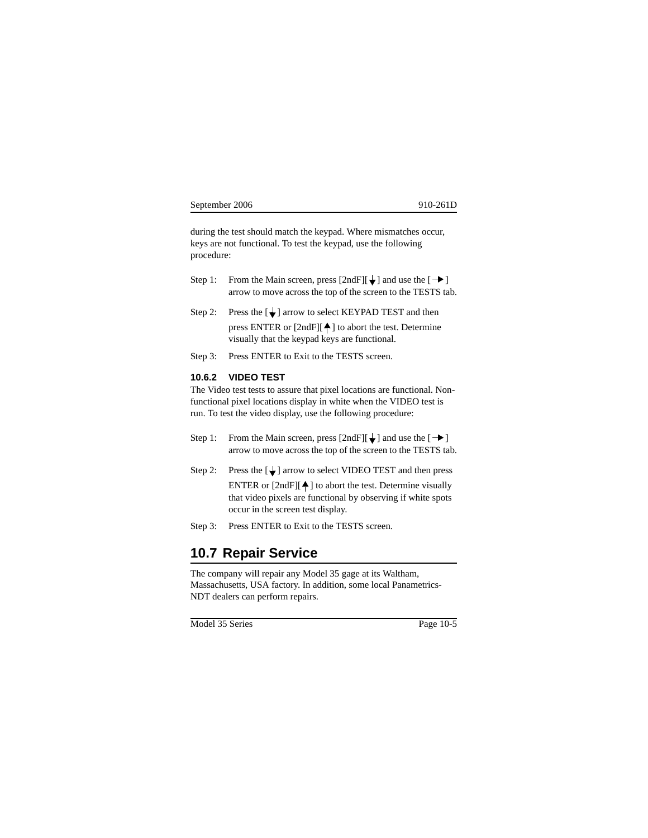910-261D

during the test should match the keypad. Where mismatches occur, keys are not functional. To test the keypad, use the following procedure:

| Step 1: From the Main screen, press [2ndF][ $\downarrow$ ] and use the [ $\rightarrow$ ]<br>arrow to move across the top of the screen to the TESTS tab. |
|----------------------------------------------------------------------------------------------------------------------------------------------------------|
| Step 2: Press the $\left[\bigstar\right]$ arrow to select KEYPAD TEST and then                                                                           |
| press ENTER or $[2ndF][\bigtriangleup]$ to abort the test. Determine<br>visually that the keypad keys are functional.                                    |

Step 3: Press ENTER to Exit to the TESTS screen.

### **10.6.2 VIDEO TEST**

The Video test tests to assure that pixel locations are functional. Nonfunctional pixel locations display in white when the VIDEO test is run. To test the video display, use the following procedure:

- Step 1: From the Main screen, press [2ndF][ $\downarrow$ ] and use the [ $\rightarrow$ ] arrow to move across the top of the screen to the TESTS tab.
- Step 2: Press the  $\left[\bigstar\right]$  arrow to select VIDEO TEST and then press ENTER or  $[2ndF][\bigtriangleup]$  to abort the test. Determine visually that video pixels are functional by observing if white spots occur in the screen test display.
- Step 3: Press ENTER to Exit to the TESTS screen.

# **10.7 Repair Service**

The company will repair any Model 35 gage at its Waltham, Massachusetts, USA factory. In addition, some local Panametrics-NDT dealers can perform repairs.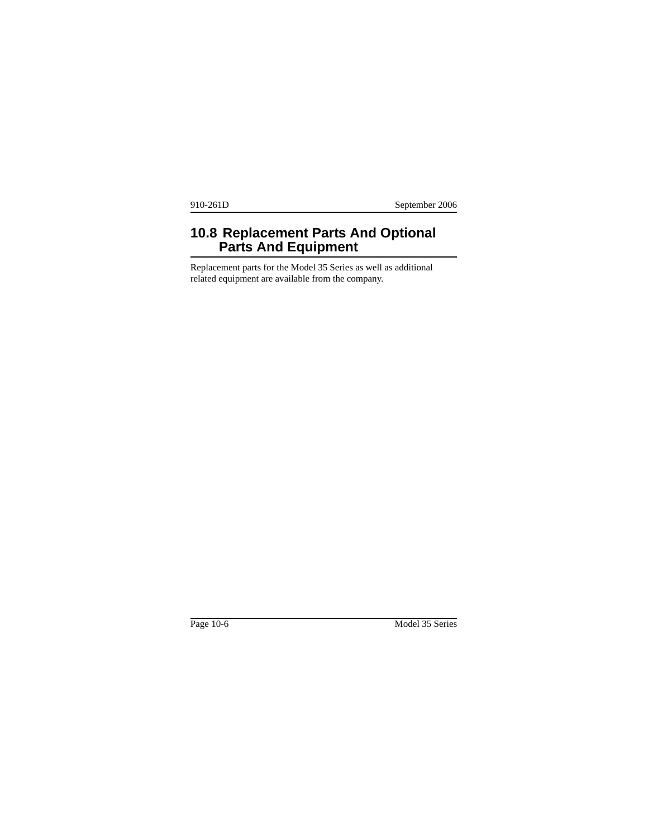# **10.8 Replacement Parts And Optional Parts And Equipment**

Replacement parts for the Model 35 Series as well as additional related equipment are available from the company.

Page 10-6 Model 35 Series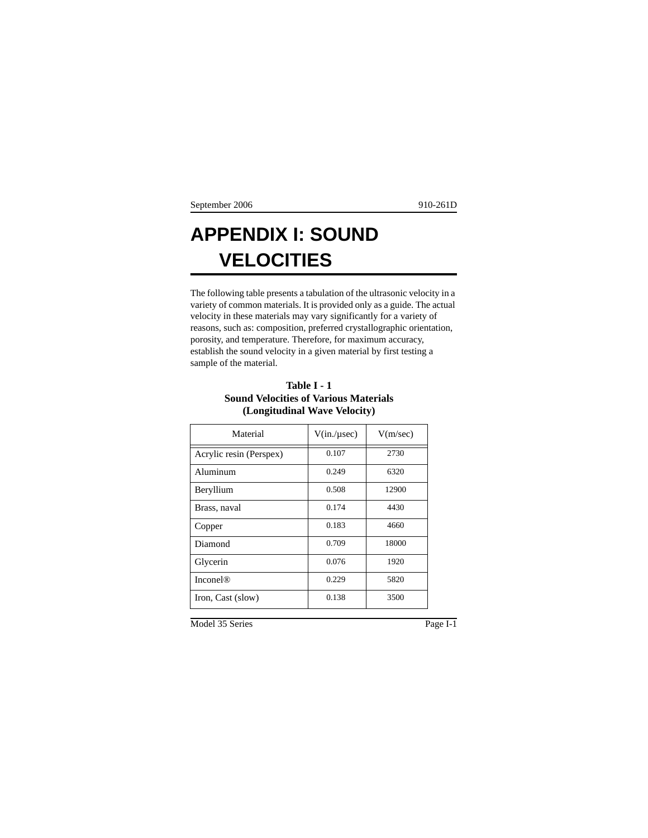September 2006 910-261D

# **APPENDIX I: SOUND VELOCITIES**

The following table presents a tabulation of the ultrasonic velocity in a variety of common materials. It is provided only as a guide. The actual velocity in these materials may vary significantly for a variety of reasons, such as: composition, preferred crystallographic orientation, porosity, and temperature. Therefore, for maximum accuracy, establish the sound velocity in a given material by first testing a sample of the material.

| Table I - 1                                  |
|----------------------------------------------|
| <b>Sound Velocities of Various Materials</b> |
| (Longitudinal Wave Velocity)                 |

| Material                | $V(in./\mu sec)$ | V(m/sec) |
|-------------------------|------------------|----------|
| Acrylic resin (Perspex) | 0.107            | 2730     |
| Aluminum                | 0.249            | 6320     |
| Beryllium               | 0.508            | 12900    |
| Brass, naval            | 0.174            | 4430     |
| Copper                  | 0.183            | 4660     |
| Diamond                 | 0.709            | 18000    |
| Glycerin                | 0.076            | 1920     |
| <b>Inconel®</b>         | 0.229            | 5820     |
| Iron, Cast (slow)       | 0.138            | 3500     |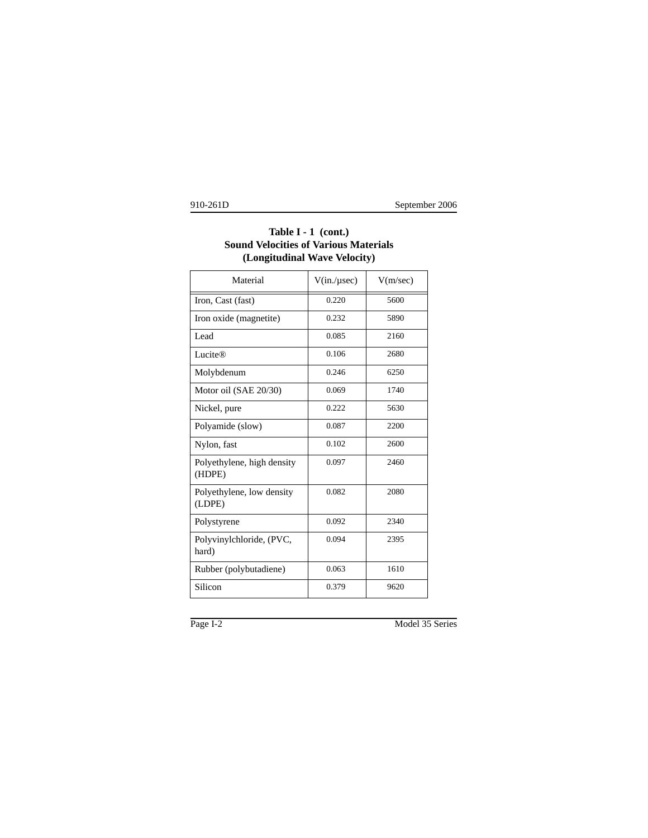| Material                             | V(in./usec) | V(m/sec) |  |  |
|--------------------------------------|-------------|----------|--|--|
| Iron, Cast (fast)                    | 0.220       | 5600     |  |  |
| Iron oxide (magnetite)               | 0.232       | 5890     |  |  |
| Lead                                 | 0.085       | 2160     |  |  |
| Lucite®                              | 0.106       | 2680     |  |  |
| Molybdenum                           | 0.246       | 6250     |  |  |
| Motor oil (SAE 20/30)                | 0.069       | 1740     |  |  |
| Nickel, pure                         | 0.222       | 5630     |  |  |
| Polyamide (slow)                     | 0.087       | 2200     |  |  |
| Nylon, fast                          | 0.102       | 2600     |  |  |
| Polyethylene, high density<br>(HDPE) | 0.097       | 2460     |  |  |
| Polyethylene, low density<br>(LDPE)  | 0.082       | 2080     |  |  |
| Polystyrene                          | 0.092       | 2340     |  |  |
| Polyvinylchloride, (PVC,<br>hard)    | 0.094       | 2395     |  |  |
| Rubber (polybutadiene)               | 0.063       | 1610     |  |  |
| Silicon                              | 0.379       | 9620     |  |  |

### **Table I - 1 (cont.) Sound Velocities of Various Materials (Longitudinal Wave Velocity)**

Page I-2 Model 35 Series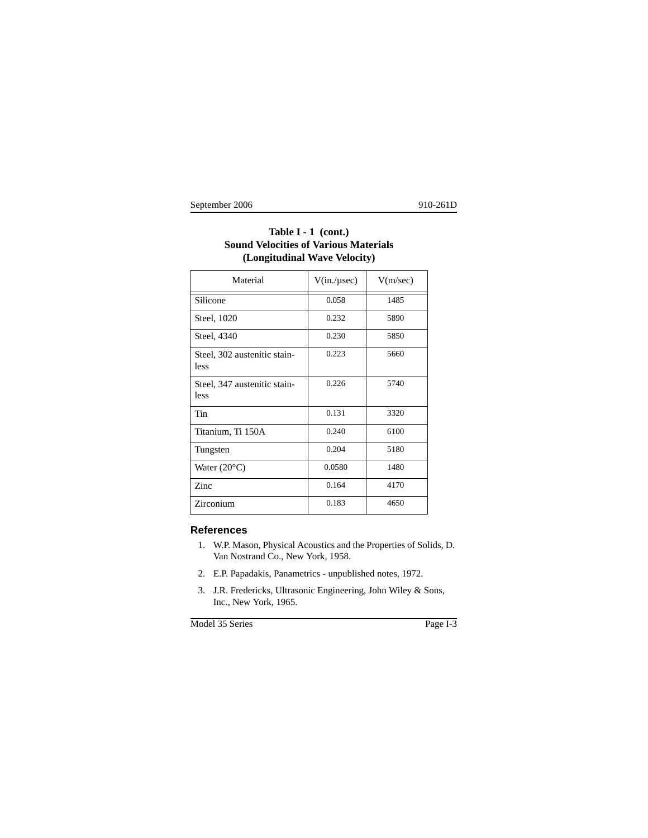| September 2006 | 910-261D |
|----------------|----------|
|----------------|----------|

| Material                             | V(in./usec) | V(m/sec) |
|--------------------------------------|-------------|----------|
| Silicone                             | 0.058       | 1485     |
| Steel, 1020                          | 0.232       | 5890     |
| Steel, 4340                          | 0.230       | 5850     |
| Steel, 302 austenitic stain-<br>less | 0.223       | 5660     |
| Steel, 347 austenitic stain-<br>less | 0.226       | 5740     |
| Tin                                  | 0.131       | 3320     |
| Titanium, Ti 150A                    | 0.240       | 6100     |
| Tungsten                             | 0.204       | 5180     |
| Water $(20^{\circ}C)$                | 0.0580      | 1480     |
| Zinc                                 | 0.164       | 4170     |
| Zirconium                            | 0.183       | 4650     |

### **Table I - 1 (cont.) Sound Velocities of Various Materials (Longitudinal Wave Velocity)**

### **References**

- 1. W.P. Mason, Physical Acoustics and the Properties of Solids, D. Van Nostrand Co., New York, 1958.
- 2. E.P. Papadakis, Panametrics unpublished notes, 1972.
- 3. J.R. Fredericks, Ultrasonic Engineering, John Wiley & Sons, Inc., New York, 1965.